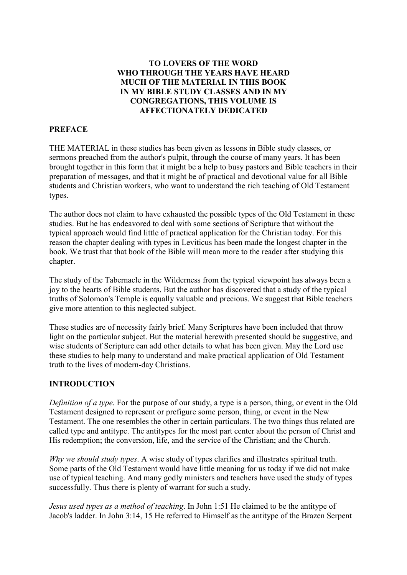# **TO LOVERS OF THE WORD WHO THROUGH THE YEARS HAVE HEARD MUCH OF THE MATERIAL IN THIS BOOK IN MY BIBLE STUDY CLASSES AND IN MY CONGREGATIONS, THIS VOLUME IS AFFECTIONATELY DEDICATED**

## **PREFACE**

THE MATERIAL in these studies has been given as lessons in Bible study classes, or sermons preached from the author's pulpit, through the course of many years. It has been brought together in this form that it might be a help to busy pastors and Bible teachers in their preparation of messages, and that it might be of practical and devotional value for all Bible students and Christian workers, who want to understand the rich teaching of Old Testament types.

The author does not claim to have exhausted the possible types of the Old Testament in these studies. But he has endeavored to deal with some sections of Scripture that without the typical approach would find little of practical application for the Christian today. For this reason the chapter dealing with types in Leviticus has been made the longest chapter in the book. We trust that that book of the Bible will mean more to the reader after studying this chapter.

The study of the Tabernacle in the Wilderness from the typical viewpoint has always been a joy to the hearts of Bible students. But the author has discovered that a study of the typical truths of Solomon's Temple is equally valuable and precious. We suggest that Bible teachers give more attention to this neglected subject.

These studies are of necessity fairly brief. Many Scriptures have been included that throw light on the particular subject. But the material herewith presented should be suggestive, and wise students of Scripture can add other details to what has been given. May the Lord use these studies to help many to understand and make practical application of Old Testament truth to the lives of modern-day Christians.

### **INTRODUCTION**

*Definition of a type*. For the purpose of our study, a type is a person, thing, or event in the Old Testament designed to represent or prefigure some person, thing, or event in the New Testament. The one resembles the other in certain particulars. The two things thus related are called type and antitype. The antitypes for the most part center about the person of Christ and His redemption; the conversion, life, and the service of the Christian; and the Church.

*Why we should study types*. A wise study of types clarifies and illustrates spiritual truth. Some parts of the Old Testament would have little meaning for us today if we did not make use of typical teaching. And many godly ministers and teachers have used the study of types successfully. Thus there is plenty of warrant for such a study.

*Jesus used types as a method of teaching*. In John 1:51 He claimed to be the antitype of Jacob's ladder. In John 3:14, 15 He referred to Himself as the antitype of the Brazen Serpent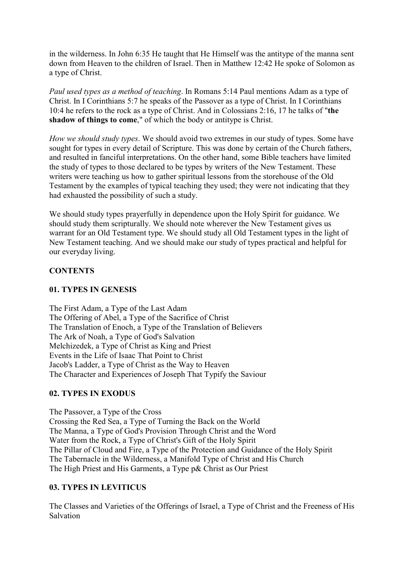in the wilderness. In John 6:35 He taught that He Himself was the antitype of the manna sent down from Heaven to the children of Israel. Then in Matthew 12:42 He spoke of Solomon as a type of Christ.

*Paul used types as a method of teaching*. In Romans 5:14 Paul mentions Adam as a type of Christ. In I Corinthians 5:7 he speaks of the Passover as a type of Christ. In I Corinthians 10:4 he refers to the rock as a type of Christ. And in Colossians 2:16, 17 he talks of "**the shadow of things to come**," of which the body or antitype is Christ.

*How we should study types*. We should avoid two extremes in our study of types. Some have sought for types in every detail of Scripture. This was done by certain of the Church fathers, and resulted in fanciful interpretations. On the other hand, some Bible teachers have limited the study of types to those declared to be types by writers of the New Testament. These writers were teaching us how to gather spiritual lessons from the storehouse of the Old Testament by the examples of typical teaching they used; they were not indicating that they had exhausted the possibility of such a study.

We should study types prayerfully in dependence upon the Holy Spirit for guidance. We should study them scripturally. We should note wherever the New Testament gives us warrant for an Old Testament type. We should study all Old Testament types in the light of New Testament teaching. And we should make our study of types practical and helpful for our everyday living.

# **CONTENTS**

# **01. TYPES IN GENESIS**

The First Adam, a Type of the Last Adam The Offering of Abel, a Type of the Sacrifice of Christ The Translation of Enoch, a Type of the Translation of Believers The Ark of Noah, a Type of God's Salvation Melchizedek, a Type of Christ as King and Priest Events in the Life of Isaac That Point to Christ Jacob's Ladder, a Type of Christ as the Way to Heaven The Character and Experiences of Joseph That Typify the Saviour

# **02. TYPES IN EXODUS**

The Passover, a Type of the Cross Crossing the Red Sea, a Type of Turning the Back on the World The Manna, a Type of God's Provision Through Christ and the Word Water from the Rock, a Type of Christ's Gift of the Holy Spirit The Pillar of Cloud and Fire, a Type of the Protection and Guidance of the Holy Spirit The Tabernacle in the Wilderness, a Manifold Type of Christ and His Church The High Priest and His Garments, a Type p& Christ as Our Priest

# **03. TYPES IN LEVITICUS**

The Classes and Varieties of the Offerings of Israel, a Type of Christ and the Freeness of His Salvation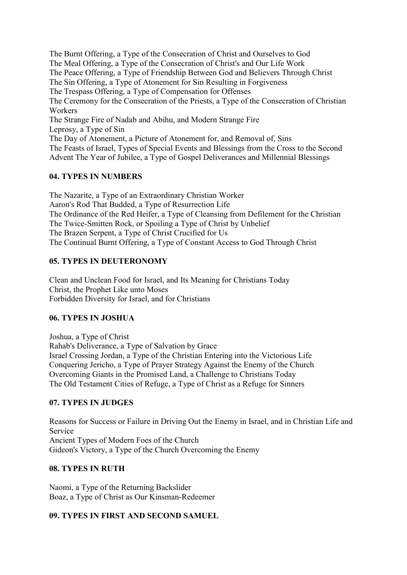The Burnt Offering, a Type of the Consecration of Christ and Ourselves to God The Meal Offering, a Type of the Consecration of Christ's and Our Life Work The Peace Offering, a Type of Friendship Between God and Believers Through Christ The Sin Offering, a Type of Atonement for Sin Resulting in Forgiveness The Trespass Offering, a Type of Compensation for Offenses The Ceremony for the Consecration of the Priests, a Type of the Consecration of Christian Workers The Strange Fire of Nadab and Abihu, and Modern Strange Fire Leprosy, a Type of Sin The Day of Atonement, a Picture of Atonement for, and Removal of, Sins The Feasts of Israel, Types of Special Events and Blessings from the Cross to the Second Advent The Year of Jubilee, a Type of Gospel Deliverances and Millennial Blessings

# **04. TYPES IN NUMBERS**

The Nazarite, a Type of an Extraordinary Christian Worker Aaron's Rod That Budded, a Type of Resurrection Life The Ordinance of the Red Heifer, a Type of Cleansing from Defilement for the Christian The Twice-Smitten Rock, or Spoiling a Type of Christ by Unbelief The Brazen Serpent, a Type of Christ Crucified for Us The Continual Burnt Offering, a Type of Constant Access to God Through Christ

# **05. TYPES IN DEUTERONOMY**

Clean and Unclean Food for Israel, and Its Meaning for Christians Today Christ, the Prophet Like unto Moses Forbidden Diversity for Israel, and for Christians

# **06. TYPES IN JOSHUA**

Joshua, a Type of Christ Rahab's Deliverance, a Type of Salvation by Grace Israel Crossing Jordan, a Type of the Christian Entering into the Victorious Life Conquering Jericho, a Type of Prayer Strategy Against the Enemy of the Church Overcoming Giants in the Promised Land, a Challenge to Christians Today The Old Testament Cities of Refuge, a Type of Christ as a Refuge for Sinners

# **07. TYPES IN JUDGES**

Reasons for Success or Failure in Driving Out the Enemy in Israel, and in Christian Life and Service Ancient Types of Modern Foes of the Church Gideon's Victory, a Type of the Church Overcoming the Enemy

# **08. TYPES IN RUTH**

Naomi, a Type of the Returning Backslider Boaz, a Type of Christ as Our Kinsman-Redeemer

# **09. TYPES IN FIRST AND SECOND SAMUEL**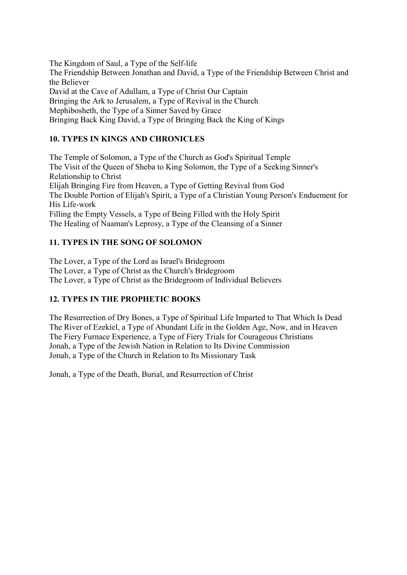The Kingdom of Saul, a Type of the Self-life The Friendship Between Jonathan and David, a Type of the Friendship Between Christ and the Believer David at the Cave of Adullam, a Type of Christ Our Captain Bringing the Ark to Jerusalem, a Type of Revival in the Church Mephibosheth, the Type of a Sinner Saved by Grace Bringing Back King David, a Type of Bringing Back the King of Kings

# **10. TYPES IN KINGS AND CHRONICLES**

The Temple of Solomon, a Type of the Church as God's Spiritual Temple The Visit of the Queen of Sheba to King Solomon, the Type of a Seeking Sinner's Relationship to Christ Elijah Bringing Fire from Heaven, a Type of Getting Revival from God The Double Portion of Elijah's Spirit, a Type of a Christian Young Person's Enduement for His Life-work Filling the Empty Vessels, a Type of Being Filled with the Holy Spirit The Healing of Naaman's Leprosy, a Type of the Cleansing of a Sinner

# **11. TYPES IN THE SONG OF SOLOMON**

The Lover, a Type of the Lord as Israel's Bridegroom The Lover, a Type of Christ as the Church's Bridegroom The Lover, a Type of Christ as the Bridegroom of Individual Believers

# **12. TYPES IN THE PROPHETIC BOOKS**

The Resurrection of Dry Bones, a Type of Spiritual Life Imparted to That Which Is Dead The River of Ezekiel, a Type of Abundant Life in the Golden Age, Now, and in Heaven The Fiery Furnace Experience, a Type of Fiery Trials for Courageous Christians Jonah, a Type of the Jewish Nation in Relation to Its Divine Commission Jonah, a Type of the Church in Relation to Its Missionary Task

Jonah, a Type of the Death, Burial, and Resurrection of Christ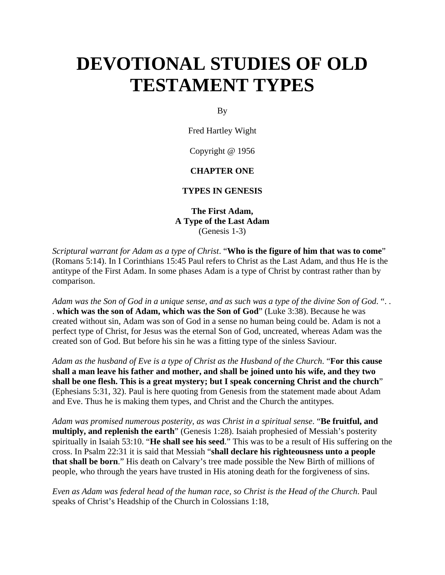# **DEVOTIONAL STUDIES OF OLD TESTAMENT TYPES**

By

Fred Hartley Wight

Copyright @ 1956

#### **CHAPTER ONE**

#### **TYPES IN GENESIS**

## **The First Adam, A Type of the Last Adam**  (Genesis 1-3)

*Scriptural warrant for Adam as a type of Christ*. "**Who is the figure of him that was to come**" (Romans 5:14). In I Corinthians 15:45 Paul refers to Christ as the Last Adam, and thus He is the antitype of the First Adam. In some phases Adam is a type of Christ by contrast rather than by comparison.

*Adam was the Son of God in a unique sense, and as such was a type of the divine Son of God*. ". . . **which was the son of Adam, which was the Son of God**" (Luke 3:38). Because he was created without sin, Adam was son of God in a sense no human being could be. Adam is not a perfect type of Christ, for Jesus was the eternal Son of God, uncreated, whereas Adam was the created son of God. But before his sin he was a fitting type of the sinless Saviour.

*Adam as the husband of Eve is a type of Christ as the Husband of the Church*. "**For this cause shall a man leave his father and mother, and shall be joined unto his wife, and they two shall be one flesh. This is a great mystery; but I speak concerning Christ and the church**" (Ephesians 5:31, 32). Paul is here quoting from Genesis from the statement made about Adam and Eve. Thus he is making them types, and Christ and the Church the antitypes.

*Adam was promised numerous posterity, as was Christ in a spiritual sense*. "**Be fruitful, and multiply, and replenish the earth**" (Genesis 1:28). Isaiah prophesied of Messiah's posterity spiritually in Isaiah 53:10. "**He shall see his seed**." This was to be a result of His suffering on the cross. In Psalm 22:31 it is said that Messiah "**shall declare his righteousness unto a people that shall be born**." His death on Calvary's tree made possible the New Birth of millions of people, who through the years have trusted in His atoning death for the forgiveness of sins.

*Even as Adam was federal head of the human race, so Christ is the Head of the Church*. Paul speaks of Christ's Headship of the Church in Colossians 1:18,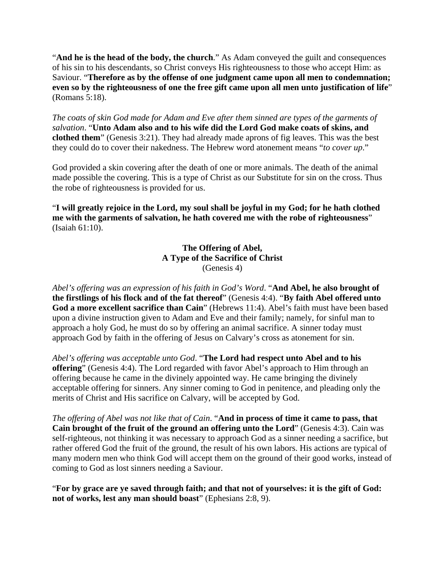"**And he is the head of the body, the church**." As Adam conveyed the guilt and consequences of his sin to his descendants, so Christ conveys His righteousness to those who accept Him: as Saviour. "**Therefore as by the offense of one judgment came upon all men to condemnation; even so by the righteousness of one the free gift came upon all men unto justification of life**" (Romans 5:18).

*The coats of skin God made for Adam and Eve after them sinned are types of the garments of salvation*. "**Unto Adam also and to his wife did the Lord God make coats of skins, and clothed them**" (Genesis 3:21). They had already made aprons of fig leaves. This was the best they could do to cover their nakedness. The Hebrew word atonement means "*to cover up*."

God provided a skin covering after the death of one or more animals. The death of the animal made possible the covering. This is a type of Christ as our Substitute for sin on the cross. Thus the robe of righteousness is provided for us.

"**I will greatly rejoice in the Lord, my soul shall be joyful in my God; for he hath clothed me with the garments of salvation, he hath covered me with the robe of righteousness**" (Isaiah 61:10).

> **The Offering of Abel, A Type of the Sacrifice of Christ**  (Genesis 4)

*Abel's offering was an expression of his faith in God's Word*. "**And Abel, he also brought of the firstlings of his flock and of the fat thereof**" (Genesis 4:4). "**By faith Abel offered unto God a more excellent sacrifice than Cain**" (Hebrews 11:4). Abel's faith must have been based upon a divine instruction given to Adam and Eve and their family; namely, for sinful man to approach a holy God, he must do so by offering an animal sacrifice. A sinner today must approach God by faith in the offering of Jesus on Calvary's cross as atonement for sin.

*Abel's offering was acceptable unto God*. "**The Lord had respect unto Abel and to his offering**" (Genesis 4:4). The Lord regarded with favor Abel's approach to Him through an offering because he came in the divinely appointed way. He came bringing the divinely acceptable offering for sinners. Any sinner coming to God in penitence, and pleading only the merits of Christ and His sacrifice on Calvary, will be accepted by God.

*The offering of Abel was not like that of Cain*. "**And in process of time it came to pass, that Cain brought of the fruit of the ground an offering unto the Lord**" (Genesis 4:3). Cain was self-righteous, not thinking it was necessary to approach God as a sinner needing a sacrifice, but rather offered God the fruit of the ground, the result of his own labors. His actions are typical of many modern men who think God will accept them on the ground of their good works, instead of coming to God as lost sinners needing a Saviour.

"**For by grace are ye saved through faith; and that not of yourselves: it is the gift of God: not of works, lest any man should boast**" (Ephesians 2:8, 9).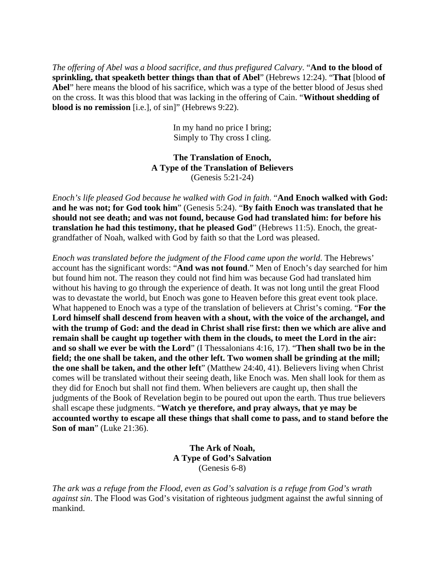*The offering of Abel was a blood sacrifice, and thus prefigured Calvary*. "**And to the blood of sprinkling, that speaketh better things than that of Abel**" (Hebrews 12:24). "**That** [blood **of Abel**" here means the blood of his sacrifice, which was a type of the better blood of Jesus shed on the cross. It was this blood that was lacking in the offering of Cain. "**Without shedding of blood is no remission** [i.e.], of sin]" (Hebrews 9:22).

> In my hand no price I bring; Simply to Thy cross I cling.

#### **The Translation of Enoch, A Type of the Translation of Believers**  (Genesis 5:21-24)

*Enoch's life pleased God because he walked with God in faith*. "**And Enoch walked with God: and he was not; for God took him**" (Genesis 5:24). "**By faith Enoch was translated that he should not see death; and was not found, because God had translated him: for before his translation he had this testimony, that he pleased God**" (Hebrews 11:5). Enoch, the greatgrandfather of Noah, walked with God by faith so that the Lord was pleased.

*Enoch was translated before the judgment of the Flood came upon the world*. The Hebrews' account has the significant words: "**And was not found**." Men of Enoch's day searched for him but found him not. The reason they could not find him was because God had translated him without his having to go through the experience of death. It was not long until the great Flood was to devastate the world, but Enoch was gone to Heaven before this great event took place. What happened to Enoch was a type of the translation of believers at Christ's coming. "**For the Lord himself shall descend from heaven with a shout, with the voice of the archangel, and with the trump of God: and the dead in Christ shall rise first: then we which are alive and remain shall be caught up together with them in the clouds, to meet the Lord in the air: and so shall we ever be with the Lord**" (I Thessalonians 4:16, 17). "**Then shall two be in the field; the one shall be taken, and the other left. Two women shall be grinding at the mill; the one shall be taken, and the other left**" (Matthew 24:40, 41). Believers living when Christ comes will be translated without their seeing death, like Enoch was. Men shall look for them as they did for Enoch but shall not find them. When believers are caught up, then shall the judgments of the Book of Revelation begin to be poured out upon the earth. Thus true believers shall escape these judgments. "**Watch ye therefore, and pray always, that ye may be accounted worthy to escape all these things that shall come to pass, and to stand before the Son of man**" (Luke 21:36).

> **The Ark of Noah, A Type of God's Salvation**  (Genesis 6-8)

*The ark was a refuge from the Flood, even as God's salvation is a refuge from God's wrath against sin*. The Flood was God's visitation of righteous judgment against the awful sinning of mankind.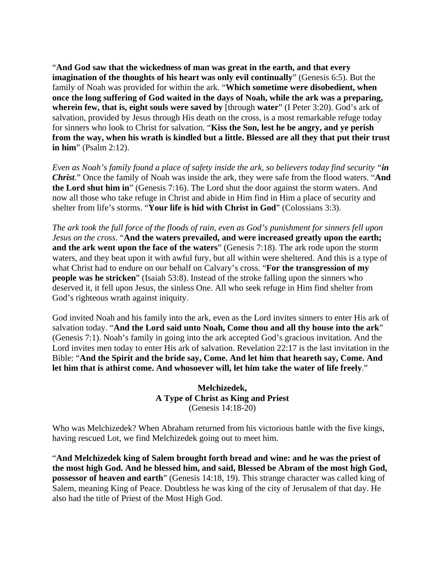"**And God saw that the wickedness of man was great in the earth, and that every imagination of the thoughts of his heart was only evil continually**" (Genesis 6:5). But the family of Noah was provided for within the ark. "**Which sometime were disobedient, when once the long suffering of God waited in the days of Noah, while the ark was a preparing, wherein few, that is, eight souls were saved by** [through **water**" (I Peter 3:20). God's ark of salvation, provided by Jesus through His death on the cross, is a most remarkable refuge today for sinners who look to Christ for salvation. "**Kiss the Son, lest he be angry, and ye perish from the way, when his wrath is kindled but a little. Blessed are all they that put their trust in him**" (Psalm 2:12).

*Even as Noah's family found a place of safety inside the ark, so believers today find security "in Christ*." Once the family of Noah was inside the ark, they were safe from the flood waters. "**And the Lord shut him in**" (Genesis 7:16). The Lord shut the door against the storm waters. And now all those who take refuge in Christ and abide in Him find in Him a place of security and shelter from life's storms. "**Your life is hid with Christ in God**" (Colossians 3:3).

*The ark took the full force of the floods of rain, even as God's punishment for sinners fell upon Jesus on the cross*. "**And the waters prevailed, and were increased greatly upon the earth; and the ark went upon the face of the waters**" (Genesis 7:18). The ark rode upon the storm waters, and they beat upon it with awful fury, but all within were sheltered. And this is a type of what Christ had to endure on our behalf on Calvary's cross. "**For the transgression of my people was he stricken**" (Isaiah 53:8). Instead of the stroke falling upon the sinners who deserved it, it fell upon Jesus, the sinless One. All who seek refuge in Him find shelter from God's righteous wrath against iniquity.

God invited Noah and his family into the ark, even as the Lord invites sinners to enter His ark of salvation today. "**And the Lord said unto Noah, Come thou and all thy house into the ark**" (Genesis 7:1). Noah's family in going into the ark accepted God's gracious invitation. And the Lord invites men today to enter His ark of salvation. Revelation 22:17 is the last invitation in the Bible: "**And the Spirit and the bride say, Come. And let him that heareth say, Come. And let him that is athirst come. And whosoever will, let him take the water of life freely**."

> **Melchizedek, A Type of Christ as King and Priest**  (Genesis 14:18-20)

Who was Melchizedek? When Abraham returned from his victorious battle with the five kings, having rescued Lot, we find Melchizedek going out to meet him.

"**And Melchizedek king of Salem brought forth bread and wine: and he was the priest of the most high God. And he blessed him, and said, Blessed be Abram of the most high God, possessor of heaven and earth**" (Genesis 14:18, 19). This strange character was called king of Salem, meaning King of Peace. Doubtless he was king of the city of Jerusalem of that day. He also had the title of Priest of the Most High God.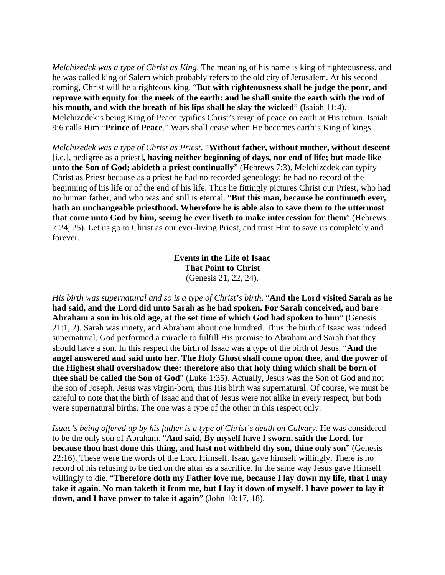*Melchizedek was a type of Christ as King*. The meaning of his name is king of righteousness, and he was called king of Salem which probably refers to the old city of Jerusalem. At his second coming, Christ will be a righteous king. "**But with righteousness shall he judge the poor, and reprove with equity for the meek of the earth: and he shall smite the earth with the rod of his mouth, and with the breath of his lips shall he slay the wicked**" (Isaiah 11:4). Melchizedek's being King of Peace typifies Christ's reign of peace on earth at His return. Isaiah 9:6 calls Him "**Prince of Peace**." Wars shall cease when He becomes earth's King of kings.

*Melchizedek was a type of Christ as Priest*. "**Without father, without mother, without descent** [i.e.], pedigree as a priest]**, having neither beginning of days, nor end of life; but made like unto the Son of God; abideth a priest continually**" (Hebrews 7:3). Melchizedek can typify Christ as Priest because as a priest he had no recorded genealogy; he had no record of the beginning of his life or of the end of his life. Thus he fittingly pictures Christ our Priest, who had no human father, and who was and still is eternal. "**But this man, because he continueth ever, hath an unchangeable priesthood. Wherefore he is able also to save them to the uttermost that come unto God by him, seeing he ever liveth to make intercession for them**" (Hebrews 7:24, 25). Let us go to Christ as our ever-living Priest, and trust Him to save us completely and forever.

> **Events in the Life of Isaac That Point to Christ**  (Genesis 21, 22, 24).

*His birth was supernatural and so is a type of Christ's birth*. "**And the Lord visited Sarah as he had said, and the Lord did unto Sarah as he had spoken. For Sarah conceived, and bare Abraham a son in his old age, at the set time of which God had spoken to him**" (Genesis 21:1, 2). Sarah was ninety, and Abraham about one hundred. Thus the birth of Isaac was indeed supernatural. God performed a miracle to fulfill His promise to Abraham and Sarah that they should have a son. In this respect the birth of Isaac was a type of the birth of Jesus. "**And the angel answered and said unto her. The Holy Ghost shall come upon thee, and the power of the Highest shall overshadow thee: therefore also that holy thing which shall be born of thee shall be called the Son of God**" (Luke 1:35). Actually, Jesus was the Son of God and not the son of Joseph. Jesus was virgin-born, thus His birth was supernatural. Of course, we must be careful to note that the birth of Isaac and that of Jesus were not alike in every respect, but both were supernatural births. The one was a type of the other in this respect only.

*Isaac's being offered up by his father is a type of Christ's death on Calvary*. He was considered to be the only son of Abraham. "**And said, By myself have I sworn, saith the Lord, for because thou hast done this thing, and hast not withheld thy son, thine only son**" (Genesis 22:16). These were the words of the Lord Himself. Isaac gave himself willingly. There is no record of his refusing to be tied on the altar as a sacrifice. In the same way Jesus gave Himself willingly to die. "**Therefore doth my Father love me, because I lay down my life, that I may take it again. No man taketh it from me, but I lay it down of myself. I have power to lay it down, and I have power to take it again**" (John 10:17, 18).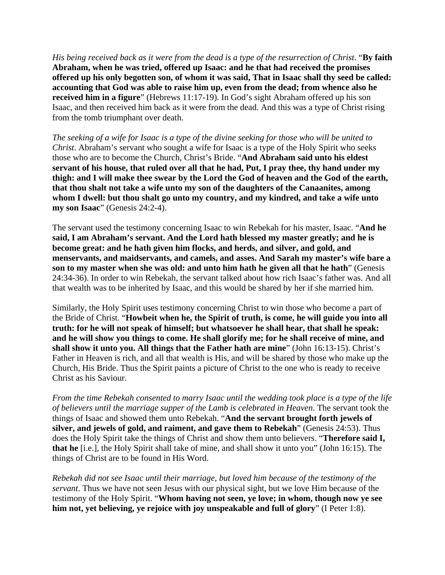*His being received back as it were from the dead is a type of the resurrection of Christ*. "**By faith Abraham, when he was tried, offered up Isaac: and he that had received the promises offered up his only begotten son, of whom it was said, That in Isaac shall thy seed be called: accounting that God was able to raise him up, even from the dead; from whence also he received him in a figure**" (Hebrews 11:17-19). In God's sight Abraham offered up his son Isaac, and then received him back as it were from the dead. And this was a type of Christ rising from the tomb triumphant over death.

*The seeking of a wife for Isaac is a type of the divine seeking for those who will be united to Christ*. Abraham's servant who sought a wife for Isaac is a type of the Holy Spirit who seeks those who are to become the Church, Christ's Bride. "**And Abraham said unto his eldest servant of his house, that ruled over all that he had, Put, I pray thee, thy hand under my thigh: and I will make thee swear by the Lord the God of heaven and the God of the earth, that thou shalt not take a wife unto my son of the daughters of the Canaanites, among whom I dwell: but thou shalt go unto my country, and my kindred, and take a wife unto my son Isaac**" (Genesis 24:2-4).

The servant used the testimony concerning Isaac to win Rebekah for his master, Isaac. "**And he said, I am Abraham's servant. And the Lord hath blessed my master greatly; and he is become great: and he hath given him flocks, and herds, and silver, and gold, and menservants, and maidservants, and camels, and asses. And Sarah my master's wife bare a son to my master when she was old: and unto him hath he given all that he hath**" (Genesis 24:34-36). In order to win Rebekah, the servant talked about how rich Isaac's father was. And all that wealth was to be inherited by Isaac, and this would be shared by her if she married him.

Similarly, the Holy Spirit uses testimony concerning Christ to win those who become a part of the Bride of Christ. "**Howbeit when he, the Spirit of truth, is come, he will guide you into all truth: for he will not speak of himself; but whatsoever he shall hear, that shall he speak: and he will show you things to come. He shall glorify me; for he shall receive of mine, and shall show it unto you. All things that the Father hath are mine**" (John 16:13-15). Christ's Father in Heaven is rich, and all that wealth is His, and will be shared by those who make up the Church, His Bride. Thus the Spirit paints a picture of Christ to the one who is ready to receive Christ as his Saviour.

*From the time Rebekah consented to marry Isaac until the wedding took place is a type of the life of believers until the marriage supper of the Lamb is celebrated in Heaven*. The servant took the things of Isaac and showed them unto Rebekah. "**And the servant brought forth jewels of silver, and jewels of gold, and raiment, and gave them to Rebekah**" (Genesis 24:53). Thus does the Holy Spirit take the things of Christ and show them unto believers. "**Therefore said I, that he** [i.e.], the Holy Spirit shall take of mine, and shall show it unto you" (John 16:15). The things of Christ are to be found in His Word.

*Rebekah did not see Isaac until their marriage, but loved him because of the testimony of the servant*. Thus we have not seen Jesus with our physical sight, but we love Him because of the testimony of the Holy Spirit. "**Whom having not seen, ye love; in whom, though now ye see him not, yet believing, ye rejoice with joy unspeakable and full of glory**" (I Peter 1:8).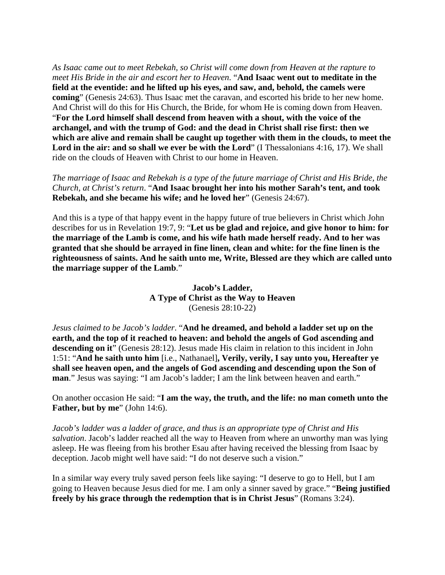*As Isaac came out to meet Rebekah, so Christ will come down from Heaven at the rapture to meet His Bride in the air and escort her to Heaven*. "**And Isaac went out to meditate in the field at the eventide: and he lifted up his eyes, and saw, and, behold, the camels were coming**" (Genesis 24:63). Thus Isaac met the caravan, and escorted his bride to her new home. And Christ will do this for His Church, the Bride, for whom He is coming down from Heaven. "**For the Lord himself shall descend from heaven with a shout, with the voice of the archangel, and with the trump of God: and the dead in Christ shall rise first: then we which are alive and remain shall be caught up together with them in the clouds, to meet the**  Lord in the air: and so shall we ever be with the Lord" (I Thessalonians 4:16, 17). We shall ride on the clouds of Heaven with Christ to our home in Heaven.

*The marriage of Isaac and Rebekah is a type of the future marriage of Christ and His Bride, the Church, at Christ's return*. "**And Isaac brought her into his mother Sarah's tent, and took Rebekah, and she became his wife; and he loved her**" (Genesis 24:67).

And this is a type of that happy event in the happy future of true believers in Christ which John describes for us in Revelation 19:7, 9: "**Let us be glad and rejoice, and give honor to him: for the marriage of the Lamb is come, and his wife hath made herself ready. And to her was granted that she should be arrayed in fine linen, clean and white: for the fine linen is the righteousness of saints. And he saith unto me, Write, Blessed are they which are called unto the marriage supper of the Lamb**."

## **Jacob's Ladder, A Type of Christ as the Way to Heaven**  (Genesis 28:10-22)

*Jesus claimed to be Jacob's ladder*. "**And he dreamed, and behold a ladder set up on the earth, and the top of it reached to heaven: and behold the angels of God ascending and**  descending on it" (Genesis 28:12). Jesus made His claim in relation to this incident in John 1:51: "**And he saith unto him** [i.e., Nathanael]**, Verily, verily, I say unto you, Hereafter ye shall see heaven open, and the angels of God ascending and descending upon the Son of man**." Jesus was saying: "I am Jacob's ladder; I am the link between heaven and earth."

On another occasion He said: "**I am the way, the truth, and the life: no man cometh unto the Father, but by me**" (John 14:6).

*Jacob's ladder was a ladder of grace, and thus is an appropriate type of Christ and His salvation*. Jacob's ladder reached all the way to Heaven from where an unworthy man was lying asleep. He was fleeing from his brother Esau after having received the blessing from Isaac by deception. Jacob might well have said: "I do not deserve such a vision."

In a similar way every truly saved person feels like saying: "I deserve to go to Hell, but I am going to Heaven because Jesus died for me. I am only a sinner saved by grace." "**Being justified freely by his grace through the redemption that is in Christ Jesus**" (Romans 3:24).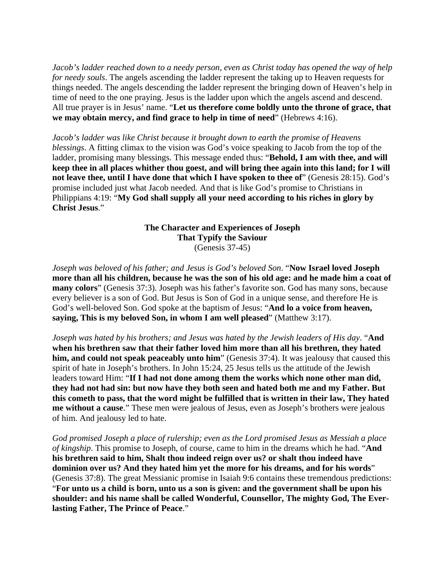*Jacob's ladder reached down to a needy person, even as Christ today has opened the way of help for needy souls*. The angels ascending the ladder represent the taking up to Heaven requests for things needed. The angels descending the ladder represent the bringing down of Heaven's help in time of need to the one praying. Jesus is the ladder upon which the angels ascend and descend. All true prayer is in Jesus' name. "**Let us therefore come boldly unto the throne of grace, that we may obtain mercy, and find grace to help in time of need**" (Hebrews 4:16).

*Jacob's ladder was like Christ because it brought down to earth the promise of Heavens blessings*. A fitting climax to the vision was God's voice speaking to Jacob from the top of the ladder, promising many blessings. This message ended thus: "**Behold, I am with thee, and will keep thee in all places whither thou goest, and will bring thee again into this land; for I will not leave thee, until I have done that which I have spoken to thee of**" (Genesis 28:15). God's promise included just what Jacob needed. And that is like God's promise to Christians in Philippians 4:19: "**My God shall supply all your need according to his riches in glory by Christ Jesus**."

> **The Character and Experiences of Joseph That Typify the Saviour**  (Genesis 37-45)

*Joseph was beloved of his father; and Jesus is God's beloved Son*. "**Now Israel loved Joseph more than all his children, because he was the son of his old age: and he made him a coat of many colors**" (Genesis 37:3). Joseph was his father's favorite son. God has many sons, because every believer is a son of God. But Jesus is Son of God in a unique sense, and therefore He is God's well-beloved Son. God spoke at the baptism of Jesus: "**And lo a voice from heaven, saying, This is my beloved Son, in whom I am well pleased**" (Matthew 3:17).

*Joseph was hated by his brothers; and Jesus was hated by the Jewish leaders of His day*. "**And when his brethren saw that their father loved him more than all his brethren, they hated him, and could not speak peaceably unto him**" (Genesis 37:4). It was jealousy that caused this spirit of hate in Joseph's brothers. In John 15:24, 25 Jesus tells us the attitude of the Jewish leaders toward Him: "**If I had not done among them the works which none other man did, they had not had sin: but now have they both seen and hated both me and my Father. But this cometh to pass, that the word might be fulfilled that is written in their law, They hated me without a cause**." These men were jealous of Jesus, even as Joseph's brothers were jealous of him. And jealousy led to hate.

*God promised Joseph a place of rulership; even as the Lord promised Jesus as Messiah a place of kingship*. This promise to Joseph, of course, came to him in the dreams which he had. "**And his brethren said to him, Shalt thou indeed reign over us? or shalt thou indeed have dominion over us? And they hated him yet the more for his dreams, and for his words**" (Genesis 37:8). The great Messianic promise in Isaiah 9:6 contains these tremendous predictions: "**For unto us a child is born, unto us a son is given: and the government shall be upon his shoulder: and his name shall be called Wonderful, Counsellor, The mighty God, The Everlasting Father, The Prince of Peace**."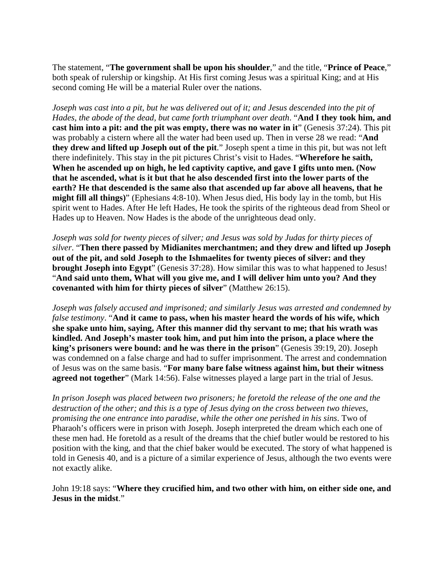The statement, "**The government shall be upon his shoulder**," and the title, "**Prince of Peace**," both speak of rulership or kingship. At His first coming Jesus was a spiritual King; and at His second coming He will be a material Ruler over the nations.

*Joseph was cast into a pit, but he was delivered out of it; and Jesus descended into the pit of Hades, the abode of the dead, but came forth triumphant over death*. "**And I they took him, and cast him into a pit: and the pit was empty, there was no water in it**" (Genesis 37:24). This pit was probably a cistern where all the water had been used up. Then in verse 28 we read: "**And they drew and lifted up Joseph out of the pit**." Joseph spent a time in this pit, but was not left there indefinitely. This stay in the pit pictures Christ's visit to Hades. "**Wherefore he saith, When he ascended up on high, he led captivity captive, and gave I gifts unto men. (Now that he ascended, what is it but that he also descended first into the lower parts of the earth? He that descended is the same also that ascended up far above all heavens, that he might fill all things)**" (Ephesians 4:8-10). When Jesus died, His body lay in the tomb, but His spirit went to Hades. After He left Hades, He took the spirits of the righteous dead from Sheol or Hades up to Heaven. Now Hades is the abode of the unrighteous dead only.

*Joseph was sold for twenty pieces of silver; and Jesus was sold by Judas for thirty pieces of silver*. "**Then there passed by Midianites merchantmen; and they drew and lifted up Joseph out of the pit, and sold Joseph to the Ishmaelites for twenty pieces of silver: and they brought Joseph into Egypt**" (Genesis 37:28). How similar this was to what happened to Jesus! "**And said unto them, What will you give me, and I will deliver him unto you? And they covenanted with him for thirty pieces of silver**" (Matthew 26:15).

*Joseph was falsely accused and imprisoned; and similarly Jesus was arrested and condemned by false testimony*. "**And it came to pass, when his master heard the words of his wife, which she spake unto him, saying, After this manner did thy servant to me; that his wrath was kindled. And Joseph's master took him, and put him into the prison, a place where the king's prisoners were bound: and he was there in the prison**" (Genesis 39:19, 20). Joseph was condemned on a false charge and had to suffer imprisonment. The arrest and condemnation of Jesus was on the same basis. "**For many bare false witness against him, but their witness agreed not together**" (Mark 14:56). False witnesses played a large part in the trial of Jesus.

*In prison Joseph was placed between two prisoners; he foretold the release of the one and the destruction of the other; and this is a type of Jesus dying on the cross between two thieves, promising the one entrance into paradise, while the other one perished in his sins*. Two of Pharaoh's officers were in prison with Joseph. Joseph interpreted the dream which each one of these men had. He foretold as a result of the dreams that the chief butler would be restored to his position with the king, and that the chief baker would be executed. The story of what happened is told in Genesis 40, and is a picture of a similar experience of Jesus, although the two events were not exactly alike.

John 19:18 says: "**Where they crucified him, and two other with him, on either side one, and Jesus in the midst**."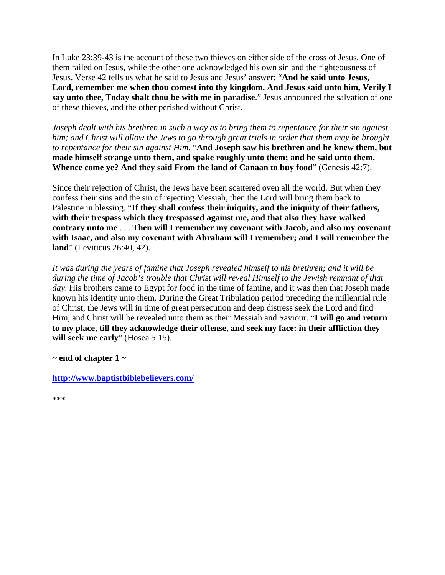In Luke 23:39-43 is the account of these two thieves on either side of the cross of Jesus. One of them railed on Jesus, while the other one acknowledged his own sin and the righteousness of Jesus. Verse 42 tells us what he said to Jesus and Jesus' answer: "**And he said unto Jesus, Lord, remember me when thou comest into thy kingdom. And Jesus said unto him, Verily I say unto thee, Today shalt thou be with me in paradise**." Jesus announced the salvation of one of these thieves, and the other perished without Christ.

*Joseph dealt with his brethren in such a way as to bring them to repentance for their sin against him; and Christ will allow the Jews to go through great trials in order that them may be brought to repentance for their sin against Him*. "**And Joseph saw his brethren and he knew them, but made himself strange unto them, and spake roughly unto them; and he said unto them, Whence come ye? And they said From the land of Canaan to buy food**" (Genesis 42:7).

Since their rejection of Christ, the Jews have been scattered oven all the world. But when they confess their sins and the sin of rejecting Messiah, then the Lord will bring them back to Palestine in blessing. "**If they shall confess their iniquity, and the iniquity of their fathers, with their trespass which they trespassed against me, and that also they have walked contrary unto me** . . . **Then will I remember my covenant with Jacob, and also my covenant with Isaac, and also my covenant with Abraham will I remember; and I will remember the land**" (Leviticus 26:40, 42).

*It was during the years of famine that Joseph revealed himself to his brethren; and it will be during the time of Jacob's trouble that Christ will reveal Himself to the Jewish remnant of that day*. His brothers came to Egypt for food in the time of famine, and it was then that Joseph made known his identity unto them. During the Great Tribulation period preceding the millennial rule of Christ, the Jews will in time of great persecution and deep distress seek the Lord and find Him, and Christ will be revealed unto them as their Messiah and Saviour. "**I will go and return to my place, till they acknowledge their offense, and seek my face: in their affliction they will seek me early**" (Hosea 5:15).

**~ end of chapter 1 ~** 

**http://www.baptistbiblebelievers.com/**

**\*\*\***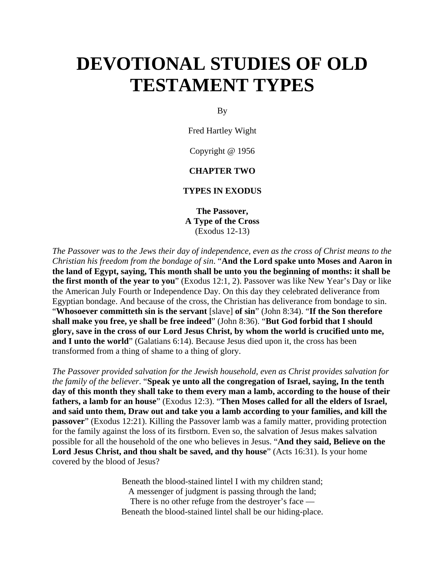# **DEVOTIONAL STUDIES OF OLD TESTAMENT TYPES**

By

Fred Hartley Wight

Copyright @ 1956

#### **CHAPTER TWO**

#### **TYPES IN EXODUS**

**The Passover, A Type of the Cross**  (Exodus 12-13)

*The Passover was to the Jews their day of independence, even as the cross of Christ means to the Christian his freedom from the bondage of sin*. "**And the Lord spake unto Moses and Aaron in the land of Egypt, saying, This month shall be unto you the beginning of months: it shall be the first month of the year to you**" (Exodus 12:1, 2). Passover was like New Year's Day or like the American July Fourth or Independence Day. On this day they celebrated deliverance from Egyptian bondage. And because of the cross, the Christian has deliverance from bondage to sin. "**Whosoever committeth sin is the servant** [slave] **of sin**" (John 8:34). "**If the Son therefore shall make you free, ye shall be free indeed**" (John 8:36). "**But God forbid that I should glory, save in the cross of our Lord Jesus Christ, by whom the world is crucified unto me, and I unto the world**" (Galatians 6:14). Because Jesus died upon it, the cross has been transformed from a thing of shame to a thing of glory.

*The Passover provided salvation for the Jewish household, even as Christ provides salvation for the family of the believer*. "**Speak ye unto all the congregation of Israel, saying, In the tenth day of this month they shall take to them every man a lamb, according to the house of their fathers, a lamb for an house**" (Exodus 12:3). "**Then Moses called for all the elders of Israel, and said unto them, Draw out and take you a lamb according to your families, and kill the passover**" (Exodus 12:21). Killing the Passover lamb was a family matter, providing protection for the family against the loss of its firstborn. Even so, the salvation of Jesus makes salvation possible for all the household of the one who believes in Jesus. "**And they said, Believe on the Lord Jesus Christ, and thou shalt be saved, and thy house**" (Acts 16:31). Is your home covered by the blood of Jesus?

> Beneath the blood-stained lintel I with my children stand; A messenger of judgment is passing through the land; There is no other refuge from the destroyer's face — Beneath the blood-stained lintel shall be our hiding-place.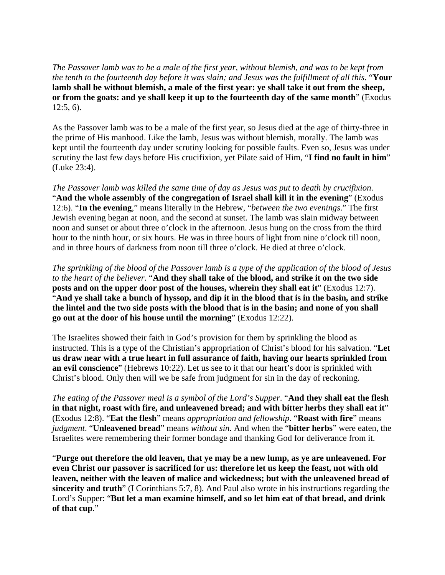*The Passover lamb was to be a male of the first year, without blemish, and was to be kept from the tenth to the fourteenth day before it was slain; and Jesus was the fulfillment of all this*. "**Your lamb shall be without blemish, a male of the first year: ye shall take it out from the sheep, or from the goats: and ye shall keep it up to the fourteenth day of the same month**" (Exodus 12:5, 6).

As the Passover lamb was to be a male of the first year, so Jesus died at the age of thirty-three in the prime of His manhood. Like the lamb, Jesus was without blemish, morally. The lamb was kept until the fourteenth day under scrutiny looking for possible faults. Even so, Jesus was under scrutiny the last few days before His crucifixion, yet Pilate said of Him, "**I find no fault in him**" (Luke 23:4).

*The Passover lamb was killed the same time of day as Jesus was put to death by crucifixion*. "**And the whole assembly of the congregation of Israel shall kill it in the evening**" (Exodus 12:6). "**In the evening**," means literally in the Hebrew, "*between the two evenings*." The first Jewish evening began at noon, and the second at sunset. The lamb was slain midway between noon and sunset or about three o'clock in the afternoon. Jesus hung on the cross from the third hour to the ninth hour, or six hours. He was in three hours of light from nine o'clock till noon, and in three hours of darkness from noon till three o'clock. He died at three o'clock.

*The sprinkling of the blood of the Passover lamb is a type of the application of the blood of Jesus to the heart of the believer*. "**And they shall take of the blood, and strike it on the two side posts and on the upper door post of the houses, wherein they shall eat it**" (Exodus 12:7). "**And ye shall take a bunch of hyssop, and dip it in the blood that is in the basin, and strike the lintel and the two side posts with the blood that is in the basin; and none of you shall go out at the door of his house until the morning**" (Exodus 12:22).

The Israelites showed their faith in God's provision for them by sprinkling the blood as instructed. This is a type of the Christian's appropriation of Christ's blood for his salvation. "**Let us draw near with a true heart in full assurance of faith, having our hearts sprinkled from an evil conscience**" (Hebrews 10:22). Let us see to it that our heart's door is sprinkled with Christ's blood. Only then will we be safe from judgment for sin in the day of reckoning.

*The eating of the Passover meal is a symbol of the Lord's Supper*. "**And they shall eat the flesh in that night, roast with fire, and unleavened bread; and with bitter herbs they shall eat it**" (Exodus 12:8). "**Eat the flesh**" means *appropriation and fellowship*. "**Roast with fire**" means *judgment*. "**Unleavened bread**" means *without sin*. And when the "**bitter herbs**" were eaten, the Israelites were remembering their former bondage and thanking God for deliverance from it.

"**Purge out therefore the old leaven, that ye may be a new lump, as ye are unleavened. For even Christ our passover is sacrificed for us: therefore let us keep the feast, not with old leaven, neither with the leaven of malice and wickedness; but with the unleavened bread of sincerity and truth**" (I Corinthians 5:7, 8). And Paul also wrote in his instructions regarding the Lord's Supper: "**But let a man examine himself, and so let him eat of that bread, and drink of that cup**."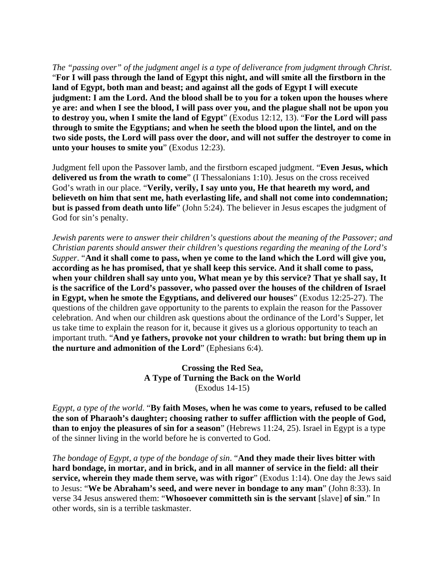*The "passing over" of the judgment angel is a type of deliverance from judgment through Christ*. "**For I will pass through the land of Egypt this night, and will smite all the firstborn in the land of Egypt, both man and beast; and against all the gods of Egypt I will execute judgment: I am the Lord. And the blood shall be to you for a token upon the houses where ye are: and when I see the blood, I will pass over you, and the plague shall not be upon you to destroy you, when I smite the land of Egypt**" (Exodus 12:12, 13). "**For the Lord will pass through to smite the Egyptians; and when he seeth the blood upon the lintel, and on the two side posts, the Lord will pass over the door, and will not suffer the destroyer to come in unto your houses to smite you**" (Exodus 12:23).

Judgment fell upon the Passover lamb, and the firstborn escaped judgment. "**Even Jesus, which delivered us from the wrath to come**" (I Thessalonians 1:10). Jesus on the cross received God's wrath in our place. "**Verily, verily, I say unto you, He that heareth my word, and believeth on him that sent me, hath everlasting life, and shall not come into condemnation; but is passed from death unto life**" (John 5:24). The believer in Jesus escapes the judgment of God for sin's penalty.

*Jewish parents were to answer their children's questions about the meaning of the Passover; and Christian parents should answer their children's questions regarding the meaning of the Lord's Supper*. "**And it shall come to pass, when ye come to the land which the Lord will give you, according as he has promised, that ye shall keep this service. And it shall come to pass, when your children shall say unto you, What mean ye by this service? That ye shall say, It is the sacrifice of the Lord's passover, who passed over the houses of the children of Israel in Egypt, when he smote the Egyptians, and delivered our houses**" (Exodus 12:25-27). The questions of the children gave opportunity to the parents to explain the reason for the Passover celebration. And when our children ask questions about the ordinance of the Lord's Supper, let us take time to explain the reason for it, because it gives us a glorious opportunity to teach an important truth. "**And ye fathers, provoke not your children to wrath: but bring them up in the nurture and admonition of the Lord**" (Ephesians 6:4).

> **Crossing the Red Sea, A Type of Turning the Back on the World**  (Exodus 14-15)

*Egypt, a type of the world*. "**By faith Moses, when he was come to years, refused to be called the son of Pharaoh's daughter; choosing rather to suffer affliction with the people of God, than to enjoy the pleasures of sin for a season**" (Hebrews 11:24, 25). Israel in Egypt is a type of the sinner living in the world before he is converted to God.

*The bondage of Egypt, a type of the bondage of sin*. "**And they made their lives bitter with hard bondage, in mortar, and in brick, and in all manner of service in the field: all their service, wherein they made them serve, was with rigor**" (Exodus 1:14). One day the Jews said to Jesus: "**We be Abraham's seed, and were never in bondage to any man**" (John 8:33). In verse 34 Jesus answered them: "**Whosoever committeth sin is the servant** [slave] **of sin**." In other words, sin is a terrible taskmaster.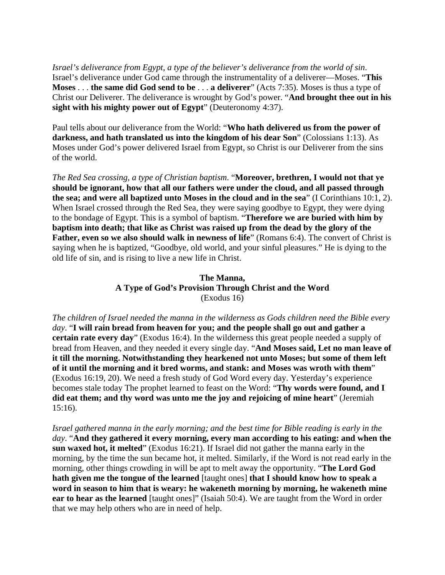*Israel's deliverance from Egypt, a type of the believer's deliverance from the world of sin*. Israel's deliverance under God came through the instrumentality of a deliverer—Moses. "**This Moses** . . . **the same did God send to be** . . . **a deliverer**" (Acts 7:35). Moses is thus a type of Christ our Deliverer. The deliverance is wrought by God's power. "**And brought thee out in his sight with his mighty power out of Egypt**" (Deuteronomy 4:37).

Paul tells about our deliverance from the World: "**Who hath delivered us from the power of darkness, and hath translated us into the kingdom of his dear Son**" (Colossians 1:13). As Moses under God's power delivered Israel from Egypt, so Christ is our Deliverer from the sins of the world.

*The Red Sea crossing, a type of Christian baptism*. "**Moreover, brethren, I would not that ye should be ignorant, how that all our fathers were under the cloud, and all passed through the sea; and were all baptized unto Moses in the cloud and in the sea**" (I Corinthians 10:1, 2). When Israel crossed through the Red Sea, they were saying goodbye to Egypt, they were dying to the bondage of Egypt. This is a symbol of baptism. "**Therefore we are buried with him by baptism into death; that like as Christ was raised up from the dead by the glory of the**  Father, even so we also should walk in newness of life" (Romans 6:4). The convert of Christ is saying when he is baptized, "Goodbye, old world, and your sinful pleasures." He is dying to the old life of sin, and is rising to live a new life in Christ.

# **The Manna, A Type of God's Provision Through Christ and the Word** (Exodus 16)

*The children of Israel needed the manna in the wilderness as Gods children need the Bible every day*. "**I will rain bread from heaven for you; and the people shall go out and gather a certain rate every day**" (Exodus 16:4). In the wilderness this great people needed a supply of bread from Heaven, and they needed it every single day. "**And Moses said, Let no man leave of it till the morning. Notwithstanding they hearkened not unto Moses; but some of them left of it until the morning and it bred worms, and stank: and Moses was wroth with them**" (Exodus 16:19, 20). We need a fresh study of God Word every day. Yesterday's experience becomes stale today The prophet learned to feast on the Word: "**Thy words were found, and I did eat them; and thy word was unto me the joy and rejoicing of mine heart**" (Jeremiah 15:16).

*Israel gathered manna in the early morning; and the best time for Bible reading is early in the day*. "**And they gathered it every morning, every man according to his eating: and when the sun waxed hot, it melted**" (Exodus 16:21). If Israel did not gather the manna early in the morning, by the time the sun became hot, it melted. Similarly, if the Word is not read early in the morning, other things crowding in will be apt to melt away the opportunity. "**The Lord God hath given me the tongue of the learned** [taught ones] **that I should know how to speak a word in season to him that is weary: he wakeneth morning by morning, he wakeneth mine ear to hear as the learned** [taught ones]" (Isaiah 50:4). We are taught from the Word in order that we may help others who are in need of help.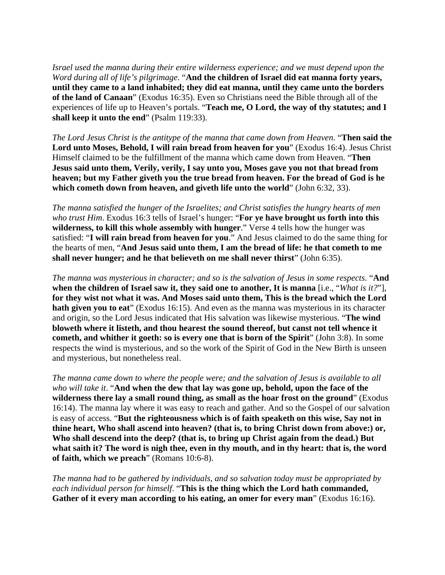*Israel used the manna during their entire wilderness experience; and we must depend upon the Word during all of life's pilgrimage*. "**And the children of Israel did eat manna forty years, until they came to a land inhabited; they did eat manna, until they came unto the borders of the land of Canaan**" (Exodus 16:35). Even so Christians need the Bible through all of the experiences of life up to Heaven's portals. "**Teach me, O Lord, the way of thy statutes; and I shall keep it unto the end**" (Psalm 119:33).

*The Lord Jesus Christ is the antitype of the manna that came down from Heaven*. "**Then said the Lord unto Moses, Behold, I will rain bread from heaven for you**" (Exodus 16:4). Jesus Christ Himself claimed to be the fulfillment of the manna which came down from Heaven. "**Then Jesus said unto them, Verily, verily, I say unto you, Moses gave you not that bread from heaven; but my Father giveth you the true bread from heaven. For the bread of God is he which cometh down from heaven, and giveth life unto the world**" (John 6:32, 33).

*The manna satisfied the hunger of the Israelites; and Christ satisfies the hungry hearts of men who trust Him*. Exodus 16:3 tells of Israel's hunger: "**For ye have brought us forth into this wilderness, to kill this whole assembly with hunger**." Verse 4 tells how the hunger was satisfied: "**I will rain bread from heaven for you**." And Jesus claimed to do the same thing for the hearts of men, "**And Jesus said unto them, I am the bread of life: he that cometh to me shall never hunger; and he that believeth on me shall never thirst**" (John 6:35).

*The manna was mysterious in character; and so is the salvation of Jesus in some respects*. "**And when the children of Israel saw it, they said one to another, It is manna** [i.e., "*What is it?*"], **for they wist not what it was. And Moses said unto them, This is the bread which the Lord hath given you to eat**" (Exodus 16:15). And even as the manna was mysterious in its character and origin, so the Lord Jesus indicated that His salvation was likewise mysterious. "**The wind bloweth where it listeth, and thou hearest the sound thereof, but canst not tell whence it cometh, and whither it goeth: so is every one that is born of the Spirit**" (John 3:8). In some respects the wind is mysterious, and so the work of the Spirit of God in the New Birth is unseen and mysterious, but nonetheless real.

*The manna came down to where the people were; and the salvation of Jesus is available to all who will take it*. "**And when the dew that lay was gone up, behold, upon the face of the wilderness there lay a small round thing, as small as the hoar frost on the ground**" (Exodus 16:14). The manna lay where it was easy to reach and gather. And so the Gospel of our salvation is easy of access. "**But the righteousness which is of faith speaketh on this wise, Say not in thine heart, Who shall ascend into heaven? (that is, to bring Christ down from above:) or, Who shall descend into the deep? (that is, to bring up Christ again from the dead.) But what saith it? The word is nigh thee, even in thy mouth, and in thy heart: that is, the word of faith, which we preach**" (Romans 10:6-8).

*The manna had to be gathered by individuals, and so salvation today must be appropriated by each individual person for himself*. "**This is the thing which the Lord hath commanded, Gather of it every man according to his eating, an omer for every man**" (Exodus 16:16).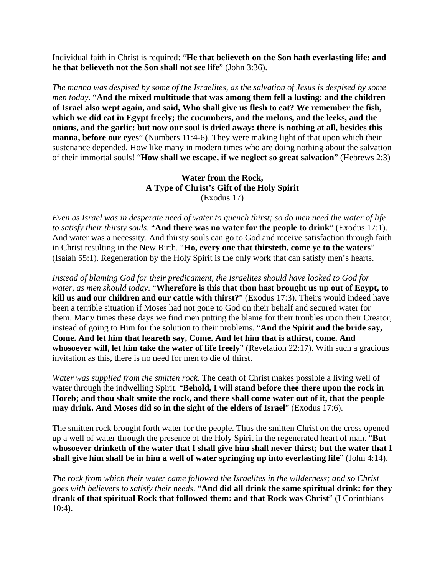Individual faith in Christ is required: "**He that believeth on the Son hath everlasting life: and he that believeth not the Son shall not see life**" (John 3:36).

*The manna was despised by some of the Israelites, as the salvation of Jesus is despised by some men today*. "**And the mixed multitude that was among them fell a lusting: and the children of Israel also wept again, and said, Who shall give us flesh to eat? We remember the fish, which we did eat in Egypt freely; the cucumbers, and the melons, and the leeks, and the onions, and the garlic: but now our soul is dried away: there is nothing at all, besides this manna, before our eyes**" (Numbers 11:4-6). They were making light of that upon which their sustenance depended. How like many in modern times who are doing nothing about the salvation of their immortal souls! "**How shall we escape, if we neglect so great salvation**" (Hebrews 2:3)

### **Water from the Rock, A Type of Christ's Gift of the Holy Spirit**  (Exodus 17)

*Even as Israel was in desperate need of water to quench thirst; so do men need the water of life to satisfy their thirsty souls*. "**And there was no water for the people to drink**" (Exodus 17:1). And water was a necessity. And thirsty souls can go to God and receive satisfaction through faith in Christ resulting in the New Birth. "**Ho, every one that thirsteth, come ye to the waters**" (Isaiah 55:1). Regeneration by the Holy Spirit is the only work that can satisfy men's hearts.

*Instead of blaming God for their predicament, the Israelites should have looked to God for water, as men should today*. "**Wherefore is this that thou hast brought us up out of Egypt, to kill us and our children and our cattle with thirst?**" (Exodus 17:3). Theirs would indeed have been a terrible situation if Moses had not gone to God on their behalf and secured water for them. Many times these days we find men putting the blame for their troubles upon their Creator, instead of going to Him for the solution to their problems. "**And the Spirit and the bride say, Come. And let him that heareth say, Come. And let him that is athirst, come. And whosoever will, let him take the water of life freely**" (Revelation 22:17). With such a gracious invitation as this, there is no need for men to die of thirst.

*Water was supplied from the smitten rock*. The death of Christ makes possible a living well of water through the indwelling Spirit. "**Behold, I will stand before thee there upon the rock in Horeb; and thou shalt smite the rock, and there shall come water out of it, that the people may drink. And Moses did so in the sight of the elders of Israel**" (Exodus 17:6).

The smitten rock brought forth water for the people. Thus the smitten Christ on the cross opened up a well of water through the presence of the Holy Spirit in the regenerated heart of man. "**But whosoever drinketh of the water that I shall give him shall never thirst; but the water that I shall give him shall be in him a well of water springing up into everlasting life**" (John 4:14).

*The rock from which their water came followed the Israelites in the wilderness; and so Christ goes with believers to satisfy their needs*. "**And did all drink the same spiritual drink: for they drank of that spiritual Rock that followed them: and that Rock was Christ**" (I Corinthians 10:4).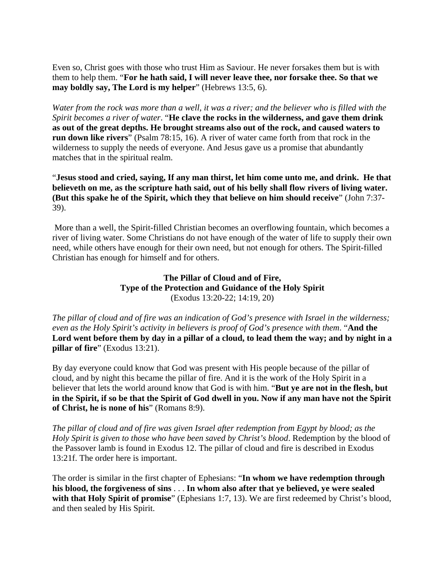Even so, Christ goes with those who trust Him as Saviour. He never forsakes them but is with them to help them. "**For he hath said, I will never leave thee, nor forsake thee. So that we may boldly say, The Lord is my helper**" (Hebrews 13:5, 6).

*Water from the rock was more than a well, it was a river; and the believer who is filled with the Spirit becomes a river of water*. "**He clave the rocks in the wilderness, and gave them drink as out of the great depths. He brought streams also out of the rock, and caused waters to run down like rivers**" (Psalm 78:15, 16). A river of water came forth from that rock in the wilderness to supply the needs of everyone. And Jesus gave us a promise that abundantly matches that in the spiritual realm.

"**Jesus stood and cried, saying, If any man thirst, let him come unto me, and drink. He that believeth on me, as the scripture hath said, out of his belly shall flow rivers of living water. (But this spake he of the Spirit, which they that believe on him should receive**" (John 7:37- 39).

 More than a well, the Spirit-filled Christian becomes an overflowing fountain, which becomes a river of living water. Some Christians do not have enough of the water of life to supply their own need, while others have enough for their own need, but not enough for others. The Spirit-filled Christian has enough for himself and for others.

## **The Pillar of Cloud and of Fire, Type of the Protection and Guidance of the Holy Spirit**  (Exodus 13:20-22; 14:19, 20)

*The pillar of cloud and of fire was an indication of God's presence with Israel in the wilderness; even as the Holy Spirit's activity in believers is proof of God's presence with them*. "**And the Lord went before them by day in a pillar of a cloud, to lead them the way; and by night in a pillar of fire**" (Exodus 13:21).

By day everyone could know that God was present with His people because of the pillar of cloud, and by night this became the pillar of fire. And it is the work of the Holy Spirit in a believer that lets the world around know that God is with him. "**But ye are not in the flesh, but in the Spirit, if so be that the Spirit of God dwell in you. Now if any man have not the Spirit of Christ, he is none of his**" (Romans 8:9).

*The pillar of cloud and of fire was given Israel after redemption from Egypt by blood; as the Holy Spirit is given to those who have been saved by Christ's blood*. Redemption by the blood of the Passover lamb is found in Exodus 12. The pillar of cloud and fire is described in Exodus 13:21f. The order here is important.

The order is similar in the first chapter of Ephesians: "**In whom we have redemption through his blood, the forgiveness of sins** . . . **In whom also after that ye believed, ye were sealed**  with that Holy Spirit of promise" (Ephesians 1:7, 13). We are first redeemed by Christ's blood, and then sealed by His Spirit.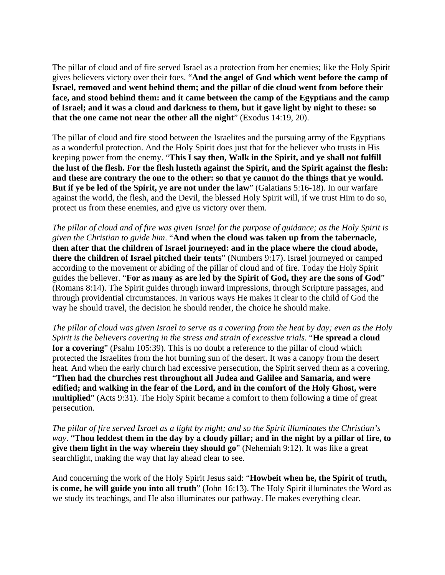The pillar of cloud and of fire served Israel as a protection from her enemies; like the Holy Spirit gives believers victory over their foes. "**And the angel of God which went before the camp of Israel, removed and went behind them; and the pillar of die cloud went from before their face, and stood behind them: and it came between the camp of the Egyptians and the camp of Israel; and it was a cloud and darkness to them, but it gave light by night to these: so that the one came not near the other all the night**" (Exodus 14:19, 20).

The pillar of cloud and fire stood between the Israelites and the pursuing army of the Egyptians as a wonderful protection. And the Holy Spirit does just that for the believer who trusts in His keeping power from the enemy. "**This I say then, Walk in the Spirit, and ye shall not fulfill the lust of the flesh. For the flesh lusteth against the Spirit, and the Spirit against the flesh: and these are contrary the one to the other: so that ye cannot do the things that ye would. But if ye be led of the Spirit, ye are not under the law**" (Galatians 5:16-18). In our warfare against the world, the flesh, and the Devil, the blessed Holy Spirit will, if we trust Him to do so, protect us from these enemies, and give us victory over them.

*The pillar of cloud and of fire was given Israel for the purpose of guidance; as the Holy Spirit is given the Christian to guide him*. "**And when the cloud was taken up from the tabernacle, then after that the children of Israel journeyed: and in the place where the cloud abode, there the children of Israel pitched their tents**" (Numbers 9:17). Israel journeyed or camped according to the movement or abiding of the pillar of cloud and of fire. Today the Holy Spirit guides the believer. "**For as many as are led by the Spirit of God, they are the sons of God**" (Romans 8:14). The Spirit guides through inward impressions, through Scripture passages, and through providential circumstances. In various ways He makes it clear to the child of God the way he should travel, the decision he should render, the choice he should make.

*The pillar of cloud was given Israel to serve as a covering from the heat by day; even as the Holy Spirit is the believers covering in the stress and strain of excessive trials*. "**He spread a cloud for a covering**" (Psalm 105:39). This is no doubt a reference to the pillar of cloud which protected the Israelites from the hot burning sun of the desert. It was a canopy from the desert heat. And when the early church had excessive persecution, the Spirit served them as a covering. "**Then had the churches rest throughout all Judea and Galilee and Samaria, and were edified; and walking in the fear of the Lord, and in the comfort of the Holy Ghost, were multiplied**" (Acts 9:31). The Holy Spirit became a comfort to them following a time of great persecution.

*The pillar of fire served Israel as a light by night; and so the Spirit illuminates the Christian's way*. "**Thou leddest them in the day by a cloudy pillar; and in the night by a pillar of fire, to give them light in the way wherein they should go**" (Nehemiah 9:12). It was like a great searchlight, making the way that lay ahead clear to see.

And concerning the work of the Holy Spirit Jesus said: "**Howbeit when he, the Spirit of truth, is come, he will guide you into all truth**" (John 16:13). The Holy Spirit illuminates the Word as we study its teachings, and He also illuminates our pathway. He makes everything clear.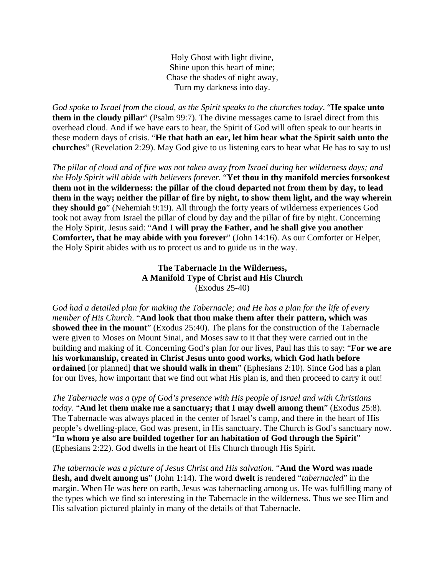Holy Ghost with light divine, Shine upon this heart of mine; Chase the shades of night away, Turn my darkness into day.

*God spoke to Israel from the cloud, as the Spirit speaks to the churches today*. "**He spake unto them in the cloudy pillar**" (Psalm 99:7). The divine messages came to Israel direct from this overhead cloud. And if we have ears to hear, the Spirit of God will often speak to our hearts in these modern days of crisis. "**He that hath an ear, let him hear what the Spirit saith unto the churches**" (Revelation 2:29). May God give to us listening ears to hear what He has to say to us!

*The pillar of cloud and of fire was not taken away from Israel during her wilderness days; and the Holy Spirit will abide with believers forever*. "**Yet thou in thy manifold mercies forsookest them not in the wilderness: the pillar of the cloud departed not from them by day, to lead them in the way; neither the pillar of fire by night, to show them light, and the way wherein they should go**" (Nehemiah 9:19). All through the forty years of wilderness experiences God took not away from Israel the pillar of cloud by day and the pillar of fire by night. Concerning the Holy Spirit, Jesus said: "**And I will pray the Father, and he shall give you another Comforter, that he may abide with you forever**" (John 14:16). As our Comforter or Helper, the Holy Spirit abides with us to protect us and to guide us in the way.

## **The Tabernacle In the Wilderness, A Manifold Type of Christ and His Church**  (Exodus 25-40)

*God had a detailed plan for making the Tabernacle; and He has a plan for the life of every member of His Church*. "**And look that thou make them after their pattern, which was**  showed thee in the mount" (Exodus 25:40). The plans for the construction of the Tabernacle were given to Moses on Mount Sinai, and Moses saw to it that they were carried out in the building and making of it. Concerning God's plan for our lives, Paul has this to say: "**For we are his workmanship, created in Christ Jesus unto good works, which God hath before ordained** [or planned] **that we should walk in them**" (Ephesians 2:10). Since God has a plan for our lives, how important that we find out what His plan is, and then proceed to carry it out!

*The Tabernacle was a type of God's presence with His people of Israel and with Christians today*. "**And let them make me a sanctuary; that I may dwell among them**" (Exodus 25:8). The Tabernacle was always placed in the center of Israel's camp, and there in the heart of His people's dwelling-place, God was present, in His sanctuary. The Church is God's sanctuary now. "**In whom ye also are builded together for an habitation of God through the Spirit**" (Ephesians 2:22). God dwells in the heart of His Church through His Spirit.

*The tabernacle was a picture of Jesus Christ and His salvation*. "**And the Word was made flesh, and dwelt among us**" (John 1:14). The word **dwelt** is rendered "*tabernacled*" in the margin. When He was here on earth, Jesus was tabernacling among us. He was fulfilling many of the types which we find so interesting in the Tabernacle in the wilderness. Thus we see Him and His salvation pictured plainly in many of the details of that Tabernacle.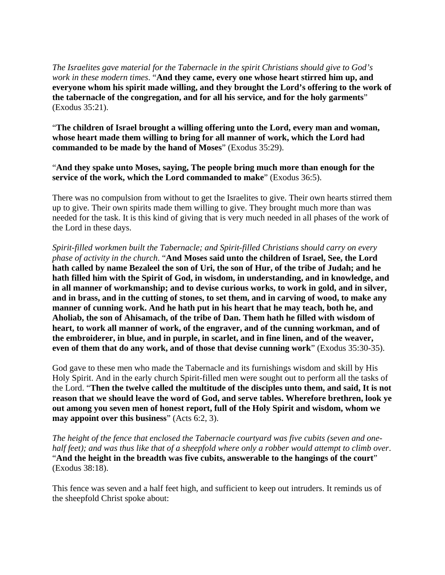*The Israelites gave material for the Tabernacle in the spirit Christians should give to God's work in these modern times*. "**And they came, every one whose heart stirred him up, and everyone whom his spirit made willing, and they brought the Lord's offering to the work of the tabernacle of the congregation, and for all his service, and for the holy garments**" (Exodus 35:21).

"**The children of Israel brought a willing offering unto the Lord, every man and woman, whose heart made them willing to bring for all manner of work, which the Lord had commanded to be made by the hand of Moses**" (Exodus 35:29).

"**And they spake unto Moses, saying, The people bring much more than enough for the service of the work, which the Lord commanded to make**" (Exodus 36:5).

There was no compulsion from without to get the Israelites to give. Their own hearts stirred them up to give. Their own spirits made them willing to give. They brought much more than was needed for the task. It is this kind of giving that is very much needed in all phases of the work of the Lord in these days.

*Spirit-filled workmen built the Tabernacle; and Spirit-filled Christians should carry on every phase of activity in the church*. "**And Moses said unto the children of Israel, See, the Lord hath called by name Bezaleel the son of Uri, the son of Hur, of the tribe of Judah; and he hath filled him with the Spirit of God, in wisdom, in understanding, and in knowledge, and in all manner of workmanship; and to devise curious works, to work in gold, and in silver, and in brass, and in the cutting of stones, to set them, and in carving of wood, to make any manner of cunning work. And he hath put in his heart that he may teach, both he, and Aholiab, the son of Ahisamach, of the tribe of Dan. Them hath he filled with wisdom of heart, to work all manner of work, of the engraver, and of the cunning workman, and of the embroiderer, in blue, and in purple, in scarlet, and in fine linen, and of the weaver, even of them that do any work, and of those that devise cunning work**" (Exodus 35:30-35).

God gave to these men who made the Tabernacle and its furnishings wisdom and skill by His Holy Spirit. And in the early church Spirit-filled men were sought out to perform all the tasks of the Lord. "**Then the twelve called the multitude of the disciples unto them, and said, It is not reason that we should leave the word of God, and serve tables. Wherefore brethren, look ye out among you seven men of honest report, full of the Holy Spirit and wisdom, whom we may appoint over this business**" (Acts 6:2, 3).

*The height of the fence that enclosed the Tabernacle courtyard was five cubits (seven and onehalf feet); and was thus like that of a sheepfold where only a robber would attempt to climb over*. "**And the height in the breadth was five cubits, answerable to the hangings of the court**" (Exodus 38:18).

This fence was seven and a half feet high, and sufficient to keep out intruders. It reminds us of the sheepfold Christ spoke about: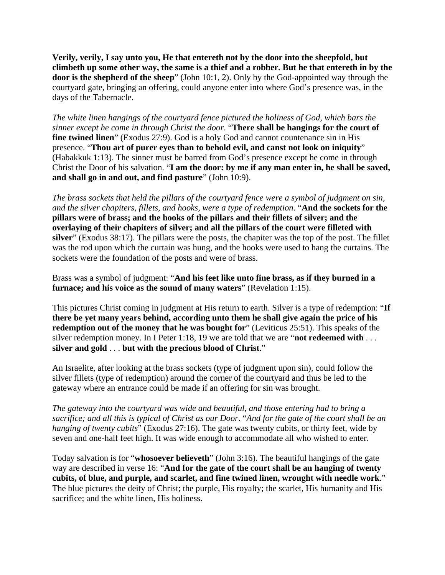**Verily, verily, I say unto you, He that entereth not by the door into the sheepfold, but climbeth up some other way, the same is a thief and a robber. But he that entereth in by the door is the shepherd of the sheep**" (John 10:1, 2). Only by the God-appointed way through the courtyard gate, bringing an offering, could anyone enter into where God's presence was, in the days of the Tabernacle.

*The white linen hangings of the courtyard fence pictured the holiness of God, which bars the sinner except he come in through Christ the door*. "**There shall be hangings for the court of**  fine twined linen" (Exodus 27:9). God is a holy God and cannot countenance sin in His presence. "**Thou art of purer eyes than to behold evil, and canst not look on iniquity**" (Habakkuk 1:13). The sinner must be barred from God's presence except he come in through Christ the Door of his salvation. "**I am the door: by me if any man enter in, he shall be saved, and shall go in and out, and find pasture**" (John 10:9).

*The brass sockets that held the pillars of the courtyard fence were a symbol of judgment on sin, and the silver chapiters, fillets, and hooks, were a type of redemption*. "**And the sockets for the pillars were of brass; and the hooks of the pillars and their fillets of silver; and the overlaying of their chapiters of silver; and all the pillars of the court were filleted with silver**" (Exodus 38:17). The pillars were the posts, the chapiter was the top of the post. The fillet was the rod upon which the curtain was hung, and the hooks were used to hang the curtains. The sockets were the foundation of the posts and were of brass.

Brass was a symbol of judgment: "**And his feet like unto fine brass, as if they burned in a furnace; and his voice as the sound of many waters**" (Revelation 1:15).

This pictures Christ coming in judgment at His return to earth. Silver is a type of redemption: "**If there be yet many years behind, according unto them he shall give again the price of his redemption out of the money that he was bought for**" (Leviticus 25:51). This speaks of the silver redemption money. In I Peter 1:18, 19 we are told that we are "**not redeemed with** . . . **silver and gold** . . . **but with the precious blood of Christ**."

An Israelite, after looking at the brass sockets (type of judgment upon sin), could follow the silver fillets (type of redemption) around the corner of the courtyard and thus be led to the gateway where an entrance could be made if an offering for sin was brought.

*The gateway into the courtyard was wide and beautiful, and those entering had to bring a sacrifice; and all this is typical of Christ as our Door*. "*And for the gate of the court shall be an hanging of twenty cubits*" (Exodus 27:16). The gate was twenty cubits, or thirty feet, wide by seven and one-half feet high. It was wide enough to accommodate all who wished to enter.

Today salvation is for "**whosoever believeth**" (John 3:16). The beautiful hangings of the gate way are described in verse 16: "**And for the gate of the court shall be an hanging of twenty cubits, of blue, and purple, and scarlet, and fine twined linen, wrought with needle work**." The blue pictures the deity of Christ; the purple, His royalty; the scarlet, His humanity and His sacrifice; and the white linen, His holiness.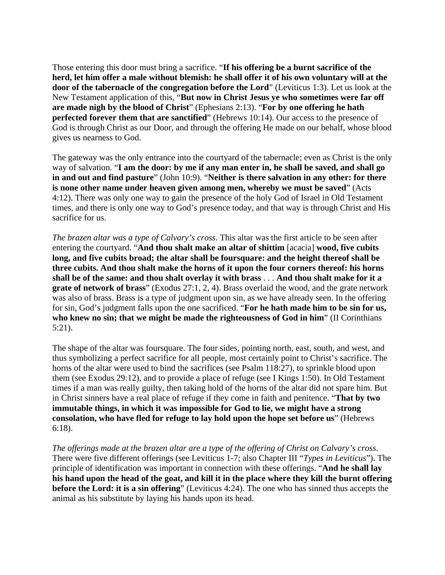Those entering this door must bring a sacrifice. "**If his offering be a burnt sacrifice of the herd, let him offer a male without blemish: he shall offer it of his own voluntary will at the door of the tabernacle of the congregation before the Lord**" (Leviticus 1:3). Let us look at the New Testament application of this, "**But now in Christ Jesus ye who sometimes were far off are made nigh by the blood of Christ**" (Ephesians 2:13). "**For by one offering he hath perfected forever them that are sanctified**" (Hebrews 10:14). Our access to the presence of God is through Christ as our Door, and through the offering He made on our behalf, whose blood gives us nearness to God.

The gateway was the only entrance into the courtyard of the tabernacle; even as Christ is the only way of salvation. "**I am the door: by me if any man enter in, he shall be saved, and shall go in and out and find pasture**" (John 10:9). "**Neither is there salvation in any other: for there is none other name under heaven given among men, whereby we must be saved**" (Acts 4:12). There was only one way to gain the presence of the holy God of Israel in Old Testament times, and there is only one way to God's presence today, and that way is through Christ and His sacrifice for us.

*The brazen altar was a type of Calvary's cross*. This altar was the first article to be seen after entering the courtyard. "**And thou shalt make an altar of shittim** [acacia] **wood, five cubits long, and five cubits broad; the altar shall be foursquare: and the height thereof shall be three cubits. And thou shalt make the horns of it upon the four corners thereof: his horns shall be of the same: and thou shalt overlay it with brass** . . . **And thou shalt make for it a grate of network of brass**" (Exodus 27:1, 2, 4). Brass overlaid the wood, and the grate network was also of brass. Brass is a type of judgment upon sin, as we have already seen. In the offering for sin, God's judgment falls upon the one sacrificed. "**For he hath made him to be sin for us, who knew no sin; that we might be made the righteousness of God in him**" (II Corinthians 5:21).

The shape of the altar was foursquare. The four sides, pointing north, east, south, and west, and thus symbolizing a perfect sacrifice for all people, most certainly point to Christ's sacrifice. The horns of the altar were used to bind the sacrifices (see Psalm 118:27), to sprinkle blood upon them (see Exodus 29:12), and to provide a place of refuge (see I Kings 1:50). In Old Testament times if a man was really guilty, then taking hold of the horns of the altar did not spare him. But in Christ sinners have a real place of refuge if they come in faith and penitence. "**That by two immutable things, in which it was impossible for God to lie, we might have a strong consolation, who have fled for refuge to lay hold upon the hope set before us**" (Hebrews 6:18).

*The offerings made at the brazen altar are a type of the offering of Christ on Calvary's cross*. There were five different offerings (see Leviticus 1-7; also Chapter III "*Types in Leviticus*"). The principle of identification was important in connection with these offerings. "**And he shall lay his hand upon the head of the goat, and kill it in the place where they kill the burnt offering before the Lord: it is a sin offering**" (Leviticus 4:24). The one who has sinned thus accepts the animal as his substitute by laying his hands upon its head.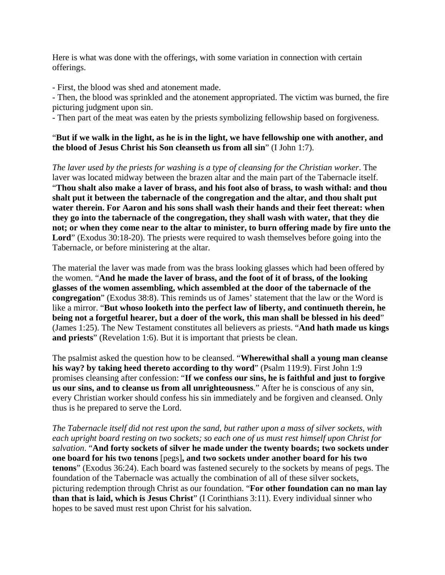Here is what was done with the offerings, with some variation in connection with certain offerings.

- First, the blood was shed and atonement made.

- Then, the blood was sprinkled and the atonement appropriated. The victim was burned, the fire picturing judgment upon sin.

- Then part of the meat was eaten by the priests symbolizing fellowship based on forgiveness.

"**But if we walk in the light, as he is in the light, we have fellowship one with another, and the blood of Jesus Christ his Son cleanseth us from all sin**" (I John 1:7).

*The laver used by the priests for washing is a type of cleansing for the Christian worker*. The laver was located midway between the brazen altar and the main part of the Tabernacle itself. "**Thou shalt also make a laver of brass, and his foot also of brass, to wash withal: and thou shalt put it between the tabernacle of the congregation and the altar, and thou shalt put water therein. For Aaron and his sons shall wash their hands and their feet thereat: when they go into the tabernacle of the congregation, they shall wash with water, that they die not; or when they come near to the altar to minister, to burn offering made by fire unto the**  Lord" (Exodus 30:18-20). The priests were required to wash themselves before going into the Tabernacle, or before ministering at the altar.

The material the laver was made from was the brass looking glasses which had been offered by the women. "**And he made the laver of brass, and the foot of it of brass, of the looking glasses of the women assembling, which assembled at the door of the tabernacle of the congregation**" (Exodus 38:8). This reminds us of James' statement that the law or the Word is like a mirror. "**But whoso looketh into the perfect law of liberty, and continueth therein, he being not a forgetful hearer, but a doer of the work, this man shall be blessed in his deed**" (James 1:25). The New Testament constitutes all believers as priests. "**And hath made us kings and priests**" (Revelation 1:6). But it is important that priests be clean.

The psalmist asked the question how to be cleansed. "**Wherewithal shall a young man cleanse his way? by taking heed thereto according to thy word**" (Psalm 119:9). First John 1:9 promises cleansing after confession: "**If we confess our sins, he is faithful and just to forgive us our sins, and to cleanse us from all unrighteousness**." After he is conscious of any sin, every Christian worker should confess his sin immediately and be forgiven and cleansed. Only thus is he prepared to serve the Lord.

*The Tabernacle itself did not rest upon the sand, but rather upon a mass of silver sockets, with each upright board resting on two sockets; so each one of us must rest himself upon Christ for salvation*. "**And forty sockets of silver he made under the twenty boards; two sockets under one board for his two tenons** [pegs]**, and two sockets under another board for his two tenons**" (Exodus 36:24). Each board was fastened securely to the sockets by means of pegs. The foundation of the Tabernacle was actually the combination of all of these silver sockets, picturing redemption through Christ as our foundation. "**For other foundation can no man lay than that is laid, which is Jesus Christ**" (I Corinthians 3:11). Every individual sinner who hopes to be saved must rest upon Christ for his salvation.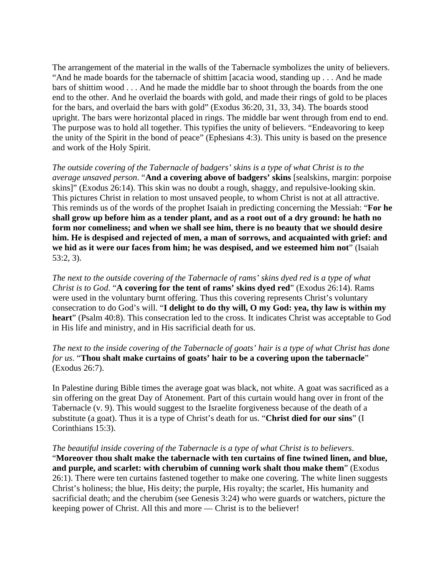The arrangement of the material in the walls of the Tabernacle symbolizes the unity of believers. "And he made boards for the tabernacle of shittim [acacia wood, standing up . . . And he made bars of shittim wood . . . And he made the middle bar to shoot through the boards from the one end to the other. And he overlaid the boards with gold, and made their rings of gold to be places for the bars, and overlaid the bars with gold" (Exodus 36:20, 31, 33, 34). The boards stood upright. The bars were horizontal placed in rings. The middle bar went through from end to end. The purpose was to hold all together. This typifies the unity of believers. "Endeavoring to keep the unity of the Spirit in the bond of peace" (Ephesians 4:3). This unity is based on the presence and work of the Holy Spirit.

*The outside covering of the Tabernacle of badgers' skins is a type of what Christ is to the average unsaved person*. "**And a covering above of badgers' skins** [sealskins, margin: porpoise skins]" (Exodus 26:14). This skin was no doubt a rough, shaggy, and repulsive-looking skin. This pictures Christ in relation to most unsaved people, to whom Christ is not at all attractive. This reminds us of the words of the prophet Isaiah in predicting concerning the Messiah: "**For he shall grow up before him as a tender plant, and as a root out of a dry ground: he hath no form nor comeliness; and when we shall see him, there is no beauty that we should desire him. He is despised and rejected of men, a man of sorrows, and acquainted with grief: and we hid as it were our faces from him; he was despised, and we esteemed him not**" (Isaiah 53:2, 3).

*The next to the outside covering of the Tabernacle of rams' skins dyed red is a type of what Christ is to God*. "**A covering for the tent of rams' skins dyed red**" (Exodus 26:14). Rams were used in the voluntary burnt offering. Thus this covering represents Christ's voluntary consecration to do God's will. "**I delight to do thy will, O my God: yea, thy law is within my heart**" (Psalm 40:8). This consecration led to the cross. It indicates Christ was acceptable to God in His life and ministry, and in His sacrificial death for us.

*The next to the inside covering of the Tabernacle of goats' hair is a type of what Christ has done for us*. "**Thou shalt make curtains of goats' hair to be a covering upon the tabernacle**" (Exodus 26:7).

In Palestine during Bible times the average goat was black, not white. A goat was sacrificed as a sin offering on the great Day of Atonement. Part of this curtain would hang over in front of the Tabernacle (v. 9). This would suggest to the Israelite forgiveness because of the death of a substitute (a goat). Thus it is a type of Christ's death for us. "**Christ died for our sins**" (I Corinthians 15:3).

*The beautiful inside covering of the Tabernacle is a type of what Christ is to believers*. "**Moreover thou shalt make the tabernacle with ten curtains of fine twined linen, and blue, and purple, and scarlet: with cherubim of cunning work shalt thou make them**" (Exodus 26:1). There were ten curtains fastened together to make one covering. The white linen suggests Christ's holiness; the blue, His deity; the purple, His royalty; the scarlet, His humanity and sacrificial death; and the cherubim (see Genesis 3:24) who were guards or watchers, picture the keeping power of Christ. All this and more — Christ is to the believer!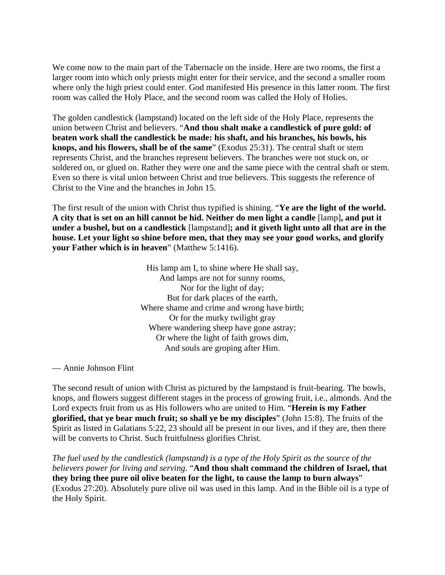We come now to the main part of the Tabernacle on the inside. Here are two rooms, the first a larger room into which only priests might enter for their service, and the second a smaller room where only the high priest could enter. God manifested His presence in this latter room. The first room was called the Holy Place, and the second room was called the Holy of Holies.

The golden candlestick (lampstand) located on the left side of the Holy Place, represents the union between Christ and believers. "**And thou shalt make a candlestick of pure gold: of beaten work shall the candlestick be made: his shaft, and his branches, his bowls, his knops, and his flowers, shall be of the same**" (Exodus 25:31). The central shaft or stem represents Christ, and the branches represent believers. The branches were not stuck on, or soldered on, or glued on. Rather they were one and the same piece with the central shaft or stem. Even so there is vital union between Christ and true believers. This suggests the reference of Christ to the Vine and the branches in John 15.

The first result of the union with Christ thus typified is shining. "**Ye are the light of the world. A city that is set on an hill cannot be hid. Neither do men light a candle** [lamp]**, and put it under a bushel, but on a candlestick** [lampstand]**; and it giveth light unto all that are in the house. Let your light so shine before men, that they may see your good works, and glorify your Father which is in heaven**" (Matthew 5:1416).

> His lamp am I, to shine where He shall say, And lamps are not for sunny rooms, Nor for the light of day; But for dark places of the earth, Where shame and crime and wrong have birth; Or for the murky twilight gray Where wandering sheep have gone astray; Or where the light of faith grows dim, And souls are groping after Him.

— Annie Johnson Flint

The second result of union with Christ as pictured by the lampstand is fruit-bearing. The bowls, knops, and flowers suggest different stages in the process of growing fruit, i.e., almonds. And the Lord expects fruit from us as His followers who are united to Him. "**Herein is my Father glorified, that ye bear much fruit; so shall ye be my disciples**" (John 15:8). The fruits of the Spirit as listed in Galatians 5:22, 23 should all be present in our lives, and if they are, then there will be converts to Christ. Such fruitfulness glorifies Christ.

*The fuel used by the candlestick (lampstand) is a type of the Holy Spirit as the source of the believers power for living and serving*. "**And thou shalt command the children of Israel, that they bring thee pure oil olive beaten for the light, to cause the lamp to burn always**" (Exodus 27:20). Absolutely pure olive oil was used in this lamp. And in the Bible oil is a type of the Holy Spirit.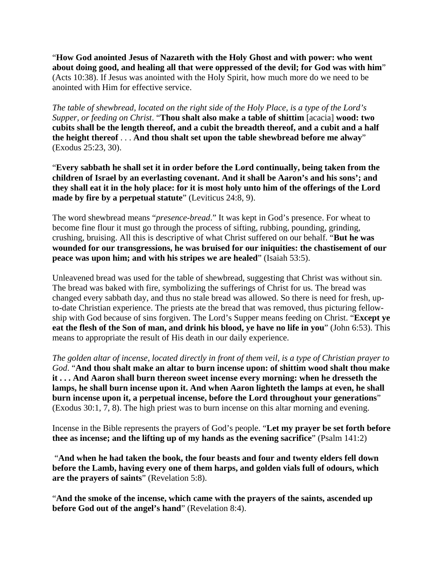"**How God anointed Jesus of Nazareth with the Holy Ghost and with power: who went about doing good, and healing all that were oppressed of the devil; for God was with him**" (Acts 10:38). If Jesus was anointed with the Holy Spirit, how much more do we need to be anointed with Him for effective service.

*The table of shewbread, located on the right side of the Holy Place, is a type of the Lord's Supper, or feeding on Christ*. "**Thou shalt also make a table of shittim** [acacia] **wood: two cubits shall be the length thereof, and a cubit the breadth thereof, and a cubit and a half the height thereof** . . . **And thou shalt set upon the table shewbread before me alway**" (Exodus 25:23, 30).

"**Every sabbath he shall set it in order before the Lord continually, being taken from the children of Israel by an everlasting covenant. And it shall be Aaron's and his sons'; and they shall eat it in the holy place: for it is most holy unto him of the offerings of the Lord made by fire by a perpetual statute**" (Leviticus 24:8, 9).

The word shewbread means "*presence-bread*." It was kept in God's presence. For wheat to become fine flour it must go through the process of sifting, rubbing, pounding, grinding, crushing, bruising. All this is descriptive of what Christ suffered on our behalf. "**But he was wounded for our transgressions, he was bruised for our iniquities: the chastisement of our peace was upon him; and with his stripes we are healed**" (Isaiah 53:5).

Unleavened bread was used for the table of shewbread, suggesting that Christ was without sin. The bread was baked with fire, symbolizing the sufferings of Christ for us. The bread was changed every sabbath day, and thus no stale bread was allowed. So there is need for fresh, upto-date Christian experience. The priests ate the bread that was removed, thus picturing fellowship with God because of sins forgiven. The Lord's Supper means feeding on Christ. "**Except ye eat the flesh of the Son of man, and drink his blood, ye have no life in you**" (John 6:53). This means to appropriate the result of His death in our daily experience.

*The golden altar of incense, located directly in front of them veil, is a type of Christian prayer to God*. "**And thou shalt make an altar to burn incense upon: of shittim wood shalt thou make it . . . And Aaron shall burn thereon sweet incense every morning: when he dresseth the lamps, he shall burn incense upon it. And when Aaron lighteth the lamps at even, he shall burn incense upon it, a perpetual incense, before the Lord throughout your generations**" (Exodus 30:1, 7, 8). The high priest was to burn incense on this altar morning and evening.

Incense in the Bible represents the prayers of God's people. "**Let my prayer be set forth before thee as incense; and the lifting up of my hands as the evening sacrifice**" (Psalm 141:2)

 "**And when he had taken the book, the four beasts and four and twenty elders fell down before the Lamb, having every one of them harps, and golden vials full of odours, which are the prayers of saints**" (Revelation 5:8).

"**And the smoke of the incense, which came with the prayers of the saints, ascended up before God out of the angel's hand**" (Revelation 8:4).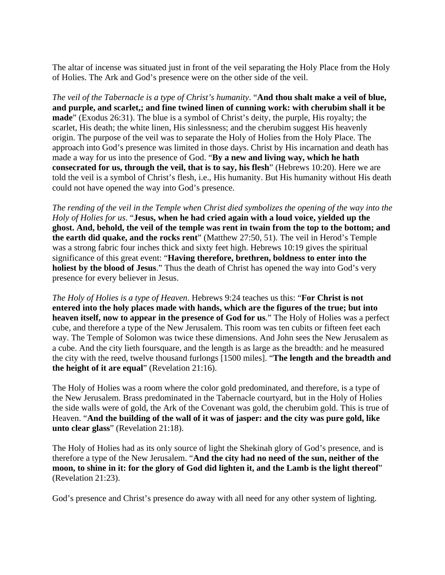The altar of incense was situated just in front of the veil separating the Holy Place from the Holy of Holies. The Ark and God's presence were on the other side of the veil.

*The veil of the Tabernacle is a type of Christ's humanity*. "**And thou shalt make a veil of blue, and purple, and scarlet,; and fine twined linen of cunning work: with cherubim shall it be made**" (Exodus 26:31). The blue is a symbol of Christ's deity, the purple, His royalty; the scarlet, His death; the white linen, His sinlessness; and the cherubim suggest His heavenly origin. The purpose of the veil was to separate the Holy of Holies from the Holy Place. The approach into God's presence was limited in those days. Christ by His incarnation and death has made a way for us into the presence of God. "**By a new and living way, which he hath consecrated for us, through the veil, that is to say, his flesh**" (Hebrews 10:20). Here we are told the veil is a symbol of Christ's flesh, i.e., His humanity. But His humanity without His death could not have opened the way into God's presence.

*The rending of the veil in the Temple when Christ died symbolizes the opening of the way into the Holy of Holies for us*. "**Jesus, when he had cried again with a loud voice, yielded up the ghost. And, behold, the veil of the temple was rent in twain from the top to the bottom; and the earth did quake, and the rocks rent**" (Matthew 27:50, 51). The veil in Herod's Temple was a strong fabric four inches thick and sixty feet high. Hebrews 10:19 gives the spiritual significance of this great event: "**Having therefore, brethren, boldness to enter into the holiest by the blood of Jesus**." Thus the death of Christ has opened the way into God's very presence for every believer in Jesus.

*The Holy of Holies is a type of Heaven*. Hebrews 9:24 teaches us this: "**For Christ is not entered into the holy places made with hands, which are the figures of the true; but into heaven itself, now to appear in the presence of God for us**." The Holy of Holies was a perfect cube, and therefore a type of the New Jerusalem. This room was ten cubits or fifteen feet each way. The Temple of Solomon was twice these dimensions. And John sees the New Jerusalem as a cube. And the city lieth foursquare, and the length is as large as the breadth: and he measured the city with the reed, twelve thousand furlongs [1500 miles]. "**The length and the breadth and the height of it are equal**" (Revelation 21:16).

The Holy of Holies was a room where the color gold predominated, and therefore, is a type of the New Jerusalem. Brass predominated in the Tabernacle courtyard, but in the Holy of Holies the side walls were of gold, the Ark of the Covenant was gold, the cherubim gold. This is true of Heaven. "**And the building of the wall of it was of jasper: and the city was pure gold, like unto clear glass**" (Revelation 21:18).

The Holy of Holies had as its only source of light the Shekinah glory of God's presence, and is therefore a type of the New Jerusalem. "**And the city had no need of the sun, neither of the moon, to shine in it: for the glory of God did lighten it, and the Lamb is the light thereof**" (Revelation 21:23).

God's presence and Christ's presence do away with all need for any other system of lighting.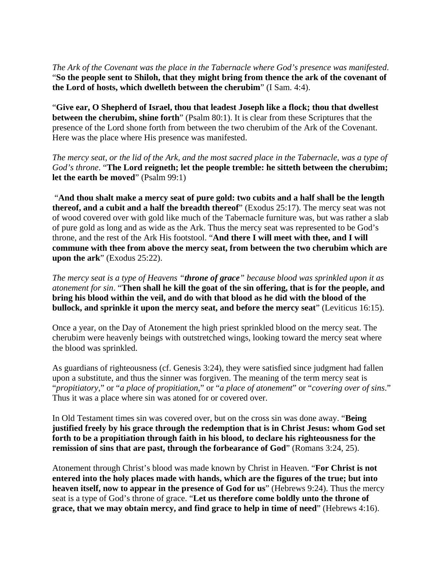*The Ark of the Covenant was the place in the Tabernacle where God's presence was manifested*. "**So the people sent to Shiloh, that they might bring from thence the ark of the covenant of the Lord of hosts, which dwelleth between the cherubim**" (I Sam. 4:4).

"**Give ear, O Shepherd of Israel, thou that leadest Joseph like a flock; thou that dwellest between the cherubim, shine forth**" (Psalm 80:1). It is clear from these Scriptures that the presence of the Lord shone forth from between the two cherubim of the Ark of the Covenant. Here was the place where His presence was manifested.

*The mercy seat, or the lid of the Ark, and the most sacred place in the Tabernacle, was a type of God's throne*. "**The Lord reigneth; let the people tremble: he sitteth between the cherubim; let the earth be moved**" (Psalm 99:1)

 "**And thou shalt make a mercy seat of pure gold: two cubits and a half shall be the length thereof, and a cubit and a half the breadth thereof**" (Exodus 25:17). The mercy seat was not of wood covered over with gold like much of the Tabernacle furniture was, but was rather a slab of pure gold as long and as wide as the Ark. Thus the mercy seat was represented to be God's throne, and the rest of the Ark His footstool. "**And there I will meet with thee, and I will commune with thee from above the mercy seat, from between the two cherubim which are upon the ark**" (Exodus 25:22).

*The mercy seat is a type of Heavens "throne of grace" because blood was sprinkled upon it as atonement for sin*. "**Then shall he kill the goat of the sin offering, that is for the people, and bring his blood within the veil, and do with that blood as he did with the blood of the bullock, and sprinkle it upon the mercy seat, and before the mercy seat**" (Leviticus 16:15).

Once a year, on the Day of Atonement the high priest sprinkled blood on the mercy seat. The cherubim were heavenly beings with outstretched wings, looking toward the mercy seat where the blood was sprinkled.

As guardians of righteousness (cf. Genesis 3:24), they were satisfied since judgment had fallen upon a substitute, and thus the sinner was forgiven. The meaning of the term mercy seat is "*propitiatory*," or "*a place of propitiation*," or "*a place of atonement*" or "*covering over of sins*." Thus it was a place where sin was atoned for or covered over.

In Old Testament times sin was covered over, but on the cross sin was done away. "**Being justified freely by his grace through the redemption that is in Christ Jesus: whom God set forth to be a propitiation through faith in his blood, to declare his righteousness for the remission of sins that are past, through the forbearance of God**" (Romans 3:24, 25).

Atonement through Christ's blood was made known by Christ in Heaven. "**For Christ is not entered into the holy places made with hands, which are the figures of the true; but into heaven itself, now to appear in the presence of God for us**" (Hebrews 9:24). Thus the mercy seat is a type of God's throne of grace. "**Let us therefore come boldly unto the throne of grace, that we may obtain mercy, and find grace to help in time of need**" (Hebrews 4:16).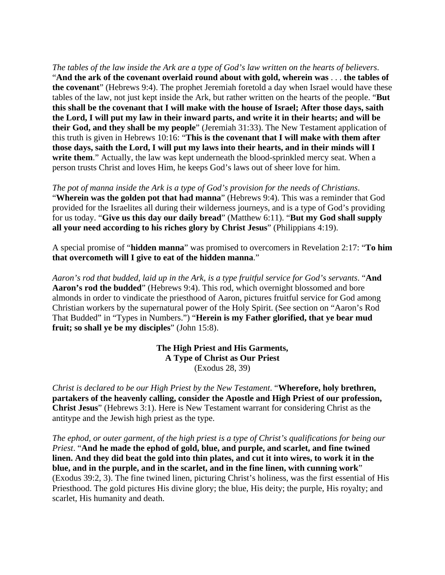*The tables of the law inside the Ark are a type of God's law written on the hearts of believers*. "**And the ark of the covenant overlaid round about with gold, wherein was** . . . **the tables of the covenant**" (Hebrews 9:4). The prophet Jeremiah foretold a day when Israel would have these tables of the law, not just kept inside the Ark, but rather written on the hearts of the people. "**But this shall be the covenant that I will make with the house of Israel; After those days, saith the Lord, I will put my law in their inward parts, and write it in their hearts; and will be their God, and they shall be my people**" (Jeremiah 31:33). The New Testament application of this truth is given in Hebrews 10:16: "**This is the covenant that I will make with them after those days, saith the Lord, I will put my laws into their hearts, and in their minds will I**  write them." Actually, the law was kept underneath the blood-sprinkled mercy seat. When a person trusts Christ and loves Him, he keeps God's laws out of sheer love for him.

*The pot of manna inside the Ark is a type of God's provision for the needs of Christians*. "**Wherein was the golden pot that had manna**" (Hebrews 9:4). This was a reminder that God provided for the Israelites all during their wilderness journeys, and is a type of God's providing for us today. "**Give us this day our daily bread**" (Matthew 6:11). "**But my God shall supply all your need according to his riches glory by Christ Jesus**" (Philippians 4:19).

A special promise of "**hidden manna**" was promised to overcomers in Revelation 2:17: "**To him that overcometh will I give to eat of the hidden manna**."

*Aaron's rod that budded, laid up in the Ark, is a type fruitful service for God's servants*. "**And Aaron's rod the budded**" (Hebrews 9:4). This rod, which overnight blossomed and bore almonds in order to vindicate the priesthood of Aaron, pictures fruitful service for God among Christian workers by the supernatural power of the Holy Spirit. (See section on "Aaron's Rod That Budded" in "Types in Numbers.") "**Herein is my Father glorified, that ye bear mud fruit; so shall ye be my disciples**" (John 15:8).

> **The High Priest and His Garments, A Type of Christ as Our Priest** (Exodus 28, 39)

*Christ is declared to be our High Priest by the New Testament*. "**Wherefore, holy brethren, partakers of the heavenly calling, consider the Apostle and High Priest of our profession, Christ Jesus**" (Hebrews 3:1). Here is New Testament warrant for considering Christ as the antitype and the Jewish high priest as the type.

*The ephod, or outer garment, of the high priest is a type of Christ's qualifications for being our Priest*. "**And he made the ephod of gold, blue, and purple, and scarlet, and fine twined linen. And they did beat the gold into thin plates, and cut it into wires, to work it in the blue, and in the purple, and in the scarlet, and in the fine linen, with cunning work**" (Exodus 39:2, 3). The fine twined linen, picturing Christ's holiness, was the first essential of His Priesthood. The gold pictures His divine glory; the blue, His deity; the purple, His royalty; and scarlet, His humanity and death.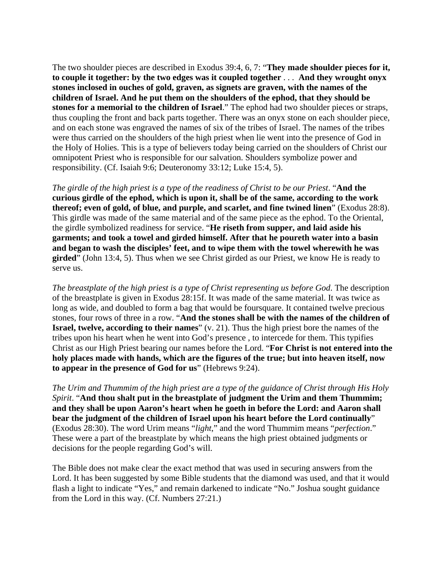The two shoulder pieces are described in Exodus 39:4, 6, 7: "**They made shoulder pieces for it, to couple it together: by the two edges was it coupled together** . . . **And they wrought onyx stones inclosed in ouches of gold, graven, as signets are graven, with the names of the children of Israel. And he put them on the shoulders of the ephod, that they should be stones for a memorial to the children of Israel**." The ephod had two shoulder pieces or straps, thus coupling the front and back parts together. There was an onyx stone on each shoulder piece, and on each stone was engraved the names of six of the tribes of Israel. The names of the tribes were thus carried on the shoulders of the high priest when lie went into the presence of God in the Holy of Holies. This is a type of believers today being carried on the shoulders of Christ our omnipotent Priest who is responsible for our salvation. Shoulders symbolize power and responsibility. (Cf. Isaiah 9:6; Deuteronomy 33:12; Luke 15:4, 5).

*The girdle of the high priest is a type of the readiness of Christ to be our Priest*. "**And the curious girdle of the ephod, which is upon it, shall be of the same, according to the work thereof; even of gold, of blue, and purple, and scarlet, and fine twined linen**" (Exodus 28:8). This girdle was made of the same material and of the same piece as the ephod. To the Oriental, the girdle symbolized readiness for service. "**He riseth from supper, and laid aside his garments; and took a towel and girded himself. After that he poureth water into a basin and began to wash the disciples' feet, and to wipe them with the towel wherewith he was girded**" (John 13:4, 5). Thus when we see Christ girded as our Priest, we know He is ready to serve us.

*The breastplate of the high priest is a type of Christ representing us before God*. The description of the breastplate is given in Exodus 28:15f. It was made of the same material. It was twice as long as wide, and doubled to form a bag that would be foursquare. It contained twelve precious stones, four rows of three in a row. "**And the stones shall be with the names of the children of Israel, twelve, according to their names**" (v. 21). Thus the high priest bore the names of the tribes upon his heart when he went into God's presence , to intercede for them. This typifies Christ as our High Priest bearing our names before the Lord. "**For Christ is not entered into the holy places made with hands, which are the figures of the true; but into heaven itself, now to appear in the presence of God for us**" (Hebrews 9:24).

*The Urim and Thummim of the high priest are a type of the guidance of Christ through His Holy Spirit*. "**And thou shalt put in the breastplate of judgment the Urim and them Thummim; and they shall be upon Aaron's heart when he goeth in before the Lord: and Aaron shall bear the judgment of the children of Israel upon his heart before the Lord continually**" (Exodus 28:30). The word Urim means "*light*," and the word Thummim means "*perfection*." These were a part of the breastplate by which means the high priest obtained judgments or decisions for the people regarding God's will.

The Bible does not make clear the exact method that was used in securing answers from the Lord. It has been suggested by some Bible students that the diamond was used, and that it would flash a light to indicate "Yes," and remain darkened to indicate "No." Joshua sought guidance from the Lord in this way. (Cf. Numbers 27:21.)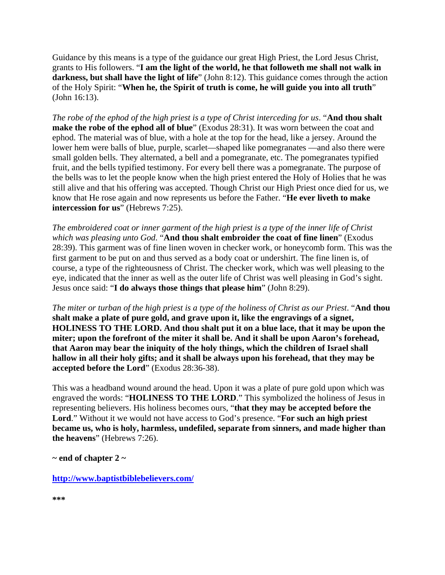Guidance by this means is a type of the guidance our great High Priest, the Lord Jesus Christ, grants to His followers. "**I am the light of the world, he that followeth me shall not walk in darkness, but shall have the light of life**" (John 8:12). This guidance comes through the action of the Holy Spirit: "**When he, the Spirit of truth is come, he will guide you into all truth**" (John 16:13).

*The robe of the ephod of the high priest is a type of Christ interceding for us*. "**And thou shalt make the robe of the ephod all of blue**" (Exodus 28:31). It was worn between the coat and ephod. The material was of blue, with a hole at the top for the head, like a jersey. Around the lower hem were balls of blue, purple, scarlet—shaped like pomegranates —and also there were small golden bells. They alternated, a bell and a pomegranate, etc. The pomegranates typified fruit, and the bells typified testimony. For every bell there was a pomegranate. The purpose of the bells was to let the people know when the high priest entered the Holy of Holies that he was still alive and that his offering was accepted. Though Christ our High Priest once died for us, we know that He rose again and now represents us before the Father. "**He ever liveth to make intercession for us**" (Hebrews 7:25).

*The embroidered coat or inner garment of the high priest is a type of the inner life of Christ which was pleasing unto God*. "**And thou shalt embroider the coat of fine linen**" (Exodus 28:39). This garment was of fine linen woven in checker work, or honeycomb form. This was the first garment to be put on and thus served as a body coat or undershirt. The fine linen is, of course, a type of the righteousness of Christ. The checker work, which was well pleasing to the eye, indicated that the inner as well as the outer life of Christ was well pleasing in God's sight. Jesus once said: "**I do always those things that please him**" (John 8:29).

*The miter or turban of the high priest is a type of the holiness of Christ as our Priest*. "**And thou shalt make a plate of pure gold, and grave upon it, like the engravings of a signet, HOLINESS TO THE LORD. And thou shalt put it on a blue lace, that it may be upon the miter; upon the forefront of the miter it shall be. And it shall be upon Aaron's forehead, that Aaron may bear the iniquity of the holy things, which the children of Israel shall hallow in all their holy gifts; and it shall be always upon his forehead, that they may be accepted before the Lord**" (Exodus 28:36-38).

This was a headband wound around the head. Upon it was a plate of pure gold upon which was engraved the words: "**HOLINESS TO THE LORD**." This symbolized the holiness of Jesus in representing believers. His holiness becomes ours, "**that they may be accepted before the Lord**." Without it we would not have access to God's presence. "**For such an high priest became us, who is holy, harmless, undefiled, separate from sinners, and made higher than the heavens**" (Hebrews 7:26).

**~ end of chapter 2 ~** 

**http://www.baptistbiblebelievers.com/**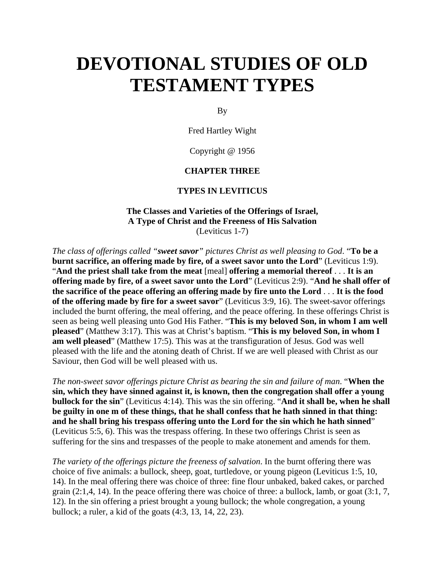# **DEVOTIONAL STUDIES OF OLD TESTAMENT TYPES**

By

Fred Hartley Wight

Copyright @ 1956

#### **CHAPTER THREE**

#### **TYPES IN LEVITICUS**

#### **The Classes and Varieties of the Offerings of Israel, A Type of Christ and the Freeness of His Salvation**  (Leviticus 1-7)

*The class of offerings called "sweet savor" pictures Christ as well pleasing to God*. "**To be a burnt sacrifice, an offering made by fire, of a sweet savor unto the Lord**" (Leviticus 1:9). "**And the priest shall take from the meat** [meal] **offering a memorial thereof** . . . **It is an offering made by fire, of a sweet savor unto the Lord**" (Leviticus 2:9). "**And he shall offer of the sacrifice of the peace offering an offering made by fire unto the Lord** . . . **It is the food of the offering made by fire for a sweet savor**" (Leviticus 3:9, 16). The sweet-savor offerings included the burnt offering, the meal offering, and the peace offering. In these offerings Christ is seen as being well pleasing unto God His Father. "**This is my beloved Son, in whom I am well pleased**" (Matthew 3:17). This was at Christ's baptism. "**This is my beloved Son, in whom I am well pleased**" (Matthew 17:5). This was at the transfiguration of Jesus. God was well pleased with the life and the atoning death of Christ. If we are well pleased with Christ as our Saviour, then God will be well pleased with us.

*The non-sweet savor offerings picture Christ as bearing the sin and failure of man*. "**When the sin, which they have sinned against it, is known, then the congregation shall offer a young bullock for the sin**" (Leviticus 4:14). This was the sin offering. "**And it shall be, when he shall be guilty in one m of these things, that he shall confess that he hath sinned in that thing: and he shall bring his trespass offering unto the Lord for the sin which he hath sinned**" (Leviticus 5:5, 6). This was the trespass offering. In these two offerings Christ is seen as suffering for the sins and trespasses of the people to make atonement and amends for them.

*The variety of the offerings picture the freeness of salvation*. In the burnt offering there was choice of five animals: a bullock, sheep, goat, turtledove, or young pigeon (Leviticus 1:5, 10, 14). In the meal offering there was choice of three: fine flour unbaked, baked cakes, or parched grain (2:1,4, 14). In the peace offering there was choice of three: a bullock, lamb, or goat (3:1, 7, 12). In the sin offering a priest brought a young bullock; the whole congregation, a young bullock; a ruler, a kid of the goats (4:3, 13, 14, 22, 23).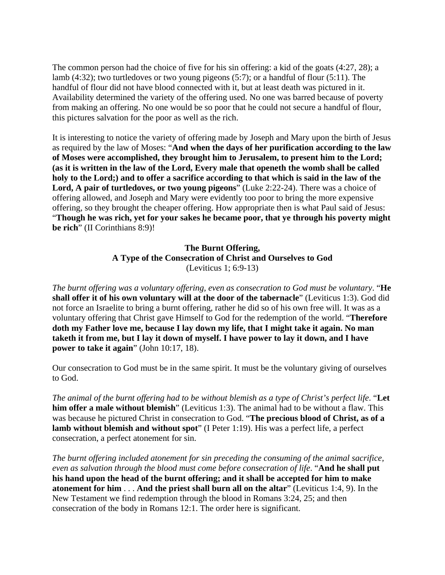The common person had the choice of five for his sin offering: a kid of the goats (4:27, 28); a lamb (4:32); two turtledoves or two young pigeons (5:7); or a handful of flour (5:11). The handful of flour did not have blood connected with it, but at least death was pictured in it. Availability determined the variety of the offering used. No one was barred because of poverty from making an offering. No one would be so poor that he could not secure a handful of flour, this pictures salvation for the poor as well as the rich.

It is interesting to notice the variety of offering made by Joseph and Mary upon the birth of Jesus as required by the law of Moses: "**And when the days of her purification according to the law of Moses were accomplished, they brought him to Jerusalem, to present him to the Lord; (as it is written in the law of the Lord, Every male that openeth the womb shall be called holy to the Lord;) and to offer a sacrifice according to that which is said in the law of the Lord, A pair of turtledoves, or two young pigeons**" (Luke 2:22-24). There was a choice of offering allowed, and Joseph and Mary were evidently too poor to bring the more expensive offering, so they brought the cheaper offering. How appropriate then is what Paul said of Jesus: "**Though he was rich, yet for your sakes he became poor, that ye through his poverty might be rich**" (II Corinthians 8:9)!

# **The Burnt Offering, A Type of the Consecration of Christ and Ourselves to God**  (Leviticus 1; 6:9-13)

*The burnt offering was a voluntary offering, even as consecration to God must be voluntary*. "**He shall offer it of his own voluntary will at the door of the tabernacle**" (Leviticus 1:3). God did not force an Israelite to bring a burnt offering, rather he did so of his own free will. It was as a voluntary offering that Christ gave Himself to God for the redemption of the world. "**Therefore doth my Father love me, because I lay down my life, that I might take it again. No man taketh it from me, but I lay it down of myself. I have power to lay it down, and I have power to take it again**" (John 10:17, 18).

Our consecration to God must be in the same spirit. It must be the voluntary giving of ourselves to God.

*The animal of the burnt offering had to be without blemish as a type of Christ's perfect life*. "**Let him offer a male without blemish**" (Leviticus 1:3). The animal had to be without a flaw. This was because he pictured Christ in consecration to God. "**The precious blood of Christ, as of a lamb without blemish and without spot**" (I Peter 1:19). His was a perfect life, a perfect consecration, a perfect atonement for sin.

*The burnt offering included atonement for sin preceding the consuming of the animal sacrifice, even as salvation through the blood must come before consecration of life*. "**And he shall put his hand upon the head of the burnt offering; and it shall be accepted for him to make atonement for him** . . . **And the priest shall burn all on the altar**" (Leviticus 1:4, 9). In the New Testament we find redemption through the blood in Romans 3:24, 25; and then consecration of the body in Romans 12:1. The order here is significant.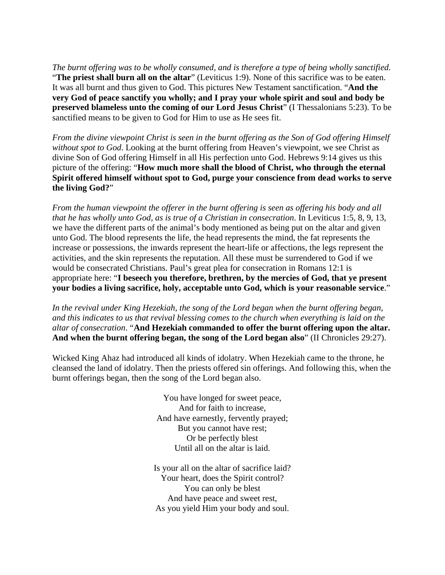*The burnt offering was to be wholly consumed, and is therefore a type of being wholly sanctified*. "**The priest shall burn all on the altar**" (Leviticus 1:9). None of this sacrifice was to be eaten. It was all burnt and thus given to God. This pictures New Testament sanctification. "**And the very God of peace sanctify you wholly; and I pray your whole spirit and soul and body be preserved blameless unto the coming of our Lord Jesus Christ**" (I Thessalonians 5:23). To be sanctified means to be given to God for Him to use as He sees fit.

*From the divine viewpoint Christ is seen in the burnt offering as the Son of God offering Himself without spot to God*. Looking at the burnt offering from Heaven's viewpoint, we see Christ as divine Son of God offering Himself in all His perfection unto God. Hebrews 9:14 gives us this picture of the offering: "**How much more shall the blood of Christ, who through the eternal Spirit offered himself without spot to God, purge your conscience from dead works to serve the living God?**"

*From the human viewpoint the offerer in the burnt offering is seen as offering his body and all that he has wholly unto God, as is true of a Christian in consecration*. In Leviticus 1:5, 8, 9, 13, we have the different parts of the animal's body mentioned as being put on the altar and given unto God. The blood represents the life, the head represents the mind, the fat represents the increase or possessions, the inwards represent the heart-life or affections, the legs represent the activities, and the skin represents the reputation. All these must be surrendered to God if we would be consecrated Christians. Paul's great plea for consecration in Romans 12:1 is appropriate here: "**I beseech you therefore, brethren, by the mercies of God, that ye present your bodies a living sacrifice, holy, acceptable unto God, which is your reasonable service**."

*In the revival under King Hezekiah, the song of the Lord began when the burnt offering began, and this indicates to us that revival blessing comes to the church when everything is laid on the altar of consecration*. "**And Hezekiah commanded to offer the burnt offering upon the altar. And when the burnt offering began, the song of the Lord began also**" (II Chronicles 29:27).

Wicked King Ahaz had introduced all kinds of idolatry. When Hezekiah came to the throne, he cleansed the land of idolatry. Then the priests offered sin offerings. And following this, when the burnt offerings began, then the song of the Lord began also.

> You have longed for sweet peace, And for faith to increase, And have earnestly, fervently prayed; But you cannot have rest; Or be perfectly blest Until all on the altar is laid.

Is your all on the altar of sacrifice laid? Your heart, does the Spirit control? You can only be blest And have peace and sweet rest, As you yield Him your body and soul.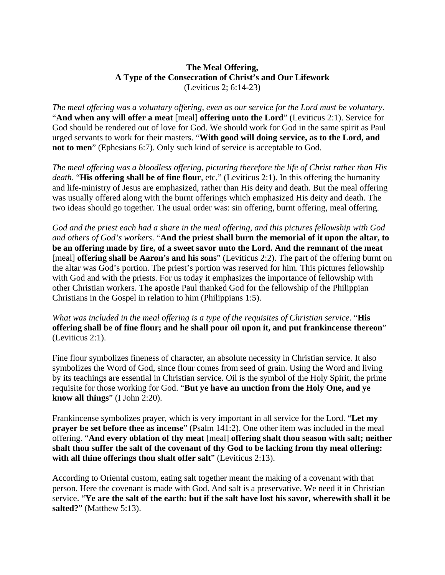## **The Meal Offering, A Type of the Consecration of Christ's and Our Lifework**  (Leviticus 2; 6:14-23)

*The meal offering was a voluntary offering, even as our service for the Lord must be voluntary*. "**And when any will offer a meat** [meal] **offering unto the Lord**" (Leviticus 2:1). Service for God should be rendered out of love for God. We should work for God in the same spirit as Paul urged servants to work for their masters. "**With good will doing service, as to the Lord, and not to men**" (Ephesians 6:7). Only such kind of service is acceptable to God.

*The meal offering was a bloodless offering, picturing therefore the life of Christ rather than His death*. "**His offering shall be of fine flour**, etc." (Leviticus 2:1). In this offering the humanity and life-ministry of Jesus are emphasized, rather than His deity and death. But the meal offering was usually offered along with the burnt offerings which emphasized His deity and death. The two ideas should go together. The usual order was: sin offering, burnt offering, meal offering.

*God and the priest each had a share in the meal offering, and this pictures fellowship with God and others of God's workers*. "**And the priest shall burn the memorial of it upon the altar, to be an offering made by fire, of a sweet savor unto the Lord. And the remnant of the meat** [meal] **offering shall be Aaron's and his sons**" (Leviticus 2:2). The part of the offering burnt on the altar was God's portion. The priest's portion was reserved for him. This pictures fellowship with God and with the priests. For us today it emphasizes the importance of fellowship with other Christian workers. The apostle Paul thanked God for the fellowship of the Philippian Christians in the Gospel in relation to him (Philippians 1:5).

*What was included in the meal offering is a type of the requisites of Christian service*. "**His offering shall be of fine flour; and he shall pour oil upon it, and put frankincense thereon**" (Leviticus 2:1).

Fine flour symbolizes fineness of character, an absolute necessity in Christian service. It also symbolizes the Word of God, since flour comes from seed of grain. Using the Word and living by its teachings are essential in Christian service. Oil is the symbol of the Holy Spirit, the prime requisite for those working for God. "**But ye have an unction from the Holy One, and ye know all things**" (I John 2:20).

Frankincense symbolizes prayer, which is very important in all service for the Lord. "**Let my prayer be set before thee as incense**" (Psalm 141:2). One other item was included in the meal offering. "**And every oblation of thy meat** [meal] **offering shalt thou season with salt; neither shalt thou suffer the salt of the covenant of thy God to be lacking from thy meal offering:**  with all thine offerings thou shalt offer salt" (Leviticus 2:13).

According to Oriental custom, eating salt together meant the making of a covenant with that person. Here the covenant is made with God. And salt is a preservative. We need it in Christian service. "**Ye are the salt of the earth: but if the salt have lost his savor, wherewith shall it be salted?**" (Matthew 5:13).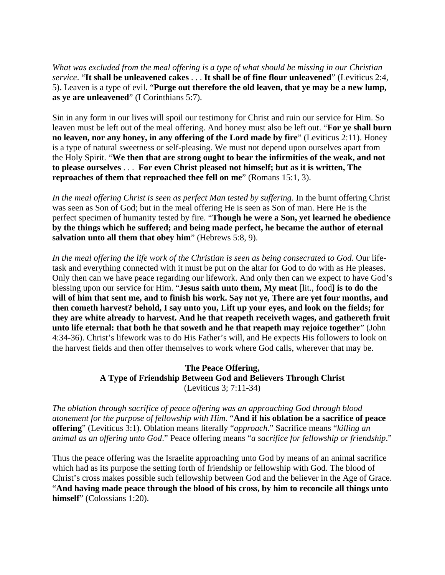*What was excluded from the meal offering is a type of what should be missing in our Christian service*. "**It shall be unleavened cakes** . . . **It shall be of fine flour unleavened**" (Leviticus 2:4, 5). Leaven is a type of evil. "**Purge out therefore the old leaven, that ye may be a new lump, as ye are unleavened**" (I Corinthians 5:7).

Sin in any form in our lives will spoil our testimony for Christ and ruin our service for Him. So leaven must be left out of the meal offering. And honey must also be left out. "**For ye shall burn no leaven, nor any honey, in any offering of the Lord made by fire**" (Leviticus 2:11). Honey is a type of natural sweetness or self-pleasing. We must not depend upon ourselves apart from the Holy Spirit. "**We then that are strong ought to bear the infirmities of the weak, and not to please ourselves** . . . **For even Christ pleased not himself; but as it is written, The reproaches of them that reproached thee fell on me**" (Romans 15:1, 3).

*In the meal offering Christ is seen as perfect Man tested by suffering*. In the burnt offering Christ was seen as Son of God; but in the meal offering He is seen as Son of man. Here He is the perfect specimen of humanity tested by fire. "**Though he were a Son, yet learned he obedience by the things which he suffered; and being made perfect, he became the author of eternal salvation unto all them that obey him**" (Hebrews 5:8, 9).

*In the meal offering the life work of the Christian is seen as being consecrated to God*. Our lifetask and everything connected with it must be put on the altar for God to do with as He pleases. Only then can we have peace regarding our lifework. And only then can we expect to have God's blessing upon our service for Him. "**Jesus saith unto them, My meat** [lit., food**] is to do the will of him that sent me, and to finish his work. Say not ye, There are yet four months, and then cometh harvest? behold, I say unto you, Lift up your eyes, and look on the fields; for they are white already to harvest. And he that reapeth receiveth wages, and gathereth fruit unto life eternal: that both he that soweth and he that reapeth may rejoice together**" (John 4:34-36). Christ's lifework was to do His Father's will, and He expects His followers to look on the harvest fields and then offer themselves to work where God calls, wherever that may be.

# **The Peace Offering, A Type of Friendship Between God and Believers Through Christ**  (Leviticus 3; 7:11-34)

*The oblation through sacrifice of peace offering was an approaching God through blood atonement for the purpose of fellowship with Him*. "**And if his oblation be a sacrifice of peace offering**" (Leviticus 3:1). Oblation means literally "*approach*." Sacrifice means "*killing an animal as an offering unto God*." Peace offering means "*a sacrifice for fellowship or friendship*."

Thus the peace offering was the Israelite approaching unto God by means of an animal sacrifice which had as its purpose the setting forth of friendship or fellowship with God. The blood of Christ's cross makes possible such fellowship between God and the believer in the Age of Grace. "**And having made peace through the blood of his cross, by him to reconcile all things unto himself**" (Colossians 1:20).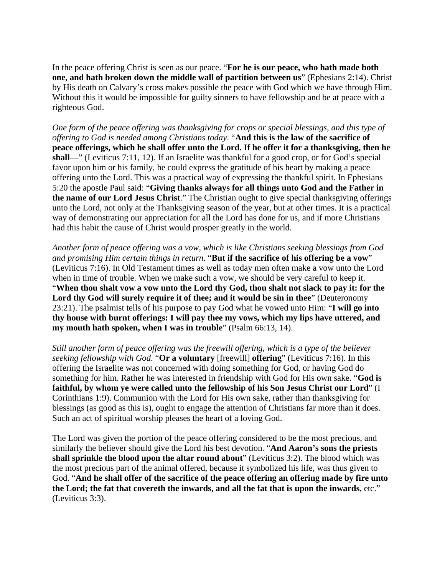In the peace offering Christ is seen as our peace. "**For he is our peace, who hath made both one, and hath broken down the middle wall of partition between us**" (Ephesians 2:14). Christ by His death on Calvary's cross makes possible the peace with God which we have through Him. Without this it would be impossible for guilty sinners to have fellowship and be at peace with a righteous God.

*One form of the peace offering was thanksgiving for crops or special blessings, and this type of offering to God is needed among Christians today*. "**And this is the law of the sacrifice of peace offerings, which he shall offer unto the Lord. If he offer it for a thanksgiving, then he shall**—" (Leviticus 7:11, 12). If an Israelite was thankful for a good crop, or for God's special favor upon him or his family, he could express the gratitude of his heart by making a peace offering unto the Lord. This was a practical way of expressing the thankful spirit. In Ephesians 5:20 the apostle Paul said: "**Giving thanks always for all things unto God and the Father in the name of our Lord Jesus Christ**." The Christian ought to give special thanksgiving offerings unto the Lord, not only at the Thanksgiving season of the year, but at other times. It is a practical way of demonstrating our appreciation for all the Lord has done for us, and if more Christians had this habit the cause of Christ would prosper greatly in the world.

*Another form of peace offering was a vow, which is like Christians seeking blessings from God and promising Him certain things in return*. "**But if the sacrifice of his offering be a vow**" (Leviticus 7:16). In Old Testament times as well as today men often make a vow unto the Lord when in time of trouble. When we make such a vow, we should be very careful to keep it. "**When thou shalt vow a vow unto the Lord thy God, thou shalt not slack to pay it: for the Lord thy God will surely require it of thee; and it would be sin in thee**" (Deuteronomy 23:21). The psalmist tells of his purpose to pay God what he vowed unto Him: "**I will go into thy house with burnt offerings: I will pay thee my vows, which my lips have uttered, and my mouth hath spoken, when I was in trouble**" (Psalm 66:13, 14).

*Still another form of peace offering was the freewill offering, which is a type of the believer seeking fellowship with God*. "**Or a voluntary** [freewill] **offering**" (Leviticus 7:16). In this offering the Israelite was not concerned with doing something for God, or having God do something for him. Rather he was interested in friendship with God for His own sake. "**God is faithful, by whom ye were called unto the fellowship of his Son Jesus Christ our Lord**" (I Corinthians 1:9). Communion with the Lord for His own sake, rather than thanksgiving for blessings (as good as this is), ought to engage the attention of Christians far more than it does. Such an act of spiritual worship pleases the heart of a loving God.

The Lord was given the portion of the peace offering considered to be the most precious, and similarly the believer should give the Lord his best devotion. "**And Aaron's sons the priests shall sprinkle the blood upon the altar round about**" (Leviticus 3:2). The blood which was the most precious part of the animal offered, because it symbolized his life, was thus given to God. "**And he shall offer of the sacrifice of the peace offering an offering made by fire unto the Lord; the fat that covereth the inwards, and all the fat that is upon the inwards**, etc." (Leviticus 3:3).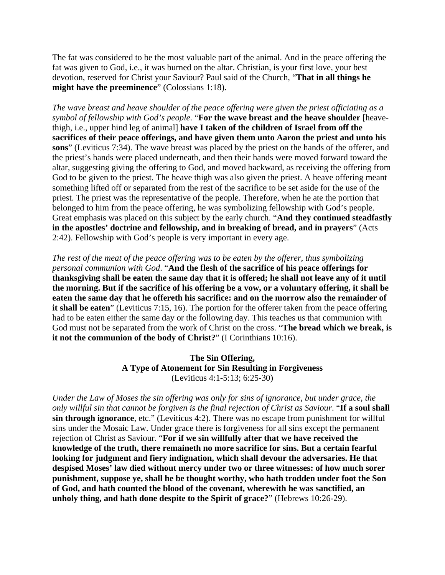The fat was considered to be the most valuable part of the animal. And in the peace offering the fat was given to God, i.e., it was burned on the altar. Christian, is your first love, your best devotion, reserved for Christ your Saviour? Paul said of the Church, "**That in all things he might have the preeminence**" (Colossians 1:18).

*The wave breast and heave shoulder of the peace offering were given the priest officiating as a symbol of fellowship with God's people*. "**For the wave breast and the heave shoulder** [heavethigh, i.e., upper hind leg of animal] **have I taken of the children of Israel from off the sacrifices of their peace offerings, and have given them unto Aaron the priest and unto his sons**" (Leviticus 7:34). The wave breast was placed by the priest on the hands of the offerer, and the priest's hands were placed underneath, and then their hands were moved forward toward the altar, suggesting giving the offering to God, and moved backward, as receiving the offering from God to be given to the priest. The heave thigh was also given the priest. A heave offering meant something lifted off or separated from the rest of the sacrifice to be set aside for the use of the priest. The priest was the representative of the people. Therefore, when he ate the portion that belonged to him from the peace offering, he was symbolizing fellowship with God's people. Great emphasis was placed on this subject by the early church. "**And they continued steadfastly in the apostles' doctrine and fellowship, and in breaking of bread, and in prayers**" (Acts 2:42). Fellowship with God's people is very important in every age.

*The rest of the meat of the peace offering was to be eaten by the offerer, thus symbolizing personal communion with God*. "**And the flesh of the sacrifice of his peace offerings for thanksgiving shall be eaten the same day that it is offered; he shall not leave any of it until the morning. But if the sacrifice of his offering be a vow, or a voluntary offering, it shall be eaten the same day that he offereth his sacrifice: and on the morrow also the remainder of it shall be eaten**" (Leviticus 7:15, 16). The portion for the offerer taken from the peace offering had to be eaten either the same day or the following day. This teaches us that communion with God must not be separated from the work of Christ on the cross. "**The bread which we break, is it not the communion of the body of Christ?**" (I Corinthians 10:16).

#### **The Sin Offering, A Type of Atonement for Sin Resulting in Forgiveness**  (Leviticus 4:1-5:13; 6:25-30)

*Under the Law of Moses the sin offering was only for sins of ignorance, but under grace, the only willful sin that cannot be forgiven is the final rejection of Christ as Saviour*. "**If a soul shall sin through ignorance**, etc." (Leviticus 4:2). There was no escape from punishment for willful sins under the Mosaic Law. Under grace there is forgiveness for all sins except the permanent rejection of Christ as Saviour. "**For if we sin willfully after that we have received the knowledge of the truth, there remaineth no more sacrifice for sins. But a certain fearful looking for judgment and fiery indignation, which shall devour the adversaries. He that despised Moses' law died without mercy under two or three witnesses: of how much sorer punishment, suppose ye, shall he be thought worthy, who hath trodden under foot the Son of God, and hath counted the blood of the covenant, wherewith he was sanctified, an unholy thing, and hath done despite to the Spirit of grace?**" (Hebrews 10:26-29).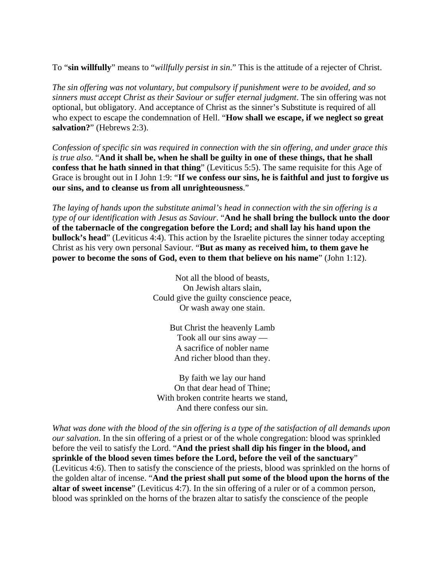To "**sin willfully**" means to "*willfully persist in sin*." This is the attitude of a rejecter of Christ.

*The sin offering was not voluntary, but compulsory if punishment were to be avoided, and so sinners must accept Christ as their Saviour or suffer eternal judgment*. The sin offering was not optional, but obligatory. And acceptance of Christ as the sinner's Substitute is required of all who expect to escape the condemnation of Hell. "**How shall we escape, if we neglect so great salvation?**" (Hebrews 2:3).

*Confession of specific sin was required in connection with the sin offering, and under grace this is true also*. "**And it shall be, when he shall be guilty in one of these things, that he shall confess that he hath sinned in that thing**" (Leviticus 5:5). The same requisite for this Age of Grace is brought out in I John 1:9: "**If we confess our sins, he is faithful and just to forgive us our sins, and to cleanse us from all unrighteousness**."

*The laying of hands upon the substitute animal's head in connection with the sin offering is a type of our identification with Jesus as Saviour*. "**And he shall bring the bullock unto the door of the tabernacle of the congregation before the Lord; and shall lay his hand upon the bullock's head**" (Leviticus 4:4). This action by the Israelite pictures the sinner today accepting Christ as his very own personal Saviour. "**But as many as received him, to them gave he power to become the sons of God, even to them that believe on his name**" (John 1:12).

> Not all the blood of beasts, On Jewish altars slain, Could give the guilty conscience peace, Or wash away one stain.

> > But Christ the heavenly Lamb Took all our sins away — A sacrifice of nobler name And richer blood than they.

By faith we lay our hand On that dear head of Thine; With broken contrite hearts we stand, And there confess our sin.

*What was done with the blood of the sin offering is a type of the satisfaction of all demands upon our salvation*. In the sin offering of a priest or of the whole congregation: blood was sprinkled before the veil to satisfy the Lord. "**And the priest shall dip his finger in the blood, and sprinkle of the blood seven times before the Lord, before the veil of the sanctuary**" (Leviticus 4:6). Then to satisfy the conscience of the priests, blood was sprinkled on the horns of the golden altar of incense. "**And the priest shall put some of the blood upon the horns of the altar of sweet incense**" (Leviticus 4:7). In the sin offering of a ruler or of a common person, blood was sprinkled on the horns of the brazen altar to satisfy the conscience of the people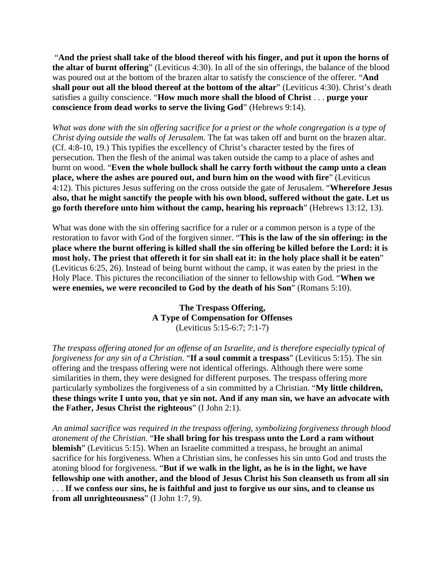"**And the priest shall take of the blood thereof with his finger, and put it upon the horns of the altar of burnt offering**" (Leviticus 4:30). In all of the sin offerings, the balance of the blood was poured out at the bottom of the brazen altar to satisfy the conscience of the offerer. "**And shall pour out all the blood thereof at the bottom of the altar**" (Leviticus 4:30). Christ's death satisfies a guilty conscience. "**How much more shall the blood of Christ** . . . **purge your conscience from dead works to serve the living God**" (Hebrews 9:14).

*What was done with the sin offering sacrifice for a priest or the whole congregation is a type of Christ dying outside the walls of Jerusalem*. The fat was taken off and burnt on the brazen altar. (Cf. 4:8-10, 19.) This typifies the excellency of Christ's character tested by the fires of persecution. Then the flesh of the animal was taken outside the camp to a place of ashes and burnt on wood. "**Even the whole bullock shall he carry forth without the camp unto a clean place, where the ashes are poured out, and burn him on the wood with fire**" (Leviticus 4:12). This pictures Jesus suffering on the cross outside the gate of Jerusalem. "**Wherefore Jesus also, that he might sanctify the people with his own blood, suffered without the gate. Let us go forth therefore unto him without the camp, hearing his reproach**" (Hebrews 13:12, 13).

What was done with the sin offering sacrifice for a ruler or a common person is a type of the restoration to favor with God of the forgiven sinner. "**This is the law of the sin offering: in the place where the burnt offering is killed shall the sin offering be killed before the Lord: it is most holy. The priest that offereth it for sin shall eat it: in the holy place shall it be eaten**" (Leviticus 6:25, 26). Instead of being burnt without the camp, it was eaten by the priest in the Holy Place. This pictures the reconciliation of the sinner to fellowship with God. "**When we were enemies, we were reconciled to God by the death of his Son**" (Romans 5:10).

#### **The Trespass Offering, A Type of Compensation for Offenses**  (Leviticus 5:15-6:7; 7:1-7)

*The trespass offering atoned for an offense of an Israelite, and is therefore especially typical of forgiveness for any sin of a Christian*. "**If a soul commit a trespass**" (Leviticus 5:15). The sin offering and the trespass offering were not identical offerings. Although there were some similarities in them, they were designed for different purposes. The trespass offering more particularly symbolizes the forgiveness of a sin committed by a Christian. "**My little children, these things write I unto you, that ye sin not. And if any man sin, we have an advocate with the Father, Jesus Christ the righteous**" (I John 2:1).

*An animal sacrifice was required in the trespass offering, symbolizing forgiveness through blood atonement of the Christian*. "**He shall bring for his trespass unto the Lord a ram without blemish**" (Leviticus 5:15). When an Israelite committed a trespass, he brought an animal sacrifice for his forgiveness. When a Christian sins, he confesses his sin unto God and trusts the atoning blood for forgiveness. "**But if we walk in the light, as he is in the light, we have fellowship one with another, and the blood of Jesus Christ his Son cleanseth us from all sin** . . . **If we confess our sins, he is faithful and just to forgive us our sins, and to cleanse us from all unrighteousness**" (I John 1:7, 9).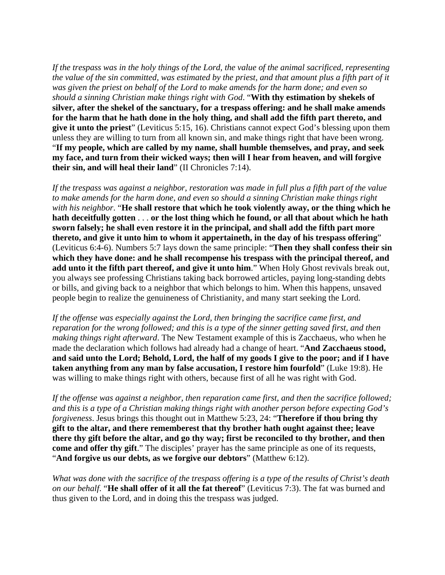*If the trespass was in the holy things of the Lord, the value of the animal sacrificed, representing the value of the sin committed, was estimated by the priest, and that amount plus a fifth part of it was given the priest on behalf of the Lord to make amends for the harm done; and even so should a sinning Christian make things right with God*. "**With thy estimation by shekels of silver, after the shekel of the sanctuary, for a trespass offering: and he shall make amends for the harm that he hath done in the holy thing, and shall add the fifth part thereto, and give it unto the priest**" (Leviticus 5:15, 16). Christians cannot expect God's blessing upon them unless they are willing to turn from all known sin, and make things right that have been wrong. "**If my people, which are called by my name, shall humble themselves, and pray, and seek my face, and turn from their wicked ways; then will I hear from heaven, and will forgive their sin, and will heal their land**" (II Chronicles 7:14).

*If the trespass was against a neighbor, restoration was made in full plus a fifth part of the value to make amends for the harm done, and even so should a sinning Christian make things right with his neighbor*. "**He shall restore that which he took violently away, or the thing which he hath deceitfully gotten** . . . **or the lost thing which he found, or all that about which he hath sworn falsely; he shall even restore it in the principal, and shall add the fifth part more thereto, and give it unto him to whom it appertaineth, in the day of his trespass offering**" (Leviticus 6:4-6). Numbers 5:7 lays down the same principle: "**Then they shall confess their sin which they have done: and he shall recompense his trespass with the principal thereof, and add unto it the fifth part thereof, and give it unto him**." When Holy Ghost revivals break out, you always see professing Christians taking back borrowed articles, paying long-standing debts or bills, and giving back to a neighbor that which belongs to him. When this happens, unsaved people begin to realize the genuineness of Christianity, and many start seeking the Lord.

*If the offense was especially against the Lord, then bringing the sacrifice came first, and reparation for the wrong followed; and this is a type of the sinner getting saved first, and then making things right afterward*. The New Testament example of this is Zacchaeus, who when he made the declaration which follows had already had a change of heart. "**And Zacchaeus stood, and said unto the Lord; Behold, Lord, the half of my goods I give to the poor; and if I have taken anything from any man by false accusation, I restore him fourfold**" (Luke 19:8). He was willing to make things right with others, because first of all he was right with God.

*If the offense was against a neighbor, then reparation came first, and then the sacrifice followed; and this is a type of a Christian making things right with another person before expecting God's forgiveness*. Jesus brings this thought out in Matthew 5:23, 24: "**Therefore if thou bring thy gift to the altar, and there rememberest that thy brother hath ought against thee; leave there thy gift before the altar, and go thy way; first be reconciled to thy brother, and then come and offer thy gift**." The disciples' prayer has the same principle as one of its requests, "**And forgive us our debts, as we forgive our debtors**" (Matthew 6:12).

*What was done with the sacrifice of the trespass offering is a type of the results of Christ's death on our behalf*. "**He shall offer of it all the fat thereof**" (Leviticus 7:3). The fat was burned and thus given to the Lord, and in doing this the trespass was judged.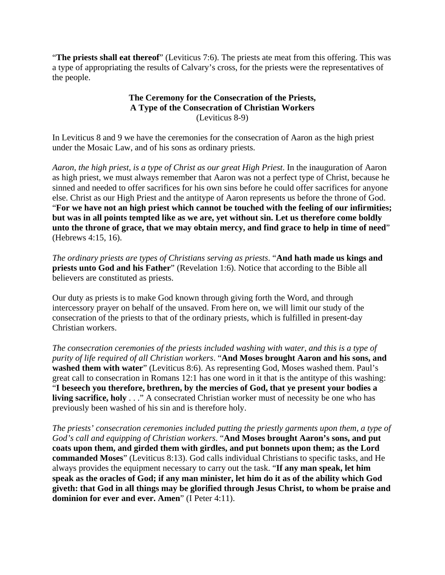"**The priests shall eat thereof**" (Leviticus 7:6). The priests ate meat from this offering. This was a type of appropriating the results of Calvary's cross, for the priests were the representatives of the people.

## **The Ceremony for the Consecration of the Priests, A Type of the Consecration of Christian Workers**  (Leviticus 8-9)

In Leviticus 8 and 9 we have the ceremonies for the consecration of Aaron as the high priest under the Mosaic Law, and of his sons as ordinary priests.

*Aaron, the high priest, is a type of Christ as our great High Priest*. In the inauguration of Aaron as high priest, we must always remember that Aaron was not a perfect type of Christ, because he sinned and needed to offer sacrifices for his own sins before he could offer sacrifices for anyone else. Christ as our High Priest and the antitype of Aaron represents us before the throne of God. "**For we have not an high priest which cannot be touched with the feeling of our infirmities; but was in all points tempted like as we are, yet without sin. Let us therefore come boldly unto the throne of grace, that we may obtain mercy, and find grace to help in time of need**" (Hebrews 4:15, 16).

*The ordinary priests are types of Christians serving as priests*. "**And hath made us kings and priests unto God and his Father**" (Revelation 1:6). Notice that according to the Bible all believers are constituted as priests.

Our duty as priests is to make God known through giving forth the Word, and through intercessory prayer on behalf of the unsaved. From here on, we will limit our study of the consecration of the priests to that of the ordinary priests, which is fulfilled in present-day Christian workers.

*The consecration ceremonies of the priests included washing with water, and this is a type of purity of life required of all Christian workers*. "**And Moses brought Aaron and his sons, and**  washed them with water" (Leviticus 8:6). As representing God, Moses washed them. Paul's great call to consecration in Romans 12:1 has one word in it that is the antitype of this washing: "**I beseech you therefore, brethren, by the mercies of God, that ye present your bodies a living sacrifice, holy** . . ." A consecrated Christian worker must of necessity be one who has previously been washed of his sin and is therefore holy.

*The priests' consecration ceremonies included putting the priestly garments upon them, a type of God's call and equipping of Christian workers*. "**And Moses brought Aaron's sons, and put coats upon them, and girded them with girdles, and put bonnets upon them; as the Lord commanded Moses**" (Leviticus 8:13). God calls individual Christians to specific tasks, and He always provides the equipment necessary to carry out the task. "**If any man speak, let him speak as the oracles of God; if any man minister, let him do it as of the ability which God giveth: that God in all things may be glorified through Jesus Christ, to whom be praise and dominion for ever and ever. Amen**" (I Peter 4:11).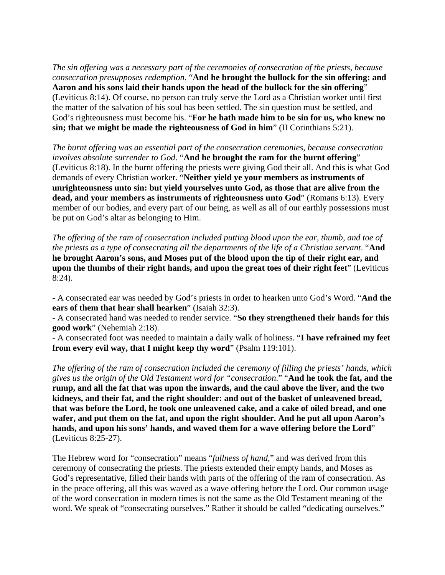*The sin offering was a necessary part of the ceremonies of consecration of the priests, because consecration presupposes redemption*. "**And he brought the bullock for the sin offering: and Aaron and his sons laid their hands upon the head of the bullock for the sin offering**" (Leviticus 8:14). Of course, no person can truly serve the Lord as a Christian worker until first the matter of the salvation of his soul has been settled. The sin question must be settled, and God's righteousness must become his. "**For he hath made him to be sin for us, who knew no sin; that we might be made the righteousness of God in him**" (II Corinthians 5:21).

*The burnt offering was an essential part of the consecration ceremonies, because consecration involves absolute surrender to God*. "**And he brought the ram for the burnt offering**" (Leviticus 8:18). In the burnt offering the priests were giving God their all. And this is what God demands of every Christian worker. "**Neither yield ye your members as instruments of unrighteousness unto sin: but yield yourselves unto God, as those that are alive from the dead, and your members as instruments of righteousness unto God**" (Romans 6:13). Every member of our bodies, and every part of our being, as well as all of our earthly possessions must be put on God's altar as belonging to Him.

*The offering of the ram of consecration included putting blood upon the ear, thumb, and toe of the priests as a type of consecrating all the departments of the life of a Christian servant*. "**And he brought Aaron's sons, and Moses put of the blood upon the tip of their right ear, and upon the thumbs of their right hands, and upon the great toes of their right feet**" (Leviticus 8:24).

- A consecrated ear was needed by God's priests in order to hearken unto God's Word. "**And the ears of them that hear shall hearken**" (Isaiah 32:3).

- A consecrated hand was needed to render service. "**So they strengthened their hands for this good work**" (Nehemiah 2:18).

- A consecrated foot was needed to maintain a daily walk of holiness. "**I have refrained my feet from every evil way, that I might keep thy word**" (Psalm 119:101).

*The offering of the ram of consecration included the ceremony of filling the priests' hands, which gives us the origin of the Old Testament word for "consecration*." "**And he took the fat, and the rump, and all the fat that was upon the inwards, and the caul above the liver, and the two kidneys, and their fat, and the right shoulder: and out of the basket of unleavened bread, that was before the Lord, he took one unleavened cake, and a cake of oiled bread, and one wafer, and put them on the fat, and upon the right shoulder. And he put all upon Aaron's hands, and upon his sons' hands, and waved them for a wave offering before the Lord**" (Leviticus 8:25-27).

The Hebrew word for "consecration" means "*fullness of hand*," and was derived from this ceremony of consecrating the priests. The priests extended their empty hands, and Moses as God's representative, filled their hands with parts of the offering of the ram of consecration. As in the peace offering, all this was waved as a wave offering before the Lord. Our common usage of the word consecration in modern times is not the same as the Old Testament meaning of the word. We speak of "consecrating ourselves." Rather it should be called "dedicating ourselves."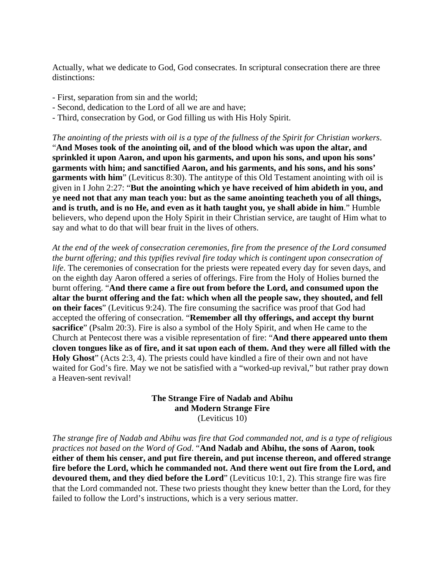Actually, what we dedicate to God, God consecrates. In scriptural consecration there are three distinctions:

- First, separation from sin and the world;
- Second, dedication to the Lord of all we are and have;
- Third, consecration by God, or God filling us with His Holy Spirit.

*The anointing of the priests with oil is a type of the fullness of the Spirit for Christian workers*. "**And Moses took of the anointing oil, and of the blood which was upon the altar, and sprinkled it upon Aaron, and upon his garments, and upon his sons, and upon his sons' garments with him; and sanctified Aaron, and his garments, and his sons, and his sons' garments with him**" (Leviticus 8:30). The antitype of this Old Testament anointing with oil is given in I John 2:27: "**But the anointing which ye have received of him abideth in you, and ye need not that any man teach you: but as the same anointing teacheth you of all things, and is truth, and is no He, and even as it hath taught you, ye shall abide in him**." Humble believers, who depend upon the Holy Spirit in their Christian service, are taught of Him what to say and what to do that will bear fruit in the lives of others.

*At the end of the week of consecration ceremonies, fire from the presence of the Lord consumed the burnt offering; and this typifies revival fire today which is contingent upon consecration of life*. The ceremonies of consecration for the priests were repeated every day for seven days, and on the eighth day Aaron offered a series of offerings. Fire from the Holy of Holies burned the burnt offering. "**And there came a fire out from before the Lord, and consumed upon the altar the burnt offering and the fat: which when all the people saw, they shouted, and fell on their faces**" (Leviticus 9:24). The fire consuming the sacrifice was proof that God had accepted the offering of consecration. "**Remember all thy offerings, and accept thy burnt sacrifice**" (Psalm 20:3). Fire is also a symbol of the Holy Spirit, and when He came to the Church at Pentecost there was a visible representation of fire: "**And there appeared unto them cloven tongues like as of fire, and it sat upon each of them. And they were all filled with the Holy Ghost**" (Acts 2:3, 4). The priests could have kindled a fire of their own and not have waited for God's fire. May we not be satisfied with a "worked-up revival," but rather pray down a Heaven-sent revival!

#### **The Strange Fire of Nadab and Abihu and Modern Strange Fire**  (Leviticus 10)

*The strange fire of Nadab and Abihu was fire that God commanded not, and is a type of religious practices not based on the Word of God*. "**And Nadab and Abihu, the sons of Aaron, took either of them his censer, and put fire therein, and put incense thereon, and offered strange fire before the Lord, which he commanded not. And there went out fire from the Lord, and devoured them, and they died before the Lord**" (Leviticus 10:1, 2). This strange fire was fire that the Lord commanded not. These two priests thought they knew better than the Lord, for they failed to follow the Lord's instructions, which is a very serious matter.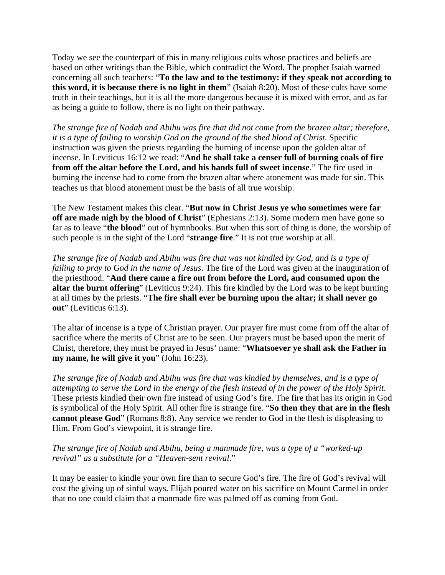Today we see the counterpart of this in many religious cults whose practices and beliefs are based on other writings than the Bible, which contradict the Word. The prophet Isaiah warned concerning all such teachers: "**To the law and to the testimony: if they speak not according to this word, it is because there is no light in them**" (Isaiah 8:20). Most of these cults have some truth in their teachings, but it is all the more dangerous because it is mixed with error, and as far as being a guide to follow, there is no light on their pathway.

*The strange fire of Nadab and Abihu was fire that did not come from the brazen altar; therefore, it is a type of failing to worship God on the ground of the shed blood of Christ*. Specific instruction was given the priests regarding the burning of incense upon the golden altar of incense. In Leviticus 16:12 we read: "**And he shall take a censer full of burning coals of fire from off the altar before the Lord, and his hands full of sweet incense**." The fire used in burning the incense had to come from the brazen altar where atonement was made for sin. This teaches us that blood atonement must be the basis of all true worship.

The New Testament makes this clear. "**But now in Christ Jesus ye who sometimes were far off are made nigh by the blood of Christ**" (Ephesians 2:13). Some modern men have gone so far as to leave "**the blood**" out of hymnbooks. But when this sort of thing is done, the worship of such people is in the sight of the Lord "**strange fire**." It is not true worship at all.

*The strange fire of Nadab and Abihu was fire that was not kindled by God, and is a type of failing to pray to God in the name of Jesus*. The fire of the Lord was given at the inauguration of the priesthood. "**And there came a fire out from before the Lord, and consumed upon the altar the burnt offering**" (Leviticus 9:24). This fire kindled by the Lord was to be kept burning at all times by the priests. "**The fire shall ever be burning upon the altar; it shall never go out**" (Leviticus 6:13).

The altar of incense is a type of Christian prayer. Our prayer fire must come from off the altar of sacrifice where the merits of Christ are to be seen. Our prayers must be based upon the merit of Christ, therefore, they must be prayed in Jesus' name: "**Whatsoever ye shall ask the Father in my name, he will give it you**" (John 16:23).

*The strange fire of Nadab and Abihu was fire that was kindled by themselves, and is a type of attempting to serve the Lord in the energy of the flesh instead of in the power of the Holy Spirit*. These priests kindled their own fire instead of using God's fire. The fire that has its origin in God is symbolical of the Holy Spirit. All other fire is strange fire. "**So then they that are in the flesh cannot please God**" (Romans 8:8). Any service we render to God in the flesh is displeasing to Him. From God's viewpoint, it is strange fire.

## *The strange fire of Nadab and Abihu, being a manmade fire, was a type of a "worked-up revival" as a substitute for a "Heaven-sent revival*."

It may be easier to kindle your own fire than to secure God's fire. The fire of God's revival will cost the giving up of sinful ways. Elijah poured water on his sacrifice on Mount Carmel in order that no one could claim that a manmade fire was palmed off as coming from God.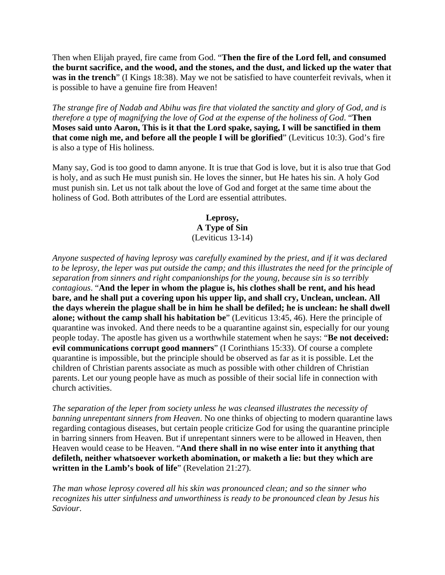Then when Elijah prayed, fire came from God. "**Then the fire of the Lord fell, and consumed the burnt sacrifice, and the wood, and the stones, and the dust, and licked up the water that was in the trench**" (I Kings 18:38). May we not be satisfied to have counterfeit revivals, when it is possible to have a genuine fire from Heaven!

*The strange fire of Nadab and Abihu was fire that violated the sanctity and glory of God, and is therefore a type of magnifying the love of God at the expense of the holiness of God*. "**Then Moses said unto Aaron, This is it that the Lord spake, saying, I will be sanctified in them that come nigh me, and before all the people I will be glorified**" (Leviticus 10:3). God's fire is also a type of His holiness.

Many say, God is too good to damn anyone. It is true that God is love, but it is also true that God is holy, and as such He must punish sin. He loves the sinner, but He hates his sin. A holy God must punish sin. Let us not talk about the love of God and forget at the same time about the holiness of God. Both attributes of the Lord are essential attributes.

> **Leprosy, A Type of Sin**  (Leviticus 13-14)

*Anyone suspected of having leprosy was carefully examined by the priest, and if it was declared to be leprosy, the leper was put outside the camp; and this illustrates the need for the principle of separation from sinners and right companionships for the young, because sin is so terribly contagious*. "**And the leper in whom the plague is, his clothes shall be rent, and his head bare, and he shall put a covering upon his upper lip, and shall cry, Unclean, unclean. All the days wherein the plague shall be in him he shall be defiled; he is unclean: he shall dwell alone; without the camp shall his habitation be**" (Leviticus 13:45, 46). Here the principle of quarantine was invoked. And there needs to be a quarantine against sin, especially for our young people today. The apostle has given us a worthwhile statement when he says: "**Be not deceived: evil communications corrupt good manners**" (I Corinthians 15:33). Of course a complete quarantine is impossible, but the principle should be observed as far as it is possible. Let the children of Christian parents associate as much as possible with other children of Christian parents. Let our young people have as much as possible of their social life in connection with church activities.

*The separation of the leper from society unless he was cleansed illustrates the necessity of banning unrepentant sinners from Heaven*. No one thinks of objecting to modern quarantine laws regarding contagious diseases, but certain people criticize God for using the quarantine principle in barring sinners from Heaven. But if unrepentant sinners were to be allowed in Heaven, then Heaven would cease to be Heaven. "**And there shall in no wise enter into it anything that defileth, neither whatsoever worketh abomination, or maketh a lie: but they which are written in the Lamb's book of life**" (Revelation 21:27).

*The man whose leprosy covered all his skin was pronounced clean; and so the sinner who recognizes his utter sinfulness and unworthiness is ready to be pronounced clean by Jesus his Saviour*.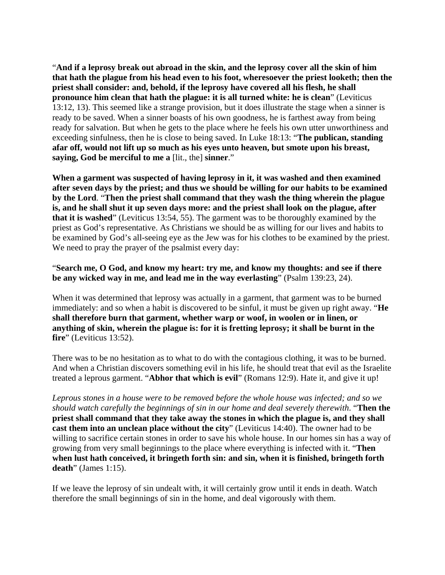"**And if a leprosy break out abroad in the skin, and the leprosy cover all the skin of him that hath the plague from his head even to his foot, wheresoever the priest looketh; then the priest shall consider: and, behold, if the leprosy have covered all his flesh, he shall pronounce him clean that hath the plague: it is all turned white: he is clean**" (Leviticus 13:12, 13). This seemed like a strange provision, but it does illustrate the stage when a sinner is ready to be saved. When a sinner boasts of his own goodness, he is farthest away from being ready for salvation. But when he gets to the place where he feels his own utter unworthiness and exceeding sinfulness, then he is close to being saved. In Luke 18:13: "**The publican, standing afar off, would not lift up so much as his eyes unto heaven, but smote upon his breast, saying, God be merciful to me a** [lit., the] **sinner**."

**When a garment was suspected of having leprosy in it, it was washed and then examined after seven days by the priest; and thus we should be willing for our habits to be examined by the Lord**. "**Then the priest shall command that they wash the thing wherein the plague is, and he shall shut it up seven days more: and the priest shall look on the plague, after that it is washed**" (Leviticus 13:54, 55). The garment was to be thoroughly examined by the priest as God's representative. As Christians we should be as willing for our lives and habits to be examined by God's all-seeing eye as the Jew was for his clothes to be examined by the priest. We need to pray the prayer of the psalmist every day:

"**Search me, O God, and know my heart: try me, and know my thoughts: and see if there be any wicked way in me, and lead me in the way everlasting**" (Psalm 139:23, 24).

When it was determined that leprosy was actually in a garment, that garment was to be burned immediately: and so when a habit is discovered to be sinful, it must be given up right away. "**He shall therefore burn that garment, whether warp or woof, in woolen or in linen, or anything of skin, wherein the plague is: for it is fretting leprosy; it shall be burnt in the fire**" (Leviticus 13:52).

There was to be no hesitation as to what to do with the contagious clothing, it was to be burned. And when a Christian discovers something evil in his life, he should treat that evil as the Israelite treated a leprous garment. "**Abhor that which is evil**" (Romans 12:9). Hate it, and give it up!

*Leprous stones in a house were to be removed before the whole house was infected; and so we should watch carefully the beginnings of sin in our home and deal severely therewith*. "**Then the priest shall command that they take away the stones in which the plague is, and they shall cast them into an unclean place without the city**" (Leviticus 14:40). The owner had to be willing to sacrifice certain stones in order to save his whole house. In our homes sin has a way of growing from very small beginnings to the place where everything is infected with it. "**Then when lust hath conceived, it bringeth forth sin: and sin, when it is finished, bringeth forth death**" (James 1:15).

If we leave the leprosy of sin undealt with, it will certainly grow until it ends in death. Watch therefore the small beginnings of sin in the home, and deal vigorously with them.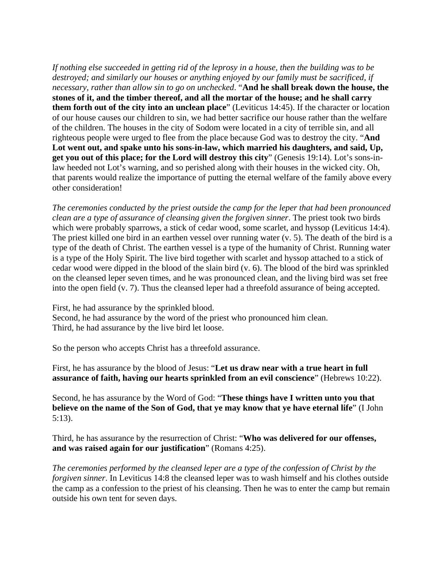*If nothing else succeeded in getting rid of the leprosy in a house, then the building was to be destroyed; and similarly our houses or anything enjoyed by our family must be sacrificed, if necessary, rather than allow sin to go on unchecked*. "**And he shall break down the house, the stones of it, and the timber thereof, and all the mortar of the house; and he shall carry them forth out of the city into an unclean place**" (Leviticus 14:45). If the character or location of our house causes our children to sin, we had better sacrifice our house rather than the welfare of the children. The houses in the city of Sodom were located in a city of terrible sin, and all righteous people were urged to flee from the place because God was to destroy the city. "**And**  Lot went out, and spake unto his sons-in-law, which married his daughters, and said, Up, **get you out of this place; for the Lord will destroy this city**" (Genesis 19:14). Lot's sons-inlaw heeded not Lot's warning, and so perished along with their houses in the wicked city. Oh, that parents would realize the importance of putting the eternal welfare of the family above every other consideration!

*The ceremonies conducted by the priest outside the camp for the leper that had been pronounced clean are a type of assurance of cleansing given the forgiven sinner*. The priest took two birds which were probably sparrows, a stick of cedar wood, some scarlet, and hyssop (Leviticus 14:4). The priest killed one bird in an earthen vessel over running water (v. 5). The death of the bird is a type of the death of Christ. The earthen vessel is a type of the humanity of Christ. Running water is a type of the Holy Spirit. The live bird together with scarlet and hyssop attached to a stick of cedar wood were dipped in the blood of the slain bird (v. 6). The blood of the bird was sprinkled on the cleansed leper seven times, and he was pronounced clean, and the living bird was set free into the open field (v. 7). Thus the cleansed leper had a threefold assurance of being accepted.

First, he had assurance by the sprinkled blood. Second, he had assurance by the word of the priest who pronounced him clean. Third, he had assurance by the live bird let loose.

So the person who accepts Christ has a threefold assurance.

First, he has assurance by the blood of Jesus: "**Let us draw near with a true heart in full assurance of faith, having our hearts sprinkled from an evil conscience**" (Hebrews 10:22).

Second, he has assurance by the Word of God: "**These things have I written unto you that believe on the name of the Son of God, that ye may know that ye have eternal life**" (I John 5:13).

Third, he has assurance by the resurrection of Christ: "**Who was delivered for our offenses, and was raised again for our justification**" (Romans 4:25).

*The ceremonies performed by the cleansed leper are a type of the confession of Christ by the forgiven sinner*. In Leviticus 14:8 the cleansed leper was to wash himself and his clothes outside the camp as a confession to the priest of his cleansing. Then he was to enter the camp but remain outside his own tent for seven days.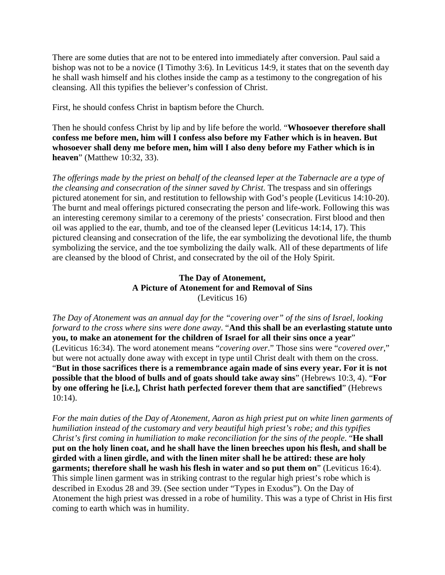There are some duties that are not to be entered into immediately after conversion. Paul said a bishop was not to be a novice (I Timothy 3:6). In Leviticus 14:9, it states that on the seventh day he shall wash himself and his clothes inside the camp as a testimony to the congregation of his cleansing. All this typifies the believer's confession of Christ.

First, he should confess Christ in baptism before the Church.

Then he should confess Christ by lip and by life before the world. "**Whosoever therefore shall confess me before men, him will I confess also before my Father which is in heaven. But whosoever shall deny me before men, him will I also deny before my Father which is in heaven**" (Matthew 10:32, 33).

*The offerings made by the priest on behalf of the cleansed leper at the Tabernacle are a type of the cleansing and consecration of the sinner saved by Christ*. The trespass and sin offerings pictured atonement for sin, and restitution to fellowship with God's people (Leviticus 14:10-20). The burnt and meal offerings pictured consecrating the person and life-work. Following this was an interesting ceremony similar to a ceremony of the priests' consecration. First blood and then oil was applied to the ear, thumb, and toe of the cleansed leper (Leviticus 14:14, 17). This pictured cleansing and consecration of the life, the ear symbolizing the devotional life, the thumb symbolizing the service, and the toe symbolizing the daily walk. All of these departments of life are cleansed by the blood of Christ, and consecrated by the oil of the Holy Spirit.

## **The Day of Atonement, A Picture of Atonement for and Removal of Sins**  (Leviticus 16)

*The Day of Atonement was an annual day for the "covering over" of the sins of Israel, looking forward to the cross where sins were done away*. "**And this shall be an everlasting statute unto you, to make an atonement for the children of Israel for all their sins once a year**" (Leviticus 16:34). The word atonement means "*covering over*." Those sins were "*covered over*," but were not actually done away with except in type until Christ dealt with them on the cross. "**But in those sacrifices there is a remembrance again made of sins every year. For it is not possible that the blood of bulls and of goats should take away sins**" (Hebrews 10:3, 4). "**For by one offering he [i.e.], Christ hath perfected forever them that are sanctified**" (Hebrews 10:14).

*For the main duties of the Day of Atonement, Aaron as high priest put on white linen garments of humiliation instead of the customary and very beautiful high priest's robe; and this typifies Christ's first coming in humiliation to make reconciliation for the sins of the people*. "**He shall put on the holy linen coat, and he shall have the linen breeches upon his flesh, and shall be girded with a linen girdle, and with the linen miter shall he be attired: these are holy garments; therefore shall he wash his flesh in water and so put them on**" (Leviticus 16:4). This simple linen garment was in striking contrast to the regular high priest's robe which is described in Exodus 28 and 39. (See section under "Types in Exodus"). On the Day of Atonement the high priest was dressed in a robe of humility. This was a type of Christ in His first coming to earth which was in humility.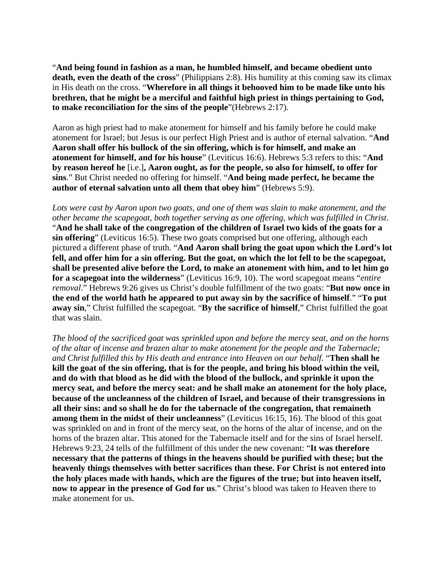"**And being found in fashion as a man, he humbled himself, and became obedient unto death, even the death of the cross**" (Philippians 2:8). His humility at this coming saw its climax in His death on the cross. "**Wherefore in all things it behooved him to be made like unto his brethren, that he might be a merciful and faithful high priest in things pertaining to God, to make reconciliation for the sins of the people**"(Hebrews 2:17).

Aaron as high priest had to make atonement for himself and his family before he could make atonement for Israel; but Jesus is our perfect High Priest and is author of eternal salvation. "**And Aaron shall offer his bullock of the sin offering, which is for himself, and make an atonement for himself, and for his house**" (Leviticus 16:6). Hebrews 5:3 refers to this: "**And by reason hereof he** [i.e.]**, Aaron ought, as for the people, so also for himself, to offer for sins**." But Christ needed no offering for himself. "**And being made perfect, he became the author of eternal salvation unto all them that obey him**" (Hebrews 5:9).

*Lots were cast by Aaron upon two goats, and one of them was slain to make atonement, and the other became the scapegoat, both together serving as one offering, which was fulfilled in Christ*. "**And he shall take of the congregation of the children of Israel two kids of the goats for a sin offering**" (Leviticus 16:5). These two goats comprised but one offering, although each pictured a different phase of truth. "**And Aaron shall bring the goat upon which the Lord's lot fell, and offer him for a sin offering. But the goat, on which the lot fell to be the scapegoat, shall be presented alive before the Lord, to make an atonement with him, and to let him go for a scapegoat into the wilderness**" (Leviticus 16:9, 10). The word scapegoat means "*entire removal*." Hebrews 9:26 gives us Christ's double fulfillment of the two goats: "**But now once in the end of the world hath he appeared to put away sin by the sacrifice of himself**." "**To put away sin**," Christ fulfilled the scapegoat. "**By the sacrifice of himself**," Christ fulfilled the goat that was slain.

*The blood of the sacrificed goat was sprinkled upon and before the mercy seat, and on the horns of the altar of incense and brazen altar to make atonement for the people and the Tabernacle; and Christ fulfilled this by His death and entrance into Heaven on our behalf*. "**Then shall he kill the goat of the sin offering, that is for the people, and bring his blood within the veil, and do with that blood as he did with the blood of the bullock, and sprinkle it upon the mercy seat, and before the mercy seat: and he shall make an atonement for the holy place, because of the uncleanness of the children of Israel, and because of their transgressions in all their sins: and so shall he do for the tabernacle of the congregation, that remaineth among them in the midst of their uncleanness**" (Leviticus 16:15, 16). The blood of this goat was sprinkled on and in front of the mercy seat, on the horns of the altar of incense, and on the horns of the brazen altar. This atoned for the Tabernacle itself and for the sins of Israel herself. Hebrews 9:23, 24 tells of the fulfillment of this under the new covenant: "**It was therefore necessary that the patterns of things in the heavens should be purified with these; but the heavenly things themselves with better sacrifices than these. For Christ is not entered into the holy places made with hands, which are the figures of the true; but into heaven itself, now to appear in the presence of God for us**." Christ's blood was taken to Heaven there to make atonement for us.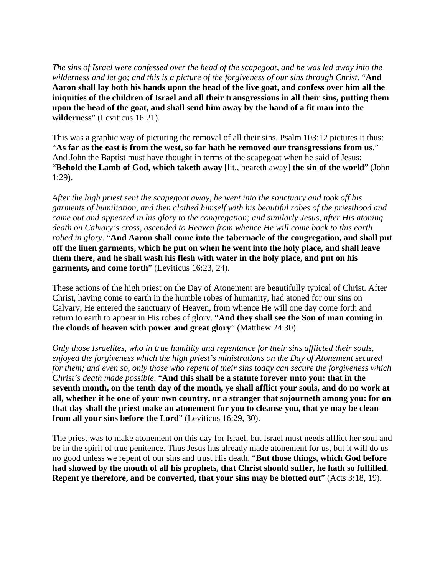*The sins of Israel were confessed over the head of the scapegoat, and he was led away into the wilderness and let go; and this is a picture of the forgiveness of our sins through Christ*. "**And Aaron shall lay both his hands upon the head of the live goat, and confess over him all the iniquities of the children of Israel and all their transgressions in all their sins, putting them upon the head of the goat, and shall send him away by the hand of a fit man into the wilderness**" (Leviticus 16:21).

This was a graphic way of picturing the removal of all their sins. Psalm 103:12 pictures it thus: "**As far as the east is from the west, so far hath he removed our transgressions from us**." And John the Baptist must have thought in terms of the scapegoat when he said of Jesus: "**Behold the Lamb of God, which taketh away** [lit., beareth away] **the sin of the world**" (John 1:29).

*After the high priest sent the scapegoat away, he went into the sanctuary and took off his garments of humiliation, and then clothed himself with his beautiful robes of the priesthood and came out and appeared in his glory to the congregation; and similarly Jesus, after His atoning death on Calvary's cross, ascended to Heaven from whence He will come back to this earth robed in glory*. "**And Aaron shall come into the tabernacle of the congregation, and shall put off the linen garments, which he put on when he went into the holy place, and shall leave them there, and he shall wash his flesh with water in the holy place, and put on his garments, and come forth**" (Leviticus 16:23, 24).

These actions of the high priest on the Day of Atonement are beautifully typical of Christ. After Christ, having come to earth in the humble robes of humanity, had atoned for our sins on Calvary, He entered the sanctuary of Heaven, from whence He will one day come forth and return to earth to appear in His robes of glory. "**And they shall see the Son of man coming in the clouds of heaven with power and great glory**" (Matthew 24:30).

*Only those Israelites, who in true humility and repentance for their sins afflicted their souls, enjoyed the forgiveness which the high priest's ministrations on the Day of Atonement secured for them; and even so, only those who repent of their sins today can secure the forgiveness which Christ's death made possible*. "**And this shall be a statute forever unto you: that in the seventh month, on the tenth day of the month, ye shall afflict your souls, and do no work at all, whether it be one of your own country, or a stranger that sojourneth among you: for on that day shall the priest make an atonement for you to cleanse you, that ye may be clean from all your sins before the Lord**" (Leviticus 16:29, 30).

The priest was to make atonement on this day for Israel, but Israel must needs afflict her soul and be in the spirit of true penitence. Thus Jesus has already made atonement for us, but it will do us no good unless we repent of our sins and trust His death. "**But those things, which God before had showed by the mouth of all his prophets, that Christ should suffer, he hath so fulfilled. Repent ye therefore, and be converted, that your sins may be blotted out**" (Acts 3:18, 19).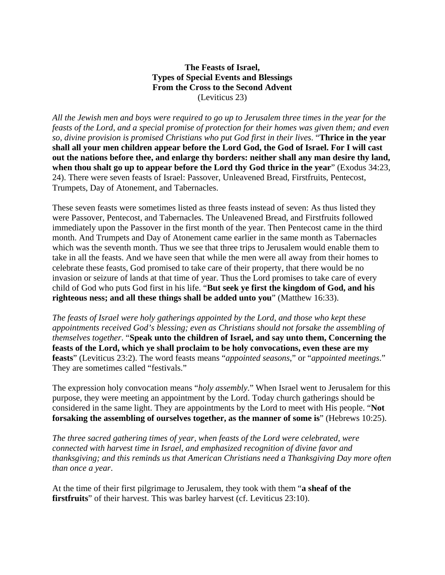## **The Feasts of Israel, Types of Special Events and Blessings From the Cross to the Second Advent** (Leviticus 23)

*All the Jewish men and boys were required to go up to Jerusalem three times in the year for the feasts of the Lord, and a special promise of protection for their homes was given them; and even so, divine provision is promised Christians who put God first in their lives*. "**Thrice in the year shall all your men children appear before the Lord God, the God of Israel. For I will cast out the nations before thee, and enlarge thy borders: neither shall any man desire thy land, when thou shalt go up to appear before the Lord thy God thrice in the year**" (Exodus 34:23, 24). There were seven feasts of Israel: Passover, Unleavened Bread, Firstfruits, Pentecost, Trumpets, Day of Atonement, and Tabernacles.

These seven feasts were sometimes listed as three feasts instead of seven: As thus listed they were Passover, Pentecost, and Tabernacles. The Unleavened Bread, and Firstfruits followed immediately upon the Passover in the first month of the year. Then Pentecost came in the third month. And Trumpets and Day of Atonement came earlier in the same month as Tabernacles which was the seventh month. Thus we see that three trips to Jerusalem would enable them to take in all the feasts. And we have seen that while the men were all away from their homes to celebrate these feasts, God promised to take care of their property, that there would be no invasion or seizure of lands at that time of year. Thus the Lord promises to take care of every child of God who puts God first in his life. "**But seek ye first the kingdom of God, and his righteous ness; and all these things shall be added unto you**" (Matthew 16:33).

*The feasts of Israel were holy gatherings appointed by the Lord, and those who kept these appointments received God's blessing; even as Christians should not forsake the assembling of themselves together*. "**Speak unto the children of Israel, and say unto them, Concerning the feasts of the Lord, which ye shall proclaim to be holy convocations, even these are my feasts**" (Leviticus 23:2). The word feasts means "*appointed seasons*," or "*appointed meetings*." They are sometimes called "festivals."

The expression holy convocation means "*holy assembly*." When Israel went to Jerusalem for this purpose, they were meeting an appointment by the Lord. Today church gatherings should be considered in the same light. They are appointments by the Lord to meet with His people. "**Not forsaking the assembling of ourselves together, as the manner of some is**" (Hebrews 10:25).

*The three sacred gathering times of year, when feasts of the Lord were celebrated, were connected with harvest time in Israel, and emphasized recognition of divine favor and thanksgiving; and this reminds us that American Christians need a Thanksgiving Day more often than once a year*.

At the time of their first pilgrimage to Jerusalem, they took with them "**a sheaf of the firstfruits**" of their harvest. This was barley harvest (cf. Leviticus 23:10).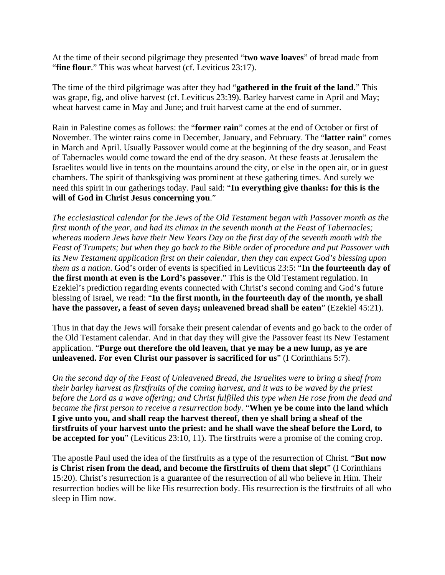At the time of their second pilgrimage they presented "**two wave loaves**" of bread made from "**fine flour**." This was wheat harvest (cf. Leviticus 23:17).

The time of the third pilgrimage was after they had "**gathered in the fruit of the land**." This was grape, fig, and olive harvest (cf. Leviticus 23:39). Barley harvest came in April and May; wheat harvest came in May and June; and fruit harvest came at the end of summer.

Rain in Palestine comes as follows: the "**former rain**" comes at the end of October or first of November. The winter rains come in December, January, and February. The "**latter rain**" comes in March and April. Usually Passover would come at the beginning of the dry season, and Feast of Tabernacles would come toward the end of the dry season. At these feasts at Jerusalem the Israelites would live in tents on the mountains around the city, or else in the open air, or in guest chambers. The spirit of thanksgiving was prominent at these gathering times. And surely we need this spirit in our gatherings today. Paul said: "**In everything give thanks: for this is the will of God in Christ Jesus concerning you**."

*The ecclesiastical calendar for the Jews of the Old Testament began with Passover month as the first month of the year, and had its climax in the seventh month at the Feast of Tabernacles; whereas modern Jews have their New Years Day on the first day of the seventh month with the Feast of Trumpets; but when they go back to the Bible order of procedure and put Passover with its New Testament application first on their calendar, then they can expect God's blessing upon them as a nation*. God's order of events is specified in Leviticus 23:5: "**In the fourteenth day of the first month at even is the Lord's passover**." This is the Old Testament regulation. In Ezekiel's prediction regarding events connected with Christ's second coming and God's future blessing of Israel, we read: "**In the first month, in the fourteenth day of the month, ye shall have the passover, a feast of seven days; unleavened bread shall be eaten**" (Ezekiel 45:21).

Thus in that day the Jews will forsake their present calendar of events and go back to the order of the Old Testament calendar. And in that day they will give the Passover feast its New Testament application. "**Purge out therefore the old leaven, that ye may be a new lump, as ye are unleavened. For even Christ our passover is sacrificed for us**" (I Corinthians 5:7).

*On the second day of the Feast of Unleavened Bread, the Israelites were to bring a sheaf from their barley harvest as firstfruits of the coming harvest, and it was to be waved by the priest before the Lord as a wave offering; and Christ fulfilled this type when He rose from the dead and became the first person to receive a resurrection body*. "**When ye be come into the land which I give unto you, and shall reap the harvest thereof, then ye shall bring a sheaf of the firstfruits of your harvest unto the priest: and he shall wave the sheaf before the Lord, to be accepted for you**" (Leviticus 23:10, 11). The firstfruits were a promise of the coming crop.

The apostle Paul used the idea of the firstfruits as a type of the resurrection of Christ. "**But now is Christ risen from the dead, and become the firstfruits of them that slept**" (I Corinthians 15:20). Christ's resurrection is a guarantee of the resurrection of all who believe in Him. Their resurrection bodies will be like His resurrection body. His resurrection is the firstfruits of all who sleep in Him now.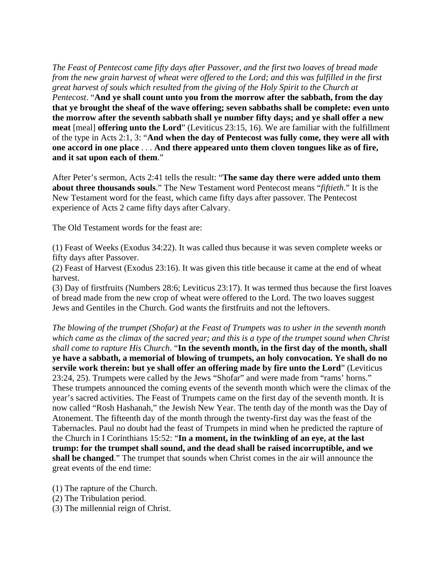*The Feast of Pentecost came fifty days after Passover, and the first two loaves of bread made from the new grain harvest of wheat were offered to the Lord; and this was fulfilled in the first great harvest of souls which resulted from the giving of the Holy Spirit to the Church at Pentecost*. "**And ye shall count unto you from the morrow after the sabbath, from the day that ye brought the sheaf of the wave offering; seven sabbaths shall be complete: even unto the morrow after the seventh sabbath shall ye number fifty days; and ye shall offer a new meat** [meal] **offering unto the Lord**" (Leviticus 23:15, 16). We are familiar with the fulfillment of the type in Acts 2:1, 3: "**And when the day of Pentecost was fully come, they were all with one accord in one place** . . . **And there appeared unto them cloven tongues like as of fire, and it sat upon each of them**."

After Peter's sermon, Acts 2:41 tells the result: "**The same day there were added unto them about three thousands souls**." The New Testament word Pentecost means "*fiftieth*." It is the New Testament word for the feast, which came fifty days after passover. The Pentecost experience of Acts 2 came fifty days after Calvary.

The Old Testament words for the feast are:

(1) Feast of Weeks (Exodus 34:22). It was called thus because it was seven complete weeks or fifty days after Passover.

(2) Feast of Harvest (Exodus 23:16). It was given this title because it came at the end of wheat harvest.

(3) Day of firstfruits (Numbers 28:6; Leviticus 23:17). It was termed thus because the first loaves of bread made from the new crop of wheat were offered to the Lord. The two loaves suggest Jews and Gentiles in the Church. God wants the firstfruits and not the leftovers.

*The blowing of the trumpet (Shofar) at the Feast of Trumpets was to usher in the seventh month which came as the climax of the sacred year; and this is a type of the trumpet sound when Christ shall come to rapture His Church*. "**In the seventh month, in the first day of the month, shall ye have a sabbath, a memorial of blowing of trumpets, an holy convocation. Ye shall do no servile work therein: but ye shall offer an offering made by fire unto the Lord**" (Leviticus 23:24, 25). Trumpets were called by the Jews "Shofar" and were made from "rams' horns." These trumpets announced the coming events of the seventh month which were the climax of the year's sacred activities. The Feast of Trumpets came on the first day of the seventh month. It is now called "Rosh Hashanah," the Jewish New Year. The tenth day of the month was the Day of Atonement. The fifteenth day of the month through the twenty-first day was the feast of the Tabernacles. Paul no doubt had the feast of Trumpets in mind when he predicted the rapture of the Church in I Corinthians 15:52: "**In a moment, in the twinkling of an eye, at the last trump: for the trumpet shall sound, and the dead shall be raised incorruptible, and we shall be changed**." The trumpet that sounds when Christ comes in the air will announce the great events of the end time:

(1) The rapture of the Church.

- (2) The Tribulation period.
- (3) The millennial reign of Christ.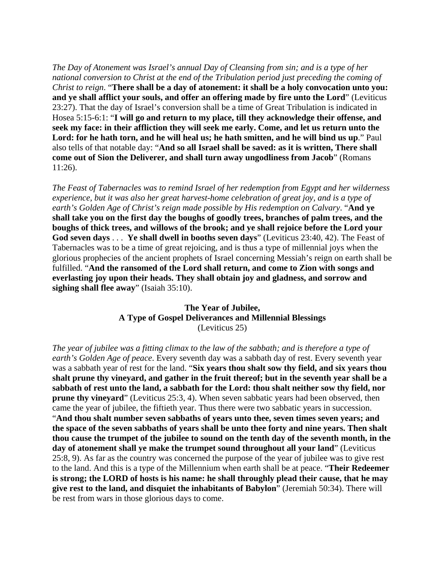*The Day of Atonement was Israel's annual Day of Cleansing from sin; and is a type of her national conversion to Christ at the end of the Tribulation period just preceding the coming of Christ to reign*. "**There shall be a day of atonement: it shall be a holy convocation unto you: and ye shall afflict your souls, and offer an offering made by fire unto the Lord**" (Leviticus 23:27). That the day of Israel's conversion shall be a time of Great Tribulation is indicated in Hosea 5:15-6:1: "**I will go and return to my place, till they acknowledge their offense, and seek my face: in their affliction they will seek me early. Come, and let us return unto the Lord: for he hath torn, and he will heal us; he hath smitten, and he will bind us up**." Paul also tells of that notable day: "**And so all Israel shall be saved: as it is written, There shall come out of Sion the Deliverer, and shall turn away ungodliness from Jacob**" (Romans 11:26).

*The Feast of Tabernacles was to remind Israel of her redemption from Egypt and her wilderness experience, but it was also her great harvest-home celebration of great joy, and is a type of earth's Golden Age of Christ's reign made possible by His redemption on Calvary*. "**And ye shall take you on the first day the boughs of goodly trees, branches of palm trees, and the boughs of thick trees, and willows of the brook; and ye shall rejoice before the Lord your God seven days** . . . **Ye shall dwell in booths seven days**" (Leviticus 23:40, 42). The Feast of Tabernacles was to be a time of great rejoicing, and is thus a type of millennial joys when the glorious prophecies of the ancient prophets of Israel concerning Messiah's reign on earth shall be fulfilled. "**And the ransomed of the Lord shall return, and come to Zion with songs and everlasting joy upon their heads. They shall obtain joy and gladness, and sorrow and sighing shall flee away**" (Isaiah 35:10).

## **The Year of Jubilee, A Type of Gospel Deliverances and Millennial Blessings**  (Leviticus 25)

*The year of jubilee was a fitting climax to the law of the sabbath; and is therefore a type of earth's Golden Age of peace*. Every seventh day was a sabbath day of rest. Every seventh year was a sabbath year of rest for the land. "**Six years thou shalt sow thy field, and six years thou shalt prune thy vineyard, and gather in the fruit thereof; but in the seventh year shall be a sabbath of rest unto the land, a sabbath for the Lord: thou shalt neither sow thy field, nor prune thy vineyard**" (Leviticus 25:3, 4). When seven sabbatic years had been observed, then came the year of jubilee, the fiftieth year. Thus there were two sabbatic years in succession. "**And thou shalt number seven sabbaths of years unto thee, seven times seven years; and the space of the seven sabbaths of years shall be unto thee forty and nine years. Then shalt thou cause the trumpet of the jubilee to sound on the tenth day of the seventh month, in the day of atonement shall ye make the trumpet sound throughout all your land**" (Leviticus 25:8, 9). As far as the country was concerned the purpose of the year of jubilee was to give rest to the land. And this is a type of the Millennium when earth shall be at peace. "**Their Redeemer is strong; the LORD of hosts is his name: he shall throughly plead their cause, that he may give rest to the land, and disquiet the inhabitants of Babylon**" (Jeremiah 50:34). There will be rest from wars in those glorious days to come.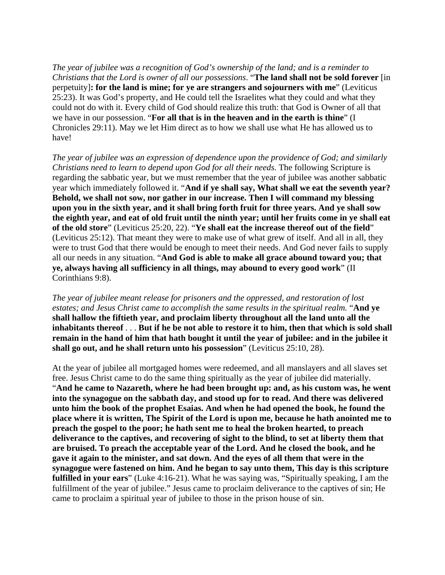*The year of jubilee was a recognition of God's ownership of the land; and is a reminder to Christians that the Lord is owner of all our possessions*. "**The land shall not be sold forever** [in perpetuity]**: for the land is mine; for ye are strangers and sojourners with me**" (Leviticus 25:23). It was God's property, and He could tell the Israelites what they could and what they could not do with it. Every child of God should realize this truth: that God is Owner of all that we have in our possession. "**For all that is in the heaven and in the earth is thine**" (I Chronicles 29:11). May we let Him direct as to how we shall use what He has allowed us to have!

*The year of jubilee was an expression of dependence upon the providence of God; and similarly Christians need to learn to depend upon God for all their needs*. The following Scripture is regarding the sabbatic year, but we must remember that the year of jubilee was another sabbatic year which immediately followed it. "**And if ye shall say, What shall we eat the seventh year? Behold, we shall not sow, nor gather in our increase. Then I will command my blessing upon you in the sixth year, and it shall bring forth fruit for three years. And ye shall sow the eighth year, and eat of old fruit until the ninth year; until her fruits come in ye shall eat of the old store**" (Leviticus 25:20, 22). "**Ye shall eat the increase thereof out of the field**" (Leviticus 25:12). That meant they were to make use of what grew of itself. And all in all, they were to trust God that there would be enough to meet their needs. And God never fails to supply all our needs in any situation. "**And God is able to make all grace abound toward you; that ye, always having all sufficiency in all things, may abound to every good work**" (II Corinthians 9:8).

*The year of jubilee meant release for prisoners and the oppressed, and restoration of lost estates; and Jesus Christ came to accomplish the same results in the spiritual realm.* "**And ye shall hallow the fiftieth year, and proclaim liberty throughout all the land unto all the inhabitants thereof** . . . **But if he be not able to restore it to him, then that which is sold shall remain in the hand of him that hath bought it until the year of jubilee: and in the jubilee it shall go out, and he shall return unto his possession**" (Leviticus 25:10, 28).

At the year of jubilee all mortgaged homes were redeemed, and all manslayers and all slaves set free. Jesus Christ came to do the same thing spiritually as the year of jubilee did materially. "**And he came to Nazareth, where he had been brought up: and, as his custom was, he went into the synagogue on the sabbath day, and stood up for to read. And there was delivered unto him the book of the prophet Esaias. And when he had opened the book, he found the place where it is written, The Spirit of the Lord is upon me, because he hath anointed me to preach the gospel to the poor; he hath sent me to heal the broken hearted, to preach deliverance to the captives, and recovering of sight to the blind, to set at liberty them that are bruised. To preach the acceptable year of the Lord. And he closed the book, and he gave it again to the minister, and sat down. And the eyes of all them that were in the synagogue were fastened on him. And he began to say unto them, This day is this scripture fulfilled in your ears**" (Luke 4:16-21). What he was saying was, "Spiritually speaking, I am the fulfillment of the year of jubilee." Jesus came to proclaim deliverance to the captives of sin; He came to proclaim a spiritual year of jubilee to those in the prison house of sin.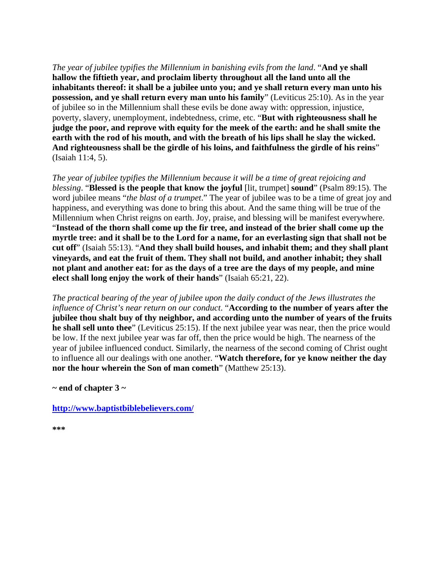*The year of jubilee typifies the Millennium in banishing evils from the land*. "**And ye shall hallow the fiftieth year, and proclaim liberty throughout all the land unto all the inhabitants thereof: it shall be a jubilee unto you; and ye shall return every man unto his possession, and ye shall return every man unto his family**" (Leviticus 25:10). As in the year of jubilee so in the Millennium shall these evils be done away with: oppression, injustice, poverty, slavery, unemployment, indebtedness, crime, etc. "**But with righteousness shall he judge the poor, and reprove with equity for the meek of the earth: and he shall smite the earth with the rod of his mouth, and with the breath of his lips shall he slay the wicked. And righteousness shall be the girdle of his loins, and faithfulness the girdle of his reins**" (Isaiah 11:4, 5).

*The year of jubilee typifies the Millennium because it will be a time of great rejoicing and blessing*. "**Blessed is the people that know the joyful** [lit, trumpet] **sound**" (Psalm 89:15). The word jubilee means "*the blast of a trumpet*." The year of jubilee was to be a time of great joy and happiness, and everything was done to bring this about. And the same thing will be true of the Millennium when Christ reigns on earth. Joy, praise, and blessing will be manifest everywhere. "**Instead of the thorn shall come up the fir tree, and instead of the brier shall come up the myrtle tree: and it shall be to the Lord for a name, for an everlasting sign that shall not be cut off**" (Isaiah 55:13). "**And they shall build houses, and inhabit them; and they shall plant vineyards, and eat the fruit of them. They shall not build, and another inhabit; they shall not plant and another eat: for as the days of a tree are the days of my people, and mine elect shall long enjoy the work of their hands**" (Isaiah 65:21, 22).

*The practical bearing of the year of jubilee upon the daily conduct of the Jews illustrates the influence of Christ's near return on our conduct*. "**According to the number of years after the jubilee thou shalt buy of thy neighbor, and according unto the number of years of the fruits he shall sell unto thee**" (Leviticus 25:15). If the next jubilee year was near, then the price would be low. If the next jubilee year was far off, then the price would be high. The nearness of the year of jubilee influenced conduct. Similarly, the nearness of the second coming of Christ ought to influence all our dealings with one another. "**Watch therefore, for ye know neither the day nor the hour wherein the Son of man cometh**" (Matthew 25:13).

**~ end of chapter 3 ~** 

**http://www.baptistbiblebelievers.com/**

**\*\*\***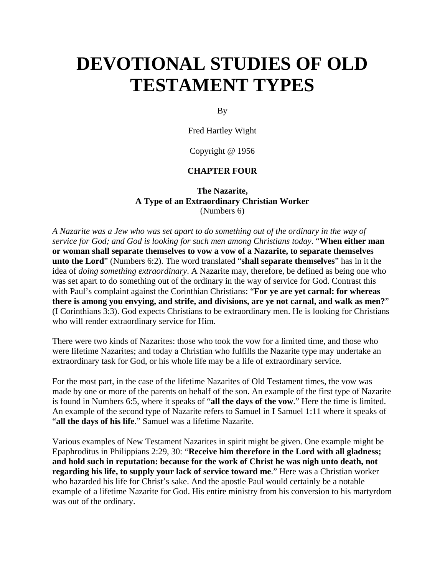# **DEVOTIONAL STUDIES OF OLD TESTAMENT TYPES**

By

Fred Hartley Wight

Copyright @ 1956

#### **CHAPTER FOUR**

#### **The Nazarite, A Type of an Extraordinary Christian Worker**  (Numbers 6)

*A Nazarite was a Jew who was set apart to do something out of the ordinary in the way of service for God; and God is looking for such men among Christians today*. "**When either man or woman shall separate themselves to vow a vow of a Nazarite, to separate themselves unto the Lord**" (Numbers 6:2). The word translated "**shall separate themselves**" has in it the idea of *doing something extraordinary*. A Nazarite may, therefore, be defined as being one who was set apart to do something out of the ordinary in the way of service for God. Contrast this with Paul's complaint against the Corinthian Christians: "**For ye are yet carnal: for whereas there is among you envying, and strife, and divisions, are ye not carnal, and walk as men?**" (I Corinthians 3:3). God expects Christians to be extraordinary men. He is looking for Christians who will render extraordinary service for Him.

There were two kinds of Nazarites: those who took the vow for a limited time, and those who were lifetime Nazarites; and today a Christian who fulfills the Nazarite type may undertake an extraordinary task for God, or his whole life may be a life of extraordinary service.

For the most part, in the case of the lifetime Nazarites of Old Testament times, the vow was made by one or more of the parents on behalf of the son. An example of the first type of Nazarite is found in Numbers 6:5, where it speaks of "**all the days of the vow**." Here the time is limited. An example of the second type of Nazarite refers to Samuel in I Samuel 1:11 where it speaks of "all the days of his life." Samuel was a lifetime Nazarite.

Various examples of New Testament Nazarites in spirit might be given. One example might be Epaphroditus in Philippians 2:29, 30: "**Receive him therefore in the Lord with all gladness; and hold such in reputation: because for the work of Christ he was nigh unto death, not regarding his life, to supply your lack of service toward me**." Here was a Christian worker who hazarded his life for Christ's sake. And the apostle Paul would certainly be a notable example of a lifetime Nazarite for God. His entire ministry from his conversion to his martyrdom was out of the ordinary.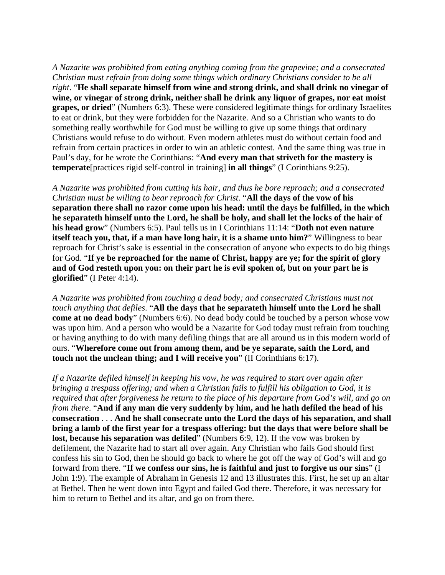*A Nazarite was prohibited from eating anything coming from the grapevine; and a consecrated Christian must refrain from doing some things which ordinary Christians consider to be all right*. "**He shall separate himself from wine and strong drink, and shall drink no vinegar of wine, or vinegar of strong drink, neither shall he drink any liquor of grapes, nor eat moist grapes, or dried**" (Numbers 6:3). These were considered legitimate things for ordinary Israelites to eat or drink, but they were forbidden for the Nazarite. And so a Christian who wants to do something really worthwhile for God must be willing to give up some things that ordinary Christians would refuse to do without. Even modern athletes must do without certain food and refrain from certain practices in order to win an athletic contest. And the same thing was true in Paul's day, for he wrote the Corinthians: "**And every man that striveth for the mastery is temperate**[practices rigid self-control in training] **in all things**" (I Corinthians 9:25).

*A Nazarite was prohibited from cutting his hair, and thus he bore reproach; and a consecrated Christian must be willing to bear reproach for Christ*. "**All the days of the vow of his separation there shall no razor come upon his head: until the days be fulfilled, in the which he separateth himself unto the Lord, he shall be holy, and shall let the locks of the hair of his head grow**" (Numbers 6:5). Paul tells us in I Corinthians 11:14: "**Doth not even nature itself teach you, that, if a man have long hair, it is a shame unto him?**" Willingness to bear reproach for Christ's sake is essential in the consecration of anyone who expects to do big things for God. "**If ye be reproached for the name of Christ, happy are ye; for the spirit of glory and of God resteth upon you: on their part he is evil spoken of, but on your part he is glorified**" (I Peter 4:14).

*A Nazarite was prohibited from touching a dead body; and consecrated Christians must not touch anything that defiles*. "**All the days that he separateth himself unto the Lord he shall come at no dead body**" (Numbers 6:6). No dead body could be touched by a person whose vow was upon him. And a person who would be a Nazarite for God today must refrain from touching or having anything to do with many defiling things that are all around us in this modern world of ours. "**Wherefore come out from among them, and be ye separate, saith the Lord, and touch not the unclean thing; and I will receive you**" (II Corinthians 6:17).

*If a Nazarite defiled himself in keeping his vow, he was required to start over again after bringing a trespass offering; and when a Christian fails to fulfill his obligation to God, it is required that after forgiveness he return to the place of his departure from God's will, and go on from there*. "**And if any man die very suddenly by him, and he hath defiled the head of his consecration** . . . **And he shall consecrate unto the Lord the days of his separation, and shall bring a lamb of the first year for a trespass offering: but the days that were before shall be**  lost, because his separation was defiled" (Numbers 6:9, 12). If the vow was broken by defilement, the Nazarite had to start all over again. Any Christian who fails God should first confess his sin to God, then he should go back to where he got off the way of God's will and go forward from there. "**If we confess our sins, he is faithful and just to forgive us our sins**" (I John 1:9). The example of Abraham in Genesis 12 and 13 illustrates this. First, he set up an altar at Bethel. Then he went down into Egypt and failed God there. Therefore, it was necessary for him to return to Bethel and its altar, and go on from there.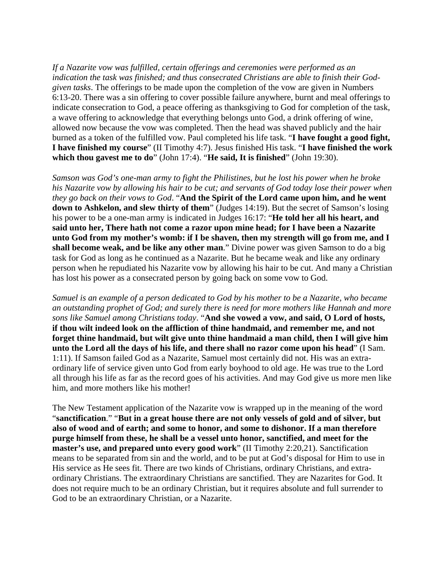*If a Nazarite vow was fulfilled, certain offerings and ceremonies were performed as an indication the task was finished; and thus consecrated Christians are able to finish their Godgiven tasks*. The offerings to be made upon the completion of the vow are given in Numbers 6:13-20. There was a sin offering to cover possible failure anywhere, burnt and meal offerings to indicate consecration to God, a peace offering as thanksgiving to God for completion of the task, a wave offering to acknowledge that everything belongs unto God, a drink offering of wine, allowed now because the vow was completed. Then the head was shaved publicly and the hair burned as a token of the fulfilled vow. Paul completed his life task. "**I have fought a good fight, I have finished my course**" (II Timothy 4:7). Jesus finished His task. "**I have finished the work which thou gavest me to do**" (John 17:4). "**He said, It is finished**" (John 19:30).

*Samson was God's one-man army to fight the Philistines, but he lost his power when he broke his Nazarite vow by allowing his hair to be cut; and servants of God today lose their power when they go back on their vows to God*. "**And the Spirit of the Lord came upon him, and he went down to Ashkelon, and slew thirty of them**" (Judges 14:19). But the secret of Samson's losing his power to be a one-man army is indicated in Judges 16:17: "**He told her all his heart, and said unto her, There hath not come a razor upon mine head; for I have been a Nazarite unto God from my mother's womb: if I be shaven, then my strength will go from me, and I shall become weak, and be like any other man**." Divine power was given Samson to do a big task for God as long as he continued as a Nazarite. But he became weak and like any ordinary person when he repudiated his Nazarite vow by allowing his hair to be cut. And many a Christian has lost his power as a consecrated person by going back on some vow to God.

*Samuel is an example of a person dedicated to God by his mother to be a Nazarite, who became an outstanding prophet of God; and surely there is need for more mothers like Hannah and more sons like Samuel among Christians today*. "**And she vowed a vow, and said, O Lord of hosts, if thou wilt indeed look on the affliction of thine handmaid, and remember me, and not forget thine handmaid, but wilt give unto thine handmaid a man child, then I will give him unto the Lord all the days of his life, and there shall no razor come upon his head**" (I Sam. 1:11). If Samson failed God as a Nazarite, Samuel most certainly did not. His was an extraordinary life of service given unto God from early boyhood to old age. He was true to the Lord all through his life as far as the record goes of his activities. And may God give us more men like him, and more mothers like his mother!

The New Testament application of the Nazarite vow is wrapped up in the meaning of the word "**sanctification**." "**But in a great house there are not only vessels of gold and of silver, but also of wood and of earth; and some to honor, and some to dishonor. If a man therefore purge himself from these, he shall be a vessel unto honor, sanctified, and meet for the master's use, and prepared unto every good work**" (II Timothy 2:20,21). Sanctification means to be separated from sin and the world, and to be put at God's disposal for Him to use in His service as He sees fit. There are two kinds of Christians, ordinary Christians, and extraordinary Christians. The extraordinary Christians are sanctified. They are Nazarites for God. It does not require much to be an ordinary Christian, but it requires absolute and full surrender to God to be an extraordinary Christian, or a Nazarite.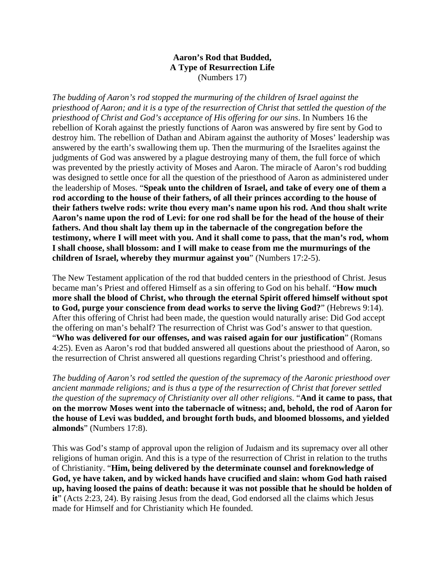#### **Aaron's Rod that Budded, A Type of Resurrection Life**  (Numbers 17)

*The budding of Aaron's rod stopped the murmuring of the children of Israel against the priesthood of Aaron; and it is a type of the resurrection of Christ that settled the question of the priesthood of Christ and God's acceptance of His offering for our sins*. In Numbers 16 the rebellion of Korah against the priestly functions of Aaron was answered by fire sent by God to destroy him. The rebellion of Dathan and Abiram against the authority of Moses' leadership was answered by the earth's swallowing them up. Then the murmuring of the Israelites against the judgments of God was answered by a plague destroying many of them, the full force of which was prevented by the priestly activity of Moses and Aaron. The miracle of Aaron's rod budding was designed to settle once for all the question of the priesthood of Aaron as administered under the leadership of Moses. "**Speak unto the children of Israel, and take of every one of them a rod according to the house of their fathers, of all their princes according to the house of their fathers twelve rods: write thou every man's name upon his rod. And thou shalt write Aaron's name upon the rod of Levi: for one rod shall be for the head of the house of their fathers. And thou shalt lay them up in the tabernacle of the congregation before the testimony, where I will meet with you. And it shall come to pass, that the man's rod, whom I shall choose, shall blossom: and I will make to cease from me the murmurings of the children of Israel, whereby they murmur against you**" (Numbers 17:2-5).

The New Testament application of the rod that budded centers in the priesthood of Christ. Jesus became man's Priest and offered Himself as a sin offering to God on his behalf. "**How much more shall the blood of Christ, who through the eternal Spirit offered himself without spot to God, purge your conscience from dead works to serve the living God?**" (Hebrews 9:14). After this offering of Christ had been made, the question would naturally arise: Did God accept the offering on man's behalf? The resurrection of Christ was God's answer to that question. "**Who was delivered for our offenses, and was raised again for our justification**" (Romans 4:25). Even as Aaron's rod that budded answered all questions about the priesthood of Aaron, so the resurrection of Christ answered all questions regarding Christ's priesthood and offering.

*The budding of Aaron's rod settled the question of the supremacy of the Aaronic priesthood over ancient manmade religions; and is thus a type of the resurrection of Christ that forever settled the question of the supremacy of Christianity over all other religions*. "**And it came to pass, that on the morrow Moses went into the tabernacle of witness; and, behold, the rod of Aaron for the house of Levi was budded, and brought forth buds, and bloomed blossoms, and yielded almonds**" (Numbers 17:8).

This was God's stamp of approval upon the religion of Judaism and its supremacy over all other religions of human origin. And this is a type of the resurrection of Christ in relation to the truths of Christianity. "**Him, being delivered by the determinate counsel and foreknowledge of God, ye have taken, and by wicked hands have crucified and slain: whom God hath raised up, having loosed the pains of death: because it was not possible that he should be holden of it**" (Acts 2:23, 24). By raising Jesus from the dead, God endorsed all the claims which Jesus made for Himself and for Christianity which He founded.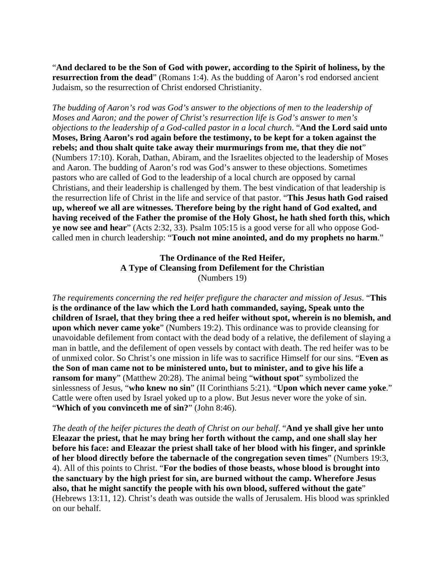"**And declared to be the Son of God with power, according to the Spirit of holiness, by the resurrection from the dead**" (Romans 1:4). As the budding of Aaron's rod endorsed ancient Judaism, so the resurrection of Christ endorsed Christianity.

*The budding of Aaron's rod was God's answer to the objections of men to the leadership of Moses and Aaron; and the power of Christ's resurrection life is God's answer to men's objections to the leadership of a God-called pastor in a local church*. "**And the Lord said unto Moses, Bring Aaron's rod again before the testimony, to be kept for a token against the rebels; and thou shalt quite take away their murmurings from me, that they die not**" (Numbers 17:10). Korah, Dathan, Abiram, and the Israelites objected to the leadership of Moses and Aaron. The budding of Aaron's rod was God's answer to these objections. Sometimes pastors who are called of God to the leadership of a local church are opposed by carnal Christians, and their leadership is challenged by them. The best vindication of that leadership is the resurrection life of Christ in the life and service of that pastor. "**This Jesus hath God raised up, whereof we all are witnesses. Therefore being by the right hand of God exalted, and having received of the Father the promise of the Holy Ghost, he hath shed forth this, which ye now see and hear**" (Acts 2:32, 33). Psalm 105:15 is a good verse for all who oppose Godcalled men in church leadership: "**Touch not mine anointed, and do my prophets no harm**."

## **The Ordinance of the Red Heifer, A Type of Cleansing from Defilement for the Christian**  (Numbers 19)

*The requirements concerning the red heifer prefigure the character and mission of Jesus*. "**This is the ordinance of the law which the Lord hath commanded, saying, Speak unto the children of Israel, that they bring thee a red heifer without spot, wherein is no blemish, and upon which never came yoke**" (Numbers 19:2). This ordinance was to provide cleansing for unavoidable defilement from contact with the dead body of a relative, the defilement of slaying a man in battle, and the defilement of open vessels by contact with death. The red heifer was to be of unmixed color. So Christ's one mission in life was to sacrifice Himself for our sins. "**Even as the Son of man came not to be ministered unto, but to minister, and to give his life a ransom for many**" (Matthew 20:28). The animal being "**without spot**" symbolized the sinlessness of Jesus, "**who knew no sin**" (II Corinthians 5:21). "**Upon which never came yoke**." Cattle were often used by Israel yoked up to a plow. But Jesus never wore the yoke of sin. "**Which of you convinceth me of sin?**" (John 8:46).

*The death of the heifer pictures the death of Christ on our behalf*. "**And ye shall give her unto Eleazar the priest, that he may bring her forth without the camp, and one shall slay her before his face: and Eleazar the priest shall take of her blood with his finger, and sprinkle of her blood directly before the tabernacle of the congregation seven times**" (Numbers 19:3, 4). All of this points to Christ. "**For the bodies of those beasts, whose blood is brought into the sanctuary by the high priest for sin, are burned without the camp. Wherefore Jesus also, that he might sanctify the people with his own blood, suffered without the gate**" (Hebrews 13:11, 12). Christ's death was outside the walls of Jerusalem. His blood was sprinkled on our behalf.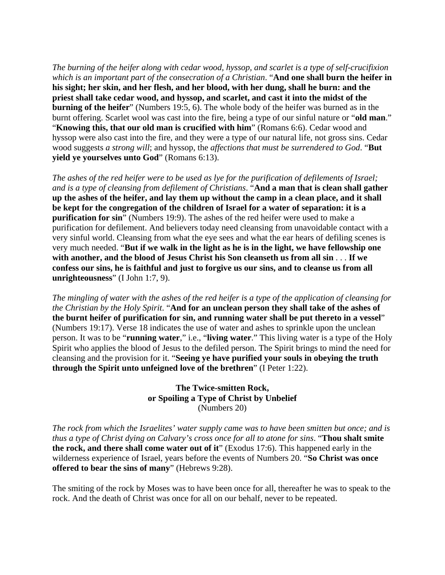*The burning of the heifer along with cedar wood, hyssop, and scarlet is a type of self-crucifixion which is an important part of the consecration of a Christian*. "**And one shall burn the heifer in his sight; her skin, and her flesh, and her blood, with her dung, shall he burn: and the priest shall take cedar wood, and hyssop, and scarlet, and cast it into the midst of the burning of the heifer**" (Numbers 19:5, 6). The whole body of the heifer was burned as in the burnt offering. Scarlet wool was cast into the fire, being a type of our sinful nature or "**old man**." "**Knowing this, that our old man is crucified with him**" (Romans 6:6). Cedar wood and hyssop were also cast into the fire, and they were a type of our natural life, not gross sins. Cedar wood suggests *a strong will*; and hyssop, the *affections that must be surrendered to God*. "**But yield ye yourselves unto God**" (Romans 6:13).

*The ashes of the red heifer were to be used as lye for the purification of defilements of Israel; and is a type of cleansing from defilement of Christians*. "**And a man that is clean shall gather up the ashes of the heifer, and lay them up without the camp in a clean place, and it shall be kept for the congregation of the children of Israel for a water of separation: it is a purification for sin**" (Numbers 19:9). The ashes of the red heifer were used to make a purification for defilement. And believers today need cleansing from unavoidable contact with a very sinful world. Cleansing from what the eye sees and what the ear hears of defiling scenes is very much needed. "**But if we walk in the light as he is in the light, we have fellowship one with another, and the blood of Jesus Christ his Son cleanseth us from all sin** . . . **If we confess our sins, he is faithful and just to forgive us our sins, and to cleanse us from all unrighteousness**" (I John 1:7, 9).

*The mingling of water with the ashes of the red heifer is a type of the application of cleansing for the Christian by the Holy Spirit*. "**And for an unclean person they shall take of the ashes of the burnt heifer of purification for sin, and running water shall be put thereto in a vessel**" (Numbers 19:17). Verse 18 indicates the use of water and ashes to sprinkle upon the unclean person. It was to be "**running water**," i.e., "**living water**." This living water is a type of the Holy Spirit who applies the blood of Jesus to the defiled person. The Spirit brings to mind the need for cleansing and the provision for it. "**Seeing ye have purified your souls in obeying the truth through the Spirit unto unfeigned love of the brethren**" (I Peter 1:22).

> **The Twice-smitten Rock, or Spoiling a Type of Christ by Unbelief**  (Numbers 20)

*The rock from which the Israelites' water supply came was to have been smitten but once; and is thus a type of Christ dying on Calvary's cross once for all to atone for sins*. "**Thou shalt smite the rock, and there shall come water out of it**" (Exodus 17:6). This happened early in the wilderness experience of Israel, years before the events of Numbers 20. "**So Christ was once offered to bear the sins of many**" (Hebrews 9:28).

The smiting of the rock by Moses was to have been once for all, thereafter he was to speak to the rock. And the death of Christ was once for all on our behalf, never to be repeated.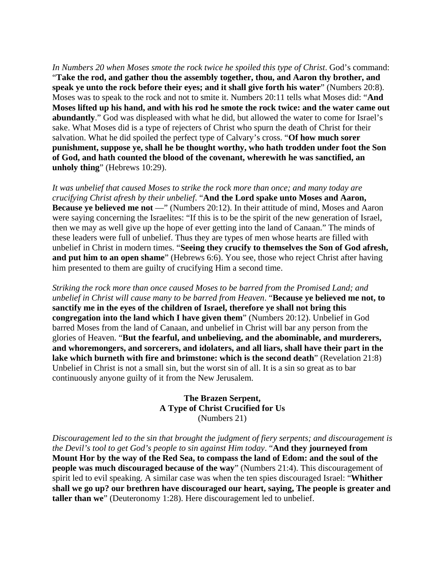In Numbers 20 when Moses smote the rock twice he spoiled this type of Christ. God's command: "**Take the rod, and gather thou the assembly together, thou, and Aaron thy brother, and speak ye unto the rock before their eyes; and it shall give forth his water**" (Numbers 20:8). Moses was to speak to the rock and not to smite it. Numbers 20:11 tells what Moses did: "**And Moses lifted up his hand, and with his rod he smote the rock twice: and the water came out abundantly**." God was displeased with what he did, but allowed the water to come for Israel's sake. What Moses did is a type of rejecters of Christ who spurn the death of Christ for their salvation. What he did spoiled the perfect type of Calvary's cross. "**Of how much sorer punishment, suppose ye, shall he be thought worthy, who hath trodden under foot the Son of God, and hath counted the blood of the covenant, wherewith he was sanctified, an unholy thing**" (Hebrews 10:29).

*It was unbelief that caused Moses to strike the rock more than once; and many today are crucifying Christ afresh by their unbelief*. "**And the Lord spake unto Moses and Aaron, Because ye believed me not** —" (Numbers 20:12). In their attitude of mind, Moses and Aaron were saying concerning the Israelites: "If this is to be the spirit of the new generation of Israel, then we may as well give up the hope of ever getting into the land of Canaan." The minds of these leaders were full of unbelief. Thus they are types of men whose hearts are filled with unbelief in Christ in modern times. "**Seeing they crucify to themselves the Son of God afresh, and put him to an open shame**" (Hebrews 6:6). You see, those who reject Christ after having him presented to them are guilty of crucifying Him a second time.

*Striking the rock more than once caused Moses to be barred from the Promised Land; and unbelief in Christ will cause many to be barred from Heaven*. "**Because ye believed me not, to sanctify me in the eyes of the children of Israel, therefore ye shall not bring this congregation into the land which I have given them**" (Numbers 20:12). Unbelief in God barred Moses from the land of Canaan, and unbelief in Christ will bar any person from the glories of Heaven. "**But the fearful, and unbelieving, and the abominable, and murderers, and whoremongers, and sorcerers, and idolaters, and all liars, shall have their part in the lake which burneth with fire and brimstone: which is the second death**" (Revelation 21:8) Unbelief in Christ is not a small sin, but the worst sin of all. It is a sin so great as to bar continuously anyone guilty of it from the New Jerusalem.

#### **The Brazen Serpent, A Type of Christ Crucified for Us**  (Numbers 21)

*Discouragement led to the sin that brought the judgment of fiery serpents; and discouragement is the Devil's tool to get God's people to sin against Him today*. "**And they journeyed from Mount Hor by the way of the Red Sea, to compass the land of Edom: and the soul of the people was much discouraged because of the way**" (Numbers 21:4). This discouragement of spirit led to evil speaking. A similar case was when the ten spies discouraged Israel: "**Whither shall we go up? our brethren have discouraged our heart, saying, The people is greater and taller than we**" (Deuteronomy 1:28). Here discouragement led to unbelief.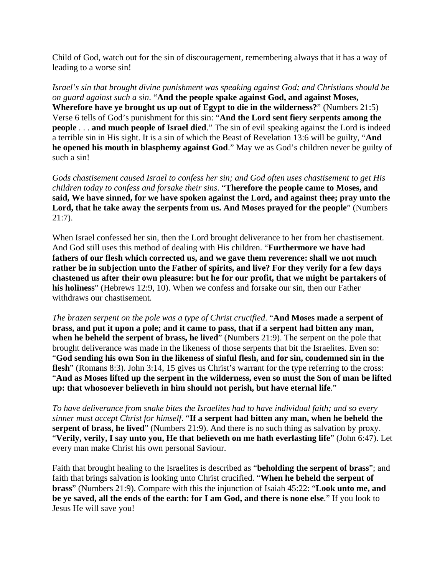Child of God, watch out for the sin of discouragement, remembering always that it has a way of leading to a worse sin!

*Israel's sin that brought divine punishment was speaking against God; and Christians should be on guard against such a sin*. "**And the people spake against God, and against Moses, Wherefore have ye brought us up out of Egypt to die in the wilderness?**" (Numbers 21:5) Verse 6 tells of God's punishment for this sin: "**And the Lord sent fiery serpents among the people** . . . **and much people of Israel died**." The sin of evil speaking against the Lord is indeed a terrible sin in His sight. It is a sin of which the Beast of Revelation 13:6 will be guilty, "**And he opened his mouth in blasphemy against God**." May we as God's children never be guilty of such a sin!

*Gods chastisement caused Israel to confess her sin; and God often uses chastisement to get His children today to confess and forsake their sins*. "**Therefore the people came to Moses, and said, We have sinned, for we have spoken against the Lord, and against thee; pray unto the**  Lord, that he take away the serpents from us. And Moses prayed for the people<sup>"</sup> (Numbers 21:7).

When Israel confessed her sin, then the Lord brought deliverance to her from her chastisement. And God still uses this method of dealing with His children. "**Furthermore we have had fathers of our flesh which corrected us, and we gave them reverence: shall we not much rather be in subjection unto the Father of spirits, and live? For they verily for a few days chastened us after their own pleasure: but he for our profit, that we might be partakers of his holiness**" (Hebrews 12:9, 10). When we confess and forsake our sin, then our Father withdraws our chastisement.

*The brazen serpent on the pole was a type of Christ crucified*. "**And Moses made a serpent of brass, and put it upon a pole; and it came to pass, that if a serpent had bitten any man, when he beheld the serpent of brass, he lived**" (Numbers 21:9). The serpent on the pole that brought deliverance was made in the likeness of those serpents that bit the Israelites. Even so: "**God sending his own Son in the likeness of sinful flesh, and for sin, condemned sin in the**  flesh" (Romans 8:3). John 3:14, 15 gives us Christ's warrant for the type referring to the cross: "**And as Moses lifted up the serpent in the wilderness, even so must the Son of man be lifted up: that whosoever believeth in him should not perish, but have eternal life**."

*To have deliverance from snake bites the Israelites had to have individual faith; and so every sinner must accept Christ for himself*. "**If a serpent had bitten any man, when he beheld the serpent of brass, he lived**" (Numbers 21:9). And there is no such thing as salvation by proxy. "**Verily, verily, I say unto you, He that believeth on me hath everlasting life**" (John 6:47). Let every man make Christ his own personal Saviour.

Faith that brought healing to the Israelites is described as "**beholding the serpent of brass**"; and faith that brings salvation is looking unto Christ crucified. "**When he beheld the serpent of brass**" (Numbers 21:9). Compare with this the injunction of Isaiah 45:22: "**Look unto me, and be ye saved, all the ends of the earth: for I am God, and there is none else**." If you look to Jesus He will save you!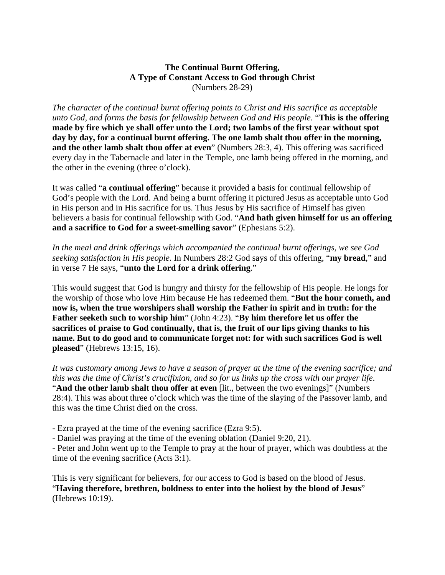## **The Continual Burnt Offering, A Type of Constant Access to God through Christ**  (Numbers 28-29)

*The character of the continual burnt offering points to Christ and His sacrifice as acceptable unto God, and forms the basis for fellowship between God and His people*. "**This is the offering made by fire which ye shall offer unto the Lord; two lambs of the first year without spot day by day, for a continual burnt offering. The one lamb shalt thou offer in the morning, and the other lamb shalt thou offer at even**" (Numbers 28:3, 4). This offering was sacrificed every day in the Tabernacle and later in the Temple, one lamb being offered in the morning, and the other in the evening (three o'clock).

It was called "**a continual offering**" because it provided a basis for continual fellowship of God's people with the Lord. And being a burnt offering it pictured Jesus as acceptable unto God in His person and in His sacrifice for us. Thus Jesus by His sacrifice of Himself has given believers a basis for continual fellowship with God. "**And hath given himself for us an offering and a sacrifice to God for a sweet-smelling savor**" (Ephesians 5:2).

*In the meal and drink offerings which accompanied the continual burnt offerings, we see God seeking satisfaction in His people*. In Numbers 28:2 God says of this offering, "**my bread**," and in verse 7 He says, "**unto the Lord for a drink offering**."

This would suggest that God is hungry and thirsty for the fellowship of His people. He longs for the worship of those who love Him because He has redeemed them. "**But the hour cometh, and now is, when the true worshipers shall worship the Father in spirit and in truth: for the Father seeketh such to worship him**" (John 4:23). "**By him therefore let us offer the sacrifices of praise to God continually, that is, the fruit of our lips giving thanks to his name. But to do good and to communicate forget not: for with such sacrifices God is well pleased**" (Hebrews 13:15, 16).

*It was customary among Jews to have a season of prayer at the time of the evening sacrifice; and this was the time of Christ's crucifixion, and so for us links up the cross with our prayer life*. "**And the other lamb shalt thou offer at even** [lit., between the two evenings]" (Numbers 28:4). This was about three o'clock which was the time of the slaying of the Passover lamb, and this was the time Christ died on the cross.

- Ezra prayed at the time of the evening sacrifice (Ezra 9:5).

- Daniel was praying at the time of the evening oblation (Daniel 9:20, 21).

- Peter and John went up to the Temple to pray at the hour of prayer, which was doubtless at the time of the evening sacrifice (Acts 3:1).

This is very significant for believers, for our access to God is based on the blood of Jesus. "**Having therefore, brethren, boldness to enter into the holiest by the blood of Jesus**" (Hebrews 10:19).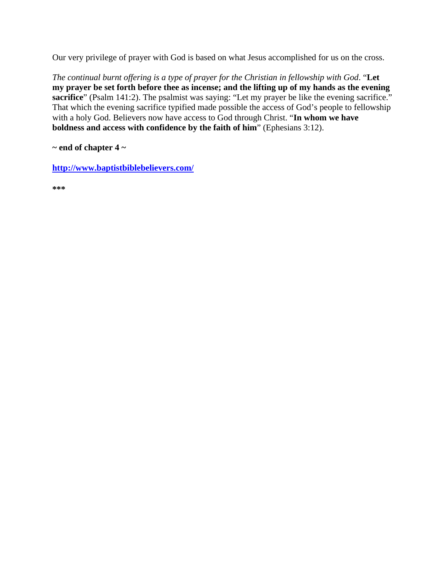Our very privilege of prayer with God is based on what Jesus accomplished for us on the cross.

*The continual burnt offering is a type of prayer for the Christian in fellowship with God*. "**Let my prayer be set forth before thee as incense; and the lifting up of my hands as the evening**  sacrifice" (Psalm 141:2). The psalmist was saying: "Let my prayer be like the evening sacrifice." That which the evening sacrifice typified made possible the access of God's people to fellowship with a holy God. Believers now have access to God through Christ. "**In whom we have boldness and access with confidence by the faith of him**" (Ephesians 3:12).

## **~ end of chapter 4 ~**

**http://www.baptistbiblebelievers.com/**

**\*\*\***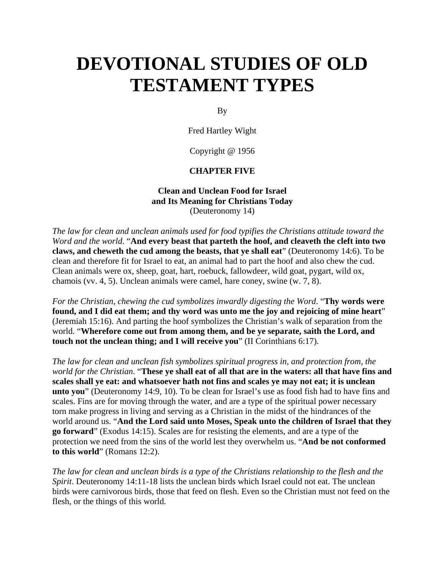# **DEVOTIONAL STUDIES OF OLD TESTAMENT TYPES**

By

Fred Hartley Wight

Copyright @ 1956

#### **CHAPTER FIVE**

#### **Clean and Unclean Food for Israel and Its Meaning for Christians Today**  (Deuteronomy 14)

*The law for clean and unclean animals used for food typifies the Christians attitude toward the Word and the world*. "**And every beast that parteth the hoof, and cleaveth the cleft into two claws, and cheweth the cud among the beasts, that ye shall eat**" (Deuteronomy 14:6). To be clean and therefore fit for Israel to eat, an animal had to part the hoof and also chew the cud. Clean animals were ox, sheep, goat, hart, roebuck, fallowdeer, wild goat, pygart, wild ox, chamois (vv. 4, 5). Unclean animals were camel, hare coney, swine (w. 7, 8).

*For the Christian, chewing the cud symbolizes inwardly digesting the Word*. "**Thy words were found, and I did eat them; and thy word was unto me the joy and rejoicing of mine heart**" (Jeremiah 15:16). And parting the hoof symbolizes the Christian's walk of separation from the world. "**Wherefore come out from among them, and be ye separate, saith the Lord, and touch not the unclean thing; and I will receive you**" (II Corinthians 6:17).

*The law for clean and unclean fish symbolizes spiritual progress in, and protection from, the world for the Christian*. "**These ye shall eat of all that are in the waters: all that have fins and scales shall ye eat: and whatsoever hath not fins and scales ye may not eat; it is unclean unto you**" (Deuteronomy 14:9, 10). To be clean for Israel's use as food fish had to have fins and scales. Fins are for moving through the water, and are a type of the spiritual power necessary torn make progress in living and serving as a Christian in the midst of the hindrances of the world around us. "**And the Lord said unto Moses, Speak unto the children of Israel that they go forward**" (Exodus 14:15). Scales are for resisting the elements, and are a type of the protection we need from the sins of the world lest they overwhelm us. "**And be not conformed to this world**" (Romans 12:2).

*The law for clean and unclean birds is a type of the Christians relationship to the flesh and the Spirit*. Deuteronomy 14:11-18 lists the unclean birds which Israel could not eat. The unclean birds were carnivorous birds, those that feed on flesh. Even so the Christian must not feed on the flesh, or the things of this world.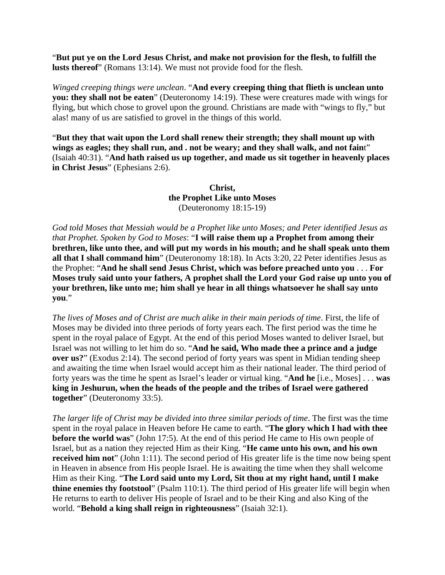"**But put ye on the Lord Jesus Christ, and make not provision for the flesh, to fulfill the lusts thereof**" (Romans 13:14). We must not provide food for the flesh.

*Winged creeping things were unclean*. "**And every creeping thing that flieth is unclean unto you: they shall not be eaten**" (Deuteronomy 14:19). These were creatures made with wings for flying, but which chose to grovel upon the ground. Christians are made with "wings to fly," but alas! many of us are satisfied to grovel in the things of this world.

"**But they that wait upon the Lord shall renew their strength; they shall mount up with wings as eagles; they shall run, and . not be weary; and they shall walk, and not fain**t" (Isaiah 40:31). "**And hath raised us up together, and made us sit together in heavenly places in Christ Jesus**" (Ephesians 2:6).

> **Christ, the Prophet Like unto Moses**  (Deuteronomy 18:15-19)

*God told Moses that Messiah would be a Prophet like unto Moses; and Peter identified Jesus as that Prophet. Spoken by God to Moses*: "**I will raise them up a Prophet from among their brethren, like unto thee, and will put my words in his mouth; and he shall speak unto them all that I shall command him**" (Deuteronomy 18:18). In Acts 3:20, 22 Peter identifies Jesus as the Prophet: "**And he shall send Jesus Christ, which was before preached unto you** . . . **For Moses truly said unto your fathers, A prophet shall the Lord your God raise up unto you of your brethren, like unto me; him shall ye hear in all things whatsoever he shall say unto you**."

*The lives of Moses and of Christ are much alike in their main periods of time*. First, the life of Moses may be divided into three periods of forty years each. The first period was the time he spent in the royal palace of Egypt. At the end of this period Moses wanted to deliver Israel, but Israel was not willing to let him do so. "**And he said, Who made thee a prince and a judge over us?**" (Exodus 2:14). The second period of forty years was spent in Midian tending sheep and awaiting the time when Israel would accept him as their national leader. The third period of forty years was the time he spent as Israel's leader or virtual king. "**And he** [i.e., Moses] . . . **was king in Jeshurun, when the heads of the people and the tribes of Israel were gathered together**" (Deuteronomy 33:5).

*The larger life of Christ may be divided into three similar periods of time*. The first was the time spent in the royal palace in Heaven before He came to earth. "**The glory which I had with thee before the world was**" (John 17:5). At the end of this period He came to His own people of Israel, but as a nation they rejected Him as their King. "**He came unto his own, and his own received him not**" (John 1:11). The second period of His greater life is the time now being spent in Heaven in absence from His people Israel. He is awaiting the time when they shall welcome Him as their King. "**The Lord said unto my Lord, Sit thou at my right hand, until I make thine enemies thy footstool**" (Psalm 110:1). The third period of His greater life will begin when He returns to earth to deliver His people of Israel and to be their King and also King of the world. "**Behold a king shall reign in righteousness**" (Isaiah 32:1).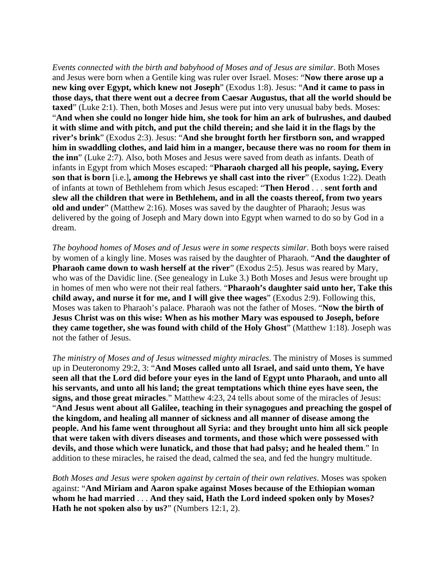*Events connected with the birth and babyhood of Moses and of Jesus are similar*. Both Moses and Jesus were born when a Gentile king was ruler over Israel. Moses: "**Now there arose up a new king over Egypt, which knew not Joseph**" (Exodus 1:8). Jesus: "**And it came to pass in those days, that there went out a decree from Caesar Augustus, that all the world should be taxed**" (Luke 2:1). Then, both Moses and Jesus were put into very unusual baby beds. Moses: "**And when she could no longer hide him, she took for him an ark of bulrushes, and daubed it with slime and with pitch, and put the child therein; and she laid it in the flags by the river's brink**" (Exodus 2:3). Jesus: "**And she brought forth her firstborn son, and wrapped him in swaddling clothes, and laid him in a manger, because there was no room for them in the inn**" (Luke 2:7). Also, both Moses and Jesus were saved from death as infants. Death of infants in Egypt from which Moses escaped: "**Pharaoh charged all his people, saying, Every son that is born** [i.e.]**, among the Hebrews ye shall cast into the river**" (Exodus 1:22). Death of infants at town of Bethlehem from which Jesus escaped: "**Then Herod** . . . **sent forth and slew all the children that were in Bethlehem, and in all the coasts thereof, from two years old and under**" (Matthew 2:16). Moses was saved by the daughter of Pharaoh; Jesus was delivered by the going of Joseph and Mary down into Egypt when warned to do so by God in a dream.

*The boyhood homes of Moses and of Jesus were in some respects similar*. Both boys were raised by women of a kingly line. Moses was raised by the daughter of Pharaoh. "**And the daughter of Pharaoh came down to wash herself at the river**" (Exodus 2:5). Jesus was reared by Mary, who was of the Davidic line. (See genealogy in Luke 3.) Both Moses and Jesus were brought up in homes of men who were not their real fathers. "**Pharaoh's daughter said unto her, Take this child away, and nurse it for me, and I will give thee wages**" (Exodus 2:9). Following this, Moses was taken to Pharaoh's palace. Pharaoh was not the father of Moses. "**Now the birth of Jesus Christ was on this wise: When as his mother Mary was espoused to Joseph, before they came together, she was found with child of the Holy Ghost**" (Matthew 1:18). Joseph was not the father of Jesus.

*The ministry of Moses and of Jesus witnessed mighty miracles*. The ministry of Moses is summed up in Deuteronomy 29:2, 3: "**And Moses called unto all Israel, and said unto them, Ye have seen all that the Lord did before your eyes in the land of Egypt unto Pharaoh, and unto all his servants, and unto all his land; the great temptations which thine eyes have seen, the signs, and those great miracles**." Matthew 4:23, 24 tells about some of the miracles of Jesus: "**And Jesus went about all Galilee, teaching in their synagogues and preaching the gospel of the kingdom, and healing all manner of sickness and all manner of disease among the people. And his fame went throughout all Syria: and they brought unto him all sick people that were taken with divers diseases and torments, and those which were possessed with devils, and those which were lunatick, and those that had palsy; and he healed them**." In addition to these miracles, he raised the dead, calmed the sea, and fed the hungry multitude.

*Both Moses and Jesus were spoken against by certain of their own relatives*. Moses was spoken against: "**And Miriam and Aaron spake against Moses because of the Ethiopian woman whom he had married** . . . **And they said, Hath the Lord indeed spoken only by Moses? Hath he not spoken also by us?**" (Numbers 12:1, 2).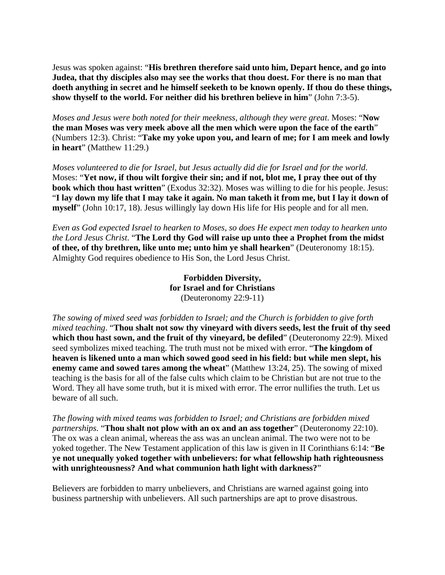Jesus was spoken against: "**His brethren therefore said unto him, Depart hence, and go into Judea, that thy disciples also may see the works that thou doest. For there is no man that doeth anything in secret and he himself seeketh to be known openly. If thou do these things, show thyself to the world. For neither did his brethren believe in him**" (John 7:3-5).

*Moses and Jesus were both noted for their meekness, although they were great*. Moses: "**Now the man Moses was very meek above all the men which were upon the face of the earth**" (Numbers 12:3). Christ: "**Take my yoke upon you, and learn of me; for I am meek and lowly in heart**" (Matthew 11:29.)

*Moses volunteered to die for Israel, but Jesus actually did die for Israel and for the world*. Moses: "**Yet now, if thou wilt forgive their sin; and if not, blot me, I pray thee out of thy book which thou hast written**" (Exodus 32:32). Moses was willing to die for his people. Jesus: "**I lay down my life that I may take it again. No man taketh it from me, but I lay it down of myself**" (John 10:17, 18). Jesus willingly lay down His life for His people and for all men.

*Even as God expected Israel to hearken to Moses, so does He expect men today to hearken unto the Lord Jesus Christ*. "**The Lord thy God will raise up unto thee a Prophet from the midst of thee, of thy brethren, like unto me; unto him ye shall hearken**" (Deuteronomy 18:15). Almighty God requires obedience to His Son, the Lord Jesus Christ.

> **Forbidden Diversity, for Israel and for Christians**  (Deuteronomy 22:9-11)

*The sowing of mixed seed was forbidden to Israel; and the Church is forbidden to give forth mixed teaching*. "**Thou shalt not sow thy vineyard with divers seeds, lest the fruit of thy seed which thou hast sown, and the fruit of thy vineyard, be defiled**" (Deuteronomy 22:9). Mixed seed symbolizes mixed teaching. The truth must not be mixed with error. "**The kingdom of heaven is likened unto a man which sowed good seed in his field: but while men slept, his enemy came and sowed tares among the wheat**" (Matthew 13:24, 25). The sowing of mixed teaching is the basis for all of the false cults which claim to be Christian but are not true to the Word. They all have some truth, but it is mixed with error. The error nullifies the truth. Let us beware of all such.

*The flowing with mixed teams was forbidden to Israel; and Christians are forbidden mixed partnerships*. "**Thou shalt not plow with an ox and an ass together**" (Deuteronomy 22:10). The ox was a clean animal, whereas the ass was an unclean animal. The two were not to be yoked together. The New Testament application of this law is given in II Corinthians 6:14: "**Be ye not unequally yoked together with unbelievers: for what fellowship hath righteousness with unrighteousness? And what communion hath light with darkness?**"

Believers are forbidden to marry unbelievers, and Christians are warned against going into business partnership with unbelievers. All such partnerships are apt to prove disastrous.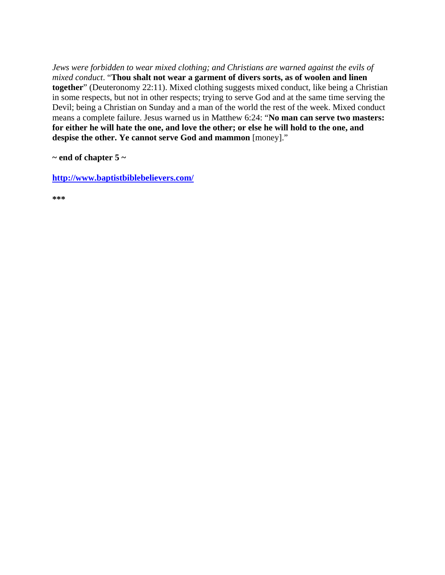*Jews were forbidden to wear mixed clothing; and Christians are warned against the evils of mixed conduct*. "**Thou shalt not wear a garment of divers sorts, as of woolen and linen together**" (Deuteronomy 22:11). Mixed clothing suggests mixed conduct, like being a Christian in some respects, but not in other respects; trying to serve God and at the same time serving the Devil; being a Christian on Sunday and a man of the world the rest of the week. Mixed conduct means a complete failure. Jesus warned us in Matthew 6:24: "**No man can serve two masters: for either he will hate the one, and love the other; or else he will hold to the one, and despise the other. Ye cannot serve God and mammon** [money]."

**~ end of chapter 5 ~** 

**http://www.baptistbiblebelievers.com/**

**\*\*\***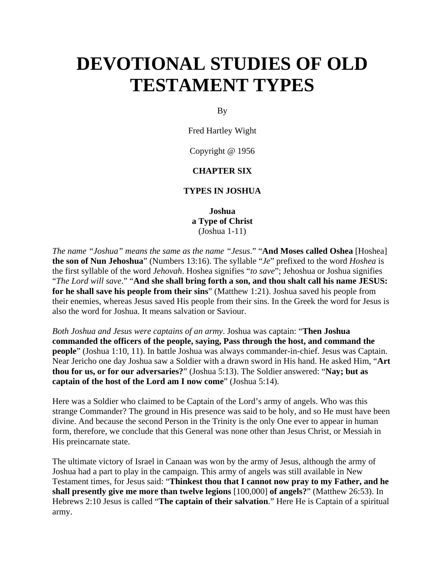# **DEVOTIONAL STUDIES OF OLD TESTAMENT TYPES**

By

Fred Hartley Wight

Copyright @ 1956

### **CHAPTER SIX**

#### **TYPES IN JOSHUA**

**Joshua a Type of Christ**  (Joshua 1-11)

*The name "Joshua" means the same as the name "Jesus*." "**And Moses called Oshea** [Hoshea] **the son of Nun Jehoshua**" (Numbers 13:16). The syllable "*Je*" prefixed to the word *Hoshea* is the first syllable of the word *Jehovah*. Hoshea signifies "*to save*"; Jehoshua or Joshua signifies "*The Lord will save*." "**And she shall bring forth a son, and thou shalt call his name JESUS: for he shall save his people from their sins**" (Matthew 1:21). Joshua saved his people from their enemies, whereas Jesus saved His people from their sins. In the Greek the word for Jesus is also the word for Joshua. It means salvation or Saviour.

*Both Joshua and Jesus were captains of an army*. Joshua was captain: "**Then Joshua commanded the officers of the people, saying, Pass through the host, and command the people**" (Joshua 1:10, 11). In battle Joshua was always commander-in-chief. Jesus was Captain. Near Jericho one day Joshua saw a Soldier with a drawn sword in His hand. He asked Him, "**Art thou for us, or for our adversaries?**" (Joshua 5:13). The Soldier answered: "**Nay; but as captain of the host of the Lord am I now come**" (Joshua 5:14).

Here was a Soldier who claimed to be Captain of the Lord's army of angels. Who was this strange Commander? The ground in His presence was said to be holy, and so He must have been divine. And because the second Person in the Trinity is the only One ever to appear in human form, therefore, we conclude that this General was none other than Jesus Christ, or Messiah in His preincarnate state.

The ultimate victory of Israel in Canaan was won by the army of Jesus, although the army of Joshua had a part to play in the campaign. This army of angels was still available in New Testament times, for Jesus said: "**Thinkest thou that I cannot now pray to my Father, and he shall presently give me more than twelve legions** [100,000] **of angels?**" (Matthew 26:53). In Hebrews 2:10 Jesus is called "**The captain of their salvation**." Here He is Captain of a spiritual army.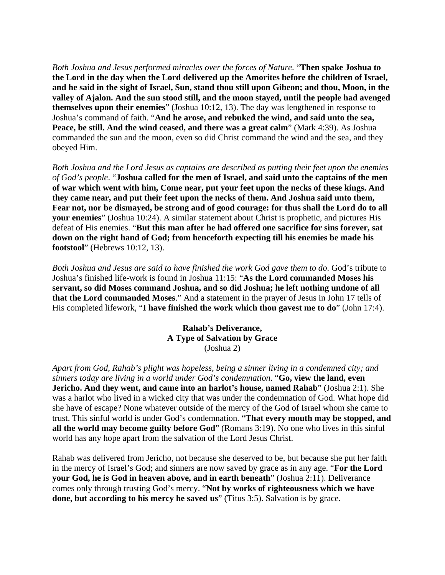*Both Joshua and Jesus performed miracles over the forces of Nature*. "**Then spake Joshua to the Lord in the day when the Lord delivered up the Amorites before the children of Israel, and he said in the sight of Israel, Sun, stand thou still upon Gibeon; and thou, Moon, in the valley of Ajalon. And the sun stood still, and the moon stayed, until the people had avenged themselves upon their enemies**" (Joshua 10:12, 13). The day was lengthened in response to Joshua's command of faith. "**And he arose, and rebuked the wind, and said unto the sea, Peace, be still. And the wind ceased, and there was a great calm**" (Mark 4:39). As Joshua commanded the sun and the moon, even so did Christ command the wind and the sea, and they obeyed Him.

*Both Joshua and the Lord Jesus as captains are described as putting their feet upon the enemies of God's people*. "**Joshua called for the men of Israel, and said unto the captains of the men of war which went with him, Come near, put your feet upon the necks of these kings. And they came near, and put their feet upon the necks of them. And Joshua said unto them, Fear not, nor be dismayed, be strong and of good courage: for thus shall the Lord do to all your enemies**" (Joshua 10:24). A similar statement about Christ is prophetic, and pictures His defeat of His enemies. "**But this man after he had offered one sacrifice for sins forever, sat down on the right hand of God; from henceforth expecting till his enemies be made his footstool**" (Hebrews 10:12, 13).

*Both Joshua and Jesus are said to have finished the work God gave them to do*. God's tribute to Joshua's finished life-work is found in Joshua 11:15: "**As the Lord commanded Moses his servant, so did Moses command Joshua, and so did Joshua; he left nothing undone of all that the Lord commanded Moses**." And a statement in the prayer of Jesus in John 17 tells of His completed lifework, "**I have finished the work which thou gavest me to do**" (John 17:4).

### **Rahab's Deliverance, A Type of Salvation by Grace**  (Joshua 2)

*Apart from God, Rahab's plight was hopeless, being a sinner living in a condemned city; and sinners today are living in a world under God's condemnation*. "**Go, view the land, even Jericho. And they went, and came into an harlot's house, named Rahab**" (Joshua 2:1). She was a harlot who lived in a wicked city that was under the condemnation of God. What hope did she have of escape? None whatever outside of the mercy of the God of Israel whom she came to trust. This sinful world is under God's condemnation. "**That every mouth may be stopped, and all the world may become guilty before God**" (Romans 3:19). No one who lives in this sinful world has any hope apart from the salvation of the Lord Jesus Christ.

Rahab was delivered from Jericho, not because she deserved to be, but because she put her faith in the mercy of Israel's God; and sinners are now saved by grace as in any age. "**For the Lord your God, he is God in heaven above, and in earth beneath**" (Joshua 2:11). Deliverance comes only through trusting God's mercy. "**Not by works of righteousness which we have done, but according to his mercy he saved us**" (Titus 3:5). Salvation is by grace.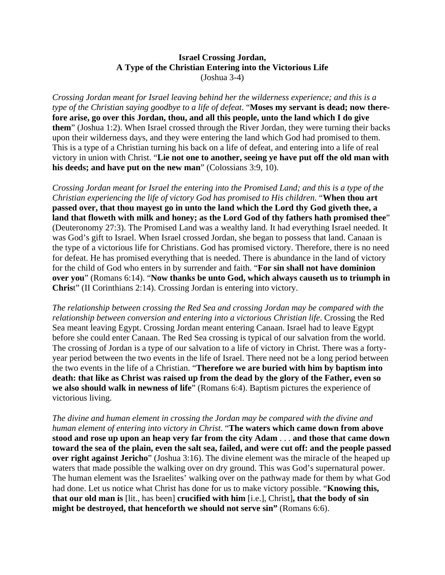## **Israel Crossing Jordan, A Type of the Christian Entering into the Victorious Life**  (Joshua 3-4)

*Crossing Jordan meant for Israel leaving behind her the wilderness experience; and this is a type of the Christian saying goodbye to a life of defeat*. "**Moses my servant is dead; now therefore arise, go over this Jordan, thou, and all this people, unto the land which I do give them**" (Joshua 1:2). When Israel crossed through the River Jordan, they were turning their backs upon their wilderness days, and they were entering the land which God had promised to them. This is a type of a Christian turning his back on a life of defeat, and entering into a life of real victory in union with Christ. "**Lie not one to another, seeing ye have put off the old man with his deeds; and have put on the new man**" (Colossians 3:9, 10).

*Crossing Jordan meant for Israel the entering into the Promised Land; and this is a type of the Christian experiencing the life of victory God has promised to His children*. "**When thou art passed over, that thou mayest go in unto the land which the Lord thy God giveth thee, a land that floweth with milk and honey; as the Lord God of thy fathers hath promised thee**" (Deuteronomy 27:3). The Promised Land was a wealthy land. It had everything Israel needed. It was God's gift to Israel. When Israel crossed Jordan, she began to possess that land. Canaan is the type of a victorious life for Christians. God has promised victory. Therefore, there is no need for defeat. He has promised everything that is needed. There is abundance in the land of victory for the child of God who enters in by surrender and faith. "**For sin shall not have dominion over you**" (Romans 6:14). "**Now thanks be unto God, which always causeth us to triumph in Chris**t" (II Corinthians 2:14). Crossing Jordan is entering into victory.

*The relationship between crossing the Red Sea and crossing Jordan may be compared with the relationship between conversion and entering into a victorious Christian life*. Crossing the Red Sea meant leaving Egypt. Crossing Jordan meant entering Canaan. Israel had to leave Egypt before she could enter Canaan. The Red Sea crossing is typical of our salvation from the world. The crossing of Jordan is a type of our salvation to a life of victory in Christ. There was a fortyyear period between the two events in the life of Israel. There need not be a long period between the two events in the life of a Christian. "**Therefore we are buried with him by baptism into death: that like as Christ was raised up from the dead by the glory of the Father, even so we also should walk in newness of life**" (Romans 6:4). Baptism pictures the experience of victorious living.

*The divine and human element in crossing the Jordan may be compared with the divine and human element of entering into victory in Christ*. "**The waters which came down from above stood and rose up upon an heap very far from the city Adam** . . . **and those that came down toward the sea of the plain, even the salt sea, failed, and were cut off: and the people passed over right against Jericho**" (Joshua 3:16). The divine element was the miracle of the heaped up waters that made possible the walking over on dry ground. This was God's supernatural power. The human element was the Israelites' walking over on the pathway made for them by what God had done. Let us notice what Christ has done for us to make victory possible. "**Knowing this, that our old man is** [lit., has been] **crucified with him** [i.e.], Christ]**, that the body of sin might be destroyed, that henceforth we should not serve sin"** (Romans 6:6).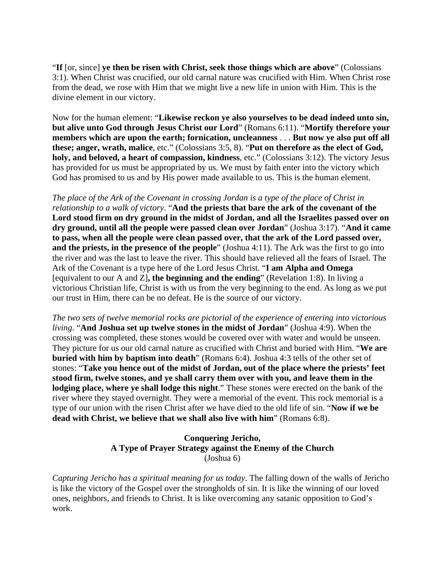"**If** [or, since] **ye then be risen with Christ, seek those things which are above**" (Colossians 3:1). When Christ was crucified, our old carnal nature was crucified with Him. When Christ rose from the dead, we rose with Him that we might live a new life in union with Him. This is the divine element in our victory.

Now for the human element: "**Likewise reckon ye also yourselves to be dead indeed unto sin, but alive unto God through Jesus Christ our Lord**" (Romans 6:11). "**Mortify therefore your members which are upon the earth; fornication, uncleanness** . . . **But now ye also put off all these; anger, wrath, malice**, etc." (Colossians 3:5, 8). "**Put on therefore as the elect of God, holy, and beloved, a heart of compassion, kindness**, etc." (Colossians 3:12). The victory Jesus has provided for us must be appropriated by us. We must by faith enter into the victory which God has promised to us and by His power made available to us. This is the human element.

*The place of the Ark of the Covenant in crossing Jordan is a type of the place of Christ in relationship to a walk of victory*. "**And the priests that bare the ark of the covenant of the Lord stood firm on dry ground in the midst of Jordan, and all the Israelites passed over on dry ground, until all the people were passed clean over Jordan**" (Joshua 3:17). "**And it came to pass, when all the people were clean passed over, that the ark of the Lord passed over, and the priests, in the presence of the people**" (Joshua 4:11). The Ark was the first to go into the river and was the last to leave the river. This should have relieved all the fears of Israel. The Ark of the Covenant is a type here of the Lord Jesus Christ. "**I am Alpha and Omega** [equivalent to our A and Z]**, the beginning and the ending**" (Revelation 1:8). In living a victorious Christian life, Christ is with us from the very beginning to the end. As long as we put our trust in Him, there can be no defeat. He is the source of our victory.

*The two sets of twelve memorial rocks are pictorial of the experience of entering into victorious living*. "**And Joshua set up twelve stones in the midst of Jordan**" (Joshua 4:9). When the crossing was completed, these stones would be covered over with water and would be unseen. They picture for us our old carnal nature as crucified with Christ and buried with Him. "**We are buried with him by baptism into death**" (Romans 6:4). Joshua 4:3 tells of the other set of stones: "**Take you hence out of the midst of Jordan, out of the place where the priests' feet stood firm, twelve stones, and ye shall carry them over with you, and leave them in the lodging place, where ye shall lodge this night**." These stones were erected on the bank of the river where they stayed overnight. They were a memorial of the event. This rock memorial is a type of our union with the risen Christ after we have died to the old life of sin. "**Now if we be dead with Christ, we believe that we shall also live with him**" (Romans 6:8).

## **Conquering Jericho, A Type of Prayer Strategy against the Enemy of the Church**  (Joshua 6)

*Capturing Jericho has a spiritual meaning for us today*. The falling down of the walls of Jericho is like the victory of the Gospel over the strongholds of sin. It is like the winning of our loved ones, neighbors, and friends to Christ. It is like overcoming any satanic opposition to God's work.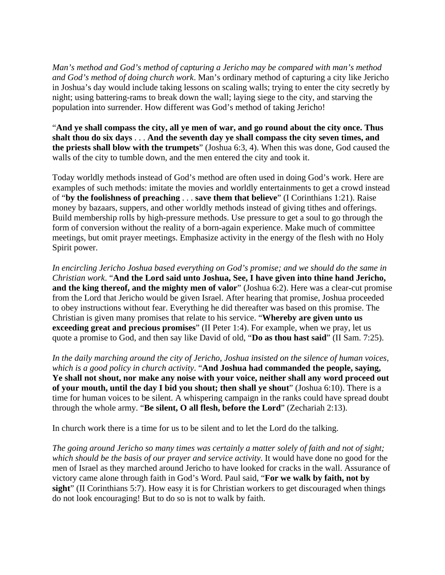*Man's method and God's method of capturing a Jericho may be compared with man's method and God's method of doing church work*. Man's ordinary method of capturing a city like Jericho in Joshua's day would include taking lessons on scaling walls; trying to enter the city secretly by night; using battering-rams to break down the wall; laying siege to the city, and starving the population into surrender. How different was God's method of taking Jericho!

"**And ye shall compass the city, all ye men of war, and go round about the city once. Thus shalt thou do six days** . . . **And the seventh day ye shall compass the city seven times, and the priests shall blow with the trumpets**" (Joshua 6:3, 4). When this was done, God caused the walls of the city to tumble down, and the men entered the city and took it.

Today worldly methods instead of God's method are often used in doing God's work. Here are examples of such methods: imitate the movies and worldly entertainments to get a crowd instead of "**by the foolishness of preaching** . . . **save them that believe**" (I Corinthians 1:21). Raise money by bazaars, suppers, and other worldly methods instead of giving tithes and offerings. Build membership rolls by high-pressure methods. Use pressure to get a soul to go through the form of conversion without the reality of a born-again experience. Make much of committee meetings, but omit prayer meetings. Emphasize activity in the energy of the flesh with no Holy Spirit power.

*In encircling Jericho Joshua based everything on God's promise; and we should do the same in Christian work*. "**And the Lord said unto Joshua, See, I have given into thine hand Jericho, and the king thereof, and the mighty men of valor**" (Joshua 6:2). Here was a clear-cut promise from the Lord that Jericho would be given Israel. After hearing that promise, Joshua proceeded to obey instructions without fear. Everything he did thereafter was based on this promise. The Christian is given many promises that relate to his service. "**Whereby are given unto us exceeding great and precious promises**" (II Peter 1:4). For example, when we pray, let us quote a promise to God, and then say like David of old, "**Do as thou hast said**" (II Sam. 7:25).

*In the daily marching around the city of Jericho, Joshua insisted on the silence of human voices, which is a good policy in church activity*. "**And Joshua had commanded the people, saying, Ye shall not shout, nor make any noise with your voice, neither shall any word proceed out of your mouth, until the day I bid you shout; then shall ye shout**" (Joshua 6:10). There is a time for human voices to be silent. A whispering campaign in the ranks could have spread doubt through the whole army. "**Be silent, O all flesh, before the Lord**" (Zechariah 2:13).

In church work there is a time for us to be silent and to let the Lord do the talking.

*The going around Jericho so many times was certainly a matter solely of faith and not of sight; which should be the basis of our prayer and service activity*. It would have done no good for the men of Israel as they marched around Jericho to have looked for cracks in the wall. Assurance of victory came alone through faith in God's Word. Paul said, "**For we walk by faith, not by sight**" (II Corinthians 5:7). How easy it is for Christian workers to get discouraged when things do not look encouraging! But to do so is not to walk by faith.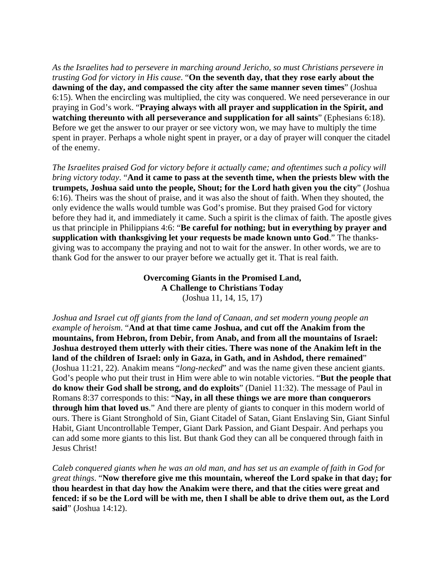*As the Israelites had to persevere in marching around Jericho, so must Christians persevere in trusting God for victory in His cause*. "**On the seventh day, that they rose early about the dawning of the day, and compassed the city after the same manner seven times**" (Joshua 6:15). When the encircling was multiplied, the city was conquered. We need perseverance in our praying in God's work. "**Praying always with all prayer and supplication in the Spirit, and watching thereunto with all perseverance and supplication for all saints**" (Ephesians 6:18). Before we get the answer to our prayer or see victory won, we may have to multiply the time spent in prayer. Perhaps a whole night spent in prayer, or a day of prayer will conquer the citadel of the enemy.

*The Israelites praised God for victory before it actually came; and oftentimes such a policy will bring victory today*. "**And it came to pass at the seventh time, when the priests blew with the trumpets, Joshua said unto the people, Shout; for the Lord hath given you the city**" (Joshua 6:16). Theirs was the shout of praise, and it was also the shout of faith. When they shouted, the only evidence the walls would tumble was God's promise. But they praised God for victory before they had it, and immediately it came. Such a spirit is the climax of faith. The apostle gives us that principle in Philippians 4:6: "**Be careful for nothing; but in everything by prayer and supplication with thanksgiving let your requests be made known unto God**." The thanksgiving was to accompany the praying and not to wait for the answer. In other words, we are to thank God for the answer to our prayer before we actually get it. That is real faith.

> **Overcoming Giants in the Promised Land, A Challenge to Christians Today**  (Joshua 11, 14, 15, 17)

*Joshua and Israel cut off giants from the land of Canaan, and set modern young people an example of heroism*. "**And at that time came Joshua, and cut off the Anakim from the mountains, from Hebron, from Debir, from Anab, and from all the mountains of Israel: Joshua destroyed them utterly with their cities. There was none of the Anakim left in the land of the children of Israel: only in Gaza, in Gath, and in Ashdod, there remained**" (Joshua 11:21, 22). Anakim means "*long-necked*" and was the name given these ancient giants. God's people who put their trust in Him were able to win notable victories. "**But the people that do know their God shall be strong, and do exploits**" (Daniel 11:32). The message of Paul in Romans 8:37 corresponds to this: "**Nay, in all these things we are more than conquerors through him that loved us**." And there are plenty of giants to conquer in this modern world of ours. There is Giant Stronghold of Sin, Giant Citadel of Satan, Giant Enslaving Sin, Giant Sinful Habit, Giant Uncontrollable Temper, Giant Dark Passion, and Giant Despair. And perhaps you can add some more giants to this list. But thank God they can all be conquered through faith in Jesus Christ!

*Caleb conquered giants when he was an old man, and has set us an example of faith in God for great things*. "**Now therefore give me this mountain, whereof the Lord spake in that day; for thou heardest in that day how the Anakim were there, and that the cities were great and fenced: if so be the Lord will be with me, then I shall be able to drive them out, as the Lord said**" (Joshua 14:12).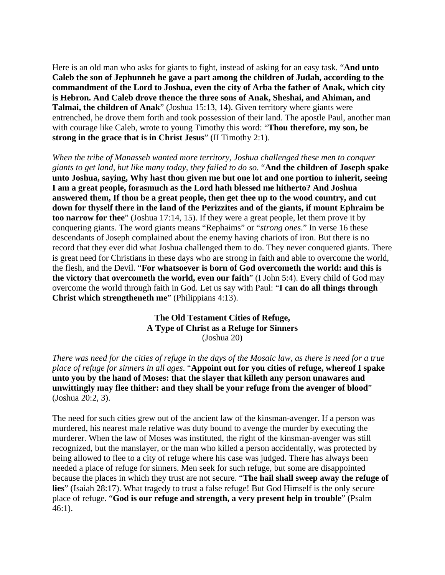Here is an old man who asks for giants to fight, instead of asking for an easy task. "**And unto Caleb the son of Jephunneh he gave a part among the children of Judah, according to the commandment of the Lord to Joshua, even the city of Arba the father of Anak, which city is Hebron. And Caleb drove thence the three sons of Anak, Sheshai, and Ahiman, and Talmai, the children of Anak**" (Joshua 15:13, 14). Given territory where giants were entrenched, he drove them forth and took possession of their land. The apostle Paul, another man with courage like Caleb, wrote to young Timothy this word: "**Thou therefore, my son, be strong in the grace that is in Christ Jesus**" (II Timothy 2:1).

*When the tribe of Manasseh wanted more territory, Joshua challenged these men to conquer giants to get land, hut like many today, they failed to do so*. "**And the children of Joseph spake unto Joshua, saying, Why hast thou given me but one lot and one portion to inherit, seeing I am a great people, forasmuch as the Lord hath blessed me hitherto? And Joshua answered them, If thou be a great people, then get thee up to the wood country, and cut down for thyself there in the land of the Perizzites and of the giants, if mount Ephraim be too narrow for thee**" (Joshua 17:14, 15). If they were a great people, let them prove it by conquering giants. The word giants means "Rephaims" or "*strong ones*." In verse 16 these descendants of Joseph complained about the enemy having chariots of iron. But there is no record that they ever did what Joshua challenged them to do. They never conquered giants. There is great need for Christians in these days who are strong in faith and able to overcome the world, the flesh, and the Devil. "**For whatsoever is born of God overcometh the world: and this is the victory that overcometh the world, even our faith**" (I John 5:4). Every child of God may overcome the world through faith in God. Let us say with Paul: "**I can do all things through Christ which strengtheneth me**" (Philippians 4:13).

## **The Old Testament Cities of Refuge, A Type of Christ as a Refuge for Sinners**  (Joshua 20)

*There was need for the cities of refuge in the days of the Mosaic law, as there is need for a true place of refuge for sinners in all ages*. "**Appoint out for you cities of refuge, whereof I spake unto you by the hand of Moses: that the slayer that killeth any person unawares and unwittingly may flee thither: and they shall be your refuge from the avenger of blood**" (Joshua 20:2, 3).

The need for such cities grew out of the ancient law of the kinsman-avenger. If a person was murdered, his nearest male relative was duty bound to avenge the murder by executing the murderer. When the law of Moses was instituted, the right of the kinsman-avenger was still recognized, but the manslayer, or the man who killed a person accidentally, was protected by being allowed to flee to a city of refuge where his case was judged. There has always been needed a place of refuge for sinners. Men seek for such refuge, but some are disappointed because the places in which they trust are not secure. "**The hail shall sweep away the refuge of lies**" (Isaiah 28:17). What tragedy to trust a false refuge! But God Himself is the only secure place of refuge. "**God is our refuge and strength, a very present help in trouble**" (Psalm 46:1).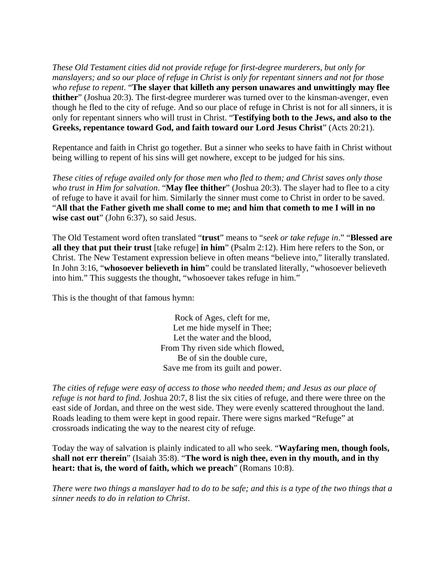*These Old Testament cities did not provide refuge for first-degree murderers, but only for manslayers; and so our place of refuge in Christ is only for repentant sinners and not for those who refuse to repent*. "**The slayer that killeth any person unawares and unwittingly may flee thither**" (Joshua 20:3). The first-degree murderer was turned over to the kinsman-avenger, even though he fled to the city of refuge. And so our place of refuge in Christ is not for all sinners, it is only for repentant sinners who will trust in Christ. "**Testifying both to the Jews, and also to the Greeks, repentance toward God, and faith toward our Lord Jesus Christ**" (Acts 20:21).

Repentance and faith in Christ go together. But a sinner who seeks to have faith in Christ without being willing to repent of his sins will get nowhere, except to be judged for his sins.

*These cities of refuge availed only for those men who fled to them; and Christ saves only those who trust in Him for salvation*. "**May flee thither**" (Joshua 20:3). The slayer had to flee to a city of refuge to have it avail for him. Similarly the sinner must come to Christ in order to be saved. "**All that the Father giveth me shall come to me; and him that cometh to me I will in no**  wise cast out" (John 6:37), so said Jesus.

The Old Testament word often translated "**trust**" means to "*seek or take refuge in*." "**Blessed are all they that put their trust** [take refuge] **in him**" (Psalm 2:12). Him here refers to the Son, or Christ. The New Testament expression believe in often means "believe into," literally translated. In John 3:16, "**whosoever believeth in him**" could be translated literally, "whosoever believeth into him." This suggests the thought, "whosoever takes refuge in him."

This is the thought of that famous hymn:

Rock of Ages, cleft for me, Let me hide myself in Thee; Let the water and the blood, From Thy riven side which flowed, Be of sin the double cure, Save me from its guilt and power.

*The cities of refuge were easy of access to those who needed them; and Jesus as our place of refuge is not hard to find*. Joshua 20:7, 8 list the six cities of refuge, and there were three on the east side of Jordan, and three on the west side. They were evenly scattered throughout the land. Roads leading to them were kept in good repair. There were signs marked "Refuge" at crossroads indicating the way to the nearest city of refuge.

Today the way of salvation is plainly indicated to all who seek. "**Wayfaring men, though fools, shall not err therein**" (Isaiah 35:8). "**The word is nigh thee, even in thy mouth, and in thy heart: that is, the word of faith, which we preach**" (Romans 10:8).

*There were two things a manslayer had to do to be safe; and this is a type of the two things that a sinner needs to do in relation to Christ*.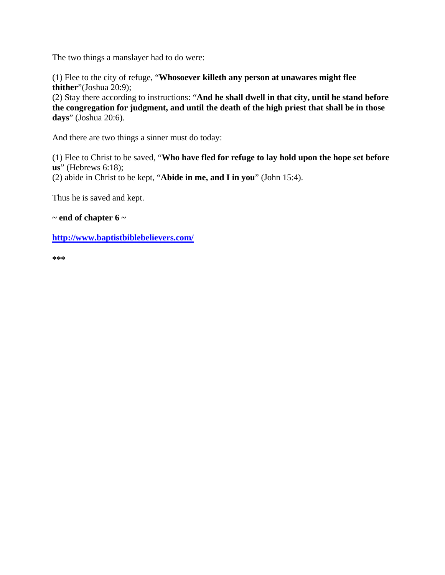The two things a manslayer had to do were:

(1) Flee to the city of refuge, "**Whosoever killeth any person at unawares might flee thither**"(Joshua 20:9);

(2) Stay there according to instructions: "**And he shall dwell in that city, until he stand before the congregation for judgment, and until the death of the high priest that shall be in those days**" (Joshua 20:6).

And there are two things a sinner must do today:

(1) Flee to Christ to be saved, "**Who have fled for refuge to lay hold upon the hope set before us**" (Hebrews 6:18);

(2) abide in Christ to be kept, "**Abide in me, and I in you**" (John 15:4).

Thus he is saved and kept.

**~ end of chapter 6 ~** 

**http://www.baptistbiblebelievers.com/**

**\*\*\***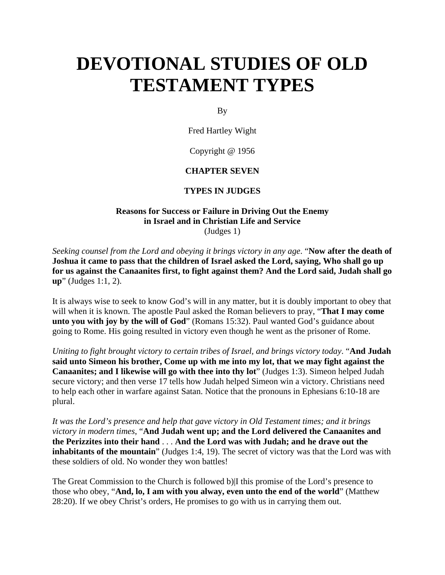# **DEVOTIONAL STUDIES OF OLD TESTAMENT TYPES**

By

Fred Hartley Wight

Copyright @ 1956

### **CHAPTER SEVEN**

### **TYPES IN JUDGES**

### **Reasons for Success or Failure in Driving Out the Enemy in Israel and in Christian Life and Service**  (Judges 1)

*Seeking counsel from the Lord and obeying it brings victory in any age*. "**Now after the death of Joshua it came to pass that the children of Israel asked the Lord, saying, Who shall go up for us against the Canaanites first, to fight against them? And the Lord said, Judah shall go up**" (Judges 1:1, 2).

It is always wise to seek to know God's will in any matter, but it is doubly important to obey that will when it is known. The apostle Paul asked the Roman believers to pray, "**That I may come unto you with joy by the will of God**" (Romans 15:32). Paul wanted God's guidance about going to Rome. His going resulted in victory even though he went as the prisoner of Rome.

*Uniting to fight brought victory to certain tribes of Israel, and brings victory today*. "**And Judah said unto Simeon his brother, Come up with me into my lot, that we may fight against the Canaanites; and I likewise will go with thee into thy lot**" (Judges 1:3). Simeon helped Judah secure victory; and then verse 17 tells how Judah helped Simeon win a victory. Christians need to help each other in warfare against Satan. Notice that the pronouns in Ephesians 6:10-18 are plural.

*It was the Lord's presence and help that gave victory in Old Testament times; and it brings victory in modern times*, "**And Judah went up; and the Lord delivered the Canaanites and the Perizzites into their hand** . . . **And the Lord was with Judah; and he drave out the inhabitants of the mountain**" (Judges 1:4, 19). The secret of victory was that the Lord was with these soldiers of old. No wonder they won battles!

The Great Commission to the Church is followed b)|I this promise of the Lord's presence to those who obey, "**And, lo, I am with you alway, even unto the end of the world**" (Matthew 28:20). If we obey Christ's orders, He promises to go with us in carrying them out.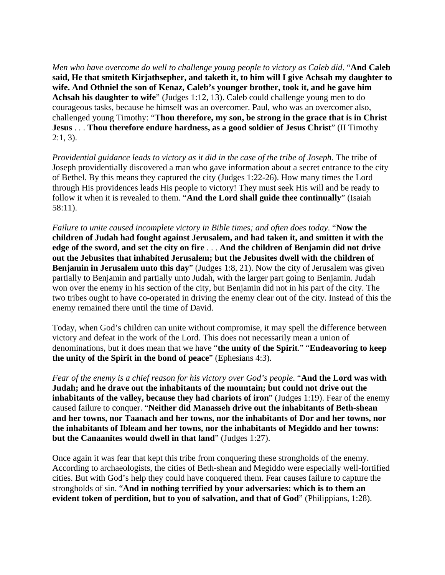*Men who have overcome do well to challenge young people to victory as Caleb did*. "**And Caleb said, He that smiteth Kirjathsepher, and taketh it, to him will I give Achsah my daughter to wife. And Othniel the son of Kenaz, Caleb's younger brother, took it, and he gave him Achsah his daughter to wife**" (Judges 1:12, 13). Caleb could challenge young men to do courageous tasks, because he himself was an overcomer. Paul, who was an overcomer also, challenged young Timothy: "**Thou therefore, my son, be strong in the grace that is in Christ Jesus** . . . **Thou therefore endure hardness, as a good soldier of Jesus Christ**" (II Timothy  $2:1, 3$ ).

*Providential guidance leads to victory as it did in the case of the tribe of Joseph*. The tribe of Joseph providentially discovered a man who gave information about a secret entrance to the city of Bethel. By this means they captured the city (Judges 1:22-26). How many times the Lord through His providences leads His people to victory! They must seek His will and be ready to follow it when it is revealed to them. "**And the Lord shall guide thee continually**" (Isaiah 58:11).

*Failure to unite caused incomplete victory in Bible times; and often does today*. "**Now the children of Judah had fought against Jerusalem, and had taken it, and smitten it with the edge of the sword, and set the city on fire** . . . **And the children of Benjamin did not drive out the Jebusites that inhabited Jerusalem; but the Jebusites dwell with the children of Benjamin in Jerusalem unto this day**" (Judges 1:8, 21). Now the city of Jerusalem was given partially to Benjamin and partially unto Judah, with the larger part going to Benjamin. Judah won over the enemy in his section of the city, but Benjamin did not in his part of the city. The two tribes ought to have co-operated in driving the enemy clear out of the city. Instead of this the enemy remained there until the time of David.

Today, when God's children can unite without compromise, it may spell the difference between victory and defeat in the work of the Lord. This does not necessarily mean a union of denominations, but it does mean that we have "**the unity of the Spirit**." "**Endeavoring to keep the unity of the Spirit in the bond of peace**" (Ephesians 4:3).

*Fear of the enemy is a chief reason for his victory over God's people*. "**And the Lord was with Judah; and he drave out the inhabitants of the mountain; but could not drive out the inhabitants of the valley, because they had chariots of iron**" (Judges 1:19). Fear of the enemy caused failure to conquer. "**Neither did Manasseh drive out the inhabitants of Beth-shean and her towns, nor Taanach and her towns, nor the inhabitants of Dor and her towns, nor the inhabitants of Ibleam and her towns, nor the inhabitants of Megiddo and her towns: but the Canaanites would dwell in that land**" (Judges 1:27).

Once again it was fear that kept this tribe from conquering these strongholds of the enemy. According to archaeologists, the cities of Beth-shean and Megiddo were especially well-fortified cities. But with God's help they could have conquered them. Fear causes failure to capture the strongholds of sin. "**And in nothing terrified by your adversaries: which is to them an evident token of perdition, but to you of salvation, and that of God**" (Philippians, 1:28).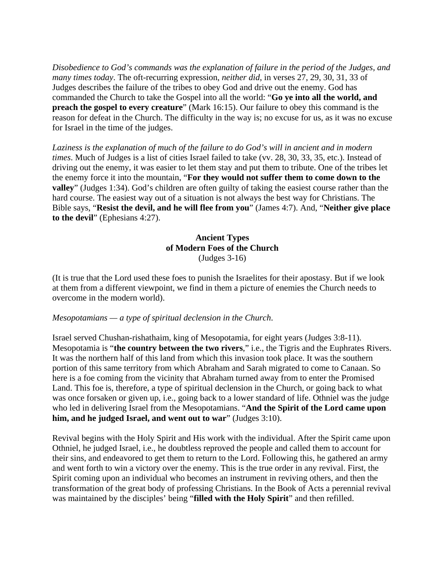*Disobedience to God's commands was the explanation of failure in the period of the Judges, and many times today*. The oft-recurring expression, *neither did*, in verses 27, 29, 30, 31, 33 of Judges describes the failure of the tribes to obey God and drive out the enemy. God has commanded the Church to take the Gospel into all the world: "**Go ye into all the world, and preach the gospel to every creature**" (Mark 16:15). Our failure to obey this command is the reason for defeat in the Church. The difficulty in the way is; no excuse for us, as it was no excuse for Israel in the time of the judges.

*Laziness is the explanation of much of the failure to do God's will in ancient and in modern times*. Much of Judges is a list of cities Israel failed to take (vv. 28, 30, 33, 35, etc.). Instead of driving out the enemy, it was easier to let them stay and put them to tribute. One of the tribes let the enemy force it into the mountain, "**For they would not suffer them to come down to the valley**" (Judges 1:34). God's children are often guilty of taking the easiest course rather than the hard course. The easiest way out of a situation is not always the best way for Christians. The Bible says, "**Resist the devil, and he will flee from you**" (James 4:7). And, "**Neither give place to the devil**" (Ephesians 4:27).

## **Ancient Types of Modern Foes of the Church**  (Judges 3-16)

(It is true that the Lord used these foes to punish the Israelites for their apostasy. But if we look at them from a different viewpoint, we find in them a picture of enemies the Church needs to overcome in the modern world).

#### *Mesopotamians — a type of spiritual declension in the Church*.

Israel served Chushan-rishathaim, king of Mesopotamia, for eight years (Judges 3:8-11). Mesopotamia is "**the country between the two rivers**," i.e., the Tigris and the Euphrates Rivers. It was the northern half of this land from which this invasion took place. It was the southern portion of this same territory from which Abraham and Sarah migrated to come to Canaan. So here is a foe coming from the vicinity that Abraham turned away from to enter the Promised Land. This foe is, therefore, a type of spiritual declension in the Church, or going back to what was once forsaken or given up, i.e., going back to a lower standard of life. Othniel was the judge who led in delivering Israel from the Mesopotamians. "**And the Spirit of the Lord came upon him, and he judged Israel, and went out to war**" (Judges 3:10).

Revival begins with the Holy Spirit and His work with the individual. After the Spirit came upon Othniel, he judged Israel, i.e., he doubtless reproved the people and called them to account for their sins, and endeavored to get them to return to the Lord. Following this, he gathered an army and went forth to win a victory over the enemy. This is the true order in any revival. First, the Spirit coming upon an individual who becomes an instrument in reviving others, and then the transformation of the great body of professing Christians. In the Book of Acts a perennial revival was maintained by the disciples' being "**filled with the Holy Spirit**" and then refilled.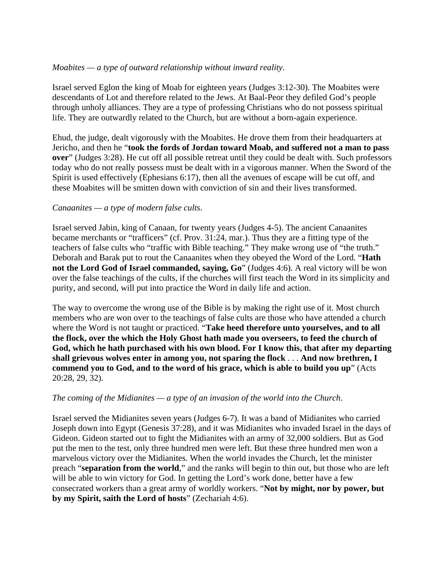## *Moabites — a type of outward relationship without inward reality*.

Israel served Eglon the king of Moab for eighteen years (Judges 3:12-30). The Moabites were descendants of Lot and therefore related to the Jews. At Baal-Peor they defiled God's people through unholy alliances. They are a type of professing Christians who do not possess spiritual life. They are outwardly related to the Church, but are without a born-again experience.

Ehud, the judge, dealt vigorously with the Moabites. He drove them from their headquarters at Jericho, and then he "**took the fords of Jordan toward Moab, and suffered not a man to pass over**" (Judges 3:28). He cut off all possible retreat until they could be dealt with. Such professors today who do not really possess must be dealt with in a vigorous manner. When the Sword of the Spirit is used effectively (Ephesians 6:17), then all the avenues of escape will be cut off, and these Moabites will be smitten down with conviction of sin and their lives transformed.

## *Canaanites — a type of modern false cults*.

Israel served Jabin, king of Canaan, for twenty years (Judges 4-5). The ancient Canaanites became merchants or "trafficers" (cf. Prov. 31:24, mar.). Thus they are a fitting type of the teachers of false cults who "traffic with Bible teaching." They make wrong use of "the truth." Deborah and Barak put to rout the Canaanites when they obeyed the Word of the Lord. "**Hath not the Lord God of Israel commanded, saying, Go**" (Judges 4:6). A real victory will be won over the false teachings of the cults, if the churches will first teach the Word in its simplicity and purity, and second, will put into practice the Word in daily life and action.

The way to overcome the wrong use of the Bible is by making the right use of it. Most church members who are won over to the teachings of false cults are those who have attended a church where the Word is not taught or practiced. "**Take heed therefore unto yourselves, and to all the flock, over the which the Holy Ghost hath made you overseers, to feed the church of God, which he hath purchased with his own blood. For I know this, that after my departing shall grievous wolves enter in among you, not sparing the flock** . . . **And now brethren, I commend you to God, and to the word of his grace, which is able to build you up**" (Acts 20:28, 29, 32).

## *The coming of the Midianites — a type of an invasion of the world into the Church*.

Israel served the Midianites seven years (Judges 6-7). It was a band of Midianites who carried Joseph down into Egypt (Genesis 37:28), and it was Midianites who invaded Israel in the days of Gideon. Gideon started out to fight the Midianites with an army of 32,000 soldiers. But as God put the men to the test, only three hundred men were left. But these three hundred men won a marvelous victory over the Midianites. When the world invades the Church, let the minister preach "**separation from the world**," and the ranks will begin to thin out, but those who are left will be able to win victory for God. In getting the Lord's work done, better have a few consecrated workers than a great army of worldly workers. "**Not by might, nor by power, but by my Spirit, saith the Lord of hosts**" (Zechariah 4:6).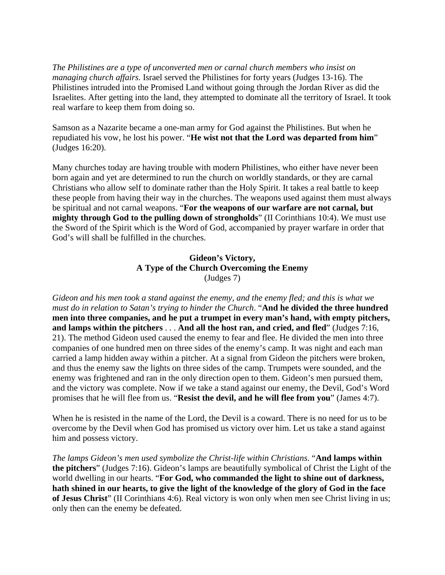*The Philistines are a type of unconverted men or carnal church members who insist on managing church affairs*. Israel served the Philistines for forty years (Judges 13-16). The Philistines intruded into the Promised Land without going through the Jordan River as did the Israelites. After getting into the land, they attempted to dominate all the territory of Israel. It took real warfare to keep them from doing so.

Samson as a Nazarite became a one-man army for God against the Philistines. But when he repudiated his vow, he lost his power. "**He wist not that the Lord was departed from him**" (Judges 16:20).

Many churches today are having trouble with modern Philistines, who either have never been born again and yet are determined to run the church on worldly standards, or they are carnal Christians who allow self to dominate rather than the Holy Spirit. It takes a real battle to keep these people from having their way in the churches. The weapons used against them must always be spiritual and not carnal weapons. "**For the weapons of our warfare are not carnal, but mighty through God to the pulling down of strongholds**" (II Corinthians 10:4). We must use the Sword of the Spirit which is the Word of God, accompanied by prayer warfare in order that God's will shall be fulfilled in the churches.

## **Gideon's Victory, A Type of the Church Overcoming the Enemy**  (Judges 7)

*Gideon and his men took a stand against the enemy, and the enemy fled; and this is what we must do in relation to Satan's trying to hinder the Church*. "**And he divided the three hundred men into three companies, and he put a trumpet in every man's hand, with empty pitchers, and lamps within the pitchers** . . . **And all the host ran, and cried, and fled**" (Judges 7:16, 21). The method Gideon used caused the enemy to fear and flee. He divided the men into three companies of one hundred men on three sides of the enemy's camp. It was night and each man carried a lamp hidden away within a pitcher. At a signal from Gideon the pitchers were broken, and thus the enemy saw the lights on three sides of the camp. Trumpets were sounded, and the enemy was frightened and ran in the only direction open to them. Gideon's men pursued them, and the victory was complete. Now if we take a stand against our enemy, the Devil, God's Word promises that he will flee from us. "**Resist the devil, and he will flee from you**" (James 4:7).

When he is resisted in the name of the Lord, the Devil is a coward. There is no need for us to be overcome by the Devil when God has promised us victory over him. Let us take a stand against him and possess victory.

*The lamps Gideon's men used symbolize the Christ-life within Christians*. "**And lamps within the pitchers**" (Judges 7:16). Gideon's lamps are beautifully symbolical of Christ the Light of the world dwelling in our hearts. "**For God, who commanded the light to shine out of darkness, hath shined in our hearts, to give the light of the knowledge of the glory of God in the face of Jesus Christ**" (II Corinthians 4:6). Real victory is won only when men see Christ living in us; only then can the enemy be defeated.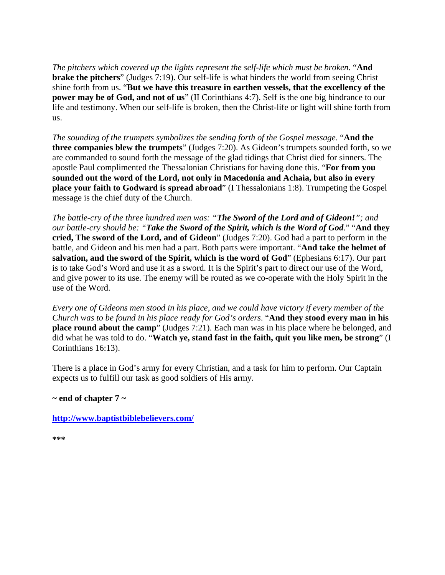*The pitchers which covered up the lights represent the self-life which must be broken*. "**And brake the pitchers**" (Judges 7:19). Our self-life is what hinders the world from seeing Christ shine forth from us. "**But we have this treasure in earthen vessels, that the excellency of the power may be of God, and not of us**" (II Corinthians 4:7). Self is the one big hindrance to our life and testimony. When our self-life is broken, then the Christ-life or light will shine forth from us.

*The sounding of the trumpets symbolizes the sending forth of the Gospel message*. "**And the three companies blew the trumpets**" (Judges 7:20). As Gideon's trumpets sounded forth, so we are commanded to sound forth the message of the glad tidings that Christ died for sinners. The apostle Paul complimented the Thessalonian Christians for having done this. "**For from you sounded out the word of the Lord, not only in Macedonia and Achaia, but also in every place your faith to Godward is spread abroad**" (I Thessalonians 1:8). Trumpeting the Gospel message is the chief duty of the Church.

*The battle-cry of the three hundred men was: "The Sword of the Lord and of Gideon!"; and our battle-cry should be: "Take the Sword of the Spirit, which is the Word of God*." "**And they cried, The sword of the Lord, and of Gideon**" (Judges 7:20). God had a part to perform in the battle, and Gideon and his men had a part. Both parts were important. "**And take the helmet of salvation, and the sword of the Spirit, which is the word of God**" (Ephesians 6:17). Our part is to take God's Word and use it as a sword. It is the Spirit's part to direct our use of the Word, and give power to its use. The enemy will be routed as we co-operate with the Holy Spirit in the use of the Word.

*Every one of Gideons men stood in his place, and we could have victory if every member of the Church was to be found in his place ready for God's orders*. "**And they stood every man in his place round about the camp**" (Judges 7:21). Each man was in his place where he belonged, and did what he was told to do. "**Watch ye, stand fast in the faith, quit you like men, be strong**" (I Corinthians 16:13).

There is a place in God's army for every Christian, and a task for him to perform. Our Captain expects us to fulfill our task as good soldiers of His army.

**~ end of chapter 7 ~** 

**http://www.baptistbiblebelievers.com/**

**\*\*\***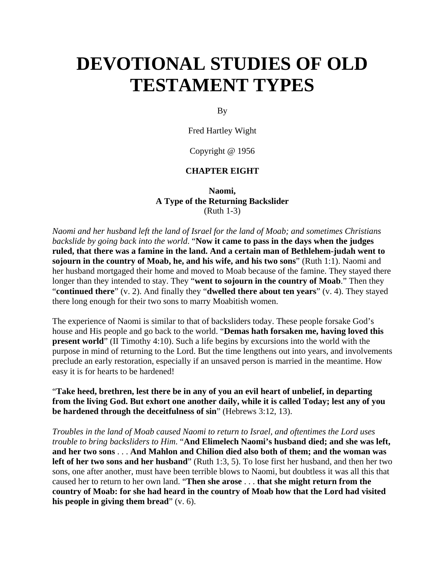# **DEVOTIONAL STUDIES OF OLD TESTAMENT TYPES**

By

Fred Hartley Wight

Copyright @ 1956

### **CHAPTER EIGHT**

**Naomi, A Type of the Returning Backslider** (Ruth 1-3)

*Naomi and her husband left the land of Israel for the land of Moab; and sometimes Christians backslide by going back into the world*. "**Now it came to pass in the days when the judges ruled, that there was a famine in the land. And a certain man of Bethlehem-judah went to sojourn in the country of Moab, he, and his wife, and his two sons**" (Ruth 1:1). Naomi and her husband mortgaged their home and moved to Moab because of the famine. They stayed there longer than they intended to stay. They "**went to sojourn in the country of Moab**." Then they "**continued there**" (v. 2). And finally they "**dwelled there about ten years**" (v. 4). They stayed there long enough for their two sons to marry Moabitish women.

The experience of Naomi is similar to that of backsliders today. These people forsake God's house and His people and go back to the world. "**Demas hath forsaken me, having loved this present world**" (II Timothy 4:10). Such a life begins by excursions into the world with the purpose in mind of returning to the Lord. But the time lengthens out into years, and involvements preclude an early restoration, especially if an unsaved person is married in the meantime. How easy it is for hearts to be hardened!

"**Take heed, brethren, lest there be in any of you an evil heart of unbelief, in departing from the living God. But exhort one another daily, while it is called Today; lest any of you be hardened through the deceitfulness of sin**" (Hebrews 3:12, 13).

*Troubles in the land of Moab caused Naomi to return to Israel, and oftentimes the Lord uses trouble to bring backsliders to Him*. "**And Elimelech Naomi's husband died; and she was left, and her two sons** . . . **And Mahlon and Chilion died also both of them; and the woman was**  left of her two sons and her husband" (Ruth 1:3, 5). To lose first her husband, and then her two sons, one after another, must have been terrible blows to Naomi, but doubtless it was all this that caused her to return to her own land. "**Then she arose** . . . **that she might return from the country of Moab: for she had heard in the country of Moab how that the Lord had visited his people in giving them bread**" (v. 6).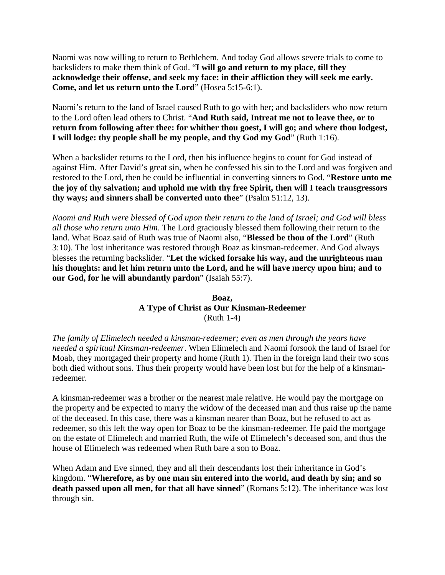Naomi was now willing to return to Bethlehem. And today God allows severe trials to come to backsliders to make them think of God. "**I will go and return to my place, till they acknowledge their offense, and seek my face: in their affliction they will seek me early. Come, and let us return unto the Lord**" (Hosea 5:15-6:1).

Naomi's return to the land of Israel caused Ruth to go with her; and backsliders who now return to the Lord often lead others to Christ. "**And Ruth said, Intreat me not to leave thee, or to return from following after thee: for whither thou goest, I will go; and where thou lodgest, I will lodge: thy people shall be my people, and thy God my God**" (Ruth 1:16).

When a backslider returns to the Lord, then his influence begins to count for God instead of against Him. After David's great sin, when he confessed his sin to the Lord and was forgiven and restored to the Lord, then he could be influential in converting sinners to God. "**Restore unto me the joy of thy salvation; and uphold me with thy free Spirit, then will I teach transgressors thy ways; and sinners shall be converted unto thee**" (Psalm 51:12, 13).

*Naomi and Ruth were blessed of God upon their return to the land of Israel; and God will bless all those who return unto Him*. The Lord graciously blessed them following their return to the land. What Boaz said of Ruth was true of Naomi also, "**Blessed be thou of the Lord**" (Ruth 3:10). The lost inheritance was restored through Boaz as kinsman-redeemer. And God always blesses the returning backslider. "**Let the wicked forsake his way, and the unrighteous man his thoughts: and let him return unto the Lord, and he will have mercy upon him; and to our God, for he will abundantly pardon**" (Isaiah 55:7).

## **Boaz, A Type of Christ as Our Kinsman-Redeemer** (Ruth 1-4)

*The family of Elimelech needed a kinsman-redeemer; even as men through the years have needed a spiritual Kinsman-redeemer*. When Elimelech and Naomi forsook the land of Israel for Moab, they mortgaged their property and home (Ruth 1). Then in the foreign land their two sons both died without sons. Thus their property would have been lost but for the help of a kinsmanredeemer.

A kinsman-redeemer was a brother or the nearest male relative. He would pay the mortgage on the property and be expected to marry the widow of the deceased man and thus raise up the name of the deceased. In this case, there was a kinsman nearer than Boaz, but he refused to act as redeemer, so this left the way open for Boaz to be the kinsman-redeemer. He paid the mortgage on the estate of Elimelech and married Ruth, the wife of Elimelech's deceased son, and thus the house of Elimelech was redeemed when Ruth bare a son to Boaz.

When Adam and Eve sinned, they and all their descendants lost their inheritance in God's kingdom. "**Wherefore, as by one man sin entered into the world, and death by sin; and so death passed upon all men, for that all have sinned**" (Romans 5:12). The inheritance was lost through sin.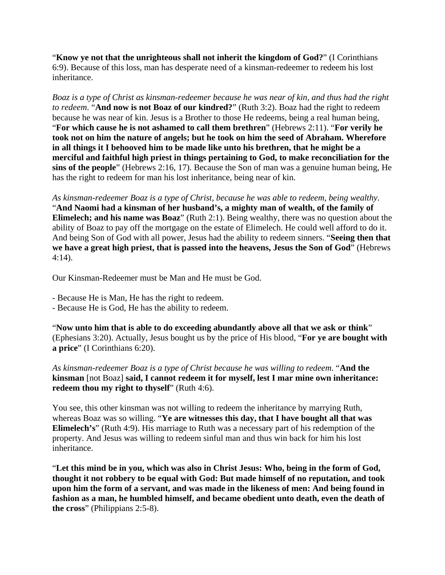"**Know ye not that the unrighteous shall not inherit the kingdom of God?**" (I Corinthians 6:9). Because of this loss, man has desperate need of a kinsman-redeemer to redeem his lost inheritance.

*Boaz is a type of Christ as kinsman-redeemer because he was near of kin, and thus had the right to redeem*. "**And now is not Boaz of our kindred?**" (Ruth 3:2). Boaz had the right to redeem because he was near of kin. Jesus is a Brother to those He redeems, being a real human being, "**For which cause he is not ashamed to call them brethren**" (Hebrews 2:11). "**For verily he took not on him the nature of angels; but he took on him the seed of Abraham. Wherefore in all things it I behooved him to be made like unto his brethren, that he might be a merciful and faithful high priest in things pertaining to God, to make reconciliation for the sins of the people**" (Hebrews 2:16, 17). Because the Son of man was a genuine human being, He has the right to redeem for man his lost inheritance, being near of kin.

*As kinsman-redeemer Boaz is a type of Christ, because he was able to redeem, being wealthy*. "**And Naomi had a kinsman of her husband's, a mighty man of wealth, of the family of Elimelech; and his name was Boaz**" (Ruth 2:1). Being wealthy, there was no question about the ability of Boaz to pay off the mortgage on the estate of Elimelech. He could well afford to do it. And being Son of God with all power, Jesus had the ability to redeem sinners. "**Seeing then that we have a great high priest, that is passed into the heavens, Jesus the Son of God**" (Hebrews 4:14).

Our Kinsman-Redeemer must be Man and He must be God.

- Because He is Man, He has the right to redeem.
- Because He is God, He has the ability to redeem.

"**Now unto him that is able to do exceeding abundantly above all that we ask or think**" (Ephesians 3:20). Actually, Jesus bought us by the price of His blood, "**For ye are bought with a price**" (I Corinthians 6:20).

*As kinsman-redeemer Boaz is a type of Christ because he was willing to redeem*. "**And the kinsman** [not Boaz] **said, I cannot redeem it for myself, lest I mar mine own inheritance: redeem thou my right to thyself**" (Ruth 4:6).

You see, this other kinsman was not willing to redeem the inheritance by marrying Ruth, whereas Boaz was so willing. "**Ye are witnesses this day, that I have bought all that was Elimelech's**" (Ruth 4:9). His marriage to Ruth was a necessary part of his redemption of the property. And Jesus was willing to redeem sinful man and thus win back for him his lost inheritance.

"**Let this mind be in you, which was also in Christ Jesus: Who, being in the form of God, thought it not robbery to be equal with God: But made himself of no reputation, and took upon him the form of a servant, and was made in the likeness of men: And being found in fashion as a man, he humbled himself, and became obedient unto death, even the death of the cross**" (Philippians 2:5-8).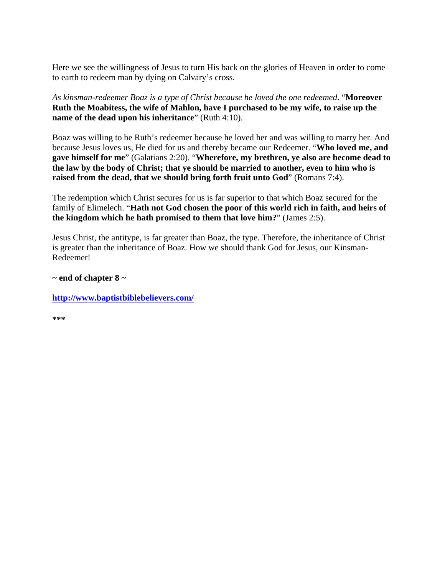Here we see the willingness of Jesus to turn His back on the glories of Heaven in order to come to earth to redeem man by dying on Calvary's cross.

*As kinsman-redeemer Boaz is a type of Christ because he loved the one redeemed*. "**Moreover Ruth the Moabitess, the wife of Mahlon, have I purchased to be my wife, to raise up the name of the dead upon his inheritance**" (Ruth 4:10).

Boaz was willing to be Ruth's redeemer because he loved her and was willing to marry her. And because Jesus loves us, He died for us and thereby became our Redeemer. "**Who loved me, and gave himself for me**" (Galatians 2:20). "**Wherefore, my brethren, ye also are become dead to the law by the body of Christ; that ye should be married to another, even to him who is raised from the dead, that we should bring forth fruit unto God**" (Romans 7:4).

The redemption which Christ secures for us is far superior to that which Boaz secured for the family of Elimelech. "**Hath not God chosen the poor of this world rich in faith, and heirs of the kingdom which he hath promised to them that love him?**" (James 2:5).

Jesus Christ, the antitype, is far greater than Boaz, the type. Therefore, the inheritance of Christ is greater than the inheritance of Boaz. How we should thank God for Jesus, our Kinsman-Redeemer!

**~ end of chapter 8 ~** 

**http://www.baptistbiblebelievers.com/**

**\*\*\***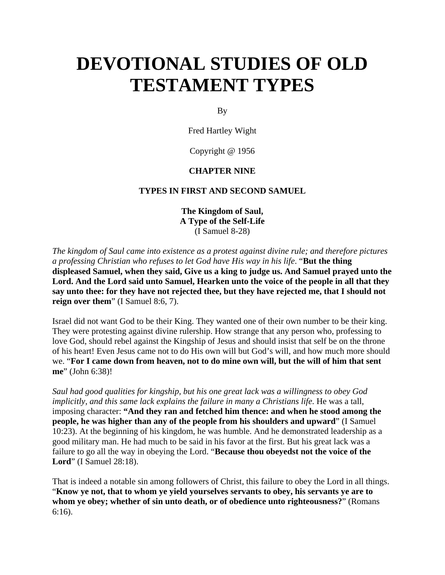# **DEVOTIONAL STUDIES OF OLD TESTAMENT TYPES**

By

Fred Hartley Wight

Copyright @ 1956

### **CHAPTER NINE**

### **TYPES IN FIRST AND SECOND SAMUEL**

**The Kingdom of Saul, A Type of the Self-Life**  (I Samuel 8-28)

*The kingdom of Saul came into existence as a protest against divine rule; and therefore pictures a professing Christian who refuses to let God have His way in his life*. "**But the thing displeased Samuel, when they said, Give us a king to judge us. And Samuel prayed unto the Lord. And the Lord said unto Samuel, Hearken unto the voice of the people in all that they say unto thee: for they have not rejected thee, but they have rejected me, that I should not reign over them**" (I Samuel 8:6, 7).

Israel did not want God to be their King. They wanted one of their own number to be their king. They were protesting against divine rulership. How strange that any person who, professing to love God, should rebel against the Kingship of Jesus and should insist that self be on the throne of his heart! Even Jesus came not to do His own will but God's will, and how much more should we. "**For I came down from heaven, not to do mine own will, but the will of him that sent me**" (John 6:38)!

*Saul had good qualities for kingship, but his one great lack was a willingness to obey God implicitly, and this same lack explains the failure in many a Christians life.* He was a tall, imposing character: **"And they ran and fetched him thence: and when he stood among the people, he was higher than any of the people from his shoulders and upward**" (I Samuel 10:23). At the beginning of his kingdom, he was humble. And he demonstrated leadership as a good military man. He had much to be said in his favor at the first. But his great lack was a failure to go all the way in obeying the Lord. "**Because thou obeyedst not the voice of the Lord**" (I Samuel 28:18).

That is indeed a notable sin among followers of Christ, this failure to obey the Lord in all things. "**Know ye not, that to whom ye yield yourselves servants to obey, his servants ye are to whom ye obey; whether of sin unto death, or of obedience unto righteousness?**" (Romans 6:16).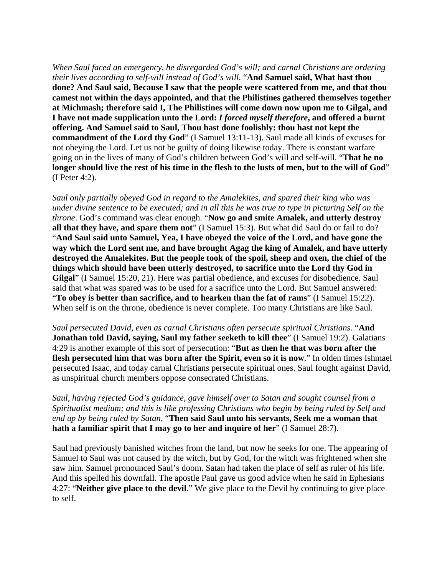*When Saul faced an emergency, he disregarded God's will; and carnal Christians are ordering their lives according to self-will instead of God's will*. "**And Samuel said, What hast thou done? And Saul said, Because I saw that the people were scattered from me, and that thou camest not within the days appointed, and that the Philistines gathered themselves together at Michmash; therefore said I, The Philistines will come down now upon me to Gilgal, and I have not made supplication unto the Lord:** *I forced myself therefore***, and offered a burnt offering. And Samuel said to Saul, Thou hast done foolishly: thou hast not kept the commandment of the Lord thy God**" (I Samuel 13:11-13). Saul made all kinds of excuses for not obeying the Lord. Let us not be guilty of doing likewise today. There is constant warfare going on in the lives of many of God's children between God's will and self-will. "**That he no longer should live the rest of his time in the flesh to the lusts of men, but to the will of God**" (I Peter 4:2).

*Saul only partially obeyed God in regard to the Amalekites, and spared their king who was under divine sentence to be executed; and in all this he was true to type in picturing Self on the throne*. God's command was clear enough. "**Now go and smite Amalek, and utterly destroy all that they have, and spare them not**" (I Samuel 15:3). But what did Saul do or fail to do? "**And Saul said unto Samuel, Yea, I have obeyed the voice of the Lord, and have gone the way which the Lord sent me, and have brought Agag the king of Amalek, and have utterly destroyed the Amalekites. But the people took of the spoil, sheep and oxen, the chief of the things which should have been utterly destroyed, to sacrifice unto the Lord thy God in Gilgal**" (I Samuel 15:20, 21). Here was partial obedience, and excuses for disobedience. Saul said that what was spared was to be used for a sacrifice unto the Lord. But Samuel answered: "**To obey is better than sacrifice, and to hearken than the fat of rams**" (I Samuel 15:22). When self is on the throne, obedience is never complete. Too many Christians are like Saul.

*Saul persecuted David, even as carnal Christians often persecute spiritual Christians*. "**And Jonathan told David, saying, Saul my father seeketh to kill thee**" (I Samuel 19:2). Galatians 4:29 is another example of this sort of persecution: "**But as then he that was born after the flesh persecuted him that was born after the Spirit, even so it is now**." In olden times Ishmael persecuted Isaac, and today carnal Christians persecute spiritual ones. Saul fought against David, as unspiritual church members oppose consecrated Christians.

*Saul, having rejected God's guidance, gave himself over to Satan and sought counsel from a Spiritualist medium; and this is like professing Christians who begin by being ruled by Self and end up by being ruled by Satan*, "**Then said Saul unto his servants, Seek me a woman that hath a familiar spirit that I may go to her and inquire of her**" (I Samuel 28:7).

Saul had previously banished witches from the land, but now he seeks for one. The appearing of Samuel to Saul was not caused by the witch, but by God, for the witch was frightened when she saw him. Samuel pronounced Saul's doom. Satan had taken the place of self as ruler of his life. And this spelled his downfall. The apostle Paul gave us good advice when he said in Ephesians 4:27: "**Neither give place to the devil**." We give place to the Devil by continuing to give place to self.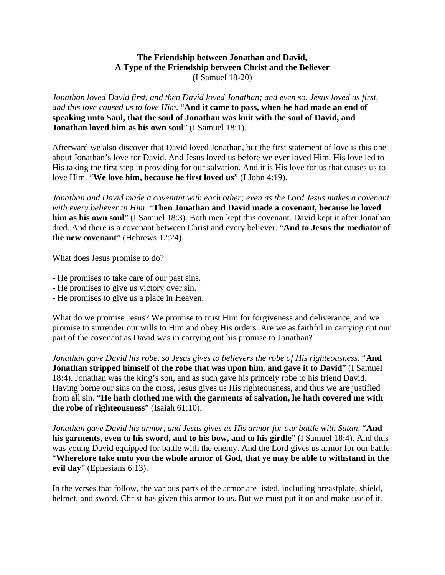## **The Friendship between Jonathan and David, A Type of the Friendship between Christ and the Believer**  (I Samuel 18-20)

*Jonathan loved David first, and then David loved Jonathan; and even so, Jesus loved us first, and this love caused us to love Him*. "**And it came to pass, when he had made an end of speaking unto Saul, that the soul of Jonathan was knit with the soul of David, and Jonathan loved him as his own soul**" (I Samuel 18:1).

Afterward we also discover that David loved Jonathan, but the first statement of love is this one about Jonathan's love for David. And Jesus loved us before we ever loved Him. His love led to His taking the first step in providing for our salvation. And it is His love for us that causes us to love Him. "**We love him, because he first loved us**" (I John 4:19).

*Jonathan and David made a covenant with each other; even as the Lord Jesus makes a covenant with every believer in Him*. "**Then Jonathan and David made a covenant, because he loved him as his own soul**" (I Samuel 18:3). Both men kept this covenant. David kept it after Jonathan died. And there is a covenant between Christ and every believer. "**And to Jesus the mediator of the new covenant**" (Hebrews 12:24).

What does Jesus promise to do?

- He promises to take care of our past sins.
- He promises to give us victory over sin.
- He promises to give us a place in Heaven.

What do we promise Jesus? We promise to trust Him for forgiveness and deliverance, and we promise to surrender our wills to Him and obey His orders. Are we as faithful in carrying out our part of the covenant as David was in carrying out his promise to Jonathan?

*Jonathan gave David his robe, so Jesus gives to believers the robe of His righteousness*. "**And Jonathan stripped himself of the robe that was upon him, and gave it to David**" (I Samuel 18:4). Jonathan was the king's son, and as such gave his princely robe to his friend David. Having borne our sins on the cross, Jesus gives us His righteousness, and thus we are justified from all sin. "**He hath clothed me with the garments of salvation, he hath covered me with the robe of righteousness**" (Isaiah 61:10).

*Jonathan gave David his armor, and Jesus gives us His armor for our battle with Satan*. "**And his garments, even to his sword, and to his bow, and to his girdle**" (I Samuel 18:4). And thus was young David equipped for battle with the enemy. And the Lord gives us armor for our battle: "**Wherefore take unto you the whole armor of God, that ye may be able to withstand in the evil day**" (Ephesians 6:13).

In the verses that follow, the various parts of the armor are listed, including breastplate, shield, helmet, and sword. Christ has given this armor to us. But we must put it on and make use of it.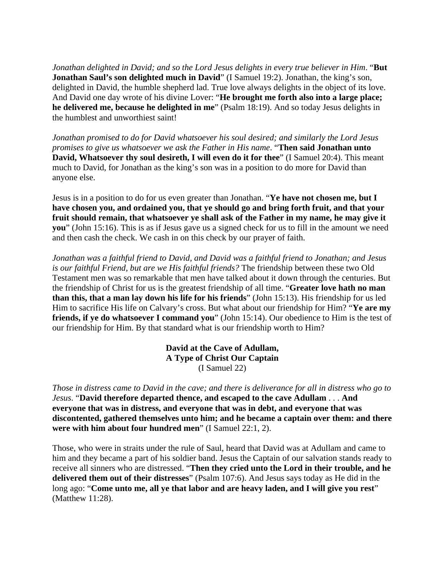*Jonathan delighted in David; and so the Lord Jesus delights in every true believer in Him*. "**But Jonathan Saul's son delighted much in David**" (I Samuel 19:2). Jonathan, the king's son, delighted in David, the humble shepherd lad. True love always delights in the object of its love. And David one day wrote of his divine Lover: "**He brought me forth also into a large place; he delivered me, because he delighted in me**" (Psalm 18:19). And so today Jesus delights in the humblest and unworthiest saint!

*Jonathan promised to do for David whatsoever his soul desired; and similarly the Lord Jesus promises to give us whatsoever we ask the Father in His name*. "**Then said Jonathan unto David, Whatsoever thy soul desireth, I will even do it for thee**" (I Samuel 20:4). This meant much to David, for Jonathan as the king's son was in a position to do more for David than anyone else.

Jesus is in a position to do for us even greater than Jonathan. "**Ye have not chosen me, but I have chosen you, and ordained you, that ye should go and bring forth fruit, and that your fruit should remain, that whatsoever ye shall ask of the Father in my name, he may give it you**" (John 15:16). This is as if Jesus gave us a signed check for us to fill in the amount we need and then cash the check. We cash in on this check by our prayer of faith.

*Jonathan was a faithful friend to David, and David was a faithful friend to Jonathan; and Jesus is our faithful Friend, but are we His faithful friends?* The friendship between these two Old Testament men was so remarkable that men have talked about it down through the centuries. But the friendship of Christ for us is the greatest friendship of all time. "**Greater love hath no man than this, that a man lay down his life for his friends**" (John 15:13). His friendship for us led Him to sacrifice His life on Calvary's cross. But what about our friendship for Him? "**Ye are my friends, if ye do whatsoever I command you**" (John 15:14). Our obedience to Him is the test of our friendship for Him. By that standard what is our friendship worth to Him?

> **David at the Cave of Adullam, A Type of Christ Our Captain**  (I Samuel 22)

*Those in distress came to David in the cave; and there is deliverance for all in distress who go to Jesus*. "**David therefore departed thence, and escaped to the cave Adullam** . . . **And everyone that was in distress, and everyone that was in debt, and everyone that was discontented, gathered themselves unto him; and he became a captain over them: and there were with him about four hundred men**" (I Samuel 22:1, 2).

Those, who were in straits under the rule of Saul, heard that David was at Adullam and came to him and they became a part of his soldier band. Jesus the Captain of our salvation stands ready to receive all sinners who are distressed. "**Then they cried unto the Lord in their trouble, and he delivered them out of their distresses**" (Psalm 107:6). And Jesus says today as He did in the long ago: "**Come unto me, all ye that labor and are heavy laden, and I will give you rest**" (Matthew 11:28).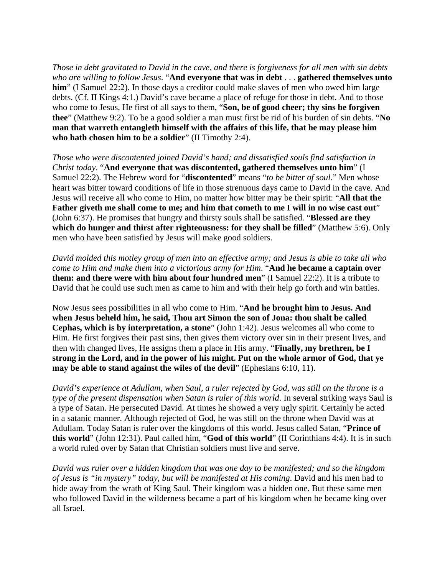*Those in debt gravitated to David in the cave, and there is forgiveness for all men with sin debts who are willing to follow Jesus*. "**And everyone that was in debt** . . . **gathered themselves unto him**" (I Samuel 22:2). In those days a creditor could make slaves of men who owed him large debts. (Cf. II Kings 4:1.) David's cave became a place of refuge for those in debt. And to those who come to Jesus, He first of all says to them, "**Son, be of good cheer; thy sins be forgiven thee**" (Matthew 9:2). To be a good soldier a man must first be rid of his burden of sin debts. "**No man that warreth entangleth himself with the affairs of this life, that he may please him who hath chosen him to be a soldier**" (II Timothy 2:4).

*Those who were discontented joined David's band; and dissatisfied souls find satisfaction in Christ today*. "**And everyone that was discontented, gathered themselves unto him**" (I Samuel 22:2). The Hebrew word for "**discontented**" means "*to be bitter of soul*." Men whose heart was bitter toward conditions of life in those strenuous days came to David in the cave. And Jesus will receive all who come to Him, no matter how bitter may be their spirit: "**All that the Father giveth me shall come to me; and him that cometh to me I will in no wise cast out**" (John 6:37). He promises that hungry and thirsty souls shall be satisfied. "**Blessed are they which do hunger and thirst after righteousness: for they shall be filled**" (Matthew 5:6). Only men who have been satisfied by Jesus will make good soldiers.

*David molded this motley group of men into an effective army; and Jesus is able to take all who come to Him and make them into a victorious army for Him*. "**And he became a captain over them: and there were with him about four hundred men**" (I Samuel 22:2). It is a tribute to David that he could use such men as came to him and with their help go forth and win battles.

Now Jesus sees possibilities in all who come to Him. "**And he brought him to Jesus. And when Jesus beheld him, he said, Thou art Simon the son of Jona: thou shalt be called Cephas, which is by interpretation, a stone**" (John 1:42). Jesus welcomes all who come to Him. He first forgives their past sins, then gives them victory over sin in their present lives, and then with changed lives, He assigns them a place in His army. "**Finally, my brethren, be I strong in the Lord, and in the power of his might. Put on the whole armor of God, that ye may be able to stand against the wiles of the devil**" (Ephesians 6:10, 11).

*David's experience at Adullam, when Saul, a ruler rejected by God, was still on the throne is a type of the present dispensation when Satan is ruler of this world*. In several striking ways Saul is a type of Satan. He persecuted David. At times he showed a very ugly spirit. Certainly he acted in a satanic manner. Although rejected of God, he was still on the throne when David was at Adullam. Today Satan is ruler over the kingdoms of this world. Jesus called Satan, "**Prince of this world**" (John 12:31). Paul called him, "**God of this world**" (II Corinthians 4:4). It is in such a world ruled over by Satan that Christian soldiers must live and serve.

*David was ruler over a hidden kingdom that was one day to be manifested; and so the kingdom of Jesus is "in mystery" today, but will be manifested at His coming*. David and his men had to hide away from the wrath of King Saul. Their kingdom was a hidden one. But these same men who followed David in the wilderness became a part of his kingdom when he became king over all Israel.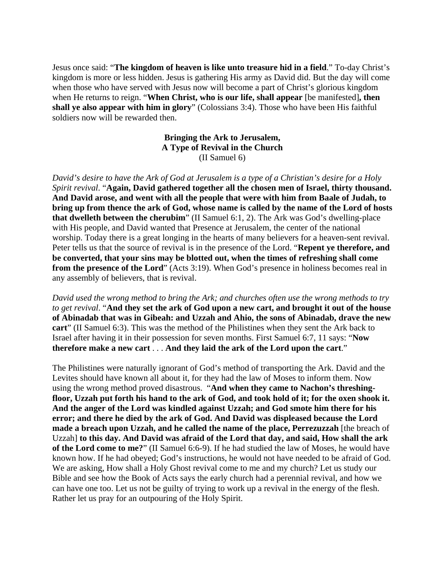Jesus once said: "**The kingdom of heaven is like unto treasure hid in a field**." To-day Christ's kingdom is more or less hidden. Jesus is gathering His army as David did. But the day will come when those who have served with Jesus now will become a part of Christ's glorious kingdom when He returns to reign. "**When Christ, who is our life, shall appear** [be manifested]**, then shall ye also appear with him in glory**" (Colossians 3:4). Those who have been His faithful soldiers now will be rewarded then.

### **Bringing the Ark to Jerusalem, A Type of Revival in the Church**  (II Samuel 6)

*David's desire to have the Ark of God at Jerusalem is a type of a Christian's desire for a Holy Spirit revival*. "**Again, David gathered together all the chosen men of Israel, thirty thousand. And David arose, and went with all the people that were with him from Baale of Judah, to bring up from thence the ark of God, whose name is called by the name of the Lord of hosts that dwelleth between the cherubim**" (II Samuel 6:1, 2). The Ark was God's dwelling-place with His people, and David wanted that Presence at Jerusalem, the center of the national worship. Today there is a great longing in the hearts of many believers for a heaven-sent revival. Peter tells us that the source of revival is in the presence of the Lord. "**Repent ye therefore, and be converted, that your sins may be blotted out, when the times of refreshing shall come from the presence of the Lord**" (Acts 3:19). When God's presence in holiness becomes real in any assembly of believers, that is revival.

*David used the wrong method to bring the Ark; and churches often use the wrong methods to try to get revival*. "**And they set the ark of God upon a new cart, and brought it out of the house of Abinadab that was in Gibeah: and Uzzah and Ahio, the sons of Abinadab, drave the new cart**" (II Samuel 6:3). This was the method of the Philistines when they sent the Ark back to Israel after having it in their possession for seven months. First Samuel 6:7, 11 says: "**Now therefore make a new cart** . . . **And they laid the ark of the Lord upon the cart**."

The Philistines were naturally ignorant of God's method of transporting the Ark. David and the Levites should have known all about it, for they had the law of Moses to inform them. Now using the wrong method proved disastrous. "**And when they came to Nachon's threshingfloor, Uzzah put forth his hand to the ark of God, and took hold of it; for the oxen shook it. And the anger of the Lord was kindled against Uzzah; and God smote him there for his error; and there he died by the ark of God. And David was displeased because the Lord made a breach upon Uzzah, and he called the name of the place, Perrezuzzah** [the breach of Uzzah] **to this day. And David was afraid of the Lord that day, and said, How shall the ark of the Lord come to me?**" (II Samuel 6:6-9). If he had studied the law of Moses, he would have known how. If he had obeyed; God's instructions, he would not have needed to be afraid of God. We are asking, How shall a Holy Ghost revival come to me and my church? Let us study our Bible and see how the Book of Acts says the early church had a perennial revival, and how we can have one too. Let us not be guilty of trying to work up a revival in the energy of the flesh. Rather let us pray for an outpouring of the Holy Spirit.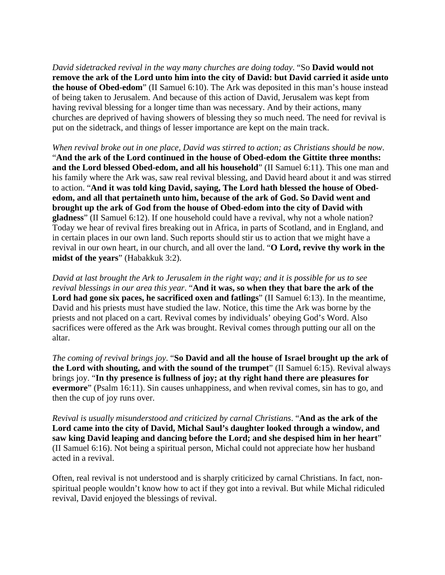*David sidetracked revival in the way many churches are doing today*. "So **David would not remove the ark of the Lord unto him into the city of David: but David carried it aside unto the house of Obed-edom**" (II Samuel 6:10). The Ark was deposited in this man's house instead of being taken to Jerusalem. And because of this action of David, Jerusalem was kept from having revival blessing for a longer time than was necessary. And by their actions, many churches are deprived of having showers of blessing they so much need. The need for revival is put on the sidetrack, and things of lesser importance are kept on the main track.

*When revival broke out in one place, David was stirred to action; as Christians should be now*. "**And the ark of the Lord continued in the house of Obed-edom the Gittite three months: and the Lord blessed Obed-edom, and all his household**" (II Samuel 6:11). This one man and his family where the Ark was, saw real revival blessing, and David heard about it and was stirred to action. "**And it was told king David, saying, The Lord hath blessed the house of Obededom, and all that pertaineth unto him, because of the ark of God. So David went and brought up the ark of God from the house of Obed-edom into the city of David with gladness**" (II Samuel 6:12). If one household could have a revival, why not a whole nation? Today we hear of revival fires breaking out in Africa, in parts of Scotland, and in England, and in certain places in our own land. Such reports should stir us to action that we might have a revival in our own heart, in our church, and all over the land. "**O Lord, revive thy work in the midst of the years**" (Habakkuk 3:2).

*David at last brought the Ark to Jerusalem in the right way; and it is possible for us to see revival blessings in our area this year*. "**And it was, so when they that bare the ark of the Lord had gone six paces, he sacrificed oxen and fatlings**" (II Samuel 6:13). In the meantime, David and his priests must have studied the law. Notice, this time the Ark was borne by the priests and not placed on a cart. Revival comes by individuals' obeying God's Word. Also sacrifices were offered as the Ark was brought. Revival comes through putting our all on the altar.

*The coming of revival brings joy*. "**So David and all the house of Israel brought up the ark of the Lord with shouting, and with the sound of the trumpet**" (II Samuel 6:15). Revival always brings joy. "**In thy presence is fullness of joy; at thy right hand there are pleasures for evermore**" (Psalm 16:11). Sin causes unhappiness, and when revival comes, sin has to go, and then the cup of joy runs over.

*Revival is usually misunderstood and criticized by carnal Christians*. "**And as the ark of the Lord came into the city of David, Michal Saul's daughter looked through a window, and saw king David leaping and dancing before the Lord; and she despised him in her heart**" (II Samuel 6:16). Not being a spiritual person, Michal could not appreciate how her husband acted in a revival.

Often, real revival is not understood and is sharply criticized by carnal Christians. In fact, nonspiritual people wouldn't know how to act if they got into a revival. But while Michal ridiculed revival, David enjoyed the blessings of revival.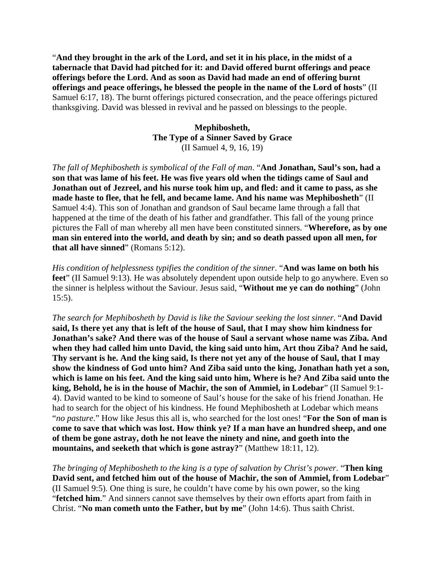"**And they brought in the ark of the Lord, and set it in his place, in the midst of a tabernacle that David had pitched for it: and David offered burnt offerings and peace offerings before the Lord. And as soon as David had made an end of offering burnt offerings and peace offerings, he blessed the people in the name of the Lord of hosts**" (II Samuel 6:17, 18). The burnt offerings pictured consecration, and the peace offerings pictured thanksgiving. David was blessed in revival and he passed on blessings to the people.

> **Mephibosheth, The Type of a Sinner Saved by Grace**  (II Samuel 4, 9, 16, 19)

*The fall of Mephibosheth is symbolical of the Fall of man*. "**And Jonathan, Saul's son, had a son that was lame of his feet. He was five years old when the tidings came of Saul and Jonathan out of Jezreel, and his nurse took him up, and fled: and it came to pass, as she made haste to flee, that he fell, and became lame. And his name was Mephibosheth**" (II Samuel 4:4). This son of Jonathan and grandson of Saul became lame through a fall that happened at the time of the death of his father and grandfather. This fall of the young prince pictures the Fall of man whereby all men have been constituted sinners. "**Wherefore, as by one man sin entered into the world, and death by sin; and so death passed upon all men, for that all have sinned**" (Romans 5:12).

*His condition of helplessness typifies the condition of the sinner*. "**And was lame on both his feet**" (II Samuel 9:13). He was absolutely dependent upon outside help to go anywhere. Even so the sinner is helpless without the Saviour. Jesus said, "**Without me ye can do nothing**" (John 15:5).

*The search for Mephibosheth by David is like the Saviour seeking the lost sinner*. "**And David said, Is there yet any that is left of the house of Saul, that I may show him kindness for Jonathan's sake? And there was of the house of Saul a servant whose name was Ziba. And when they had called him unto David, the king said unto him, Art thou Ziba? And he said, Thy servant is he. And the king said, Is there not yet any of the house of Saul, that I may show the kindness of God unto him? And Ziba said unto the king, Jonathan hath yet a son, which is lame on his feet. And the king said unto him, Where is he? And Ziba said unto the king, Behold, he is in the house of Machir, the son of Ammiel, in Lodebar**" (II Samuel 9:1- 4). David wanted to be kind to someone of Saul's house for the sake of his friend Jonathan. He had to search for the object of his kindness. He found Mephibosheth at Lodebar which means "*no pasture*." How like Jesus this all is, who searched for the lost ones! "**For the Son of man is come to save that which was lost. How think ye? If a man have an hundred sheep, and one of them be gone astray, doth he not leave the ninety and nine, and goeth into the mountains, and seeketh that which is gone astray?**" (Matthew 18:11, 12).

*The bringing of Mephibosheth to the king is a type of salvation by Christ's power*. "**Then king David sent, and fetched him out of the house of Machir, the son of Ammiel, from Lodebar**" (II Samuel 9:5). One thing is sure, he couldn't have come by his own power, so the king "**fetched him**." And sinners cannot save themselves by their own efforts apart from faith in Christ. "**No man cometh unto the Father, but by me**" (John 14:6). Thus saith Christ.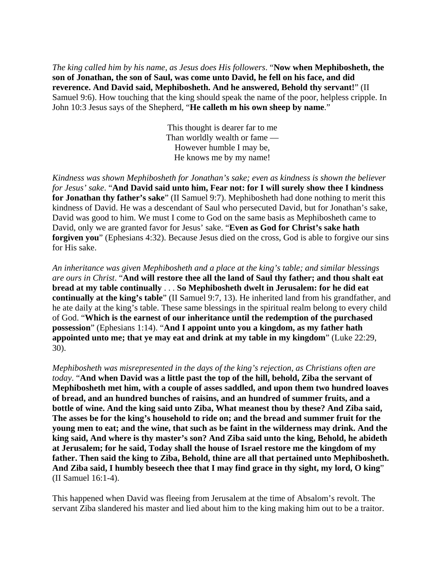*The king called him by his name, as Jesus does His followers*. "**Now when Mephibosheth, the son of Jonathan, the son of Saul, was come unto David, he fell on his face, and did reverence. And David said, Mephibosheth. And he answered, Behold thy servant!**" (II Samuel 9:6). How touching that the king should speak the name of the poor, helpless cripple. In John 10:3 Jesus says of the Shepherd, "**He calleth m his own sheep by name**."

> This thought is dearer far to me Than worldly wealth or fame — However humble I may be, He knows me by my name!

*Kindness was shown Mephibosheth for Jonathan's sake; even as kindness is shown the believer for Jesus' sake*. "**And David said unto him, Fear not: for I will surely show thee I kindness for Jonathan thy father's sake**" (II Samuel 9:7). Mephibosheth had done nothing to merit this kindness of David. He was a descendant of Saul who persecuted David, but for Jonathan's sake, David was good to him. We must I come to God on the same basis as Mephibosheth came to David, only we are granted favor for Jesus' sake. "**Even as God for Christ's sake hath forgiven you**" (Ephesians 4:32). Because Jesus died on the cross, God is able to forgive our sins for His sake.

*An inheritance was given Mephibosheth and a place at the king's table; and similar blessings are ours in Christ*. "**And will restore thee all the land of Saul thy father; and thou shalt eat bread at my table continually** . . . **So Mephibosheth dwelt in Jerusalem: for he did eat continually at the king's table**" (II Samuel 9:7, 13). He inherited land from his grandfather, and he ate daily at the king's table. These same blessings in the spiritual realm belong to every child of God. "**Which is the earnest of our inheritance until the redemption of the purchased possession**" (Ephesians 1:14). "**And I appoint unto you a kingdom, as my father hath appointed unto me; that ye may eat and drink at my table in my kingdom**" (Luke 22:29, 30).

*Mephibosheth was misrepresented in the days of the king's rejection, as Christians often are today*. "**And when David was a little past the top of the hill, behold, Ziba the servant of Mephibosheth met him, with a couple of asses saddled, and upon them two hundred loaves of bread, and an hundred bunches of raisins, and an hundred of summer fruits, and a bottle of wine. And the king said unto Ziba, What meanest thou by these? And Ziba said, The asses be for the king's household to ride on; and the bread and summer fruit for the young men to eat; and the wine, that such as be faint in the wilderness may drink. And the king said, And where is thy master's son? And Ziba said unto the king, Behold, he abideth at Jerusalem; for he said, Today shall the house of Israel restore me the kingdom of my father. Then said the king to Ziba, Behold, thine are all that pertained unto Mephibosheth. And Ziba said, I humbly beseech thee that I may find grace in thy sight, my lord, O king**" (II Samuel 16:1-4).

This happened when David was fleeing from Jerusalem at the time of Absalom's revolt. The servant Ziba slandered his master and lied about him to the king making him out to be a traitor.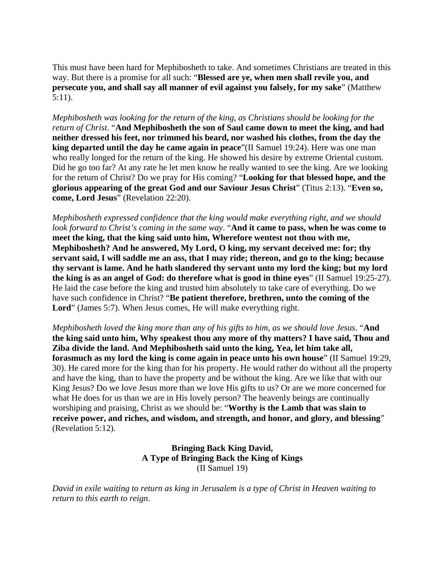This must have been hard for Mephibosheth to take. And sometimes Christians are treated in this way. But there is a promise for all such: "**Blessed are ye, when men shall revile you, and persecute you, and shall say all manner of evil against you falsely, for my sake**" (Matthew 5:11).

*Mephibosheth was looking for the return of the king, as Christians should be looking for the return of Christ*. "**And Mephibosheth the son of Saul came down to meet the king, and had neither dressed his feet, nor trimmed his beard, nor washed his clothes, from the day the king departed until the day he came again in peace**"(II Samuel 19:24). Here was one man who really longed for the return of the king. He showed his desire by extreme Oriental custom. Did he go too far? At any rate he let men know he really wanted to see the king. Are we looking for the return of Christ? Do we pray for His coming? "**Looking for that blessed hope, and the glorious appearing of the great God and our Saviour Jesus Christ**" (Titus 2:13). "**Even so, come, Lord Jesus**" (Revelation 22:20).

*Mephibosheth expressed confidence that the king would make everything right, and we should look forward to Christ's coming in the same way*. "**And it came to pass, when he was come to meet the king, that the king said unto him, Wherefore wentest not thou with me, Mephibosheth? And he answered, My Lord, O king, my servant deceived me: for; thy servant said, I will saddle me an ass, that I may ride; thereon, and go to the king; because thy servant is lame. And he hath slandered thy servant unto my lord the king; but my lord the king is as an angel of God: do therefore what is good in thine eyes**" (II Samuel 19:25-27). He laid the case before the king and trusted him absolutely to take care of everything. Do we have such confidence in Christ? "**Be patient therefore, brethren, unto the coming of the**  Lord" (James 5:7). When Jesus comes, He will make everything right.

*Mephibosheth loved the king more than any of his gifts to him, as we should love Jesus*. "**And the king said unto him, Why speakest thou any more of thy matters? I have said, Thou and Ziba divide the land. And Mephibosheth said unto the king, Yea, let him take all, forasmuch as my lord the king is come again in peace unto his own house**" (II Samuel 19:29, 30). He cared more for the king than for his property. He would rather do without all the property and have the king, than to have the property and be without the king. Are we like that with our King Jesus? Do we love Jesus more than we love His gifts to us? Or are we more concerned for what He does for us than we are in His lovely person? The heavenly beings are continually worshiping and praising, Christ as we should be: "**Worthy is the Lamb that was slain to receive power, and riches, and wisdom, and strength, and honor, and glory, and blessing**" (Revelation 5:12).

> **Bringing Back King David, A Type of Bringing Back the King of Kings**  (II Samuel 19)

*David in exile waiting to return as king in Jerusalem is a type of Christ in Heaven waiting to return to this earth to reign*.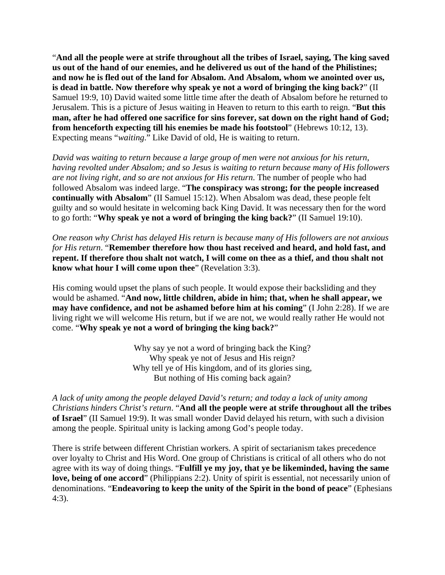"**And all the people were at strife throughout all the tribes of Israel, saying, The king saved us out of the hand of our enemies, and he delivered us out of the hand of the Philistines; and now he is fled out of the land for Absalom. And Absalom, whom we anointed over us, is dead in battle. Now therefore why speak ye not a word of bringing the king back?**" (II Samuel 19:9, 10) David waited some little time after the death of Absalom before he returned to Jerusalem. This is a picture of Jesus waiting in Heaven to return to this earth to reign. "**But this man, after he had offered one sacrifice for sins forever, sat down on the right hand of God; from henceforth expecting till his enemies be made his footstool**" (Hebrews 10:12, 13). Expecting means "*waiting*." Like David of old, He is waiting to return.

*David was waiting to return because a large group of men were not anxious for his return, having revolted under Absalom; and so Jesus is waiting to return because many of His followers are not living right, and so are not anxious for His return*. The number of people who had followed Absalom was indeed large. "**The conspiracy was strong; for the people increased continually with Absalom**" (II Samuel 15:12). When Absalom was dead, these people felt guilty and so would hesitate in welcoming back King David. It was necessary then for the word to go forth: "**Why speak ye not a word of bringing the king back?**" (II Samuel 19:10).

*One reason why Christ has delayed His return is because many of His followers are not anxious for His return*. "**Remember therefore how thou hast received and heard, and hold fast, and repent. If therefore thou shalt not watch, I will come on thee as a thief, and thou shalt not know what hour I will come upon thee**" (Revelation 3:3).

His coming would upset the plans of such people. It would expose their backsliding and they would be ashamed. "**And now, little children, abide in him; that, when he shall appear, we may have confidence, and not be ashamed before him at his coming**" (I John 2:28). If we are living right we will welcome His return, but if we are not, we would really rather He would not come. "**Why speak ye not a word of bringing the king back?**"

> Why say ye not a word of bringing back the King? Why speak ye not of Jesus and His reign? Why tell ye of His kingdom, and of its glories sing, But nothing of His coming back again?

*A lack of unity among the people delayed David's return; and today a lack of unity among Christians hinders Christ's return*. "**And all the people were at strife throughout all the tribes of Israel**" (II Samuel 19:9). It was small wonder David delayed his return, with such a division among the people. Spiritual unity is lacking among God's people today.

There is strife between different Christian workers. A spirit of sectarianism takes precedence over loyalty to Christ and His Word. One group of Christians is critical of all others who do not agree with its way of doing things. "**Fulfill ye my joy, that ye be likeminded, having the same love, being of one accord**" (Philippians 2:2). Unity of spirit is essential, not necessarily union of denominations. "**Endeavoring to keep the unity of the Spirit in the bond of peace**" (Ephesians 4:3).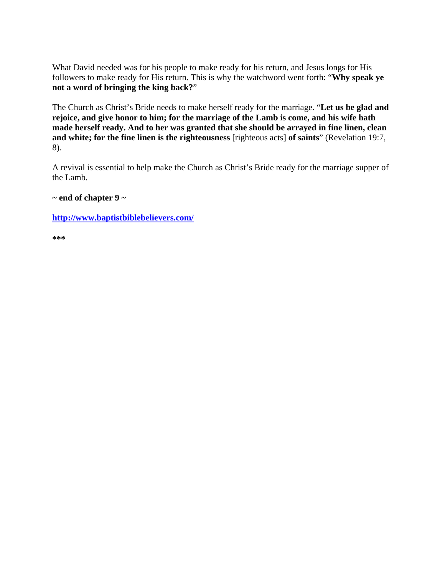What David needed was for his people to make ready for his return, and Jesus longs for His followers to make ready for His return. This is why the watchword went forth: "**Why speak ye not a word of bringing the king back?**"

The Church as Christ's Bride needs to make herself ready for the marriage. "**Let us be glad and rejoice, and give honor to him; for the marriage of the Lamb is come, and his wife hath made herself ready. And to her was granted that she should be arrayed in fine linen, clean and white; for the fine linen is the righteousness** [righteous acts] **of saints**" (Revelation 19:7, 8).

A revival is essential to help make the Church as Christ's Bride ready for the marriage supper of the Lamb.

**~ end of chapter 9 ~** 

**http://www.baptistbiblebelievers.com/**

**\*\*\***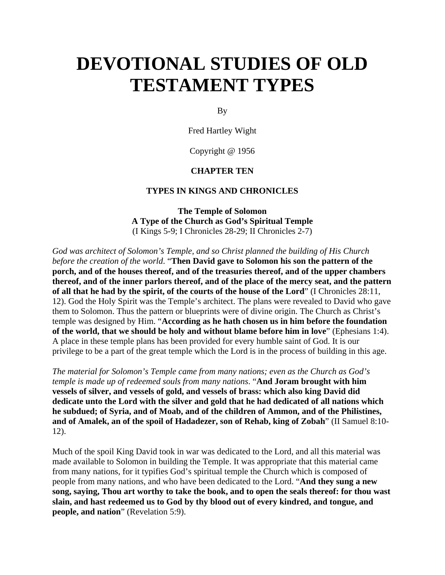# **DEVOTIONAL STUDIES OF OLD TESTAMENT TYPES**

By

Fred Hartley Wight

Copyright @ 1956

#### **CHAPTER TEN**

#### **TYPES IN KINGS AND CHRONICLES**

**The Temple of Solomon A Type of the Church as God's Spiritual Temple**  (I Kings 5-9; I Chronicles 28-29; II Chronicles 2-7)

*God was architect of Solomon's Temple, and so Christ planned the building of His Church before the creation of the world*. "**Then David gave to Solomon his son the pattern of the porch, and of the houses thereof, and of the treasuries thereof, and of the upper chambers thereof, and of the inner parlors thereof, and of the place of the mercy seat, and the pattern of all that he had by the spirit, of the courts of the house of the Lord**" (I Chronicles 28:11, 12). God the Holy Spirit was the Temple's architect. The plans were revealed to David who gave them to Solomon. Thus the pattern or blueprints were of divine origin. The Church as Christ's temple was designed by Him. "**According as he hath chosen us in him before the foundation of the world, that we should be holy and without blame before him in love**" (Ephesians 1:4). A place in these temple plans has been provided for every humble saint of God. It is our privilege to be a part of the great temple which the Lord is in the process of building in this age.

*The material for Solomon's Temple came from many nations; even as the Church as God's temple is made up of redeemed souls from many nations*. "**And Joram brought with him vessels of silver, and vessels of gold, and vessels of brass: which also king David did dedicate unto the Lord with the silver and gold that he had dedicated of all nations which he subdued; of Syria, and of Moab, and of the children of Ammon, and of the Philistines, and of Amalek, an of the spoil of Hadadezer, son of Rehab, king of Zobah**" (II Samuel 8:10- 12).

Much of the spoil King David took in war was dedicated to the Lord, and all this material was made available to Solomon in building the Temple. It was appropriate that this material came from many nations, for it typifies God's spiritual temple the Church which is composed of people from many nations, and who have been dedicated to the Lord. "**And they sung a new song, saying, Thou art worthy to take the book, and to open the seals thereof: for thou wast slain, and hast redeemed us to God by thy blood out of every kindred, and tongue, and people, and nation**" (Revelation 5:9).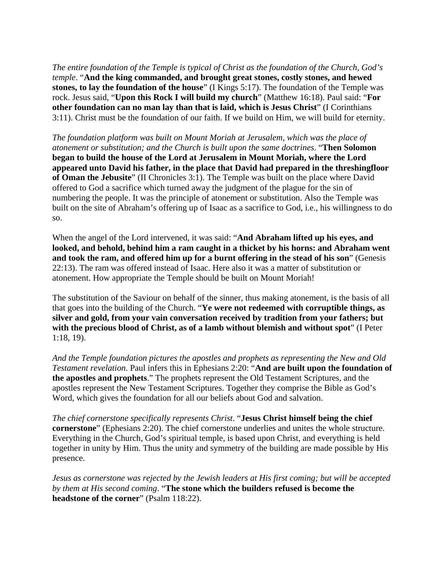*The entire foundation of the Temple is typical of Christ as the foundation of the Church, God's temple*. "**And the king commanded, and brought great stones, costly stones, and hewed stones, to lay the foundation of the house**" (I Kings 5:17). The foundation of the Temple was rock. Jesus said, "**Upon this Rock I will build my church**" (Matthew 16:18). Paul said: "**For other foundation can no man lay than that is laid, which is Jesus Christ**" (I Corinthians 3:11). Christ must be the foundation of our faith. If we build on Him, we will build for eternity.

*The foundation platform was built on Mount Moriah at Jerusalem, which was the place of atonement or substitution; and the Church is built upon the same doctrines*. "**Then Solomon began to build the house of the Lord at Jerusalem in Mount Moriah, where the Lord appeared unto David his father, in the place that David had prepared in the threshingfloor of Oman the Jebusite**" (II Chronicles 3:1). The Temple was built on the place where David offered to God a sacrifice which turned away the judgment of the plague for the sin of numbering the people. It was the principle of atonement or substitution. Also the Temple was built on the site of Abraham's offering up of Isaac as a sacrifice to God, i.e., his willingness to do so.

When the angel of the Lord intervened, it was said: "**And Abraham lifted up his eyes, and looked, and behold, behind him a ram caught in a thicket by his horns: and Abraham went and took the ram, and offered him up for a burnt offering in the stead of his son**" (Genesis 22:13). The ram was offered instead of Isaac. Here also it was a matter of substitution or atonement. How appropriate the Temple should be built on Mount Moriah!

The substitution of the Saviour on behalf of the sinner, thus making atonement, is the basis of all that goes into the building of the Church. "**Ye were not redeemed with corruptible things, as silver and gold, from your vain conversation received by tradition from your fathers; but with the precious blood of Christ, as of a lamb without blemish and without spot**" (I Peter 1:18, 19).

*And the Temple foundation pictures the apostles and prophets as representing the New and Old Testament revelation*. Paul infers this in Ephesians 2:20: "**And are built upon the foundation of the apostles and prophets**." The prophets represent the Old Testament Scriptures, and the apostles represent the New Testament Scriptures. Together they comprise the Bible as God's Word, which gives the foundation for all our beliefs about God and salvation.

*The chief cornerstone specifically represents Christ*. "**Jesus Christ himself being the chief cornerstone**" (Ephesians 2:20). The chief cornerstone underlies and unites the whole structure. Everything in the Church, God's spiritual temple, is based upon Christ, and everything is held together in unity by Him. Thus the unity and symmetry of the building are made possible by His presence.

*Jesus as cornerstone was rejected by the Jewish leaders at His first coming; but will be accepted by them at His second coming*. "**The stone which the builders refused is become the headstone of the corner**" (Psalm 118:22).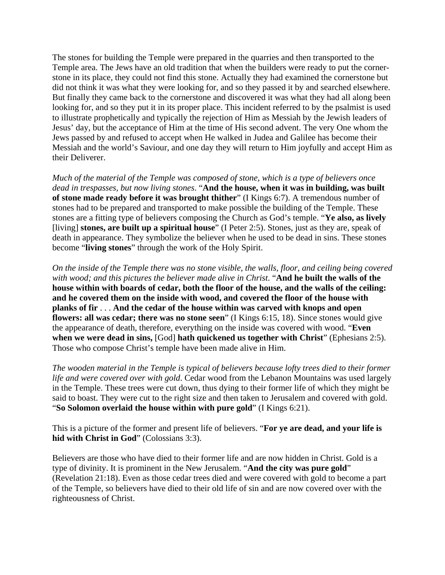The stones for building the Temple were prepared in the quarries and then transported to the Temple area. The Jews have an old tradition that when the builders were ready to put the cornerstone in its place, they could not find this stone. Actually they had examined the cornerstone but did not think it was what they were looking for, and so they passed it by and searched elsewhere. But finally they came back to the cornerstone and discovered it was what they had all along been looking for, and so they put it in its proper place. This incident referred to by the psalmist is used to illustrate prophetically and typically the rejection of Him as Messiah by the Jewish leaders of Jesus' day, but the acceptance of Him at the time of His second advent. The very One whom the Jews passed by and refused to accept when He walked in Judea and Galilee has become their Messiah and the world's Saviour, and one day they will return to Him joyfully and accept Him as their Deliverer.

*Much of the material of the Temple was composed of stone, which is a type of believers once dead in trespasses, but now living stones*. "**And the house, when it was in building, was built of stone made ready before it was brought thither**" (I Kings 6:7). A tremendous number of stones had to be prepared and transported to make possible the building of the Temple. These stones are a fitting type of believers composing the Church as God's temple. "**Ye also, as lively** [living] **stones, are built up a spiritual house**" (I Peter 2:5). Stones, just as they are, speak of death in appearance. They symbolize the believer when he used to be dead in sins. These stones become "**living stones**" through the work of the Holy Spirit.

*On the inside of the Temple there was no stone visible, the walls, floor, and ceiling being covered with wood; and this pictures the believer made alive in Christ*. "**And he built the walls of the house within with boards of cedar, both the floor of the house, and the walls of the ceiling: and he covered them on the inside with wood, and covered the floor of the house with planks of fir** . . . **And the cedar of the house within was carved with knops and open flowers: all was cedar; there was no stone seen**" (I Kings 6:15, 18). Since stones would give the appearance of death, therefore, everything on the inside was covered with wood. "**Even when we were dead in sins,** [God] **hath quickened us together with Christ**" (Ephesians 2:5). Those who compose Christ's temple have been made alive in Him.

*The wooden material in the Temple is typical of believers because lofty trees died to their former life and were covered over with gold*. Cedar wood from the Lebanon Mountains was used largely in the Temple. These trees were cut down, thus dying to their former life of which they might be said to boast. They were cut to the right size and then taken to Jerusalem and covered with gold. "**So Solomon overlaid the house within with pure gold**" (I Kings 6:21).

This is a picture of the former and present life of believers. "**For ye are dead, and your life is hid with Christ in God**" (Colossians 3:3).

Believers are those who have died to their former life and are now hidden in Christ. Gold is a type of divinity. It is prominent in the New Jerusalem. "**And the city was pure gold**" (Revelation 21:18). Even as those cedar trees died and were covered with gold to become a part of the Temple, so believers have died to their old life of sin and are now covered over with the righteousness of Christ.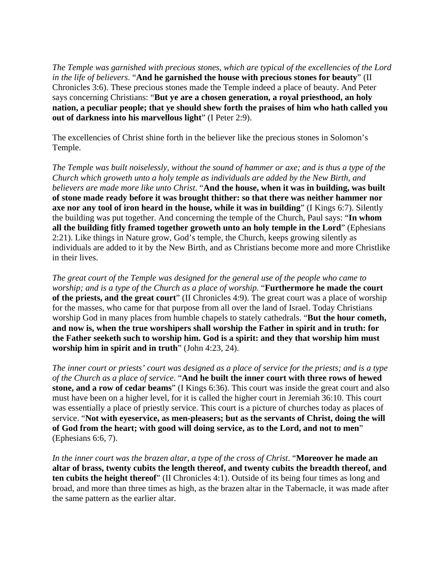*The Temple was garnished with precious stones, which are typical of the excellencies of the Lord in the life of believers*. "**And he garnished the house with precious stones for beauty**" (II Chronicles 3:6). These precious stones made the Temple indeed a place of beauty. And Peter says concerning Christians: "**But ye are a chosen generation, a royal priesthood, an holy nation, a peculiar people; that ye should shew forth the praises of him who hath called you out of darkness into his marvellous light**" (I Peter 2:9).

The excellencies of Christ shine forth in the believer like the precious stones in Solomon's Temple.

*The Temple was built noiselessly, without the sound of hammer or axe; and is thus a type of the Church which groweth unto a holy temple as individuals are added by the New Birth, and believers are made more like unto Christ*. "**And the house, when it was in building, was built of stone made ready before it was brought thither: so that there was neither hammer nor axe nor any tool of iron heard in the house, while it was in building**" (I Kings 6:7). Silently the building was put together. And concerning the temple of the Church, Paul says: "**In whom all the building fitly framed together groweth unto an holy temple in the Lord**" (Ephesians 2:21). Like things in Nature grow, God's temple, the Church, keeps growing silently as individuals are added to it by the New Birth, and as Christians become more and more Christlike in their lives.

*The great court of the Temple was designed for the general use of the people who came to worship; and is a type of the Church as a place of worship*. "**Furthermore he made the court of the priests, and the great court**" (II Chronicles 4:9). The great court was a place of worship for the masses, who came for that purpose from all over the land of Israel. Today Christians worship God in many places from humble chapels to stately cathedrals. "**But the hour cometh, and now is, when the true worshipers shall worship the Father in spirit and in truth: for the Father seeketh such to worship him. God is a spirit: and they that worship him must worship him in spirit and in truth**" (John 4:23, 24).

*The inner court or priests' court was designed as a place of service for the priests; and is a type of the Church as a place of service*. "**And he built the inner court with three rows of hewed stone, and a row of cedar beams**" (I Kings 6:36). This court was inside the great court and also must have been on a higher level, for it is called the higher court in Jeremiah 36:10. This court was essentially a place of priestly service. This court is a picture of churches today as places of service. "**Not with eyeservice, as men-pleasers; but as the servants of Christ, doing the will of God from the heart; with good will doing service, as to the Lord, and not to men**" (Ephesians 6:6, 7).

*In the inner court was the brazen altar, a type of the cross of Christ*. "**Moreover he made an altar of brass, twenty cubits the length thereof, and twenty cubits the breadth thereof, and ten cubits the height thereof**" (II Chronicles 4:1). Outside of its being four times as long and broad, and more than three times as high, as the brazen altar in the Tabernacle, it was made after the same pattern as the earlier altar.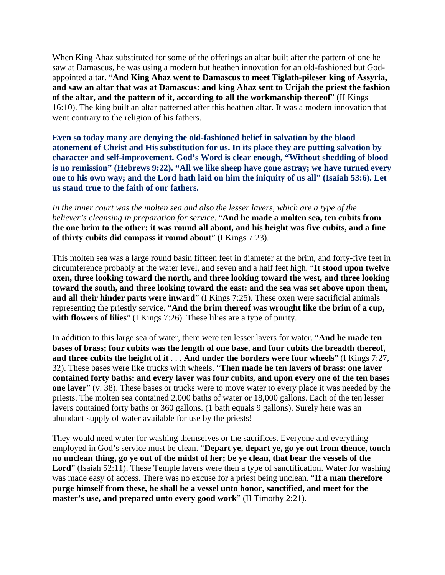When King Ahaz substituted for some of the offerings an altar built after the pattern of one he saw at Damascus, he was using a modern but heathen innovation for an old-fashioned but Godappointed altar. "**And King Ahaz went to Damascus to meet Tiglath-pileser king of Assyria, and saw an altar that was at Damascus: and king Ahaz sent to Urijah the priest the fashion of the altar, and the pattern of it, according to all the workmanship thereof**" (II Kings 16:10). The king built an altar patterned after this heathen altar. It was a modern innovation that went contrary to the religion of his fathers.

**Even so today many are denying the old-fashioned belief in salvation by the blood atonement of Christ and His substitution for us. In its place they are putting salvation by character and self-improvement. God's Word is clear enough, "Without shedding of blood is no remission" (Hebrews 9:22). "All we like sheep have gone astray; we have turned every one to his own way; and the Lord hath laid on him the iniquity of us all" (Isaiah 53:6). Let us stand true to the faith of our fathers.** 

*In the inner court was the molten sea and also the lesser lavers, which are a type of the believer's cleansing in preparation for service*. "**And he made a molten sea, ten cubits from the one brim to the other: it was round all about, and his height was five cubits, and a fine of thirty cubits did compass it round about**" (I Kings 7:23).

This molten sea was a large round basin fifteen feet in diameter at the brim, and forty-five feet in circumference probably at the water level, and seven and a half feet high. "**It stood upon twelve oxen, three looking toward the north, and three looking toward the west, and three looking toward the south, and three looking toward the east: and the sea was set above upon them, and all their hinder parts were inward**" (I Kings 7:25). These oxen were sacrificial animals representing the priestly service. "**And the brim thereof was wrought like the brim of a cup,**  with flowers of lilies" (I Kings 7:26). These lilies are a type of purity.

In addition to this large sea of water, there were ten lesser lavers for water. "**And he made ten bases of brass; four cubits was the length of one base, and four cubits the breadth thereof, and three cubits the height of it** . . . **And under the borders were four wheels**" (I Kings 7:27, 32). These bases were like trucks with wheels. "**Then made he ten lavers of brass: one laver contained forty baths: and every laver was four cubits, and upon every one of the ten bases one laver**" (v. 38). These bases or trucks were to move water to every place it was needed by the priests. The molten sea contained 2,000 baths of water or 18,000 gallons. Each of the ten lesser lavers contained forty baths or 360 gallons. (1 bath equals 9 gallons). Surely here was an abundant supply of water available for use by the priests!

They would need water for washing themselves or the sacrifices. Everyone and everything employed in God's service must be clean. "**Depart ye, depart ye, go ye out from thence, touch no unclean thing, go ye out of the midst of her; be ye clean, that bear the vessels of the**  Lord" (Isaiah 52:11). These Temple lavers were then a type of sanctification. Water for washing was made easy of access. There was no excuse for a priest being unclean. "**If a man therefore purge himself from these, he shall be a vessel unto honor, sanctified, and meet for the master's use, and prepared unto every good work**" (II Timothy 2:21).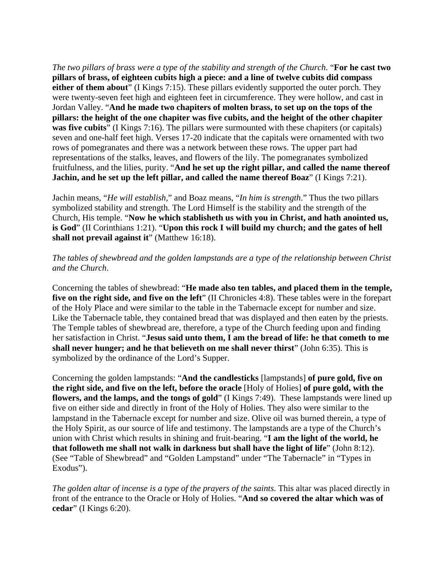*The two pillars of brass were a type of the stability and strength of the Church*. "**For he cast two pillars of brass, of eighteen cubits high a piece: and a line of twelve cubits did compass either of them about**" (I Kings 7:15). These pillars evidently supported the outer porch. They were twenty-seven feet high and eighteen feet in circumference. They were hollow, and cast in Jordan Valley. "**And he made two chapiters of molten brass, to set up on the tops of the pillars: the height of the one chapiter was five cubits, and the height of the other chapiter**  was five cubits" (I Kings 7:16). The pillars were surmounted with these chapiters (or capitals) seven and one-half feet high. Verses 17-20 indicate that the capitals were ornamented with two rows of pomegranates and there was a network between these rows. The upper part had representations of the stalks, leaves, and flowers of the lily. The pomegranates symbolized fruitfulness, and the lilies, purity. "**And he set up the right pillar, and called the name thereof Jachin, and he set up the left pillar, and called the name thereof Boaz**" (I Kings 7:21).

Jachin means, "*He will establish*," and Boaz means, "*In him is strength*." Thus the two pillars symbolized stability and strength. The Lord Himself is the stability and the strength of the Church, His temple. "**Now he which stablisheth us with you in Christ, and hath anointed us, is God**" (II Corinthians 1:21). "**Upon this rock I will build my church; and the gates of hell shall not prevail against it**" (Matthew 16:18).

## *The tables of shewbread and the golden lampstands are a type of the relationship between Christ and the Church*.

Concerning the tables of shewbread: "**He made also ten tables, and placed them in the temple, five on the right side, and five on the left**" (II Chronicles 4:8). These tables were in the forepart of the Holy Place and were similar to the table in the Tabernacle except for number and size. Like the Tabernacle table, they contained bread that was displayed and then eaten by the priests. The Temple tables of shewbread are, therefore, a type of the Church feeding upon and finding her satisfaction in Christ. "**Jesus said unto them, I am the bread of life: he that cometh to me shall never hunger; and he that believeth on me shall never thirst**" (John 6:35). This is symbolized by the ordinance of the Lord's Supper.

Concerning the golden lampstands: "**And the candlesticks** [lampstands] **of pure gold, five on the right side, and five on the left, before the oracle** [Holy of Holies] **of pure gold, with the flowers, and the lamps, and the tongs of gold**" (I Kings 7:49). These lampstands were lined up five on either side and directly in front of the Holy of Holies. They also were similar to the lampstand in the Tabernacle except for number and size. Olive oil was burned therein, a type of the Holy Spirit, as our source of life and testimony. The lampstands are a type of the Church's union with Christ which results in shining and fruit-bearing. "**I am the light of the world, he that followeth me shall not walk in darkness but shall have the light of life**" (John 8:12). (See "Table of Shewbread" and "Golden Lampstand" under "The Tabernacle" in "Types in Exodus").

*The golden altar of incense is a type of the prayers of the saints*. This altar was placed directly in front of the entrance to the Oracle or Holy of Holies. "**And so covered the altar which was of cedar**" (I Kings 6:20).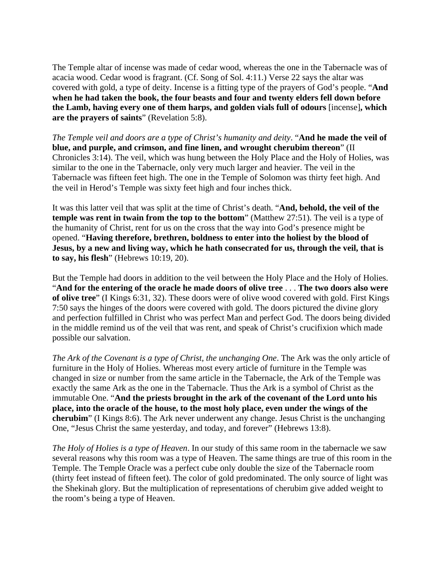The Temple altar of incense was made of cedar wood, whereas the one in the Tabernacle was of acacia wood. Cedar wood is fragrant. (Cf. Song of Sol. 4:11.) Verse 22 says the altar was covered with gold, a type of deity. Incense is a fitting type of the prayers of God's people. "**And when he had taken the book, the four beasts and four and twenty elders fell down before the Lamb, having every one of them harps, and golden vials full of odours** [incense]**, which are the prayers of saints**" (Revelation 5:8).

*The Temple veil and doors are a type of Christ's humanity and deity*. "**And he made the veil of blue, and purple, and crimson, and fine linen, and wrought cherubim thereon**" (II Chronicles 3:14). The veil, which was hung between the Holy Place and the Holy of Holies, was similar to the one in the Tabernacle, only very much larger and heavier. The veil in the Tabernacle was fifteen feet high. The one in the Temple of Solomon was thirty feet high. And the veil in Herod's Temple was sixty feet high and four inches thick.

It was this latter veil that was split at the time of Christ's death. "**And, behold, the veil of the temple was rent in twain from the top to the bottom**" (Matthew 27:51). The veil is a type of the humanity of Christ, rent for us on the cross that the way into God's presence might be opened. "**Having therefore, brethren, boldness to enter into the holiest by the blood of Jesus, by a new and living way, which he hath consecrated for us, through the veil, that is to say, his flesh**" (Hebrews 10:19, 20).

But the Temple had doors in addition to the veil between the Holy Place and the Holy of Holies. "**And for the entering of the oracle he made doors of olive tree** . . . **The two doors also were of olive tree**" (I Kings 6:31, 32). These doors were of olive wood covered with gold. First Kings 7:50 says the hinges of the doors were covered with gold. The doors pictured the divine glory and perfection fulfilled in Christ who was perfect Man and perfect God. The doors being divided in the middle remind us of the veil that was rent, and speak of Christ's crucifixion which made possible our salvation.

*The Ark of the Covenant is a type of Christ, the unchanging One*. The Ark was the only article of furniture in the Holy of Holies. Whereas most every article of furniture in the Temple was changed in size or number from the same article in the Tabernacle, the Ark of the Temple was exactly the same Ark as the one in the Tabernacle. Thus the Ark is a symbol of Christ as the immutable One. "**And the priests brought in the ark of the covenant of the Lord unto his place, into the oracle of the house, to the most holy place, even under the wings of the cherubim**" (I Kings 8:6). The Ark never underwent any change. Jesus Christ is the unchanging One, "Jesus Christ the same yesterday, and today, and forever" (Hebrews 13:8).

*The Holy of Holies is a type of Heaven*. In our study of this same room in the tabernacle we saw several reasons why this room was a type of Heaven. The same things are true of this room in the Temple. The Temple Oracle was a perfect cube only double the size of the Tabernacle room (thirty feet instead of fifteen feet). The color of gold predominated. The only source of light was the Shekinah glory. But the multiplication of representations of cherubim give added weight to the room's being a type of Heaven.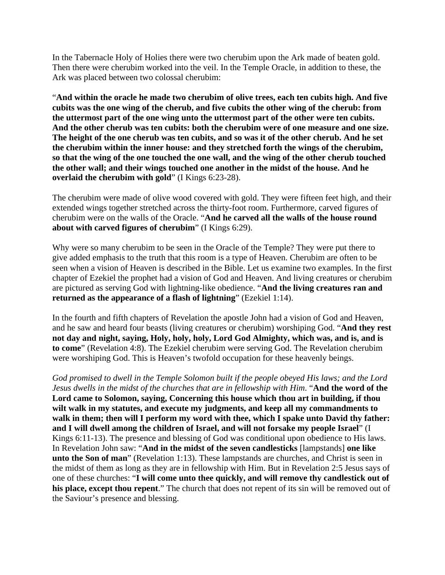In the Tabernacle Holy of Holies there were two cherubim upon the Ark made of beaten gold. Then there were cherubim worked into the veil. In the Temple Oracle, in addition to these, the Ark was placed between two colossal cherubim:

"**And within the oracle he made two cherubim of olive trees, each ten cubits high. And five cubits was the one wing of the cherub, and five cubits the other wing of the cherub: from the uttermost part of the one wing unto the uttermost part of the other were ten cubits. And the other cherub was ten cubits: both the cherubim were of one measure and one size. The height of the one cherub was ten cubits, and so was it of the other cherub. And he set the cherubim within the inner house: and they stretched forth the wings of the cherubim, so that the wing of the one touched the one wall, and the wing of the other cherub touched the other wall; and their wings touched one another in the midst of the house. And he overlaid the cherubim with gold**" (I Kings 6:23-28).

The cherubim were made of olive wood covered with gold. They were fifteen feet high, and their extended wings together stretched across the thirty-foot room. Furthermore, carved figures of cherubim were on the walls of the Oracle. "**And he carved all the walls of the house round about with carved figures of cherubim**" (I Kings 6:29).

Why were so many cherubim to be seen in the Oracle of the Temple? They were put there to give added emphasis to the truth that this room is a type of Heaven. Cherubim are often to be seen when a vision of Heaven is described in the Bible. Let us examine two examples. In the first chapter of Ezekiel the prophet had a vision of God and Heaven. And living creatures or cherubim are pictured as serving God with lightning-like obedience. "**And the living creatures ran and returned as the appearance of a flash of lightning**" (Ezekiel 1:14).

In the fourth and fifth chapters of Revelation the apostle John had a vision of God and Heaven, and he saw and heard four beasts (living creatures or cherubim) worshiping God. "**And they rest not day and night, saying, Holy, holy, holy, Lord God Almighty, which was, and is, and is to come**" (Revelation 4:8). The Ezekiel cherubim were serving God. The Revelation cherubim were worshiping God. This is Heaven's twofold occupation for these heavenly beings.

*God promised to dwell in the Temple Solomon built if the people obeyed His laws; and the Lord Jesus dwells in the midst of the churches that are in fellowship with Him*. "**And the word of the Lord came to Solomon, saying, Concerning this house which thou art in building, if thou wilt walk in my statutes, and execute my judgments, and keep all my commandments to walk in them; then will I perform my word with thee, which I spake unto David thy father: and I will dwell among the children of Israel, and will not forsake my people Israel**" (I Kings 6:11-13). The presence and blessing of God was conditional upon obedience to His laws. In Revelation John saw: "**And in the midst of the seven candlesticks** [lampstands] **one like unto the Son of man**" (Revelation 1:13). These lampstands are churches, and Christ is seen in the midst of them as long as they are in fellowship with Him. But in Revelation 2:5 Jesus says of one of these churches: "**I will come unto thee quickly, and will remove thy candlestick out of his place, except thou repent**." The church that does not repent of its sin will be removed out of the Saviour's presence and blessing.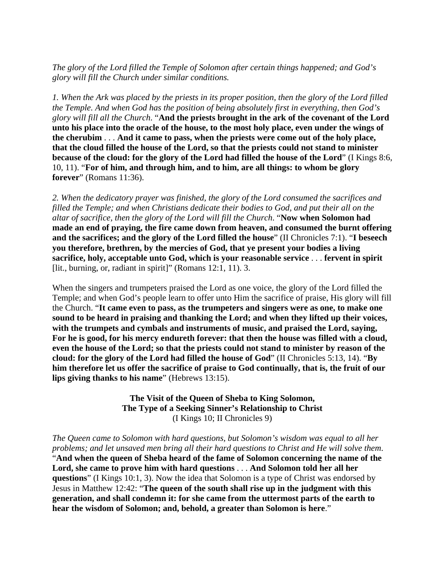*The glory of the Lord filled the Temple of Solomon after certain things happened; and God's glory will fill the Church under similar conditions.* 

*1. When the Ark was placed by the priests in its proper position, then the glory of the Lord filled the Temple. And when God has the position of being absolutely first in everything, then God's glory will fill all the Church*. "**And the priests brought in the ark of the covenant of the Lord unto his place into the oracle of the house, to the most holy place, even under the wings of the cherubim** . . . **And it came to pass, when the priests were come out of the holy place, that the cloud filled the house of the Lord, so that the priests could not stand to minister because of the cloud: for the glory of the Lord had filled the house of the Lord**" (I Kings 8:6, 10, 11). "**For of him, and through him, and to him, are all things: to whom be glory forever**" (Romans 11:36).

*2. When the dedicatory prayer was finished, the glory of the Lord consumed the sacrifices and filled the Temple; and when Christians dedicate their bodies to God, and put their all on the altar of sacrifice, then the glory of the Lord will fill the Church*. "**Now when Solomon had made an end of praying, the fire came down from heaven, and consumed the burnt offering and the sacrifices; and the glory of the Lord filled the house**" (II Chronicles 7:1). "**I beseech you therefore, brethren, by the mercies of God, that ye present your bodies a living sacrifice, holy, acceptable unto God, which is your reasonable service** . . . **fervent in spirit** [lit., burning, or, radiant in spirit]" (Romans 12:1, 11). 3.

When the singers and trumpeters praised the Lord as one voice, the glory of the Lord filled the Temple; and when God's people learn to offer unto Him the sacrifice of praise, His glory will fill the Church. "**It came even to pass, as the trumpeters and singers were as one, to make one sound to be heard in praising and thanking the Lord; and when they lifted up their voices, with the trumpets and cymbals and instruments of music, and praised the Lord, saying, For he is good, for his mercy endureth forever: that then the house was filled with a cloud, even the house of the Lord; so that the priests could not stand to minister by reason of the cloud: for the glory of the Lord had filled the house of God**" (II Chronicles 5:13, 14). "**By him therefore let us offer the sacrifice of praise to God continually, that is, the fruit of our lips giving thanks to his name**" (Hebrews 13:15).

> **The Visit of the Queen of Sheba to King Solomon, The Type of a Seeking Sinner's Relationship to Christ**  (I Kings 10; II Chronicles 9)

*The Queen came to Solomon with hard questions, but Solomon's wisdom was equal to all her problems; and let unsaved men bring all their hard questions to Christ and He will solve them*. "**And when the queen of Sheba heard of the fame of Solomon concerning the name of the Lord, she came to prove him with hard questions** . . . **And Solomon told her all her questions**" (I Kings 10:1, 3). Now the idea that Solomon is a type of Christ was endorsed by Jesus in Matthew 12:42: "**The queen of the south shall rise up in the judgment with this generation, and shall condemn it: for she came from the uttermost parts of the earth to hear the wisdom of Solomon; and, behold, a greater than Solomon is here**."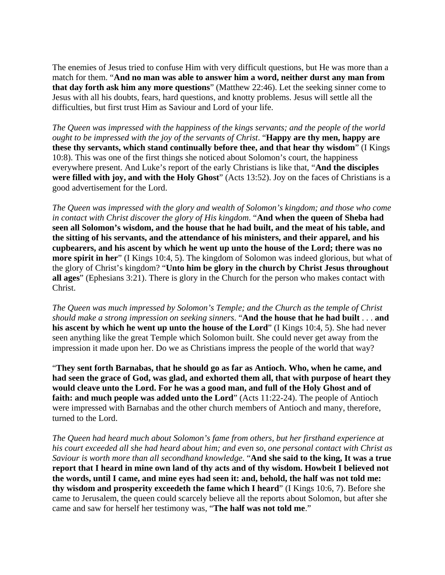The enemies of Jesus tried to confuse Him with very difficult questions, but He was more than a match for them. "**And no man was able to answer him a word, neither durst any man from that day forth ask him any more questions**" (Matthew 22:46). Let the seeking sinner come to Jesus with all his doubts, fears, hard questions, and knotty problems. Jesus will settle all the difficulties, but first trust Him as Saviour and Lord of your life.

*The Queen was impressed with the happiness of the kings servants; and the people of the world ought to be impressed with the joy of the servants of Christ*. "**Happy are thy men, happy are these thy servants, which stand continually before thee, and that hear thy wisdom**" (I Kings 10:8). This was one of the first things she noticed about Solomon's court, the happiness everywhere present. And Luke's report of the early Christians is like that, "**And the disciples were filled with joy, and with the Holy Ghost**" (Acts 13:52). Joy on the faces of Christians is a good advertisement for the Lord.

*The Queen was impressed with the glory and wealth of Solomon's kingdom; and those who come in contact with Christ discover the glory of His kingdom*. "**And when the queen of Sheba had seen all Solomon's wisdom, and the house that he had built, and the meat of his table, and the sitting of his servants, and the attendance of his ministers, and their apparel, and his cupbearers, and his ascent by which he went up unto the house of the Lord; there was no more spirit in her**" (I Kings 10:4, 5). The kingdom of Solomon was indeed glorious, but what of the glory of Christ's kingdom? "**Unto him be glory in the church by Christ Jesus throughout all ages**" (Ephesians 3:21). There is glory in the Church for the person who makes contact with Christ.

*The Queen was much impressed by Solomon's Temple; and the Church as the temple of Christ should make a strong impression on seeking sinners*. "**And the house that he had built** . . . **and his ascent by which he went up unto the house of the Lord**" (I Kings 10:4, 5). She had never seen anything like the great Temple which Solomon built. She could never get away from the impression it made upon her. Do we as Christians impress the people of the world that way?

"**They sent forth Barnabas, that he should go as far as Antioch. Who, when he came, and had seen the grace of God, was glad, and exhorted them all, that with purpose of heart they would cleave unto the Lord. For he was a good man, and full of the Holy Ghost and of faith: and much people was added unto the Lord**" (Acts 11:22-24). The people of Antioch were impressed with Barnabas and the other church members of Antioch and many, therefore, turned to the Lord.

*The Queen had heard much about Solomon's fame from others, but her firsthand experience at his court exceeded all she had heard about him; and even so, one personal contact with Christ as Saviour is worth more than all secondhand knowledge*. "**And she said to the king, It was a true report that I heard in mine own land of thy acts and of thy wisdom. Howbeit I believed not the words, until I came, and mine eyes had seen it: and, behold, the half was not told me: thy wisdom and prosperity exceedeth the fame which I heard**" (I Kings 10:6, 7). Before she came to Jerusalem, the queen could scarcely believe all the reports about Solomon, but after she came and saw for herself her testimony was, "**The half was not told me**."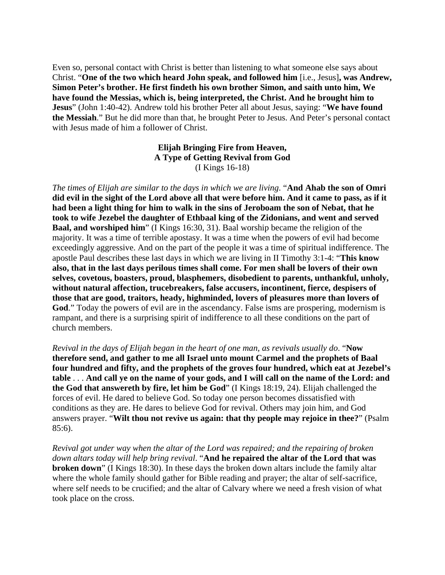Even so, personal contact with Christ is better than listening to what someone else says about Christ. "**One of the two which heard John speak, and followed him** [i.e., Jesus]**, was Andrew, Simon Peter's brother. He first findeth his own brother Simon, and saith unto him, We have found the Messias, which is, being interpreted, the Christ. And he brought him to Jesus**" (John 1:40-42). Andrew told his brother Peter all about Jesus, saying: "**We have found the Messiah**." But he did more than that, he brought Peter to Jesus. And Peter's personal contact with Jesus made of him a follower of Christ.

## **Elijah Bringing Fire from Heaven, A Type of Getting Revival from God**  (I Kings 16-18)

*The times of Elijah are similar to the days in which we are living*. "**And Ahab the son of Omri did evil in the sight of the Lord above all that were before him. And it came to pass, as if it had been a light thing for him to walk in the sins of Jeroboam the son of Nebat, that he took to wife Jezebel the daughter of Ethbaal king of the Zidonians, and went and served Baal, and worshiped him**" (I Kings 16:30, 31). Baal worship became the religion of the majority. It was a time of terrible apostasy. It was a time when the powers of evil had become exceedingly aggressive. And on the part of the people it was a time of spiritual indifference. The apostle Paul describes these last days in which we are living in II Timothy 3:1-4: "**This know also, that in the last days perilous times shall come. For men shall be lovers of their own selves, covetous, boasters, proud, blasphemers, disobedient to parents, unthankful, unholy, without natural affection, trucebreakers, false accusers, incontinent, fierce, despisers of those that are good, traitors, heady, highminded, lovers of pleasures more than lovers of God**." Today the powers of evil are in the ascendancy. False isms are prospering, modernism is rampant, and there is a surprising spirit of indifference to all these conditions on the part of church members.

*Revival in the days of Elijah began in the heart of one man, as revivals usually do*. "**Now therefore send, and gather to me all Israel unto mount Carmel and the prophets of Baal four hundred and fifty, and the prophets of the groves four hundred, which eat at Jezebel's table** . . . **And call ye on the name of your gods, and I will call on the name of the Lord: and the God that answereth by fire, let him be God**" (I Kings 18:19, 24). Elijah challenged the forces of evil. He dared to believe God. So today one person becomes dissatisfied with conditions as they are. He dares to believe God for revival. Others may join him, and God answers prayer. "**Wilt thou not revive us again: that thy people may rejoice in thee?**" (Psalm 85:6).

*Revival got under way when the altar of the Lord was repaired; and the repairing of broken down altars today will help bring revival*. "**And he repaired the altar of the Lord that was broken down**" (I Kings 18:30). In these days the broken down altars include the family altar where the whole family should gather for Bible reading and prayer; the altar of self-sacrifice, where self needs to be crucified; and the altar of Calvary where we need a fresh vision of what took place on the cross.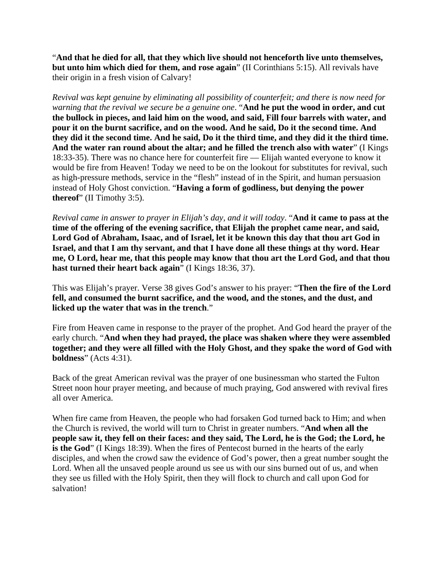"**And that he died for all, that they which live should not henceforth live unto themselves, but unto him which died for them, and rose again**" (II Corinthians 5:15). All revivals have their origin in a fresh vision of Calvary!

*Revival was kept genuine by eliminating all possibility of counterfeit; and there is now need for warning that the revival we secure be a genuine one*. "**And he put the wood in order, and cut the bullock in pieces, and laid him on the wood, and said, Fill four barrels with water, and pour it on the burnt sacrifice, and on the wood. And he said, Do it the second time. And they did it the second time. And he said, Do it the third time, and they did it the third time. And the water ran round about the altar; and he filled the trench also with water**" (I Kings 18:33-35). There was no chance here for counterfeit fire — Elijah wanted everyone to know it would be fire from Heaven! Today we need to be on the lookout for substitutes for revival, such as high-pressure methods, service in the "flesh" instead of in the Spirit, and human persuasion instead of Holy Ghost conviction. "**Having a form of godliness, but denying the power thereof**" (II Timothy 3:5).

*Revival came in answer to prayer in Elijah's day, and it will today*. "**And it came to pass at the time of the offering of the evening sacrifice, that Elijah the prophet came near, and said, Lord God of Abraham, Isaac, and of Israel, let it be known this day that thou art God in Israel, and that I am thy servant, and that I have done all these things at thy word. Hear me, O Lord, hear me, that this people may know that thou art the Lord God, and that thou hast turned their heart back again**" (I Kings 18:36, 37).

This was Elijah's prayer. Verse 38 gives God's answer to his prayer: "**Then the fire of the Lord fell, and consumed the burnt sacrifice, and the wood, and the stones, and the dust, and licked up the water that was in the trench**."

Fire from Heaven came in response to the prayer of the prophet. And God heard the prayer of the early church. "**And when they had prayed, the place was shaken where they were assembled together; and they were all filled with the Holy Ghost, and they spake the word of God with boldness**" (Acts 4:31).

Back of the great American revival was the prayer of one businessman who started the Fulton Street noon hour prayer meeting, and because of much praying, God answered with revival fires all over America.

When fire came from Heaven, the people who had forsaken God turned back to Him; and when the Church is revived, the world will turn to Christ in greater numbers. "**And when all the people saw it, they fell on their faces: and they said, The Lord, he is the God; the Lord, he is the God**" (I Kings 18:39). When the fires of Pentecost burned in the hearts of the early disciples, and when the crowd saw the evidence of God's power, then a great number sought the Lord. When all the unsaved people around us see us with our sins burned out of us, and when they see us filled with the Holy Spirit, then they will flock to church and call upon God for salvation!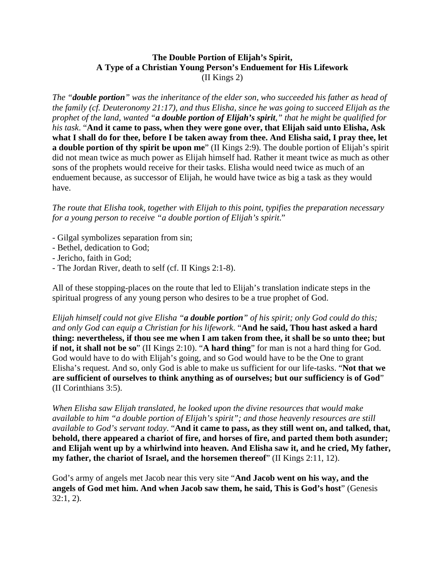## **The Double Portion of Elijah's Spirit, A Type of a Christian Young Person's Enduement for His Lifework**  (II Kings 2)

*The "double portion" was the inheritance of the elder son, who succeeded his father as head of the family (cf. Deuteronomy 21:17), and thus Elisha, since he was going to succeed Elijah as the prophet of the land, wanted "a double portion of Elijah's spirit," that he might be qualified for his task*. "**And it came to pass, when they were gone over, that Elijah said unto Elisha, Ask what I shall do for thee, before I be taken away from thee. And Elisha said, I pray thee, let a double portion of thy spirit be upon me**" (II Kings 2:9). The double portion of Elijah's spirit did not mean twice as much power as Elijah himself had. Rather it meant twice as much as other sons of the prophets would receive for their tasks. Elisha would need twice as much of an enduement because, as successor of Elijah, he would have twice as big a task as they would have.

*The route that Elisha took, together with Elijah to this point, typifies the preparation necessary for a young person to receive "a double portion of Elijah's spirit*."

- Gilgal symbolizes separation from sin;
- Bethel, dedication to God;
- Jericho, faith in God;
- The Jordan River, death to self (cf. II Kings 2:1-8).

All of these stopping-places on the route that led to Elijah's translation indicate steps in the spiritual progress of any young person who desires to be a true prophet of God.

*Elijah himself could not give Elisha "a double portion" of his spirit; only God could do this; and only God can equip a Christian for his lifework*. "**And he said, Thou hast asked a hard thing: nevertheless, if thou see me when I am taken from thee, it shall be so unto thee; but if not, it shall not be so**" (II Kings 2:10). "**A hard thing**" for man is not a hard thing for God. God would have to do with Elijah's going, and so God would have to be the One to grant Elisha's request. And so, only God is able to make us sufficient for our life-tasks. "**Not that we are sufficient of ourselves to think anything as of ourselves; but our sufficiency is of God**" (II Corinthians 3:5).

*When Elisha saw Elijah translated, he looked upon the divine resources that would make available to him "a double portion of Elijah's spirit"; and those heavenly resources are still available to God's servant today*. "**And it came to pass, as they still went on, and talked, that, behold, there appeared a chariot of fire, and horses of fire, and parted them both asunder; and Elijah went up by a whirlwind into heaven. And Elisha saw it, and he cried, My father, my father, the chariot of Israel, and the horsemen thereof**" (II Kings 2:11, 12).

God's army of angels met Jacob near this very site "**And Jacob went on his way, and the angels of God met him. And when Jacob saw them, he said, This is God's host**" (Genesis 32:1, 2).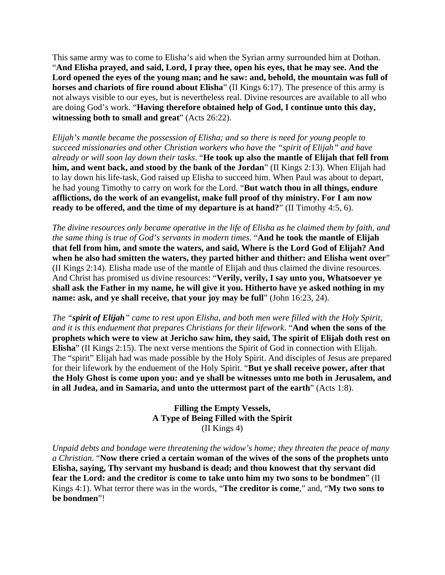This same army was to come to Elisha's aid when the Syrian army surrounded him at Dothan. "**And Elisha prayed, and said, Lord, I pray thee, open his eyes, that he may see. And the Lord opened the eyes of the young man; and he saw: and, behold, the mountain was full of horses and chariots of fire round about Elisha**" (II Kings 6:17). The presence of this army is not always visible to our eyes, but is nevertheless real. Divine resources are available to all who are doing God's work. "**Having therefore obtained help of God, I continue unto this day, witnessing both to small and great**" (Acts 26:22).

*Elijah's mantle became the possession of Elisha; and so there is need for young people to succeed missionaries and other Christian workers who have the "spirit of Elijah" and have already or will soon lay down their tasks*. "**He took up also the mantle of Elijah that fell from him, and went back, and stood by the bank of the Jordan**" (II Kings 2:13). When Elijah had to lay down his life-task, God raised up Elisha to succeed him. When Paul was about to depart, he had young Timothy to carry on work for the Lord. "**But watch thou in all things, endure afflictions, do the work of an evangelist, make full proof of thy ministry. For I am now ready to be offered, and the time of my departure is at hand?**" (II Timothy 4:5, 6).

*The divine resources only became operative in the life of Elisha as he claimed them by faith, and the same thing is true of God's servants in modern times*. "**And he took the mantle of Elijah that fell from him, and smote the waters, and said, Where is the Lord God of Elijah? And**  when he also had smitten the waters, they parted hither and thither: and Elisha went over" (II Kings 2:14). Elisha made use of the mantle of Elijah and thus claimed the divine resources. And Christ has promised us divine resources: "**Verily, verily, I say unto you, Whatsoever ye shall ask the Father in my name, he will give it you. Hitherto have ye asked nothing in my name: ask, and ye shall receive, that your joy may be full**" (John 16:23, 24).

*The "spirit of Elijah" came to rest upon Elisha, and both men were filled with the Holy Spirit, and it is this enduement that prepares Christians for their lifework*. "**And when the sons of the prophets which were to view at Jericho saw him, they said, The spirit of Elijah doth rest on Elisha**" (II Kings 2:15). The next verse mentions the Spirit of God in connection with Elijah. The "spirit" Elijah had was made possible by the Holy Spirit. And disciples of Jesus are prepared for their lifework by the enduement of the Holy Spirit. "**But ye shall receive power, after that the Holy Ghost is come upon you: and ye shall be witnesses unto me both in Jerusalem, and in all Judea, and in Samaria, and unto the uttermost part of the earth**" (Acts 1:8).

> **Filling the Empty Vessels, A Type of Being Filled with the Spirit**  (II Kings 4)

*Unpaid debts and bondage were threatening the widow's home; they threaten the peace of many a Christian*. "**Now there cried a certain woman of the wives of the sons of the prophets unto Elisha, saying, Thy servant my husband is dead; and thou knowest that thy servant did fear the Lord: and the creditor is come to take unto him my two sons to be bondmen**" (II Kings 4:1). What terror there was in the words, "**The creditor is come**," and, "**My two sons to be bondmen**"!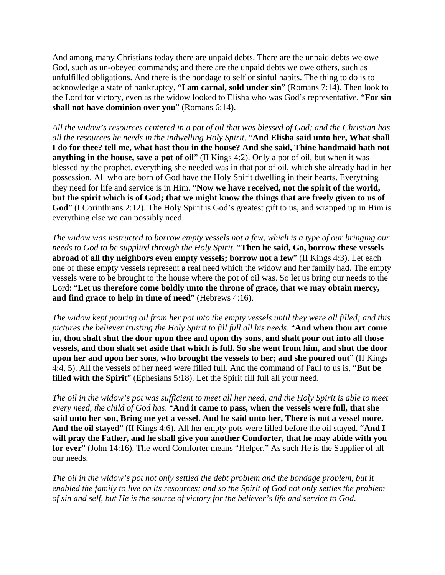And among many Christians today there are unpaid debts. There are the unpaid debts we owe God, such as un-obeyed commands; and there are the unpaid debts we owe others, such as unfulfilled obligations. And there is the bondage to self or sinful habits. The thing to do is to acknowledge a state of bankruptcy, "**I am carnal, sold under sin**" (Romans 7:14). Then look to the Lord for victory, even as the widow looked to Elisha who was God's representative. "**For sin shall not have dominion over you**" (Romans 6:14).

*All the widow's resources centered in a pot of oil that was blessed of God; and the Christian has all the resources he needs in the indwelling Holy Spirit*. "**And Elisha said unto her, What shall I do for thee? tell me, what hast thou in the house? And she said, Thine handmaid hath not anything in the house, save a pot of oil**" (II Kings 4:2). Only a pot of oil, but when it was blessed by the prophet, everything she needed was in that pot of oil, which she already had in her possession. All who are born of God have the Holy Spirit dwelling in their hearts. Everything they need for life and service is in Him. "**Now we have received, not the spirit of the world, but the spirit which is of God; that we might know the things that are freely given to us of**  God" (I Corinthians 2:12). The Holy Spirit is God's greatest gift to us, and wrapped up in Him is everything else we can possibly need.

*The widow was instructed to borrow empty vessels not a few, which is a type of our bringing our needs to God to be supplied through the Holy Spirit*. "**Then he said, Go, borrow these vessels abroad of all thy neighbors even empty vessels; borrow not a few**" (II Kings 4:3). Let each one of these empty vessels represent a real need which the widow and her family had. The empty vessels were to be brought to the house where the pot of oil was. So let us bring our needs to the Lord: "**Let us therefore come boldly unto the throne of grace, that we may obtain mercy, and find grace to help in time of need**" (Hebrews 4:16).

*The widow kept pouring oil from her pot into the empty vessels until they were all filled; and this pictures the believer trusting the Holy Spirit to fill full all his needs*. "**And when thou art come in, thou shalt shut the door upon thee and upon thy sons, and shalt pour out into all those vessels, and thou shalt set aside that which is full. So she went from him, and shut the door upon her and upon her sons, who brought the vessels to her; and she poured out**" (II Kings 4:4, 5). All the vessels of her need were filled full. And the command of Paul to us is, "**But be filled with the Spirit**" (Ephesians 5:18). Let the Spirit fill full all your need.

*The oil in the widow's pot was sufficient to meet all her need, and the Holy Spirit is able to meet every need, the child of God has*. "**And it came to pass, when the vessels were full, that she said unto her son, Bring me yet a vessel. And he said unto her, There is not a vessel more. And the oil stayed**" (II Kings 4:6). All her empty pots were filled before the oil stayed. "**And I will pray the Father, and he shall give you another Comforter, that he may abide with you for ever**" (John 14:16). The word Comforter means "Helper." As such He is the Supplier of all our needs.

*The oil in the widow's pot not only settled the debt problem and the bondage problem, but it enabled the family to live on its resources; and so the Spirit of God not only settles the problem of sin and self, but He is the source of victory for the believer's life and service to God*.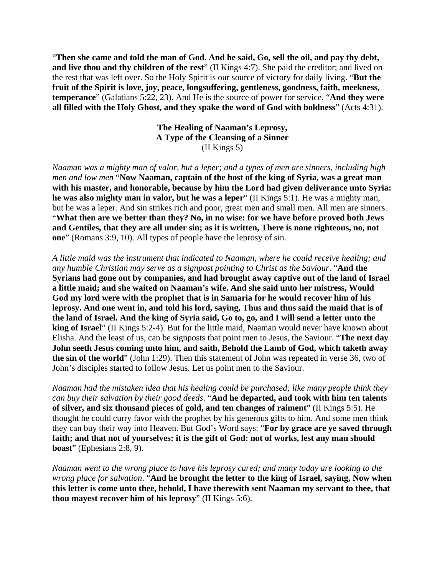"**Then she came and told the man of God. And he said, Go, sell the oil, and pay thy debt, and live thou and thy children of the rest**" (II Kings 4:7). She paid the creditor; and lived on the rest that was left over. So the Holy Spirit is our source of victory for daily living. "**But the fruit of the Spirit is love, joy, peace, longsuffering, gentleness, goodness, faith, meekness, temperance**" (Galatians 5:22, 23). And He is the source of power for service. "**And they were all filled with the Holy Ghost, and they spake the word of God with boldness**" (Acts 4:31).

## **The Healing of Naaman's Leprosy, A Type of the Cleansing of a Sinner**  (II Kings 5)

*Naaman was a mighty man of valor, but a leper; and a types of men are sinners, including high men and low men* "**Now Naaman, captain of the host of the king of Syria, was a great man with his master, and honorable, because by him the Lord had given deliverance unto Syria: he was also mighty man in valor, but he was a leper**" (II Kings 5:1). He was a mighty man, but he was a leper. And sin strikes rich and poor, great men and small men. All men are sinners. "**What then are we better than they? No, in no wise: for we have before proved both Jews and Gentiles, that they are all under sin; as it is written, There is none righteous, no, not one**" (Romans 3:9, 10). All types of people have the leprosy of sin.

*A little maid was the instrument that indicated to Naaman, where he could receive healing; and any humble Christian may serve as a signpost pointing to Christ as the Saviour*. "**And the Syrians had gone out by companies, and had brought away captive out of the land of Israel a little maid; and she waited on Naaman's wife. And she said unto her mistress, Would God my lord were with the prophet that is in Samaria for he would recover him of his leprosy. And one went in, and told his lord, saying, Thus and thus said the maid that is of the land of Israel. And the king of Syria said, Go to, go, and I will send a letter unto the king of Israel**" (II Kings 5:2-4). But for the little maid, Naaman would never have known about Elisha. And the least of us, can be signposts that point men to Jesus, the Saviour. "**The next day John seeth Jesus coming unto him, and saith, Behold the Lamb of God, which taketh away the sin of the world**" (John 1:29). Then this statement of John was repeated in verse 36, two of John's disciples started to follow Jesus. Let us point men to the Saviour.

*Naaman had the mistaken idea that his healing could be purchased; like many people think they can buy their salvation by their good deeds*. "**And he departed, and took with him ten talents of silver, and six thousand pieces of gold, and ten changes of raiment**" (II Kings 5:5). He thought he could curry favor with the prophet by his generous gifts to him. And some men think they can buy their way into Heaven. But God's Word says: "**For by grace are ye saved through**  faith; and that not of yourselves: it is the gift of God: not of works, lest any man should **boast**" (Ephesians 2:8, 9).

*Naaman went to the wrong place to have his leprosy cured; and many today are looking to the wrong place for salvation*. "**And he brought the letter to the king of Israel, saying, Now when this letter is come unto thee, behold, I have therewith sent Naaman my servant to thee, that thou mayest recover him of his leprosy**" (II Kings 5:6).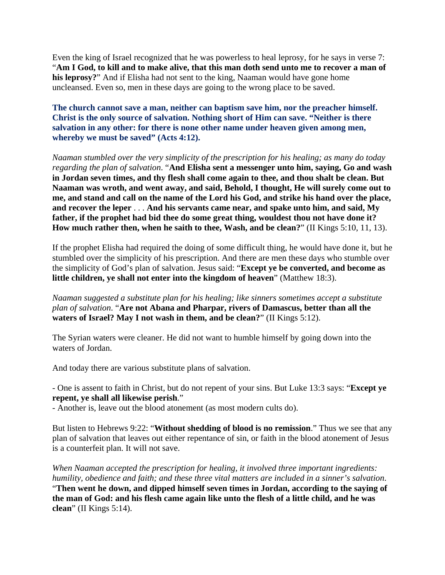Even the king of Israel recognized that he was powerless to heal leprosy, for he says in verse 7: "**Am I God, to kill and to make alive, that this man doth send unto me to recover a man of his leprosy?**" And if Elisha had not sent to the king, Naaman would have gone home uncleansed. Even so, men in these days are going to the wrong place to be saved.

**The church cannot save a man, neither can baptism save him, nor the preacher himself. Christ is the only source of salvation. Nothing short of Him can save. "Neither is there salvation in any other: for there is none other name under heaven given among men, whereby we must be saved" (Acts 4:12).**

*Naaman stumbled over the very simplicity of the prescription for his healing; as many do today regarding the plan of salvation*. "**And Elisha sent a messenger unto him, saying, Go and wash in Jordan seven times, and thy flesh shall come again to thee, and thou shalt be clean. But Naaman was wroth, and went away, and said, Behold, I thought, He will surely come out to me, and stand and call on the name of the Lord his God, and strike his hand over the place, and recover the leper** . . . **And his servants came near, and spake unto him, and said, My father, if the prophet had bid thee do some great thing, wouldest thou not have done it? How much rather then, when he saith to thee, Wash, and be clean?**" (II Kings 5:10, 11, 13).

If the prophet Elisha had required the doing of some difficult thing, he would have done it, but he stumbled over the simplicity of his prescription. And there are men these days who stumble over the simplicity of God's plan of salvation. Jesus said: "**Except ye be converted, and become as little children, ye shall not enter into the kingdom of heaven**" (Matthew 18:3).

*Naaman suggested a substitute plan for his healing; like sinners sometimes accept a substitute plan of salvation*. "**Are not Abana and Pharpar, rivers of Damascus, better than all the waters of Israel? May I not wash in them, and be clean?**" (II Kings 5:12).

The Syrian waters were cleaner. He did not want to humble himself by going down into the waters of Jordan.

And today there are various substitute plans of salvation.

- One is assent to faith in Christ, but do not repent of your sins. But Luke 13:3 says: "**Except ye repent, ye shall all likewise perish**."

- Another is, leave out the blood atonement (as most modern cults do).

But listen to Hebrews 9:22: "**Without shedding of blood is no remission**." Thus we see that any plan of salvation that leaves out either repentance of sin, or faith in the blood atonement of Jesus is a counterfeit plan. It will not save.

*When Naaman accepted the prescription for healing, it involved three important ingredients: humility, obedience and faith; and these three vital matters are included in a sinner's salvation*. "**Then went he down, and dipped himself seven times in Jordan, according to the saying of the man of God: and his flesh came again like unto the flesh of a little child, and he was clean**" (II Kings 5:14).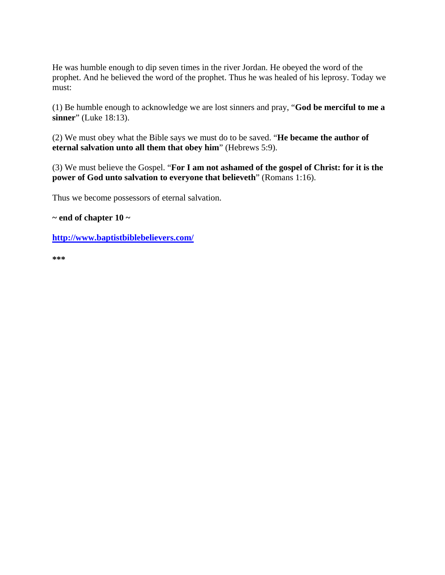He was humble enough to dip seven times in the river Jordan. He obeyed the word of the prophet. And he believed the word of the prophet. Thus he was healed of his leprosy. Today we must:

(1) Be humble enough to acknowledge we are lost sinners and pray, "**God be merciful to me a sinner**" (Luke 18:13).

(2) We must obey what the Bible says we must do to be saved. "**He became the author of eternal salvation unto all them that obey him**" (Hebrews 5:9).

(3) We must believe the Gospel. "**For I am not ashamed of the gospel of Christ: for it is the power of God unto salvation to everyone that believeth**" (Romans 1:16).

Thus we become possessors of eternal salvation.

**~ end of chapter 10 ~** 

**http://www.baptistbiblebelievers.com/**

**\*\*\***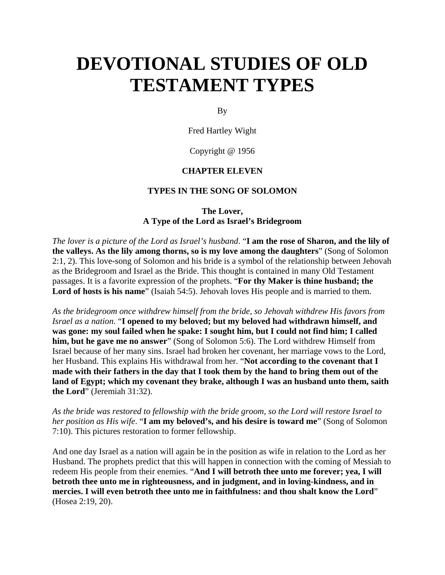# **DEVOTIONAL STUDIES OF OLD TESTAMENT TYPES**

By

Fred Hartley Wight

Copyright @ 1956

#### **CHAPTER ELEVEN**

#### **TYPES IN THE SONG OF SOLOMON**

## **The Lover, A Type of the Lord as Israel's Bridegroom**

*The lover is a picture of the Lord as Israel's husband*. "**I am the rose of Sharon, and the lily of the valleys. As the lily among thorns, so is my love among the daughters**" (Song of Solomon 2:1, 2). This love-song of Solomon and his bride is a symbol of the relationship between Jehovah as the Bridegroom and Israel as the Bride. This thought is contained in many Old Testament passages. It is a favorite expression of the prophets. "**For thy Maker is thine husband; the**  Lord of hosts is his name" (Isaiah 54:5). Jehovah loves His people and is married to them.

*As the bridegroom once withdrew himself from the bride, so Jehovah withdrew His favors from Israel as a nation*. "**I opened to my beloved; but my beloved had withdrawn himself, and was gone: my soul failed when he spake: I sought him, but I could not find him; I called him, but he gave me no answer**" (Song of Solomon 5:6). The Lord withdrew Himself from Israel because of her many sins. Israel had broken her covenant, her marriage vows to the Lord, her Husband. This explains His withdrawal from her. "**Not according to the covenant that I made with their fathers in the day that I took them by the hand to bring them out of the land of Egypt; which my covenant they brake, although I was an husband unto them, saith the Lord**" (Jeremiah 31:32).

*As the bride was restored to fellowship with the bride groom, so the Lord will restore Israel to her position as His wife*. "**I am my beloved's, and his desire is toward me**" (Song of Solomon 7:10). This pictures restoration to former fellowship.

And one day Israel as a nation will again be in the position as wife in relation to the Lord as her Husband. The prophets predict that this will happen in connection with the coming of Messiah to redeem His people from their enemies. "**And I will betroth thee unto me forever; yea, I will betroth thee unto me in righteousness, and in judgment, and in loving-kindness, and in mercies. I will even betroth thee unto me in faithfulness: and thou shalt know the Lord**" (Hosea 2:19, 20).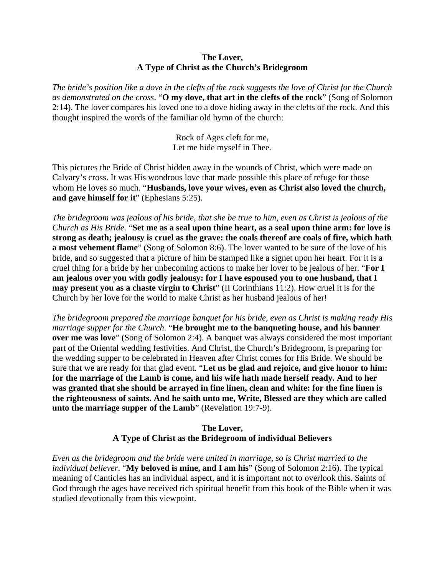#### **The Lover, A Type of Christ as the Church's Bridegroom**

*The bride's position like a dove in the clefts of the rock suggests the love of Christ for the Church as demonstrated on the cross*. "**O my dove, that art in the clefts of the rock**" (Song of Solomon 2:14). The lover compares his loved one to a dove hiding away in the clefts of the rock. And this thought inspired the words of the familiar old hymn of the church:

> Rock of Ages cleft for me, Let me hide myself in Thee.

This pictures the Bride of Christ hidden away in the wounds of Christ, which were made on Calvary's cross. It was His wondrous love that made possible this place of refuge for those whom He loves so much. "**Husbands, love your wives, even as Christ also loved the church, and gave himself for it**" (Ephesians 5:25).

*The bridegroom was jealous of his bride, that she be true to him, even as Christ is jealous of the Church as His Bride*. "**Set me as a seal upon thine heart, as a seal upon thine arm: for love is strong as death; jealousy is cruel as the grave: the coals thereof are coals of fire, which hath a most vehement flame**" (Song of Solomon 8:6). The lover wanted to be sure of the love of his bride, and so suggested that a picture of him be stamped like a signet upon her heart. For it is a cruel thing for a bride by her unbecoming actions to make her lover to be jealous of her. "**For I am jealous over you with godly jealousy: for I have espoused you to one husband, that I may present you as a chaste virgin to Christ**" (II Corinthians 11:2). How cruel it is for the Church by her love for the world to make Christ as her husband jealous of her!

*The bridegroom prepared the marriage banquet for his bride, even as Christ is making ready His marriage supper for the Church*. "**He brought me to the banqueting house, and his banner over me was love**" (Song of Solomon 2:4). A banquet was always considered the most important part of the Oriental wedding festivities. And Christ, the Church's Bridegroom, is preparing for the wedding supper to be celebrated in Heaven after Christ comes for His Bride. We should be sure that we are ready for that glad event. "**Let us be glad and rejoice, and give honor to him: for the marriage of the Lamb is come, and his wife hath made herself ready. And to her was granted that she should be arrayed in fine linen, clean and white: for the fine linen is the righteousness of saints. And he saith unto me, Write, Blessed are they which are called unto the marriage supper of the Lamb**" (Revelation 19:7-9).

## **The Lover, A Type of Christ as the Bridegroom of individual Believers**

*Even as the bridegroom and the bride were united in marriage, so is Christ married to the individual believer*. "**My beloved is mine, and I am his**" (Song of Solomon 2:16). The typical meaning of Canticles has an individual aspect, and it is important not to overlook this. Saints of God through the ages have received rich spiritual benefit from this book of the Bible when it was studied devotionally from this viewpoint.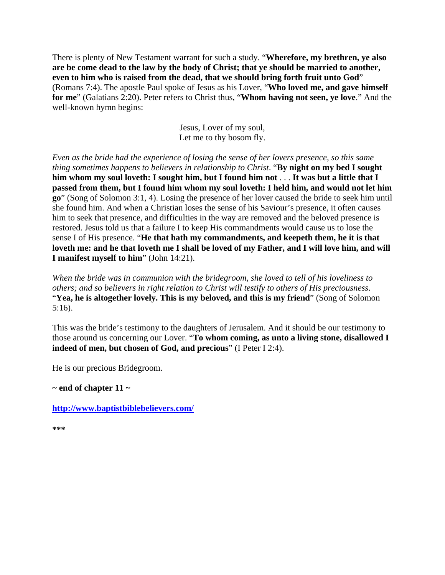There is plenty of New Testament warrant for such a study. "**Wherefore, my brethren, ye also are be come dead to the law by the body of Christ; that ye should be married to another, even to him who is raised from the dead, that we should bring forth fruit unto God**" (Romans 7:4). The apostle Paul spoke of Jesus as his Lover, "**Who loved me, and gave himself for me**" (Galatians 2:20). Peter refers to Christ thus, "**Whom having not seen, ye love**." And the well-known hymn begins:

> Jesus, Lover of my soul, Let me to thy bosom fly.

*Even as the bride had the experience of losing the sense of her lovers presence, so this same thing sometimes happens to believers in relationship to Christ*. "**By night on my bed I sought him whom my soul loveth: I sought him, but I found him not** . . . **It was but a little that I passed from them, but I found him whom my soul loveth: I held him, and would not let him go**" (Song of Solomon 3:1, 4). Losing the presence of her lover caused the bride to seek him until she found him. And when a Christian loses the sense of his Saviour's presence, it often causes him to seek that presence, and difficulties in the way are removed and the beloved presence is restored. Jesus told us that a failure I to keep His commandments would cause us to lose the sense I of His presence. "**He that hath my commandments, and keepeth them, he it is that loveth me: and he that loveth me I shall be loved of my Father, and I will love him, and will I manifest myself to him**" (John 14:21).

*When the bride was in communion with the bridegroom, she loved to tell of his loveliness to others; and so believers in right relation to Christ will testify to others of His preciousness*. "**Yea, he is altogether lovely. This is my beloved, and this is my friend**" (Song of Solomon 5:16).

This was the bride's testimony to the daughters of Jerusalem. And it should be our testimony to those around us concerning our Lover. "**To whom coming, as unto a living stone, disallowed I indeed of men, but chosen of God, and precious**" (I Peter I 2:4).

He is our precious Bridegroom.

**~ end of chapter 11 ~** 

**http://www.baptistbiblebelievers.com/**

**\*\*\***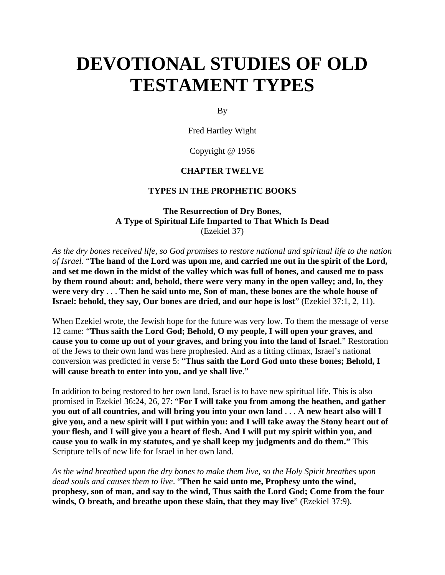# **DEVOTIONAL STUDIES OF OLD TESTAMENT TYPES**

By

Fred Hartley Wight

Copyright @ 1956

#### **CHAPTER TWELVE**

#### **TYPES IN THE PROPHETIC BOOKS**

**The Resurrection of Dry Bones, A Type of Spiritual Life Imparted to That Which Is Dead**  (Ezekiel 37)

*As the dry bones received life, so God promises to restore national and spiritual life to the nation of Israel*. "**The hand of the Lord was upon me, and carried me out in the spirit of the Lord, and set me down in the midst of the valley which was full of bones, and caused me to pass by them round about: and, behold, there were very many in the open valley; and, lo, they were very dry** . . . **Then he said unto me, Son of man, these bones are the whole house of Israel: behold, they say, Our bones are dried, and our hope is lost**" (Ezekiel 37:1, 2, 11).

When Ezekiel wrote, the Jewish hope for the future was very low. To them the message of verse 12 came: "**Thus saith the Lord God; Behold, O my people, I will open your graves, and cause you to come up out of your graves, and bring you into the land of Israel**." Restoration of the Jews to their own land was here prophesied. And as a fitting climax, Israel's national conversion was predicted in verse 5: "**Thus saith the Lord God unto these bones; Behold, I will cause breath to enter into you, and ye shall live**."

In addition to being restored to her own land, Israel is to have new spiritual life. This is also promised in Ezekiel 36:24, 26, 27: "**For I will take you from among the heathen, and gather you out of all countries, and will bring you into your own land** . . . **A new heart also will I give you, and a new spirit will I put within you: and I will take away the Stony heart out of your flesh, and I will give you a heart of flesh. And I will put my spirit within you, and cause you to walk in my statutes, and ye shall keep my judgments and do them."** This Scripture tells of new life for Israel in her own land.

*As the wind breathed upon the dry bones to make them live, so the Holy Spirit breathes upon dead souls and causes them to live*. "**Then he said unto me, Prophesy unto the wind, prophesy, son of man, and say to the wind, Thus saith the Lord God; Come from the four winds, O breath, and breathe upon these slain, that they may live**" (Ezekiel 37:9).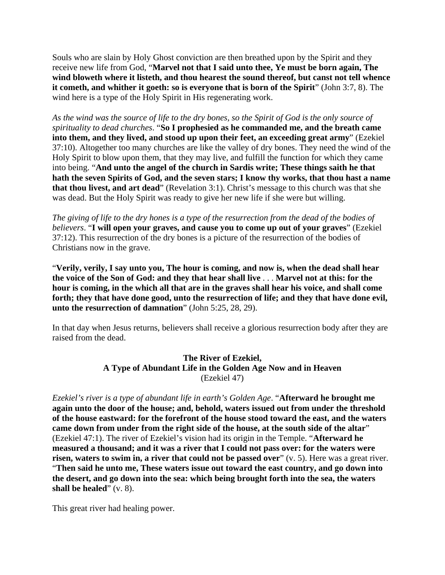Souls who are slain by Holy Ghost conviction are then breathed upon by the Spirit and they receive new life from God, "**Marvel not that I said unto thee, Ye must be born again, The wind bloweth where it listeth, and thou hearest the sound thereof, but canst not tell whence it cometh, and whither it goeth: so is everyone that is born of the Spirit**" (John 3:7, 8). The wind here is a type of the Holy Spirit in His regenerating work.

*As the wind was the source of life to the dry bones, so the Spirit of God is the only source of spirituality to dead churches*. "**So I prophesied as he commanded me, and the breath came into them, and they lived, and stood up upon their feet, an exceeding great army**" (Ezekiel 37:10). Altogether too many churches are like the valley of dry bones. They need the wind of the Holy Spirit to blow upon them, that they may live, and fulfill the function for which they came into being. "**And unto the angel of the church in Sardis write; These things saith he that hath the seven Spirits of God, and the seven stars; I know thy works, that thou hast a name that thou livest, and art dead**" (Revelation 3:1). Christ's message to this church was that she was dead. But the Holy Spirit was ready to give her new life if she were but willing.

*The giving of life to the dry hones is a type of the resurrection from the dead of the bodies of believers*. "**I will open your graves, and cause you to come up out of your graves**" (Ezekiel 37:12). This resurrection of the dry bones is a picture of the resurrection of the bodies of Christians now in the grave.

"**Verily, verily, I say unto you, The hour is coming, and now is, when the dead shall hear the voice of the Son of God: and they that hear shall live** . . . **Marvel not at this: for the hour is coming, in the which all that are in the graves shall hear his voice, and shall come forth; they that have done good, unto the resurrection of life; and they that have done evil, unto the resurrection of damnation**" (John 5:25, 28, 29).

In that day when Jesus returns, believers shall receive a glorious resurrection body after they are raised from the dead.

> **The River of Ezekiel, A Type of Abundant Life in the Golden Age Now and in Heaven**  (Ezekiel 47)

*Ezekiel's river is a type of abundant life in earth's Golden Age*. "**Afterward he brought me again unto the door of the house; and, behold, waters issued out from under the threshold of the house eastward: for the forefront of the house stood toward the east, and the waters came down from under from the right side of the house, at the south side of the altar**" (Ezekiel 47:1). The river of Ezekiel's vision had its origin in the Temple. "**Afterward he measured a thousand; and it was a river that I could not pass over: for the waters were risen, waters to swim in, a river that could not be passed over**" (v. 5). Here was a great river. "**Then said he unto me, These waters issue out toward the east country, and go down into the desert, and go down into the sea: which being brought forth into the sea, the waters shall be healed**" (v. 8).

This great river had healing power.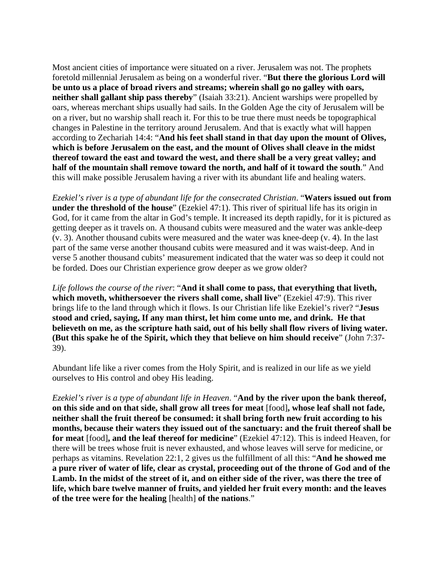Most ancient cities of importance were situated on a river. Jerusalem was not. The prophets foretold millennial Jerusalem as being on a wonderful river. "**But there the glorious Lord will be unto us a place of broad rivers and streams; wherein shall go no galley with oars, neither shall gallant ship pass thereby**" (Isaiah 33:21). Ancient warships were propelled by oars, whereas merchant ships usually had sails. In the Golden Age the city of Jerusalem will be on a river, but no warship shall reach it. For this to be true there must needs be topographical changes in Palestine in the territory around Jerusalem. And that is exactly what will happen according to Zechariah 14:4: "**And his feet shall stand in that day upon the mount of Olives, which is before Jerusalem on the east, and the mount of Olives shall cleave in the midst thereof toward the east and toward the west, and there shall be a very great valley; and half of the mountain shall remove toward the north, and half of it toward the south**." And this will make possible Jerusalem having a river with its abundant life and healing waters.

*Ezekiel's river is a type of abundant life for the consecrated Christian*. "**Waters issued out from under the threshold of the house**" (Ezekiel 47:1). This river of spiritual life has its origin in God, for it came from the altar in God's temple. It increased its depth rapidly, for it is pictured as getting deeper as it travels on. A thousand cubits were measured and the water was ankle-deep (v. 3). Another thousand cubits were measured and the water was knee-deep (v. 4). In the last part of the same verse another thousand cubits were measured and it was waist-deep. And in verse 5 another thousand cubits' measurement indicated that the water was so deep it could not be forded. Does our Christian experience grow deeper as we grow older?

*Life follows the course of the river*: "**And it shall come to pass, that everything that liveth, which moveth, whithersoever the rivers shall come, shall live**" (Ezekiel 47:9). This river brings life to the land through which it flows. Is our Christian life like Ezekiel's river? "**Jesus stood and cried, saying, If any man thirst, let him come unto me, and drink. He that believeth on me, as the scripture hath said, out of his belly shall flow rivers of living water. (But this spake he of the Spirit, which they that believe on him should receive**" (John 7:37- 39).

Abundant life like a river comes from the Holy Spirit, and is realized in our life as we yield ourselves to His control and obey His leading.

*Ezekiel's river is a type of abundant life in Heaven*. "**And by the river upon the bank thereof, on this side and on that side, shall grow all trees for meat** [food]**, whose leaf shall not fade, neither shall the fruit thereof be consumed: it shall bring forth new fruit according to his months, because their waters they issued out of the sanctuary: and the fruit thereof shall be for meat** [food]**, and the leaf thereof for medicine**" (Ezekiel 47:12). This is indeed Heaven, for there will be trees whose fruit is never exhausted, and whose leaves will serve for medicine, or perhaps as vitamins. Revelation 22:1, 2 gives us the fulfillment of all this: "**And he showed me a pure river of water of life, clear as crystal, proceeding out of the throne of God and of the Lamb. In the midst of the street of it, and on either side of the river, was there the tree of life, which bare twelve manner of fruits, and yielded her fruit every month: and the leaves of the tree were for the healing** [health] **of the nations**."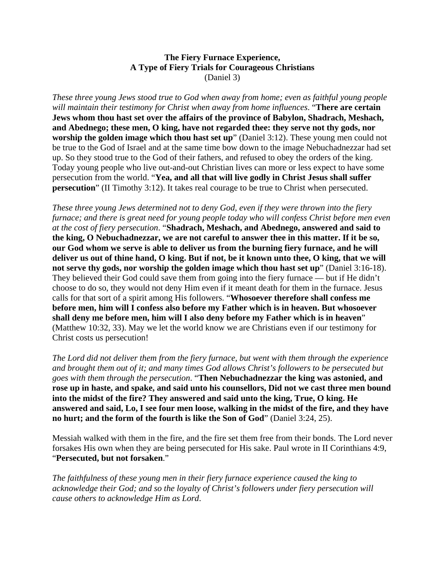#### **The Fiery Furnace Experience, A Type of Fiery Trials for Courageous Christians**  (Daniel 3)

*These three young Jews stood true to God when away from home; even as faithful young people will maintain their testimony for Christ when away from home influences*. "**There are certain Jews whom thou hast set over the affairs of the province of Babylon, Shadrach, Meshach, and Abednego; these men, O king, have not regarded thee: they serve not thy gods, nor worship the golden image which thou hast set up**" (Daniel 3:12). These young men could not be true to the God of Israel and at the same time bow down to the image Nebuchadnezzar had set up. So they stood true to the God of their fathers, and refused to obey the orders of the king. Today young people who live out-and-out Christian lives can more or less expect to have some persecution from the world. "**Yea, and all that will live godly in Christ Jesus shall suffer persecution**" (II Timothy 3:12). It takes real courage to be true to Christ when persecuted.

*These three young Jews determined not to deny God, even if they were thrown into the fiery furnace; and there is great need for young people today who will confess Christ before men even at the cost of fiery persecution*. "**Shadrach, Meshach, and Abednego, answered and said to the king, O Nebuchadnezzar, we are not careful to answer thee in this matter. If it be so, our God whom we serve is able to deliver us from the burning fiery furnace, and he will deliver us out of thine hand, O king. But if not, be it known unto thee, O king, that we will not serve thy gods, nor worship the golden image which thou hast set up**" (Daniel 3:16-18). They believed their God could save them from going into the fiery furnace — but if He didn't choose to do so, they would not deny Him even if it meant death for them in the furnace. Jesus calls for that sort of a spirit among His followers. "**Whosoever therefore shall confess me before men, him will I confess also before my Father which is in heaven. But whosoever shall deny me before men, him will I also deny before my Father which is in heaven**" (Matthew 10:32, 33). May we let the world know we are Christians even if our testimony for Christ costs us persecution!

*The Lord did not deliver them from the fiery furnace, but went with them through the experience and brought them out of it; and many times God allows Christ's followers to be persecuted but goes with them through the persecution*. "**Then Nebuchadnezzar the king was astonied, and rose up in haste, and spake, and said unto his counsellors, Did not we cast three men bound into the midst of the fire? They answered and said unto the king, True, O king. He answered and said, Lo, I see four men loose, walking in the midst of the fire, and they have no hurt; and the form of the fourth is like the Son of God**" (Daniel 3:24, 25).

Messiah walked with them in the fire, and the fire set them free from their bonds. The Lord never forsakes His own when they are being persecuted for His sake. Paul wrote in II Corinthians 4:9, "**Persecuted, but not forsaken**."

*The faithfulness of these young men in their fiery furnace experience caused the king to acknowledge their God; and so the loyalty of Christ's followers under fiery persecution will cause others to acknowledge Him as Lord*.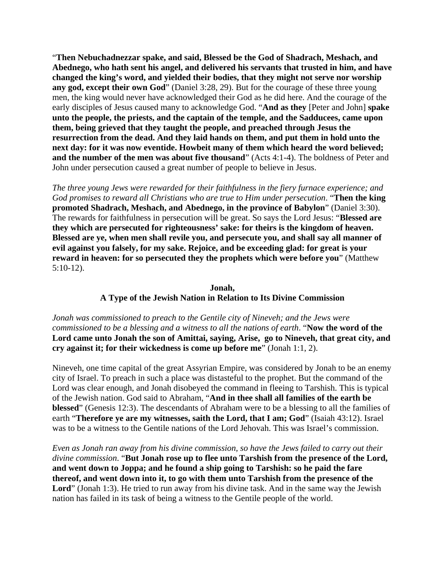"**Then Nebuchadnezzar spake, and said, Blessed be the God of Shadrach, Meshach, and Abednego, who hath sent his angel, and delivered his servants that trusted in him, and have changed the king's word, and yielded their bodies, that they might not serve nor worship any god, except their own God**" (Daniel 3:28, 29). But for the courage of these three young men, the king would never have acknowledged their God as he did here. And the courage of the early disciples of Jesus caused many to acknowledge God. "**And as they** [Peter and John] **spake unto the people, the priests, and the captain of the temple, and the Sadducees, came upon them, being grieved that they taught the people, and preached through Jesus the resurrection from the dead. And they laid hands on them, and put them in hold unto the next day: for it was now eventide. Howbeit many of them which heard the word believed; and the number of the men was about five thousand**" (Acts 4:1-4). The boldness of Peter and John under persecution caused a great number of people to believe in Jesus.

*The three young Jews were rewarded for their faithfulness in the fiery furnace experience; and God promises to reward all Christians who are true to Him under persecution*. "**Then the king promoted Shadrach, Meshach, and Abednego, in the province of Babylon**" (Daniel 3:30). The rewards for faithfulness in persecution will be great. So says the Lord Jesus: "**Blessed are they which are persecuted for righteousness' sake: for theirs is the kingdom of heaven. Blessed are ye, when men shall revile you, and persecute you, and shall say all manner of evil against you falsely, for my sake. Rejoice, and be exceeding glad: for great is your reward in heaven: for so persecuted they the prophets which were before you**" (Matthew 5:10-12).

## **Jonah, A Type of the Jewish Nation in Relation to Its Divine Commission**

*Jonah was commissioned to preach to the Gentile city of Nineveh; and the Jews were commissioned to be a blessing and a witness to all the nations of earth*. "**Now the word of the Lord came unto Jonah the son of Amittai, saying, Arise, go to Nineveh, that great city, and cry against it; for their wickedness is come up before me**" (Jonah 1:1, 2).

Nineveh, one time capital of the great Assyrian Empire, was considered by Jonah to be an enemy city of Israel. To preach in such a place was distasteful to the prophet. But the command of the Lord was clear enough, and Jonah disobeyed the command in fleeing to Tarshish. This is typical of the Jewish nation. God said to Abraham, "**And in thee shall all families of the earth be blessed**" (Genesis 12:3). The descendants of Abraham were to be a blessing to all the families of earth "**Therefore ye are my witnesses, saith the Lord, that I am; God**" (Isaiah 43:12). Israel was to be a witness to the Gentile nations of the Lord Jehovah. This was Israel's commission.

*Even as Jonah ran away from his divine commission, so have the Jews failed to carry out their divine commission*. "**But Jonah rose up to flee unto Tarshish from the presence of the Lord, and went down to Joppa; and he found a ship going to Tarshish: so he paid the fare thereof, and went down into it, to go with them unto Tarshish from the presence of the**  Lord" (Jonah 1:3). He tried to run away from his divine task. And in the same way the Jewish nation has failed in its task of being a witness to the Gentile people of the world.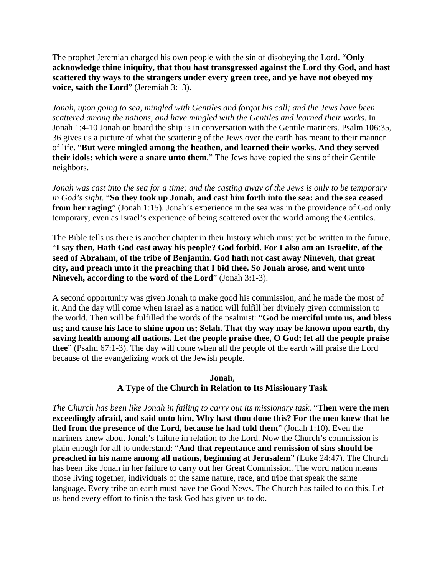The prophet Jeremiah charged his own people with the sin of disobeying the Lord. "**Only acknowledge thine iniquity, that thou hast transgressed against the Lord thy God, and hast scattered thy ways to the strangers under every green tree, and ye have not obeyed my voice, saith the Lord**" (Jeremiah 3:13).

*Jonah, upon going to sea, mingled with Gentiles and forgot his call; and the Jews have been scattered among the nations, and have mingled with the Gentiles and learned their works*. In Jonah 1:4-10 Jonah on board the ship is in conversation with the Gentile mariners. Psalm 106:35, 36 gives us a picture of what the scattering of the Jews over the earth has meant to their manner of life. "**But were mingled among the heathen, and learned their works. And they served their idols: which were a snare unto them**." The Jews have copied the sins of their Gentile neighbors.

*Jonah was cast into the sea for a time; and the casting away of the Jews is only to be temporary in God's sight*. "**So they took up Jonah, and cast him forth into the sea: and the sea ceased from her raging**" (Jonah 1:15). Jonah's experience in the sea was in the providence of God only temporary, even as Israel's experience of being scattered over the world among the Gentiles.

The Bible tells us there is another chapter in their history which must yet be written in the future. "**I say then, Hath God cast away his people? God forbid. For I also am an Israelite, of the seed of Abraham, of the tribe of Benjamin. God hath not cast away Nineveh, that great city, and preach unto it the preaching that I bid thee. So Jonah arose, and went unto Nineveh, according to the word of the Lord**" (Jonah 3:1-3).

A second opportunity was given Jonah to make good his commission, and he made the most of it. And the day will come when Israel as a nation will fulfill her divinely given commission to the world. Then will be fulfilled the words of the psalmist: "**God be merciful unto us, and bless us; and cause his face to shine upon us; Selah. That thy way may be known upon earth, thy saving health among all nations. Let the people praise thee, O God; let all the people praise thee**" (Psalm 67:1-3). The day will come when all the people of the earth will praise the Lord because of the evangelizing work of the Jewish people.

## **Jonah, A Type of the Church in Relation to Its Missionary Task**

*The Church has been like Jonah in failing to carry out its missionary task*. "**Then were the men exceedingly afraid, and said unto him, Why hast thou done this? For the men knew that he fled from the presence of the Lord, because he had told them**" (Jonah 1:10). Even the mariners knew about Jonah's failure in relation to the Lord. Now the Church's commission is plain enough for all to understand: "**And that repentance and remission of sins should be preached in his name among all nations, beginning at Jerusalem**" (Luke 24:47). The Church has been like Jonah in her failure to carry out her Great Commission. The word nation means those living together, individuals of the same nature, race, and tribe that speak the same language. Every tribe on earth must have the Good News. The Church has failed to do this. Let us bend every effort to finish the task God has given us to do.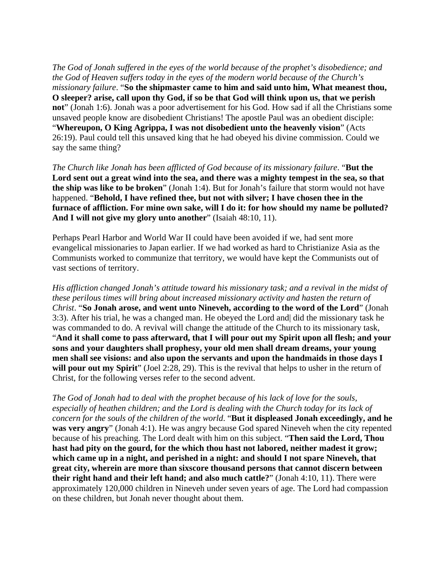*The God of Jonah suffered in the eyes of the world because of the prophet's disobedience; and the God of Heaven suffers today in the eyes of the modern world because of the Church's missionary failure*. "**So the shipmaster came to him and said unto him, What meanest thou, O sleeper? arise, call upon thy God, if so be that God will think upon us, that we perish not**" (Jonah 1:6). Jonah was a poor advertisement for his God. How sad if all the Christians some unsaved people know are disobedient Christians! The apostle Paul was an obedient disciple: "**Whereupon, O King Agrippa, I was not disobedient unto the heavenly vision**" (Acts 26:19). Paul could tell this unsaved king that he had obeyed his divine commission. Could we say the same thing?

*The Church like Jonah has been afflicted of God because of its missionary failure*. "**But the Lord sent out a great wind into the sea, and there was a mighty tempest in the sea, so that the ship was like to be broken**" (Jonah 1:4). But for Jonah's failure that storm would not have happened. "**Behold, I have refined thee, but not with silver; I have chosen thee in the furnace of affliction. For mine own sake, will I do it: for how should my name be polluted? And I will not give my glory unto another**" (Isaiah 48:10, 11).

Perhaps Pearl Harbor and World War II could have been avoided if we, had sent more evangelical missionaries to Japan earlier. If we had worked as hard to Christianize Asia as the Communists worked to communize that territory, we would have kept the Communists out of vast sections of territory.

*His affliction changed Jonah's attitude toward his missionary task; and a revival in the midst of these perilous times will bring about increased missionary activity and hasten the return of Christ*. "**So Jonah arose, and went unto Nineveh, according to the word of the Lord**" (Jonah 3:3). After his trial, he was a changed man. He obeyed the Lord and| did the missionary task he was commanded to do. A revival will change the attitude of the Church to its missionary task, "**And it shall come to pass afterward, that I will pour out my Spirit upon all flesh; and your sons and your daughters shall prophesy, your old men shall dream dreams, your young men shall see visions: and also upon the servants and upon the handmaids in those days I**  will pour out my Spirit<sup>"</sup> (Joel 2:28, 29). This is the revival that helps to usher in the return of Christ, for the following verses refer to the second advent.

*The God of Jonah had to deal with the prophet because of his lack of love for the souls, especially of heathen children; and the Lord is dealing with the Church today for its lack of concern for the souls of the children of the world*. "**But it displeased Jonah exceedingly, and he was very angry**" (Jonah 4:1). He was angry because God spared Nineveh when the city repented because of his preaching. The Lord dealt with him on this subject. "**Then said the Lord, Thou hast had pity on the gourd, for the which thou hast not labored, neither madest it grow; which came up in a night, and perished in a night: and should I not spare Nineveh, that great city, wherein are more than sixscore thousand persons that cannot discern between their right hand and their left hand; and also much cattle?**" (Jonah 4:10, 11). There were approximately 120,000 children in Nineveh under seven years of age. The Lord had compassion on these children, but Jonah never thought about them.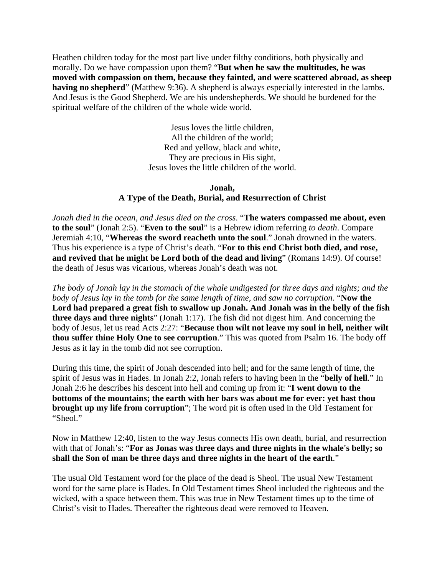Heathen children today for the most part live under filthy conditions, both physically and morally. Do we have compassion upon them? "**But when he saw the multitudes, he was moved with compassion on them, because they fainted, and were scattered abroad, as sheep having no shepherd**" (Matthew 9:36). A shepherd is always especially interested in the lambs. And Jesus is the Good Shepherd. We are his undershepherds. We should be burdened for the spiritual welfare of the children of the whole wide world.

> Jesus loves the little children, All the children of the world; Red and yellow, black and white, They are precious in His sight, Jesus loves the little children of the world.

## **Jonah, A Type of the Death, Burial, and Resurrection of Christ**

*Jonah died in the ocean, and Jesus died on the cross*. "**The waters compassed me about, even to the soul**" (Jonah 2:5). "**Even to the soul**" is a Hebrew idiom referring *to death*. Compare Jeremiah 4:10, "**Whereas the sword reacheth unto the soul**." Jonah drowned in the waters. Thus his experience is a type of Christ's death. "**For to this end Christ both died, and rose, and revived that he might be Lord both of the dead and living**" (Romans 14:9). Of course! the death of Jesus was vicarious, whereas Jonah's death was not.

*The body of Jonah lay in the stomach of the whale undigested for three days and nights; and the body of Jesus lay in the tomb for the same length of time, and saw no corruption*. "**Now the Lord had prepared a great fish to swallow up Jonah. And Jonah was in the belly of the fish three days and three nights**" (Jonah 1:17). The fish did not digest him. And concerning the body of Jesus, let us read Acts 2:27: "**Because thou wilt not leave my soul in hell, neither wilt thou suffer thine Holy One to see corruption**." This was quoted from Psalm 16. The body off Jesus as it lay in the tomb did not see corruption.

During this time, the spirit of Jonah descended into hell; and for the same length of time, the spirit of Jesus was in Hades. In Jonah 2:2, Jonah refers to having been in the "**belly of hell**." In Jonah 2:6 he describes his descent into hell and coming up from it: "**I went down to the bottoms of the mountains; the earth with her bars was about me for ever: yet hast thou brought up my life from corruption**"; The word pit is often used in the Old Testament for "Sheol."

Now in Matthew 12:40, listen to the way Jesus connects His own death, burial, and resurrection with that of Jonah's: "**For as Jonas was three days and three nights in the whale's belly; so shall the Son of man be three days and three nights in the heart of the earth**."

The usual Old Testament word for the place of the dead is Sheol. The usual New Testament word for the same place is Hades. In Old Testament times Sheol included the righteous and the wicked, with a space between them. This was true in New Testament times up to the time of Christ's visit to Hades. Thereafter the righteous dead were removed to Heaven.